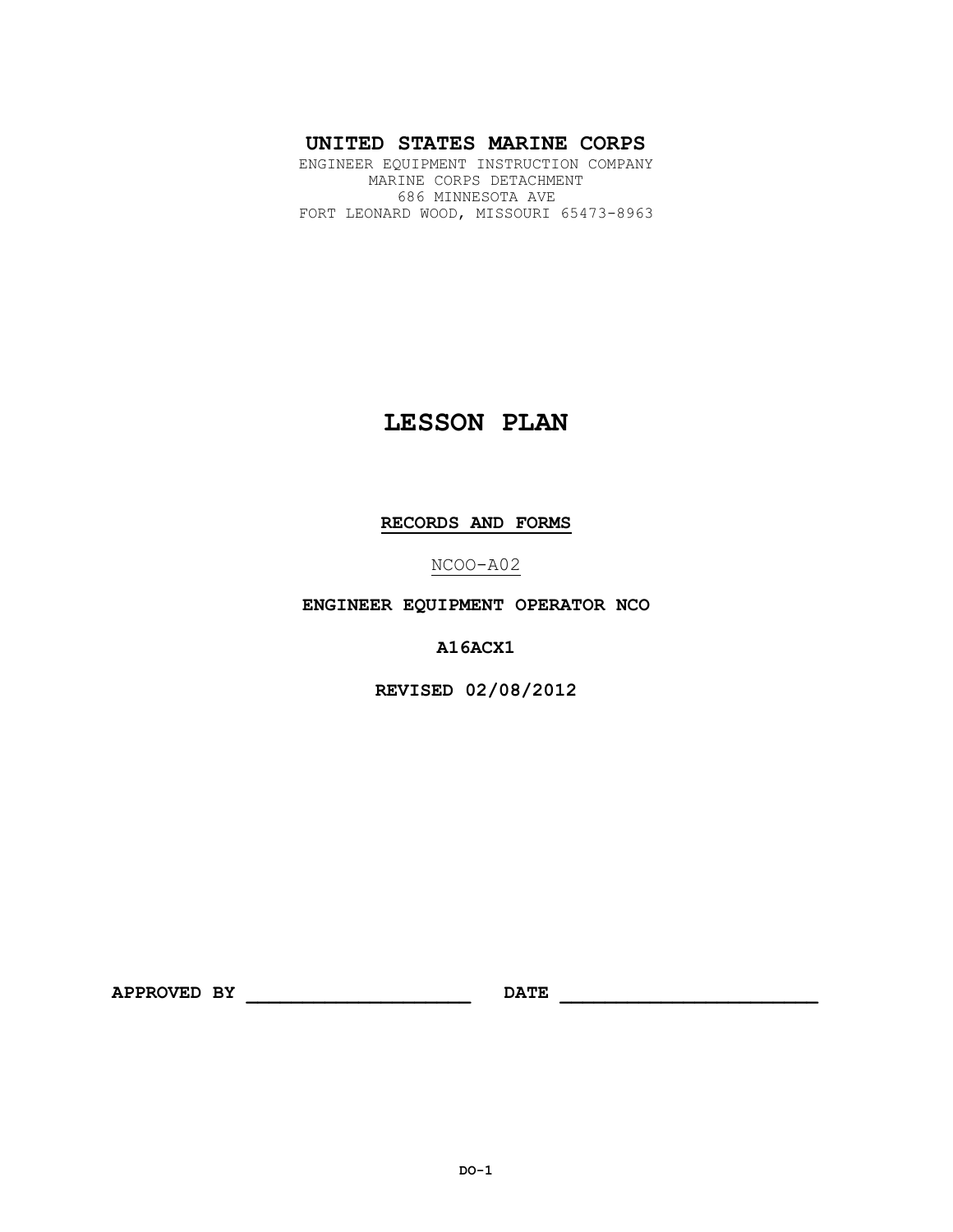# **UNITED STATES MARINE CORPS**

ENGINEER EQUIPMENT INSTRUCTION COMPANY MARINE CORPS DETACHMENT 686 MINNESOTA AVE FORT LEONARD WOOD, MISSOURI 65473-8963

# **LESSON PLAN**

# **RECORDS AND FORMS**

NCOO-A02

**ENGINEER EQUIPMENT OPERATOR NCO**

**A16ACX1**

**REVISED 02/08/2012**

**APPROVED BY \_\_\_\_\_\_\_\_\_\_\_\_\_\_\_\_\_\_\_\_ DATE \_\_\_\_\_\_\_\_\_\_\_\_\_\_\_\_\_\_\_\_\_\_\_**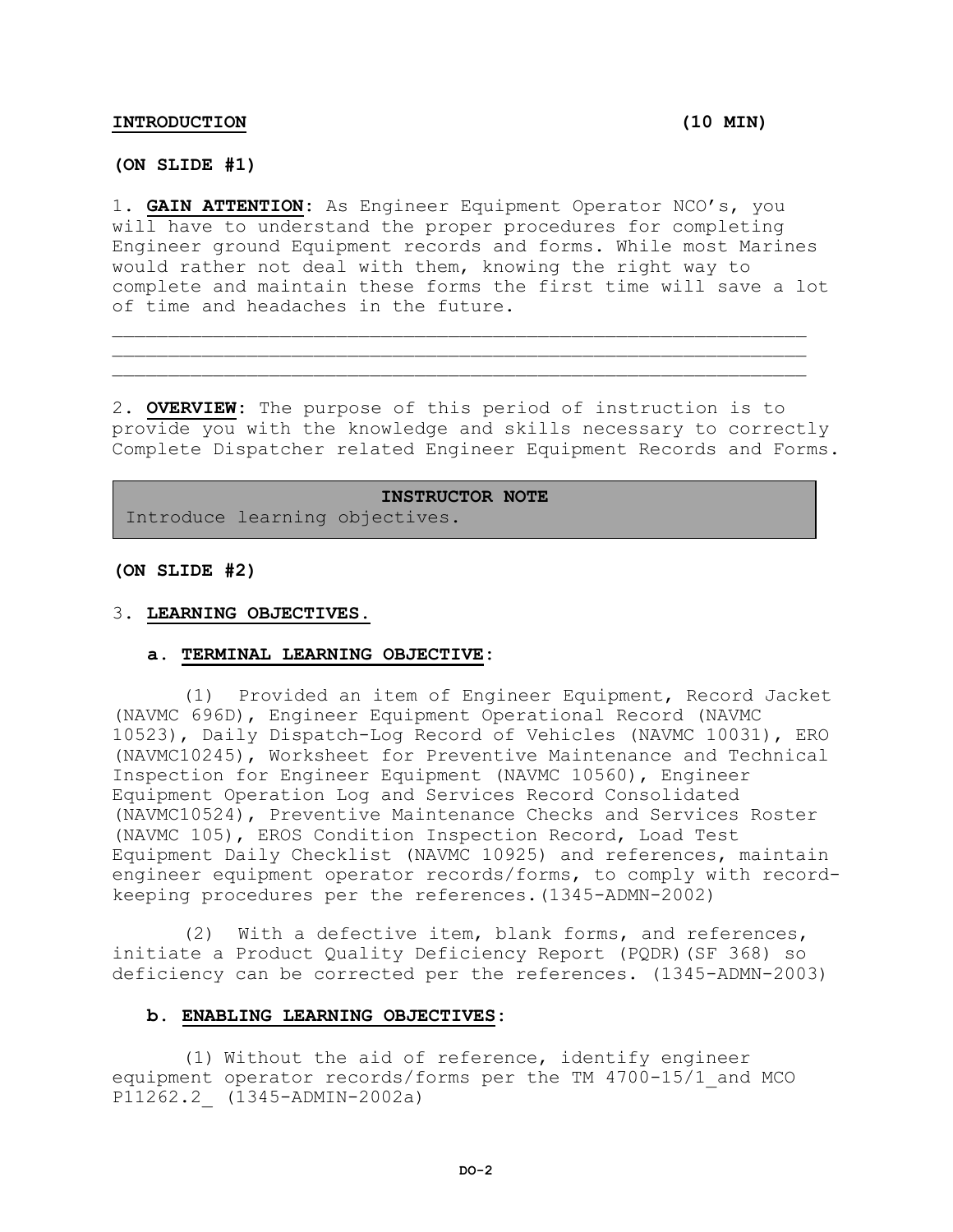#### **INTRODUCTION (10 MIN)**

**(ON SLIDE #1)**

1. **GAIN ATTENTION:** As Engineer Equipment Operator NCO's, you will have to understand the proper procedures for completing Engineer ground Equipment records and forms. While most Marines would rather not deal with them, knowing the right way to complete and maintain these forms the first time will save a lot of time and headaches in the future.

 $\mathcal{L}=\{1,2,3,4,5,6,6,8,10\}$  $\mathcal{L}_\mathcal{L} = \mathcal{L}_\mathcal{L} = \mathcal{L}_\mathcal{L} = \mathcal{L}_\mathcal{L} = \mathcal{L}_\mathcal{L} = \mathcal{L}_\mathcal{L} = \mathcal{L}_\mathcal{L} = \mathcal{L}_\mathcal{L} = \mathcal{L}_\mathcal{L} = \mathcal{L}_\mathcal{L} = \mathcal{L}_\mathcal{L} = \mathcal{L}_\mathcal{L} = \mathcal{L}_\mathcal{L} = \mathcal{L}_\mathcal{L} = \mathcal{L}_\mathcal{L} = \mathcal{L}_\mathcal{L} = \mathcal{L}_\mathcal{L}$ 

2. **OVERVIEW:** The purpose of this period of instruction is to provide you with the knowledge and skills necessary to correctly Complete Dispatcher related Engineer Equipment Records and Forms.

**INSTRUCTOR NOTE** Introduce learning objectives.

#### **(ON SLIDE #2)**

#### 3. **LEARNING OBJECTIVES.**

#### **a. TERMINAL LEARNING OBJECTIVE:**

(1) Provided an item of Engineer Equipment, Record Jacket (NAVMC 696D), Engineer Equipment Operational Record (NAVMC 10523), Daily Dispatch-Log Record of Vehicles (NAVMC 10031), ERO (NAVMC10245), Worksheet for Preventive Maintenance and Technical Inspection for Engineer Equipment (NAVMC 10560), Engineer Equipment Operation Log and Services Record Consolidated (NAVMC10524), Preventive Maintenance Checks and Services Roster (NAVMC 105), EROS Condition Inspection Record, Load Test Equipment Daily Checklist (NAVMC 10925) and references, maintain engineer equipment operator records/forms, to comply with recordkeeping procedures per the references.(1345-ADMN-2002)

(2) With a defective item, blank forms, and references, initiate a Product Quality Deficiency Report (PQDR)(SF 368) so deficiency can be corrected per the references. (1345-ADMN-2003)

#### **b. ENABLING LEARNING OBJECTIVES:**

(1) Without the aid of reference, identify engineer equipment operator records/forms per the TM 4700-15/1\_and MCO P11262.2\_ (1345-ADMIN-2002a)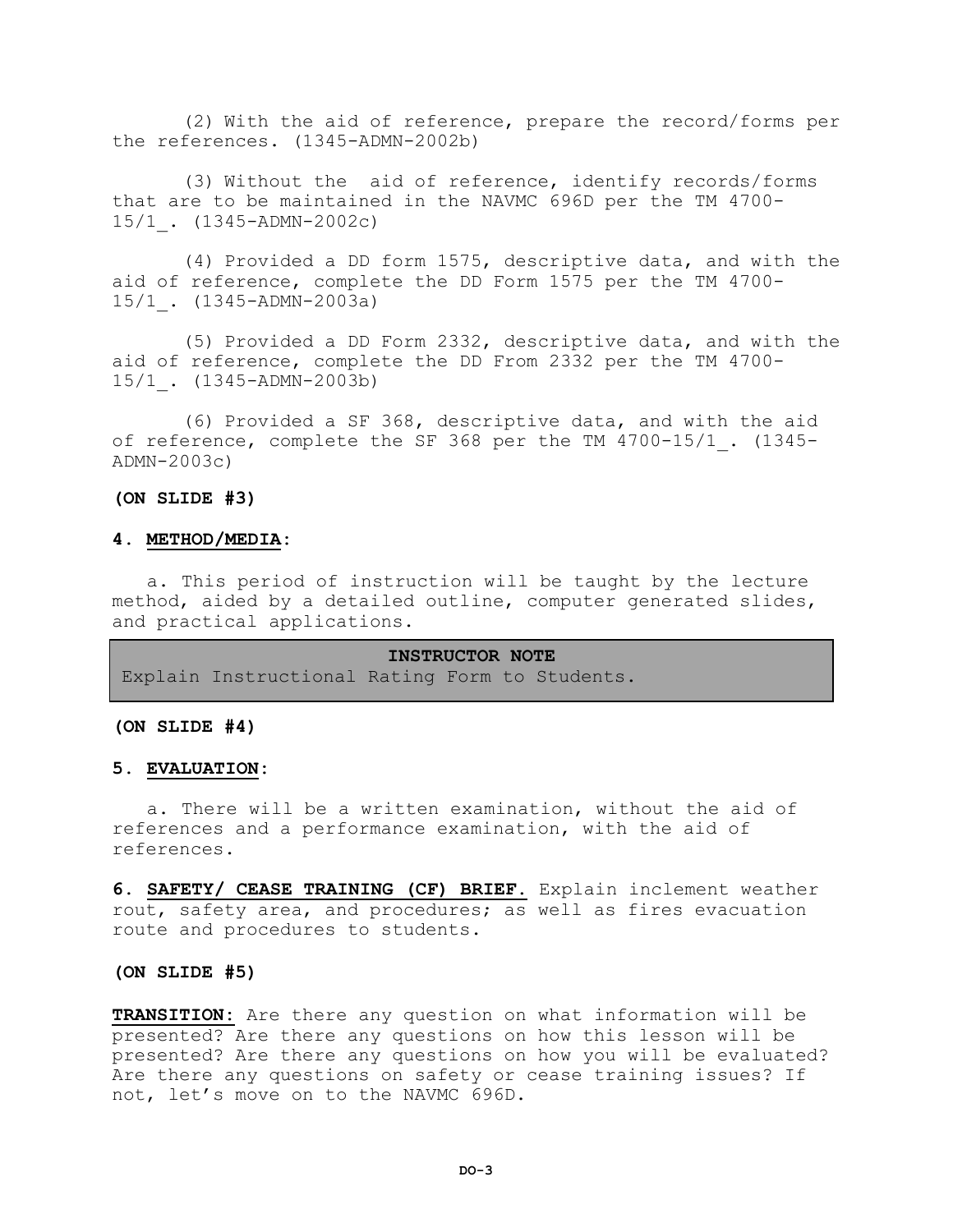(2) With the aid of reference, prepare the record/forms per the references. (1345-ADMN-2002b)

(3) Without the aid of reference, identify records/forms that are to be maintained in the NAVMC 696D per the TM 4700- 15/1\_. (1345-ADMN-2002c)

(4) Provided a DD form 1575, descriptive data, and with the aid of reference, complete the DD Form 1575 per the TM 4700- 15/1\_. (1345-ADMN-2003a)

(5) Provided a DD Form 2332, descriptive data, and with the aid of reference, complete the DD From 2332 per the TM 4700- 15/1\_. (1345-ADMN-2003b)

(6) Provided a SF 368, descriptive data, and with the aid of reference, complete the SF 368 per the TM 4700-15/1. (1345-ADMN-2003c)

#### **(ON SLIDE #3)**

# **4. METHOD/MEDIA:**

a. This period of instruction will be taught by the lecture method, aided by a detailed outline, computer generated slides, and practical applications.

**INSTRUCTOR NOTE** Explain Instructional Rating Form to Students.

#### **(ON SLIDE #4)**

#### **5. EVALUATION:**

a. There will be a written examination, without the aid of references and a performance examination, with the aid of references.

**6. SAFETY/ CEASE TRAINING (CF) BRIEF.** Explain inclement weather rout, safety area, and procedures; as well as fires evacuation route and procedures to students.

#### **(ON SLIDE #5)**

**TRANSITION:** Are there any question on what information will be presented? Are there any questions on how this lesson will be presented? Are there any questions on how you will be evaluated? Are there any questions on safety or cease training issues? If not, let's move on to the NAVMC 696D.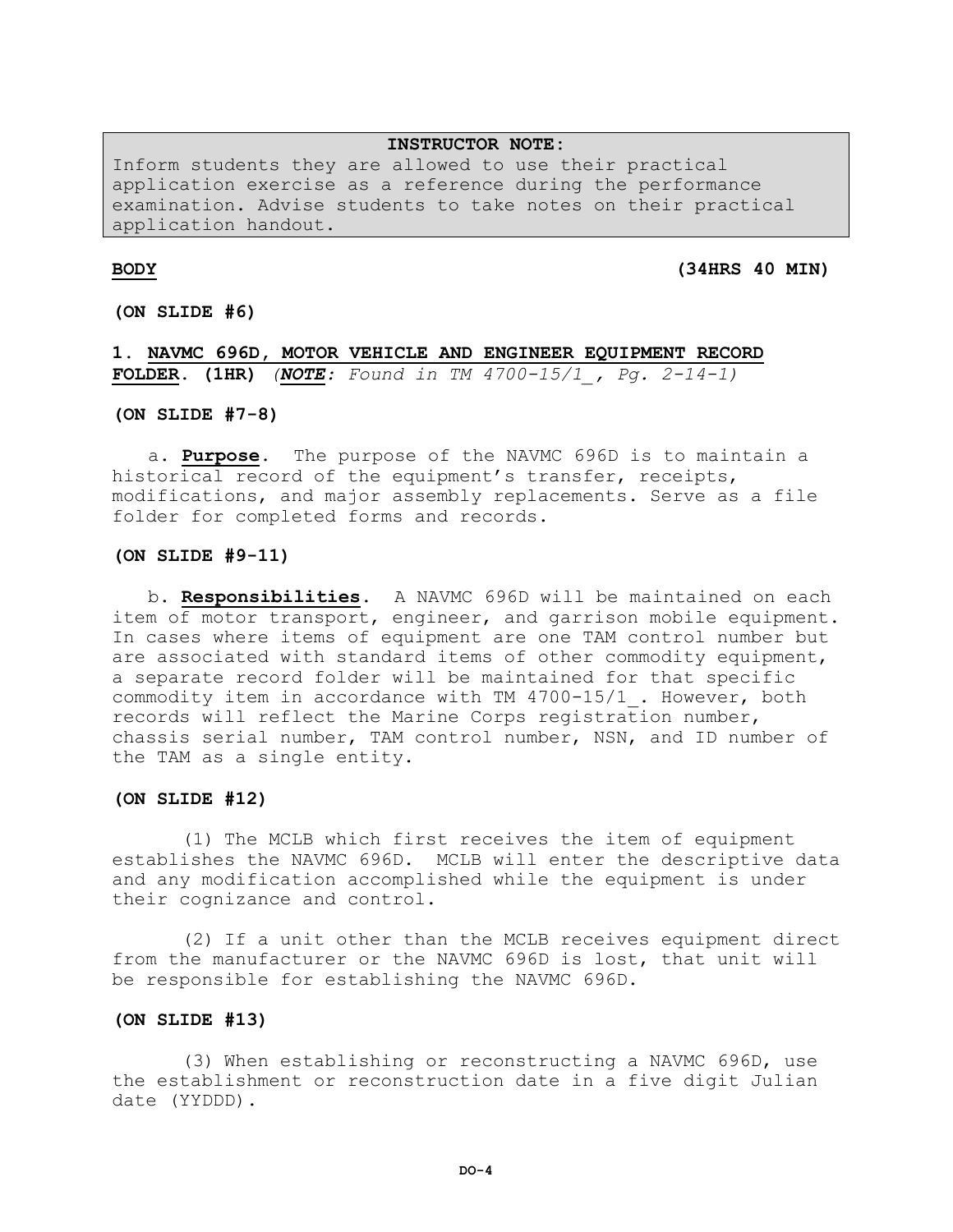#### **INSTRUCTOR NOTE:**

Inform students they are allowed to use their practical application exercise as a reference during the performance examination. Advise students to take notes on their practical application handout.

**BODY (34HRS 40 MIN)** 

**(ON SLIDE #6)** 

**1. NAVMC 696D, MOTOR VEHICLE AND ENGINEER EQUIPMENT RECORD FOLDER. (1HR)** *(NOTE: Found in TM 4700-15/1\_, Pg. 2-14-1)*

**(ON SLIDE #7-8)**

a. **Purpose.** The purpose of the NAVMC 696D is to maintain a historical record of the equipment's transfer, receipts, modifications, and major assembly replacements. Serve as a file folder for completed forms and records.

#### **(ON SLIDE #9-11)**

b. **Responsibilities.** A NAVMC 696D will be maintained on each item of motor transport, engineer, and garrison mobile equipment. In cases where items of equipment are one TAM control number but are associated with standard items of other commodity equipment, a separate record folder will be maintained for that specific commodity item in accordance with TM 4700-15/1\_. However, both records will reflect the Marine Corps registration number, chassis serial number, TAM control number, NSN, and ID number of the TAM as a single entity.

#### **(ON SLIDE #12)**

(1) The MCLB which first receives the item of equipment establishes the NAVMC 696D. MCLB will enter the descriptive data and any modification accomplished while the equipment is under their cognizance and control.

(2) If a unit other than the MCLB receives equipment direct from the manufacturer or the NAVMC 696D is lost, that unit will be responsible for establishing the NAVMC 696D.

#### **(ON SLIDE #13)**

(3) When establishing or reconstructing a NAVMC 696D, use the establishment or reconstruction date in a five digit Julian date (YYDDD).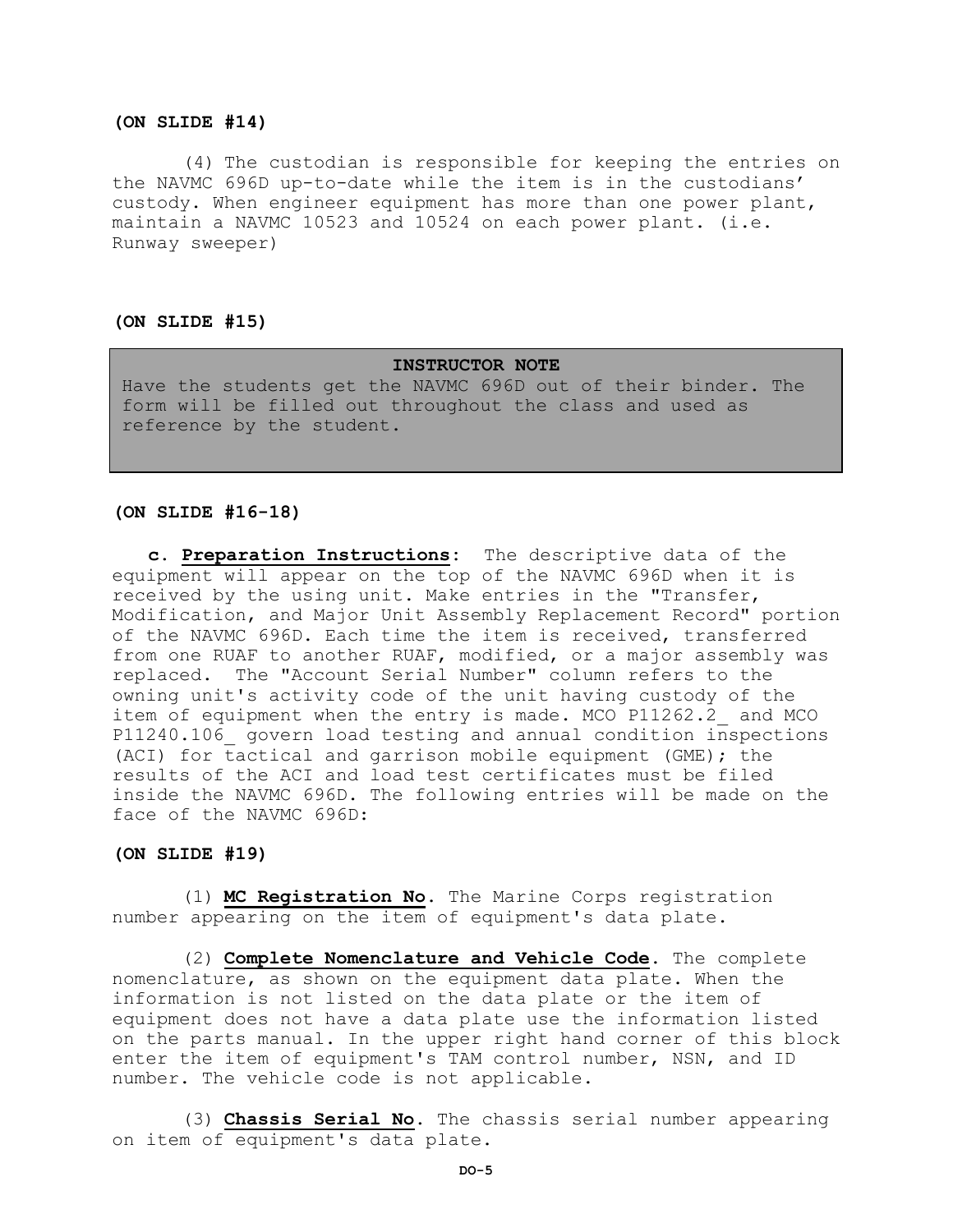#### **(ON SLIDE #14)**

(4) The custodian is responsible for keeping the entries on the NAVMC 696D up-to-date while the item is in the custodians' custody. When engineer equipment has more than one power plant, maintain a NAVMC 10523 and 10524 on each power plant. (i.e. Runway sweeper)

#### **(ON SLIDE #15)**

#### **INSTRUCTOR NOTE**

Have the students get the NAVMC 696D out of their binder. The form will be filled out throughout the class and used as reference by the student.

#### **(ON SLIDE #16-18)**

**c. Preparation Instructions:** The descriptive data of the equipment will appear on the top of the NAVMC 696D when it is received by the using unit. Make entries in the "Transfer, Modification, and Major Unit Assembly Replacement Record" portion of the NAVMC 696D. Each time the item is received, transferred from one RUAF to another RUAF, modified, or a major assembly was replaced. The "Account Serial Number" column refers to the owning unit's activity code of the unit having custody of the item of equipment when the entry is made. MCO P11262.2 and MCO P11240.106\_ govern load testing and annual condition inspections (ACI) for tactical and garrison mobile equipment (GME); the results of the ACI and load test certificates must be filed inside the NAVMC 696D. The following entries will be made on the face of the NAVMC 696D:

#### **(ON SLIDE #19)**

(1) **MC Registration No.** The Marine Corps registration number appearing on the item of equipment's data plate.

(2) **Complete Nomenclature and Vehicle Code.** The complete nomenclature, as shown on the equipment data plate. When the information is not listed on the data plate or the item of equipment does not have a data plate use the information listed on the parts manual. In the upper right hand corner of this block enter the item of equipment's TAM control number, NSN, and ID number. The vehicle code is not applicable.

(3) **Chassis Serial No.** The chassis serial number appearing on item of equipment's data plate.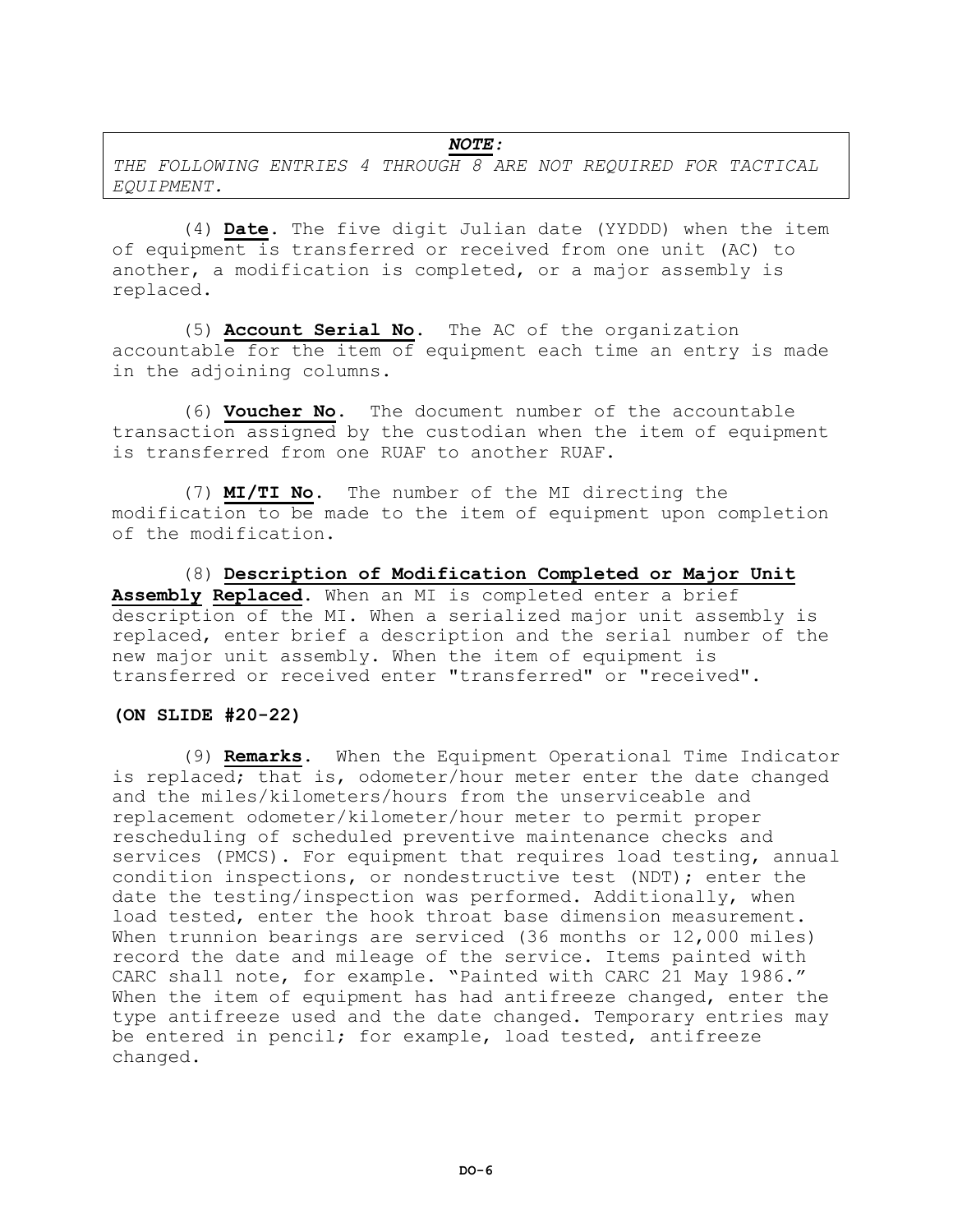# *NOTE:*

*THE FOLLOWING ENTRIES 4 THROUGH 8 ARE NOT REQUIRED FOR TACTICAL EQUIPMENT.*

(4) **Date.** The five digit Julian date (YYDDD) when the item of equipment is transferred or received from one unit (AC) to another, a modification is completed, or a major assembly is replaced.

(5) **Account Serial No.** The AC of the organization accountable for the item of equipment each time an entry is made in the adjoining columns.

(6) **Voucher No.** The document number of the accountable transaction assigned by the custodian when the item of equipment is transferred from one RUAF to another RUAF.

(7) **MI/TI No.** The number of the MI directing the modification to be made to the item of equipment upon completion of the modification.

(8) **Description of Modification Completed or Major Unit Assembly Replaced.** When an MI is completed enter a brief description of the MI. When a serialized major unit assembly is replaced, enter brief a description and the serial number of the new major unit assembly. When the item of equipment is transferred or received enter "transferred" or "received".

### **(ON SLIDE #20-22)**

(9) **Remarks.** When the Equipment Operational Time Indicator is replaced; that is, odometer/hour meter enter the date changed and the miles/kilometers/hours from the unserviceable and replacement odometer/kilometer/hour meter to permit proper rescheduling of scheduled preventive maintenance checks and services (PMCS). For equipment that requires load testing, annual condition inspections, or nondestructive test (NDT); enter the date the testing/inspection was performed. Additionally, when load tested, enter the hook throat base dimension measurement. When trunnion bearings are serviced (36 months or 12,000 miles) record the date and mileage of the service. Items painted with CARC shall note, for example. "Painted with CARC 21 May 1986." When the item of equipment has had antifreeze changed, enter the type antifreeze used and the date changed. Temporary entries may be entered in pencil; for example, load tested, antifreeze changed.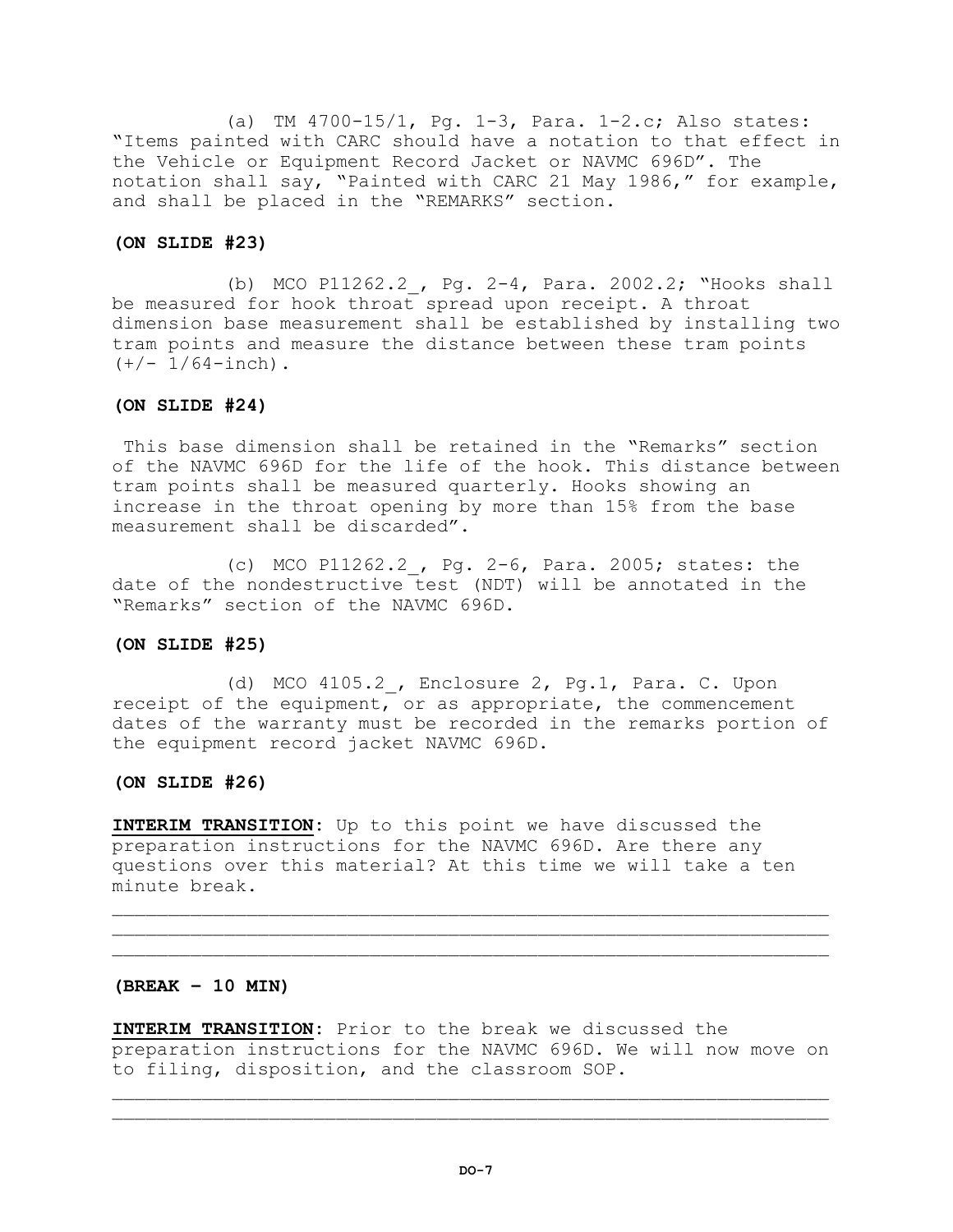(a) TM 4700-15/1, Pg. 1-3, Para. 1-2.c; Also states: "Items painted with CARC should have a notation to that effect in the Vehicle or Equipment Record Jacket or NAVMC 696D". The notation shall say, "Painted with CARC 21 May 1986," for example, and shall be placed in the "REMARKS" section.

# **(ON SLIDE #23)**

(b) MCO P11262.2, Pg.  $2-4$ , Para. 2002.2; "Hooks shall be measured for hook throat spread upon receipt. A throat dimension base measurement shall be established by installing two tram points and measure the distance between these tram points  $(+/- 1/64 -$ inch).

# **(ON SLIDE #24)**

This base dimension shall be retained in the "Remarks" section of the NAVMC 696D for the life of the hook. This distance between tram points shall be measured quarterly. Hooks showing an increase in the throat opening by more than 15% from the base measurement shall be discarded".

(c) MCO P11262.2\_, Pg. 2-6, Para. 2005; states: the date of the nondestructive test (NDT) will be annotated in the "Remarks" section of the NAVMC 696D.

# **(ON SLIDE #25)**

(d) MCO 4105.2, Enclosure 2, Pg.1, Para. C. Upon receipt of the equipment, or as appropriate, the commencement dates of the warranty must be recorded in the remarks portion of the equipment record jacket NAVMC 696D.

# **(ON SLIDE #26)**

**INTERIM TRANSITION:** Up to this point we have discussed the preparation instructions for the NAVMC 696D. Are there any questions over this material? At this time we will take a ten minute break.

# **(BREAK – 10 MIN)**

**INTERIM TRANSITION:** Prior to the break we discussed the preparation instructions for the NAVMC 696D. We will now move on to filing, disposition, and the classroom SOP.

 $\mathcal{L}_\mathcal{L}$  , we can assume that the contribution of the contribution of the contribution of the contribution of the contribution of the contribution of the contribution of the contribution of the contribution of the c

 $\mathcal{L}_\mathcal{L}$  , we can assume that the contribution of the contribution of the contribution of the contribution of the contribution of the contribution of the contribution of the contribution of the contribution of the c  $\mathcal{L}_\mathcal{L}$  , we can assume that the contribution of the contribution of the contribution of the contribution of the contribution of the contribution of the contribution of the contribution of the contribution of the c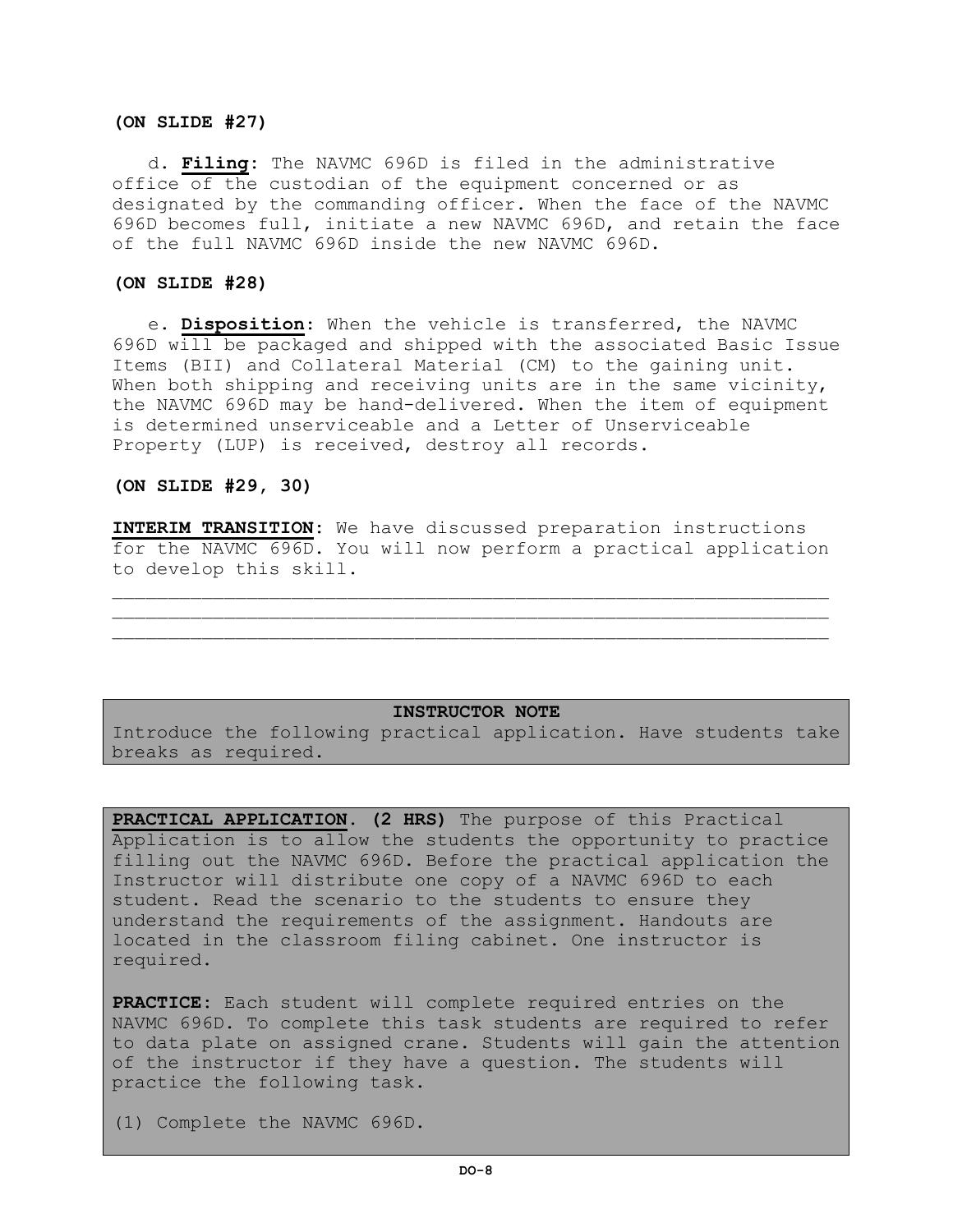#### **(ON SLIDE #27)**

d. **Filing:** The NAVMC 696D is filed in the administrative office of the custodian of the equipment concerned or as designated by the commanding officer. When the face of the NAVMC 696D becomes full, initiate a new NAVMC 696D, and retain the face of the full NAVMC 696D inside the new NAVMC 696D.

# **(ON SLIDE #28)**

e. **Disposition**: When the vehicle is transferred, the NAVMC 696D will be packaged and shipped with the associated Basic Issue Items (BII) and Collateral Material (CM) to the gaining unit. When both shipping and receiving units are in the same vicinity, the NAVMC 696D may be hand-delivered. When the item of equipment is determined unserviceable and a Letter of Unserviceable Property (LUP) is received, destroy all records.

# **(ON SLIDE #29, 30)**

**INTERIM TRANSITION:** We have discussed preparation instructions for the NAVMC 696D. You will now perform a practical application to develop this skill.

 $\mathcal{L} = \{ \mathcal{L} = \{ \mathcal{L} \} \cup \{ \mathcal{L} \} \cup \{ \mathcal{L} \} \cup \{ \mathcal{L} \} \cup \{ \mathcal{L} \} \cup \{ \mathcal{L} \} \cup \{ \mathcal{L} \} \cup \{ \mathcal{L} \} \cup \{ \mathcal{L} \} \cup \{ \mathcal{L} \} \cup \{ \mathcal{L} \} \cup \{ \mathcal{L} \} \cup \{ \mathcal{L} \} \cup \{ \mathcal{L} \} \cup \{ \mathcal{L} \} \cup \{ \mathcal{L} \} \cup \{ \mathcal{L} \} \cup$ 

#### **INSTRUCTOR NOTE**

Introduce the following practical application. Have students take breaks as required.

**PRACTICAL APPLICATION. (2 HRS)** The purpose of this Practical Application is to allow the students the opportunity to practice filling out the NAVMC 696D. Before the practical application the Instructor will distribute one copy of a NAVMC 696D to each student. Read the scenario to the students to ensure they understand the requirements of the assignment. Handouts are located in the classroom filing cabinet. One instructor is required.

**PRACTICE:** Each student will complete required entries on the NAVMC 696D. To complete this task students are required to refer to data plate on assigned crane. Students will gain the attention of the instructor if they have a question. The students will practice the following task.

(1) Complete the NAVMC 696D.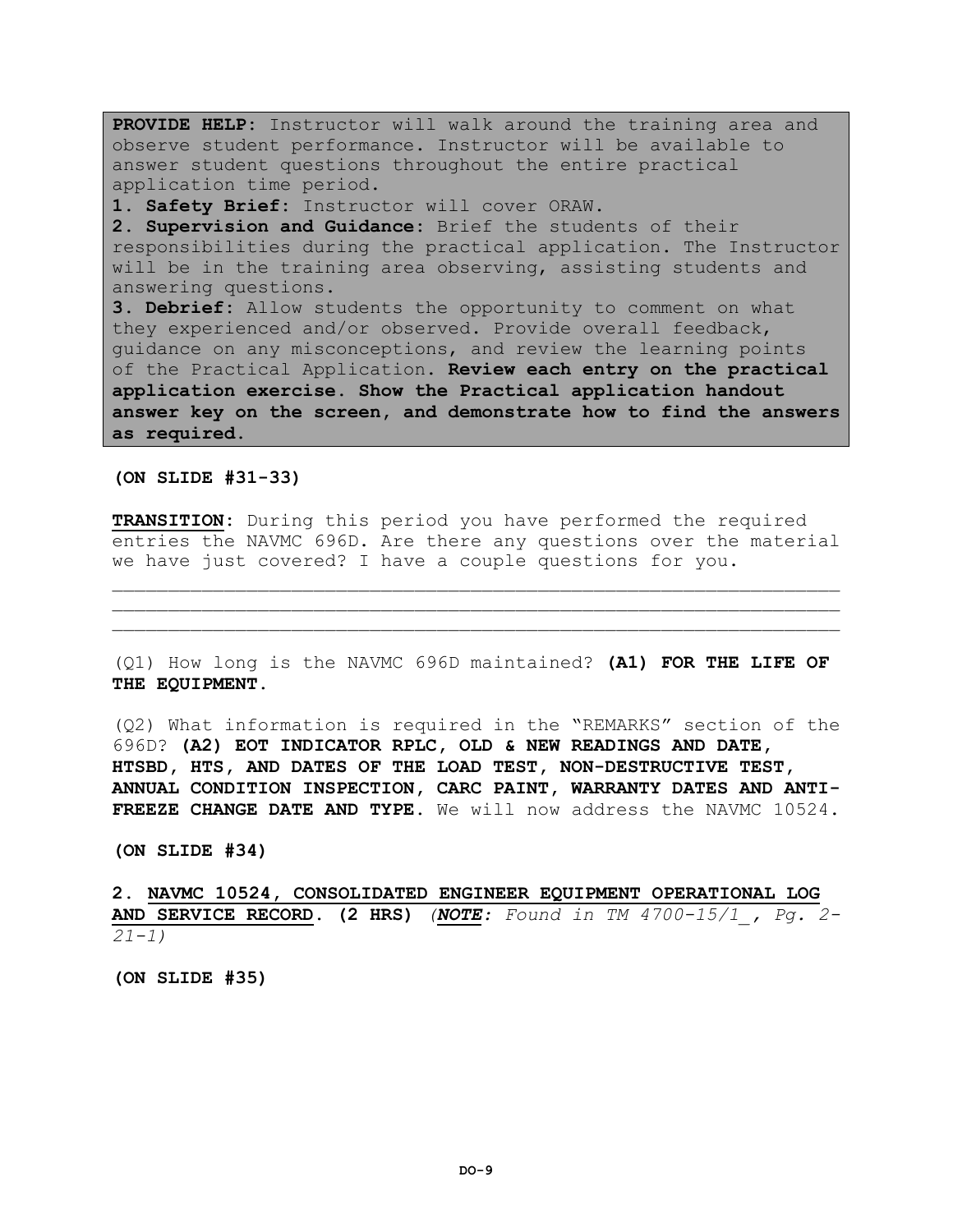**PROVIDE HELP:** Instructor will walk around the training area and observe student performance. Instructor will be available to answer student questions throughout the entire practical application time period. **1. Safety Brief:** Instructor will cover ORAW. **2. Supervision and Guidance:** Brief the students of their responsibilities during the practical application. The Instructor will be in the training area observing, assisting students and answering questions.

**3. Debrief:** Allow students the opportunity to comment on what they experienced and/or observed. Provide overall feedback, guidance on any misconceptions, and review the learning points of the Practical Application. **Review each entry on the practical application exercise. Show the Practical application handout answer key on the screen, and demonstrate how to find the answers as required.**

**(ON SLIDE #31-33)**

**TRANSITION:** During this period you have performed the required entries the NAVMC 696D. Are there any questions over the material we have just covered? I have a couple questions for you.

 $\mathcal{L} = \{ \mathcal{L} = \{ \mathcal{L} \} \cup \{ \mathcal{L} \} \cup \{ \mathcal{L} \} \cup \{ \mathcal{L} \} \cup \{ \mathcal{L} \} \cup \{ \mathcal{L} \} \cup \{ \mathcal{L} \} \cup \{ \mathcal{L} \} \cup \{ \mathcal{L} \} \cup \{ \mathcal{L} \} \cup \{ \mathcal{L} \} \cup \{ \mathcal{L} \} \cup \{ \mathcal{L} \} \cup \{ \mathcal{L} \} \cup \{ \mathcal{L} \} \cup \{ \mathcal{L} \} \cup \{ \mathcal{L} \} \cup$  $\mathcal{L} = \{ \mathcal{L} = \{ \mathcal{L} \} \cup \{ \mathcal{L} \} \cup \{ \mathcal{L} \} \cup \{ \mathcal{L} \} \cup \{ \mathcal{L} \} \cup \{ \mathcal{L} \} \cup \{ \mathcal{L} \} \cup \{ \mathcal{L} \} \cup \{ \mathcal{L} \} \cup \{ \mathcal{L} \} \cup \{ \mathcal{L} \} \cup \{ \mathcal{L} \} \cup \{ \mathcal{L} \} \cup \{ \mathcal{L} \} \cup \{ \mathcal{L} \} \cup \{ \mathcal{L} \} \cup \{ \mathcal{L} \} \cup$ 

(Q1) How long is the NAVMC 696D maintained? **(A1) FOR THE LIFE OF THE EQUIPMENT.** 

(Q2) What information is required in the "REMARKS" section of the 696D? **(A2) EOT INDICATOR RPLC, OLD & NEW READINGS AND DATE, HTSBD, HTS, AND DATES OF THE LOAD TEST, NON-DESTRUCTIVE TEST, ANNUAL CONDITION INSPECTION, CARC PAINT, WARRANTY DATES AND ANTI-FREEZE CHANGE DATE AND TYPE.** We will now address the NAVMC 10524.

**(ON SLIDE #34)** 

**2. NAVMC 10524, CONSOLIDATED ENGINEER EQUIPMENT OPERATIONAL LOG AND SERVICE RECORD. (2 HRS)** *(NOTE: Found in TM 4700-15/1\_, Pg. 2- 21-1)*

**(ON SLIDE #35)**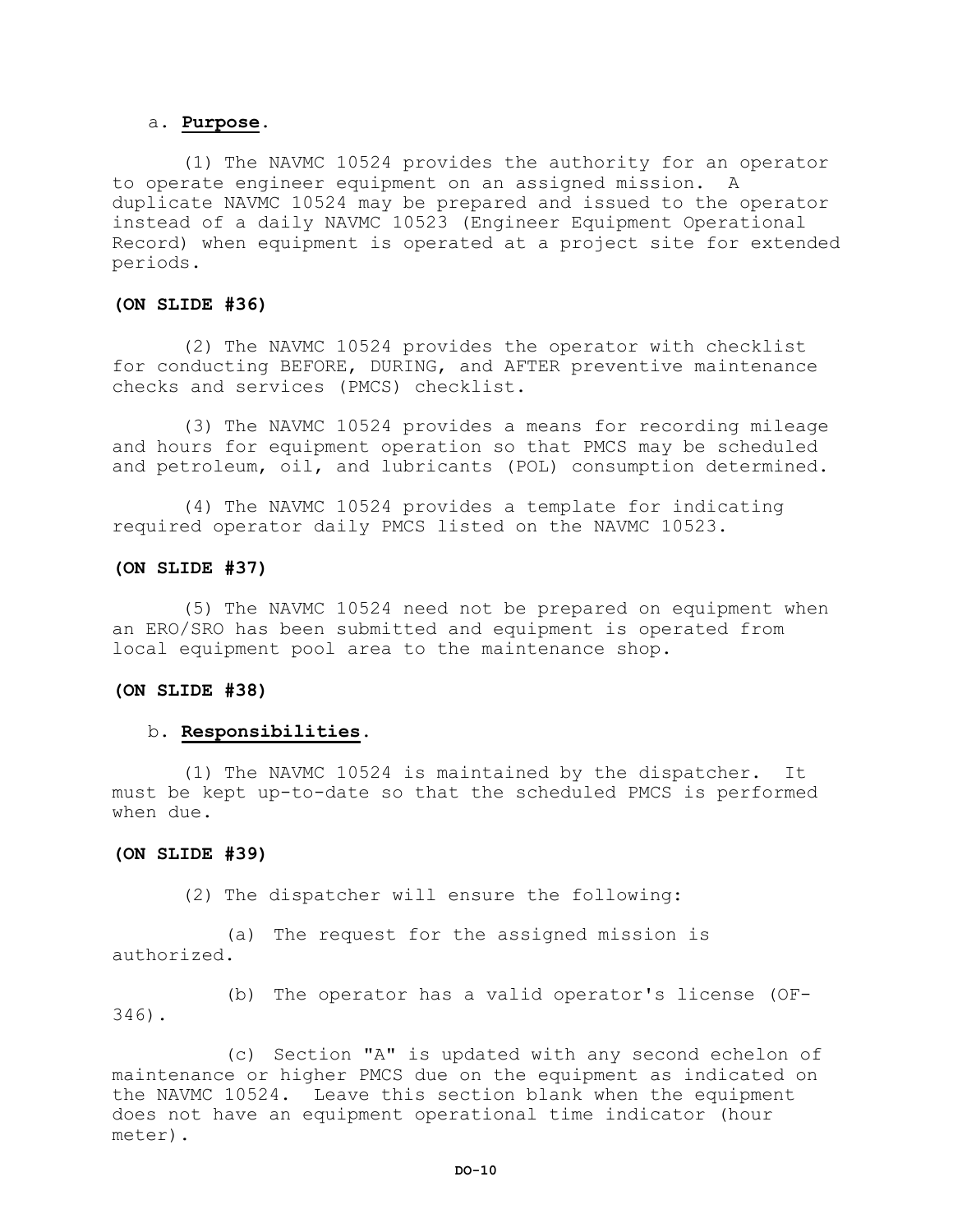#### a. **Purpose.**

(1) The NAVMC 10524 provides the authority for an operator to operate engineer equipment on an assigned mission. A duplicate NAVMC 10524 may be prepared and issued to the operator instead of a daily NAVMC 10523 (Engineer Equipment Operational Record) when equipment is operated at a project site for extended periods.

# **(ON SLIDE #36)**

(2) The NAVMC 10524 provides the operator with checklist for conducting BEFORE, DURING, and AFTER preventive maintenance checks and services (PMCS) checklist.

(3) The NAVMC 10524 provides a means for recording mileage and hours for equipment operation so that PMCS may be scheduled and petroleum, oil, and lubricants (POL) consumption determined.

(4) The NAVMC 10524 provides a template for indicating required operator daily PMCS listed on the NAVMC 10523.

#### **(ON SLIDE #37)**

(5) The NAVMC 10524 need not be prepared on equipment when an ERO/SRO has been submitted and equipment is operated from local equipment pool area to the maintenance shop.

#### **(ON SLIDE #38)**

# b. **Responsibilities.**

(1) The NAVMC 10524 is maintained by the dispatcher. It must be kept up-to-date so that the scheduled PMCS is performed when due.

#### **(ON SLIDE #39)**

(2) The dispatcher will ensure the following:

(a) The request for the assigned mission is authorized.

(b) The operator has a valid operator's license (OF-346).

(c) Section "A" is updated with any second echelon of maintenance or higher PMCS due on the equipment as indicated on the NAVMC 10524. Leave this section blank when the equipment does not have an equipment operational time indicator (hour meter).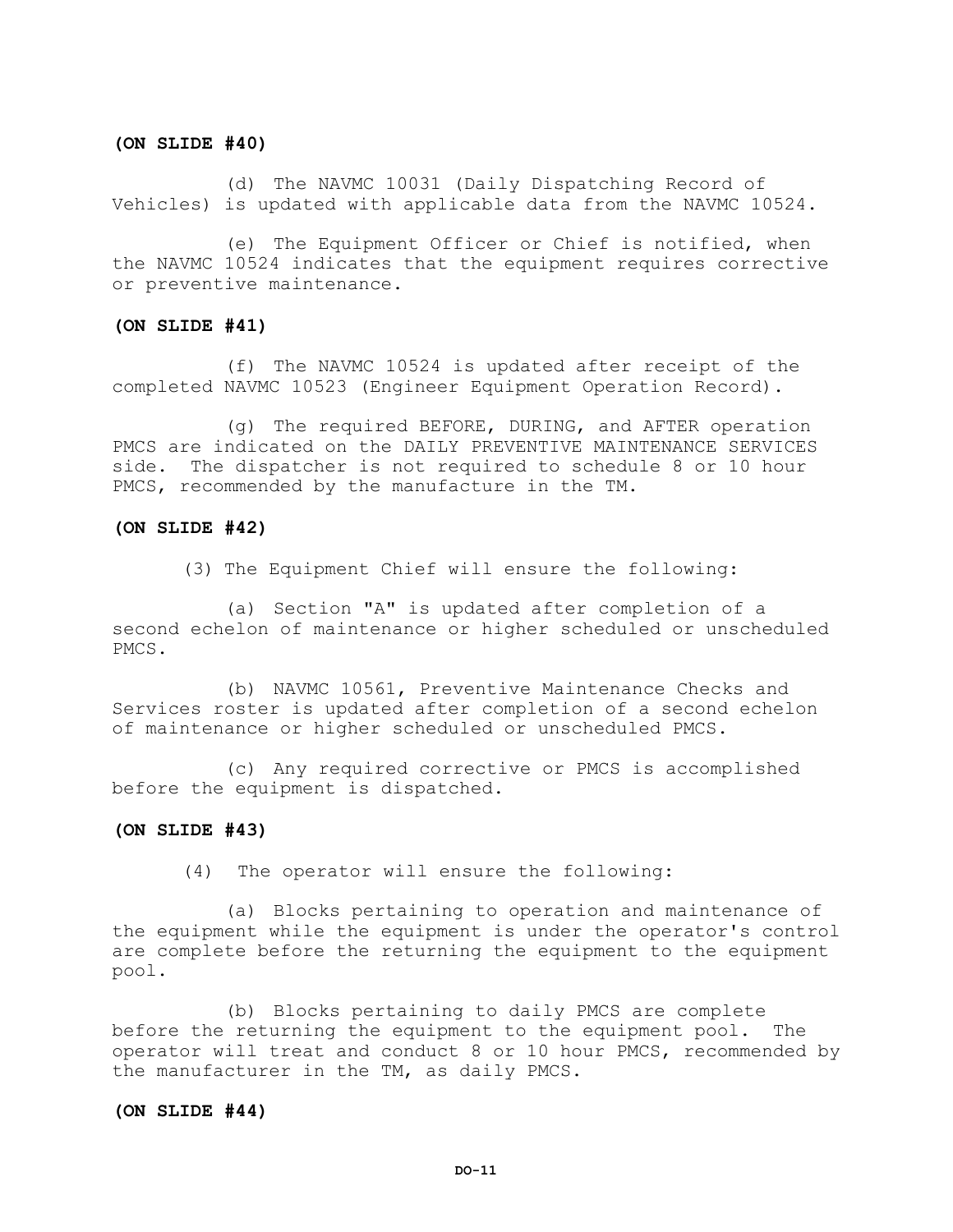#### **(ON SLIDE #40)**

(d) The NAVMC 10031 (Daily Dispatching Record of Vehicles) is updated with applicable data from the NAVMC 10524.

(e) The Equipment Officer or Chief is notified, when the NAVMC 10524 indicates that the equipment requires corrective or preventive maintenance.

#### **(ON SLIDE #41)**

(f) The NAVMC 10524 is updated after receipt of the completed NAVMC 10523 (Engineer Equipment Operation Record).

(g) The required BEFORE, DURING, and AFTER operation PMCS are indicated on the DAILY PREVENTIVE MAINTENANCE SERVICES side. The dispatcher is not required to schedule 8 or 10 hour PMCS, recommended by the manufacture in the TM.

#### **(ON SLIDE #42)**

(3) The Equipment Chief will ensure the following:

(a) Section "A" is updated after completion of a second echelon of maintenance or higher scheduled or unscheduled PMCS.

(b) NAVMC 10561, Preventive Maintenance Checks and Services roster is updated after completion of a second echelon of maintenance or higher scheduled or unscheduled PMCS.

(c) Any required corrective or PMCS is accomplished before the equipment is dispatched.

#### **(ON SLIDE #43)**

(4) The operator will ensure the following:

(a) Blocks pertaining to operation and maintenance of the equipment while the equipment is under the operator's control are complete before the returning the equipment to the equipment pool.

(b) Blocks pertaining to daily PMCS are complete before the returning the equipment to the equipment pool. The operator will treat and conduct 8 or 10 hour PMCS, recommended by the manufacturer in the TM, as daily PMCS.

#### **(ON SLIDE #44)**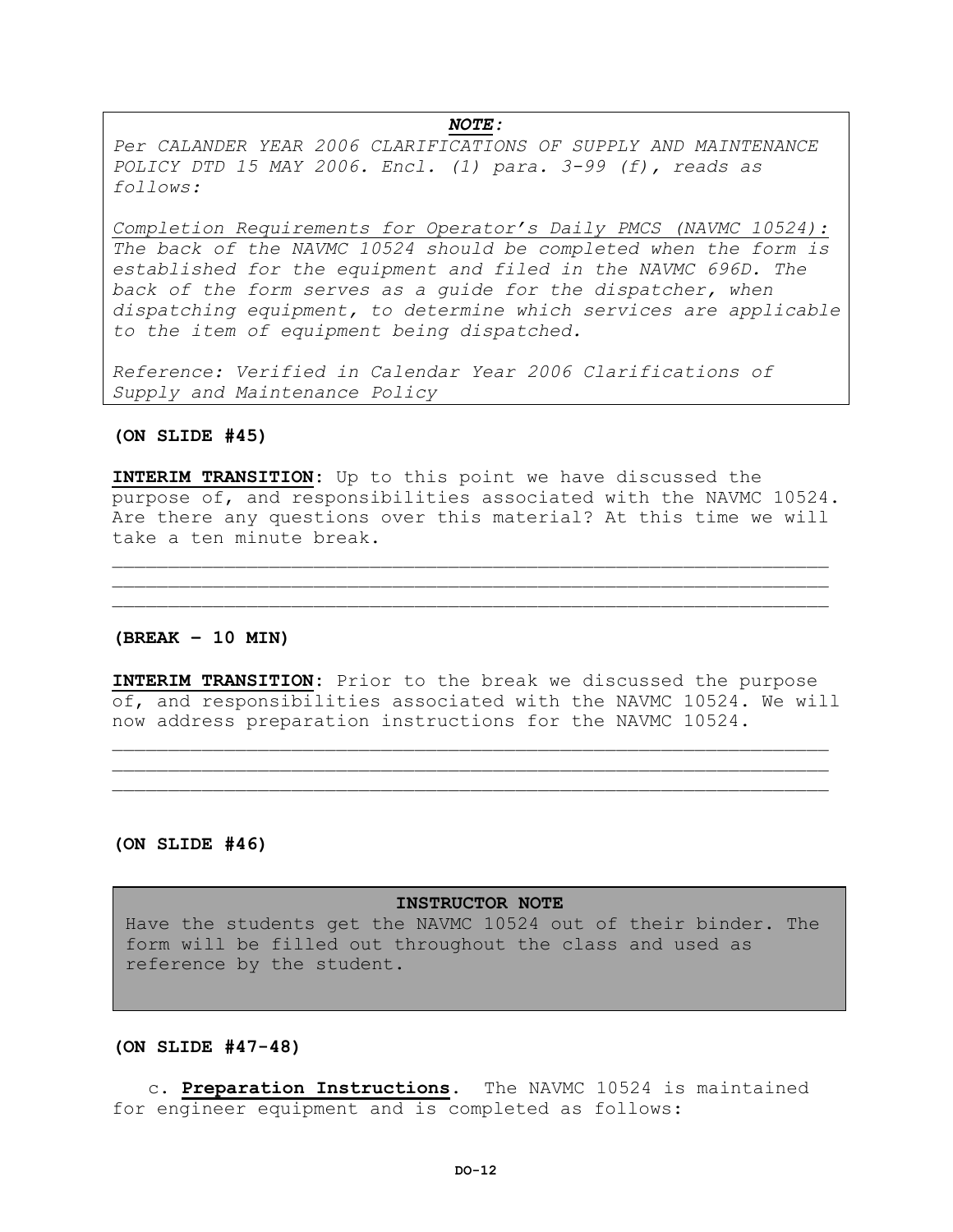#### *NOTE:*

*Per CALANDER YEAR 2006 CLARIFICATIONS OF SUPPLY AND MAINTENANCE POLICY DTD 15 MAY 2006. Encl. (1) para. 3-99 (f), reads as follows:*

*Completion Requirements for Operator's Daily PMCS (NAVMC 10524): The back of the NAVMC 10524 should be completed when the form is established for the equipment and filed in the NAVMC 696D. The*  back of the form serves as a quide for the dispatcher, when *dispatching equipment, to determine which services are applicable to the item of equipment being dispatched.*

*Reference: Verified in Calendar Year 2006 Clarifications of Supply and Maintenance Policy*

#### **(ON SLIDE #45)**

**INTERIM TRANSITION:** Up to this point we have discussed the purpose of, and responsibilities associated with the NAVMC 10524. Are there any questions over this material? At this time we will take a ten minute break.

 $\mathcal{L}_\mathcal{L}$  , we can assume that the contribution of the contribution of the contribution of the contribution of the contribution of the contribution of the contribution of the contribution of the contribution of the c

#### **(BREAK – 10 MIN)**

**INTERIM TRANSITION:** Prior to the break we discussed the purpose of, and responsibilities associated with the NAVMC 10524. We will now address preparation instructions for the NAVMC 10524.

\_\_\_\_\_\_\_\_\_\_\_\_\_\_\_\_\_\_\_\_\_\_\_\_\_\_\_\_\_\_\_\_\_\_\_\_\_\_\_\_\_\_\_\_\_\_\_\_\_\_\_\_\_\_\_\_\_\_\_\_\_\_\_\_  $\mathcal{L}_\mathcal{L}$  , we can assume that the contribution of the contribution of the contribution of the contribution of the contribution of the contribution of the contribution of the contribution of the contribution of the c

**(ON SLIDE #46)**

#### **INSTRUCTOR NOTE**

Have the students get the NAVMC 10524 out of their binder. The form will be filled out throughout the class and used as reference by the student.

**(ON SLIDE #47-48)**

c. **Preparation Instructions**. The NAVMC 10524 is maintained for engineer equipment and is completed as follows: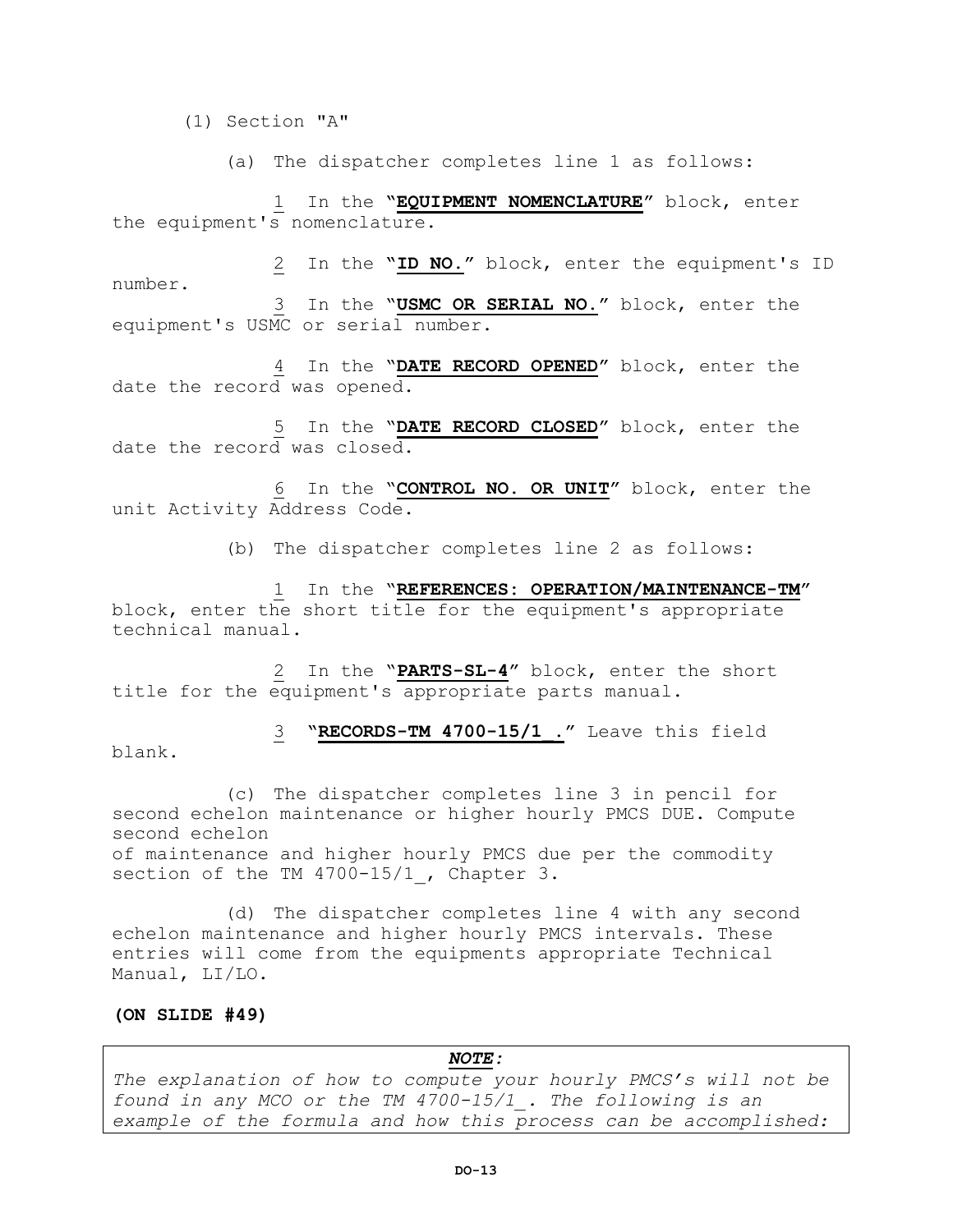(1) Section "A"

(a) The dispatcher completes line 1 as follows:

1 In the **"EQUIPMENT NOMENCLATURE"** block, enter the equipment's nomenclature.

2 In the **"ID NO."** block, enter the equipment's ID number. 3 In the "**USMC OR SERIAL NO."** block, enter the equipment's USMC or serial number.

4 In the "**DATE RECORD OPENED"** block, enter the date the record was opened.

5 In the "**DATE RECORD CLOSED"** block, enter the date the record was closed.

6 In the "**CONTROL NO. OR UNIT"** block, enter the unit Activity Address Code.

(b) The dispatcher completes line 2 as follows:

1 In the "**REFERENCES: OPERATION/MAINTENANCE-TM"** block, enter the short title for the equipment's appropriate technical manual.

2 In the "**PARTS-SL-4"** block, enter the short title for the equipment's appropriate parts manual.

3 **"RECORDS-TM 4700-15/1\_."** Leave this field blank.

(c) The dispatcher completes line 3 in pencil for second echelon maintenance or higher hourly PMCS DUE. Compute second echelon of maintenance and higher hourly PMCS due per the commodity section of the TM 4700-15/1, Chapter 3.

(d) The dispatcher completes line 4 with any second echelon maintenance and higher hourly PMCS intervals. These entries will come from the equipments appropriate Technical Manual, LI/LO.

#### **(ON SLIDE #49)**

*NOTE: The explanation of how to compute your hourly PMCS's will not be found in any MCO or the TM 4700-15/1\_. The following is an example of the formula and how this process can be accomplished:*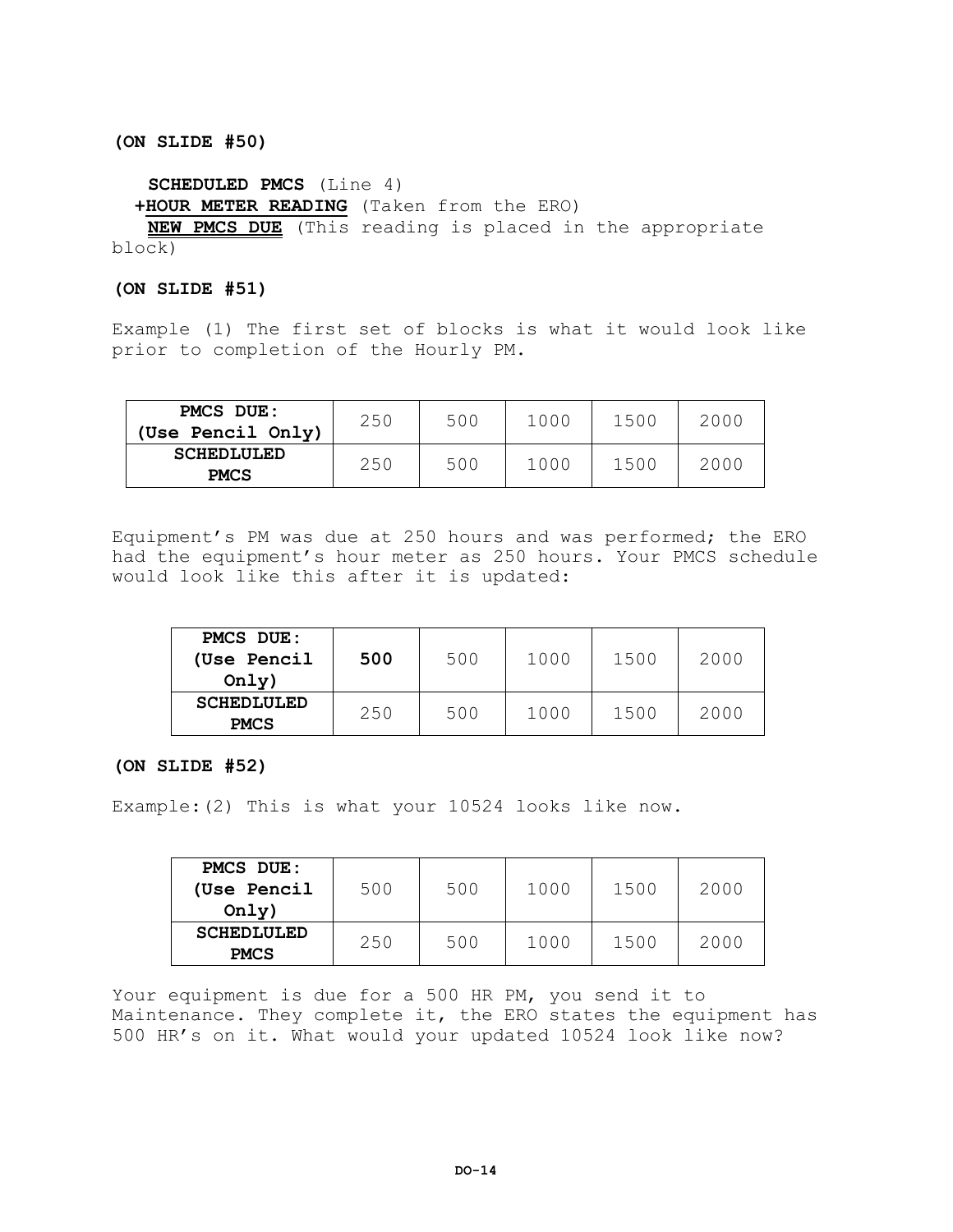**(ON SLIDE #50)**

**SCHEDULED PMCS** (Line 4)

**+HOUR METER READING** (Taken from the ERO)

**NEW PMCS DUE** (This reading is placed in the appropriate block)

# **(ON SLIDE #51)**

Example (1) The first set of blocks is what it would look like prior to completion of the Hourly PM.

| PMCS DUE:<br>(Use Pencil Only)   | 250 | 500 | 1000 | 1500 | 2000 |
|----------------------------------|-----|-----|------|------|------|
| <b>SCHEDLULED</b><br><b>PMCS</b> | 250 | 500 | 1000 | 1500 | 2000 |

Equipment's PM was due at 250 hours and was performed; the ERO had the equipment's hour meter as 250 hours. Your PMCS schedule would look like this after it is updated:

| PMCS DUE:<br>(Use Pencil<br>Only) | 500 | 500 | 1000 | 1500 | 2000 |
|-----------------------------------|-----|-----|------|------|------|
| <b>SCHEDLULED</b><br><b>PMCS</b>  | 250 | 500 | 1000 | 1500 | 2000 |

# **(ON SLIDE #52)**

Example:(2) This is what your 10524 looks like now.

| <b>PMCS DUE:</b><br>(Use Pencil<br>Only) | 500 | 500 | 1000 | 1500 | 2000 |
|------------------------------------------|-----|-----|------|------|------|
| <b>SCHEDLULED</b><br><b>PMCS</b>         | 250 | 500 | 1000 | 1500 | 2000 |

Your equipment is due for a 500 HR PM, you send it to Maintenance. They complete it, the ERO states the equipment has 500 HR's on it. What would your updated 10524 look like now?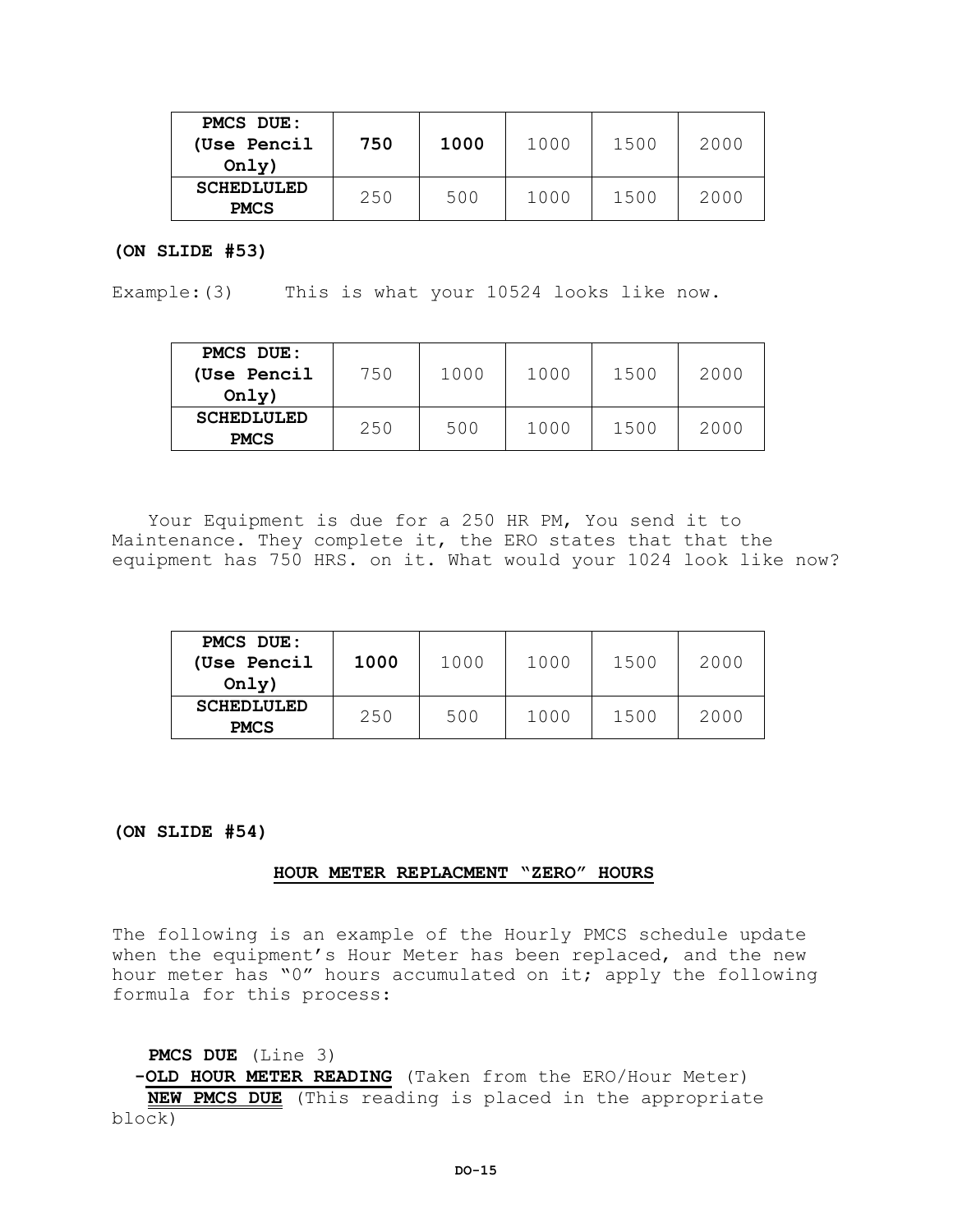| <b>PMCS DUE:</b><br>(Use Pencil<br>Only) | 750 | 1000 | 1000 | 1500 | 2000 |
|------------------------------------------|-----|------|------|------|------|
| <b>SCHEDLULED</b><br><b>PMCS</b>         | 250 | 500  | 1000 | 1500 | 2000 |

#### **(ON SLIDE #53)**

Example:(3) This is what your 10524 looks like now.

| <b>PMCS DUE:</b><br>(Use Pencil<br>Only) | 750 | 1000 | 1000 | 1500 | 2000 |
|------------------------------------------|-----|------|------|------|------|
| <b>SCHEDLULED</b><br><b>PMCS</b>         | 250 | 500  | 1000 | 1500 | 2000 |

Your Equipment is due for a 250 HR PM, You send it to Maintenance. They complete it, the ERO states that that the equipment has 750 HRS. on it. What would your 1024 look like now?

| <b>PMCS DUE:</b><br>(Use Pencil<br>Only) | 1000 | 1000 | 1000 | 1500 | 2000 |
|------------------------------------------|------|------|------|------|------|
| <b>SCHEDLULED</b><br><b>PMCS</b>         | 250  | 500  | 1000 | 1500 | 2000 |

**(ON SLIDE #54)**

#### **HOUR METER REPLACMENT "ZERO" HOURS**

The following is an example of the Hourly PMCS schedule update when the equipment's Hour Meter has been replaced, and the new hour meter has "0" hours accumulated on it; apply the following formula for this process:

**PMCS DUE** (Line 3)

 **-OLD HOUR METER READING** (Taken from the ERO/Hour Meter) **NEW PMCS DUE** (This reading is placed in the appropriate block)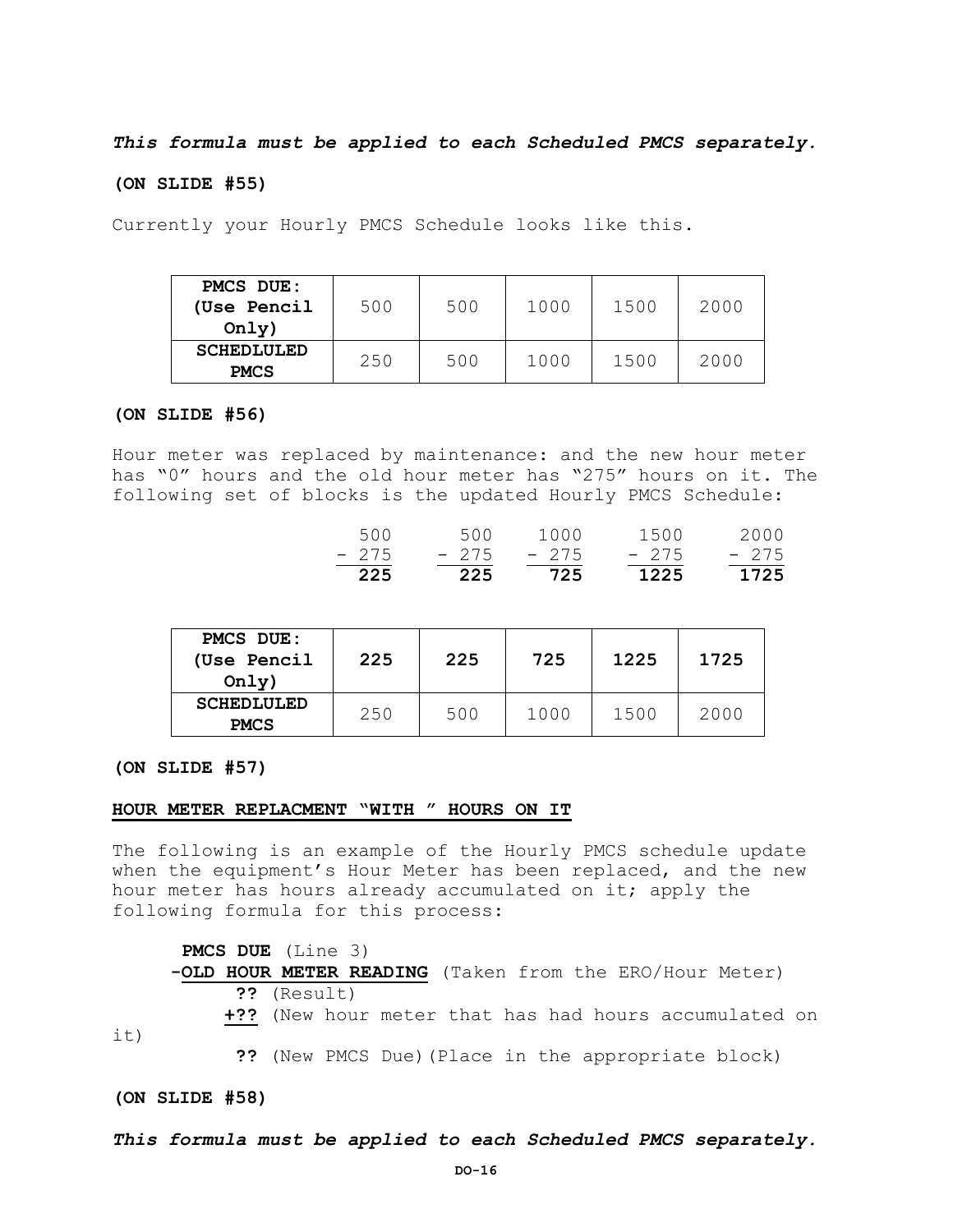*This formula must be applied to each Scheduled PMCS separately.*

#### **(ON SLIDE #55)**

Currently your Hourly PMCS Schedule looks like this.

| <b>PMCS DUE:</b>  |     |     |      |      |      |
|-------------------|-----|-----|------|------|------|
| (Use Pencil       | 500 | 500 | 1000 | 1500 | 2000 |
| Only)             |     |     |      |      |      |
| <b>SCHEDLULED</b> | 250 | 500 | 1000 | 1500 | 2000 |
| <b>PMCS</b>       |     |     |      |      |      |

#### **(ON SLIDE #56)**

Hour meter was replaced by maintenance: and the new hour meter has "0" hours and the old hour meter has "275" hours on it. The following set of blocks is the updated Hourly PMCS Schedule:

| 225   | 225    | 725    | 1225   | 1725   |
|-------|--------|--------|--------|--------|
| - 275 | $-275$ | $-275$ | $-275$ | $-275$ |
| 500   | 500    | 1000   | 1500   | 2000   |

| <b>PMCS DUE:</b><br>(Use Pencil<br>Only) | 225 | 225 | 725  | 1225 | 1725 |
|------------------------------------------|-----|-----|------|------|------|
| <b>SCHEDLULED</b><br><b>PMCS</b>         | 250 | 500 | 1000 | 1500 | 2000 |

**(ON SLIDE #57)**

#### **HOUR METER REPLACMENT "WITH " HOURS ON IT**

The following is an example of the Hourly PMCS schedule update when the equipment's Hour Meter has been replaced, and the new hour meter has hours already accumulated on it; apply the following formula for this process:

#### **PMCS DUE** (Line 3)

 **-OLD HOUR METER READING** (Taken from the ERO/Hour Meter) **??** (Result)

**+??** (New hour meter that has had hours accumulated on

**??** (New PMCS Due)(Place in the appropriate block)

#### **(ON SLIDE #58)**

it)

#### *This formula must be applied to each Scheduled PMCS separately.*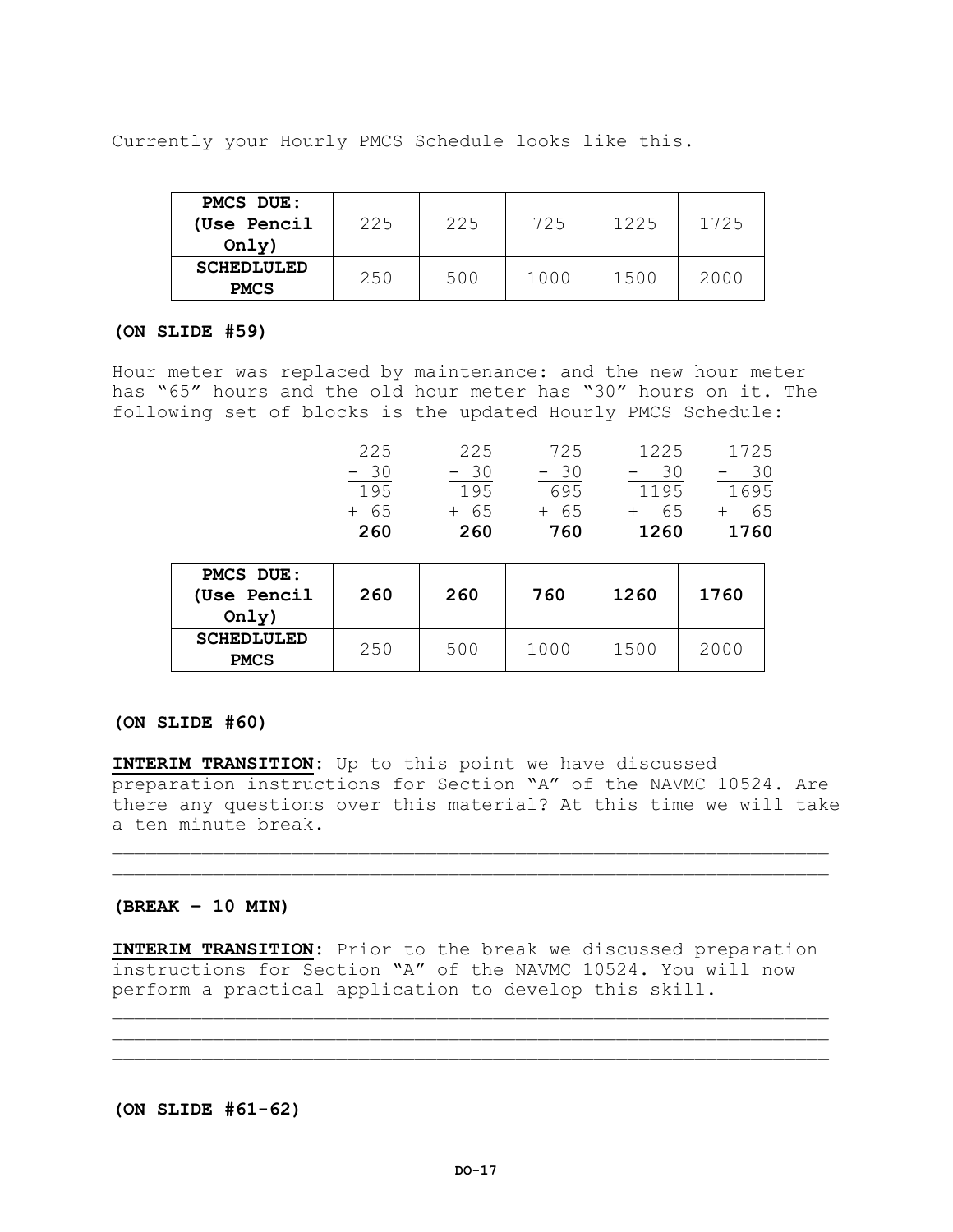Currently your Hourly PMCS Schedule looks like this.

| <b>PMCS DUE:</b>  |     |     |      |      |      |
|-------------------|-----|-----|------|------|------|
| (Use Pencil       | 225 | 225 | 725  | 1225 | 1725 |
| Only)             |     |     |      |      |      |
| <b>SCHEDLULED</b> | 250 | 500 | 1000 | 1500 | 2000 |
| <b>PMCS</b>       |     |     |      |      |      |

#### **(ON SLIDE #59)**

Hour meter was replaced by maintenance: and the new hour meter has "65" hours and the old hour meter has "30" hours on it. The following set of blocks is the updated Hourly PMCS Schedule:

| 260   | -260   | 760   | 1260  | 1760  |
|-------|--------|-------|-------|-------|
| + 65  | $+ 65$ | + 65  | + 65  | + 65  |
| 195   | 195    | 695   | 1195  | 1695  |
| $-30$ | $-30$  | $-30$ | $-30$ | $-30$ |
| 225   | 225    | 725   | 1225  | 1725  |
|       |        |       |       |       |

| <b>PMCS DUE:</b><br>(Use Pencil<br>Only) | 260 | 260 | 760  | 1260 | 1760 |
|------------------------------------------|-----|-----|------|------|------|
| <b>SCHEDLULED</b><br><b>PMCS</b>         | 250 | 500 | 1000 | 1500 | 2000 |

# **(ON SLIDE #60)**

**INTERIM TRANSITION:** Up to this point we have discussed preparation instructions for Section "A" of the NAVMC 10524. Are there any questions over this material? At this time we will take a ten minute break.

 $\mathcal{L}_\mathcal{L}$  , we can assume that the contribution of the contribution of the contribution of the contribution of the contribution of the contribution of the contribution of the contribution of the contribution of the c

#### **(BREAK – 10 MIN)**

**INTERIM TRANSITION:** Prior to the break we discussed preparation instructions for Section "A" of the NAVMC 10524. You will now perform a practical application to develop this skill.

 $\mathcal{L}_\mathcal{L}$  , we can assume that the contribution of the contribution of the contribution of the contribution of the contribution of the contribution of the contribution of the contribution of the contribution of the c  $\mathcal{L}_\mathcal{L}$  , we can assume that the contribution of the contribution of the contribution of the contribution of the contribution of the contribution of the contribution of the contribution of the contribution of the c

**(ON SLIDE #61-62)**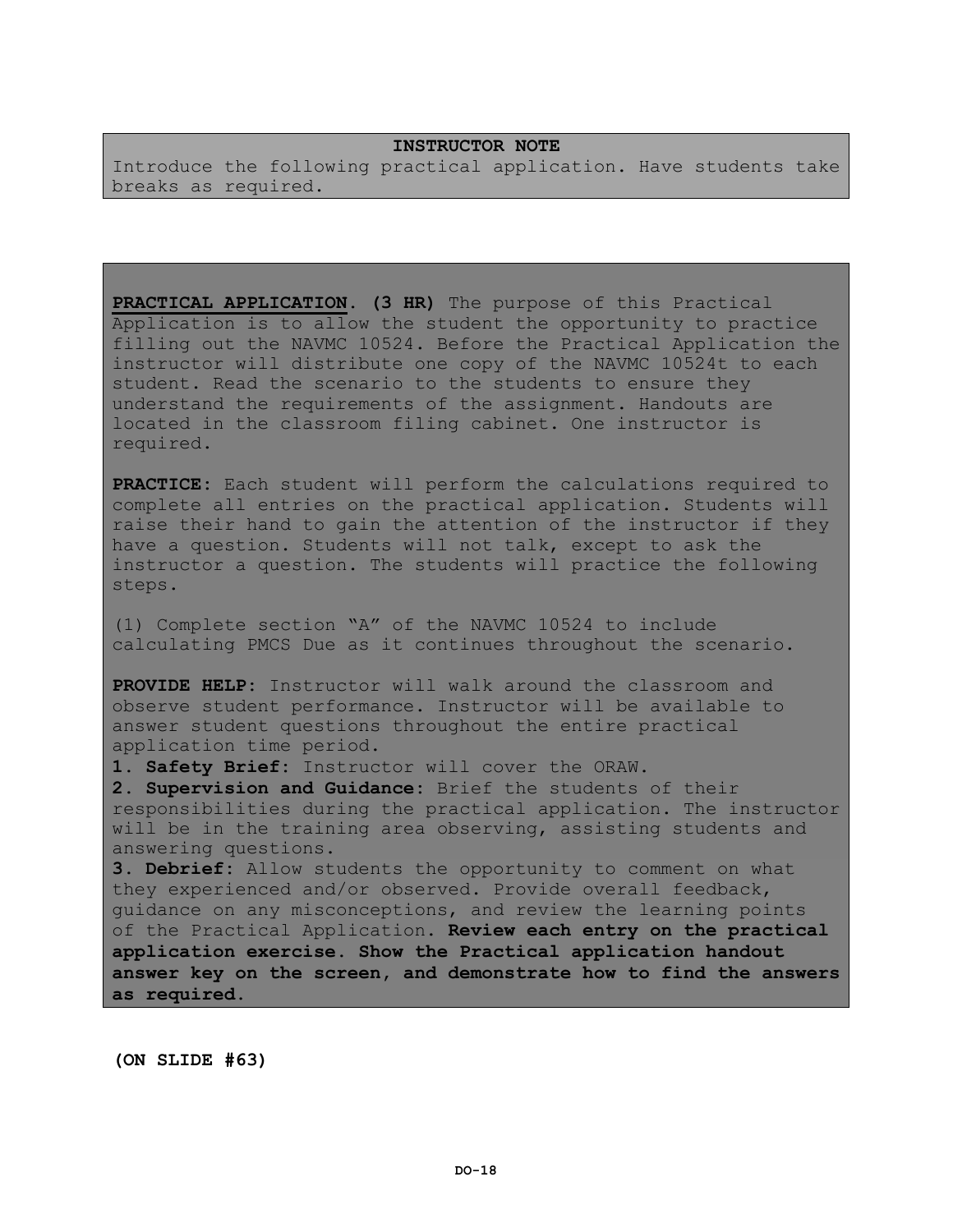# **INSTRUCTOR NOTE**

Introduce the following practical application. Have students take breaks as required.

**PRACTICAL APPLICATION. (3 HR)** The purpose of this Practical Application is to allow the student the opportunity to practice filling out the NAVMC 10524. Before the Practical Application the instructor will distribute one copy of the NAVMC 10524t to each student. Read the scenario to the students to ensure they understand the requirements of the assignment. Handouts are located in the classroom filing cabinet. One instructor is required.

**PRACTICE:** Each student will perform the calculations required to complete all entries on the practical application. Students will raise their hand to gain the attention of the instructor if they have a question. Students will not talk, except to ask the instructor a question. The students will practice the following steps.

(1) Complete section "A" of the NAVMC 10524 to include calculating PMCS Due as it continues throughout the scenario.

**PROVIDE HELP:** Instructor will walk around the classroom and observe student performance. Instructor will be available to answer student questions throughout the entire practical application time period.

**1. Safety Brief:** Instructor will cover the ORAW.

**2. Supervision and Guidance:** Brief the students of their responsibilities during the practical application. The instructor will be in the training area observing, assisting students and answering questions.

**3. Debrief:** Allow students the opportunity to comment on what they experienced and/or observed. Provide overall feedback, guidance on any misconceptions, and review the learning points of the Practical Application. **Review each entry on the practical application exercise. Show the Practical application handout answer key on the screen, and demonstrate how to find the answers as required.**

**(ON SLIDE #63)**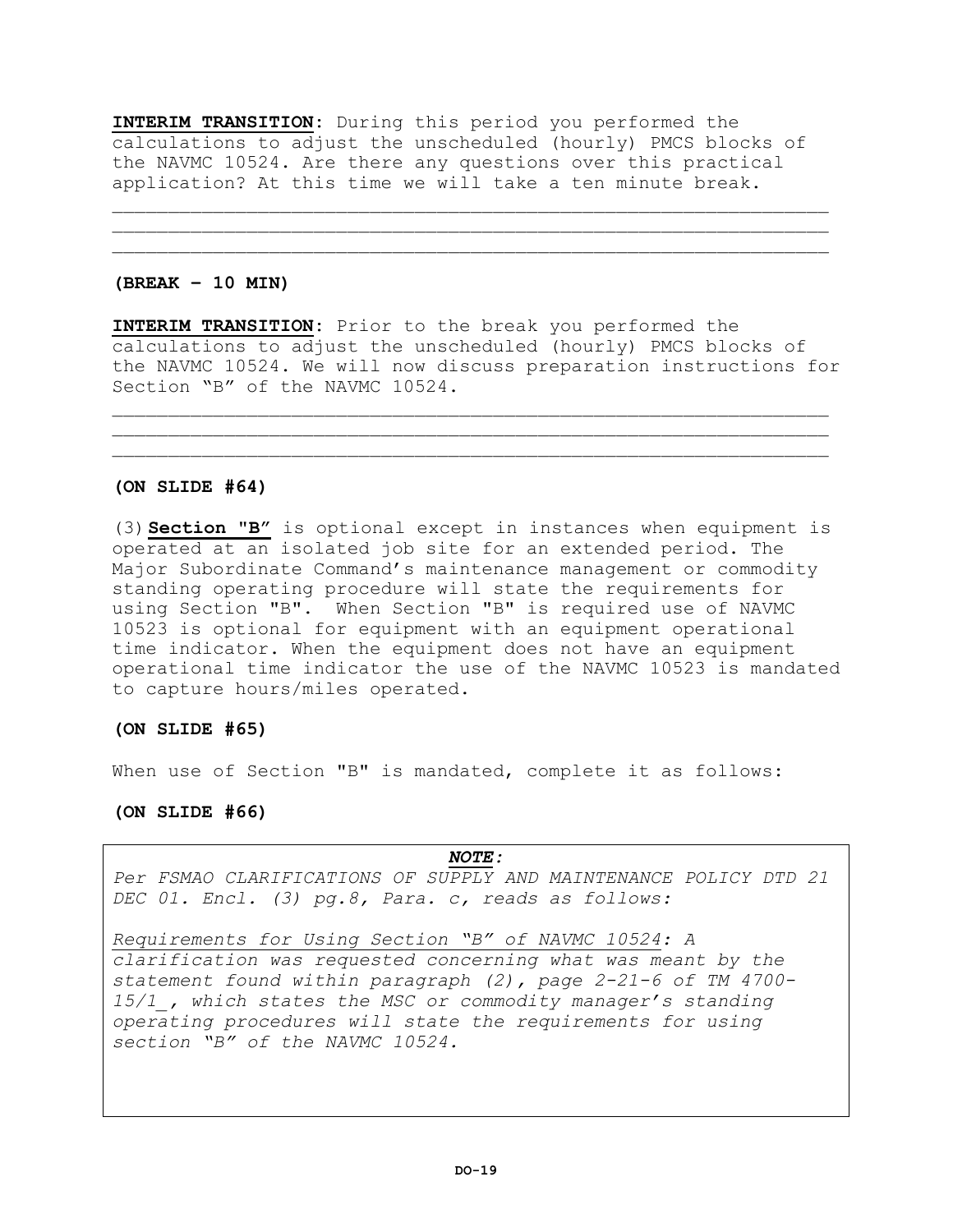**INTERIM TRANSITION:** During this period you performed the calculations to adjust the unscheduled (hourly) PMCS blocks of the NAVMC 10524. Are there any questions over this practical application? At this time we will take a ten minute break.

\_\_\_\_\_\_\_\_\_\_\_\_\_\_\_\_\_\_\_\_\_\_\_\_\_\_\_\_\_\_\_\_\_\_\_\_\_\_\_\_\_\_\_\_\_\_\_\_\_\_\_\_\_\_\_\_\_\_\_\_\_\_\_\_  $\mathcal{L}_\mathcal{L}$  , we can assume that the contribution of the contribution of the contribution of the contribution of the contribution of the contribution of the contribution of the contribution of the contribution of the c

## **(BREAK – 10 MIN)**

**INTERIM TRANSITION:** Prior to the break you performed the calculations to adjust the unscheduled (hourly) PMCS blocks of the NAVMC 10524. We will now discuss preparation instructions for Section "B" of the NAVMC 10524.

 $\mathcal{L}_\mathcal{L}$  , we can assume that the contribution of the contribution of the contribution of the contribution of the contribution of the contribution of the contribution of the contribution of the contribution of the c  $\mathcal{L}_\mathcal{L}$  , we can assume that the contribution of the contribution of the contribution of the contribution of the contribution of the contribution of the contribution of the contribution of the contribution of the c

# **(ON SLIDE #64)**

(3)**Section "B"** is optional except in instances when equipment is operated at an isolated job site for an extended period. The Major Subordinate Command's maintenance management or commodity standing operating procedure will state the requirements for using Section "B". When Section "B" is required use of NAVMC 10523 is optional for equipment with an equipment operational time indicator. When the equipment does not have an equipment operational time indicator the use of the NAVMC 10523 is mandated to capture hours/miles operated.

#### **(ON SLIDE #65)**

When use of Section "B" is mandated, complete it as follows:

# **(ON SLIDE #66)**

# *NOTE:*

*Per FSMAO CLARIFICATIONS OF SUPPLY AND MAINTENANCE POLICY DTD 21 DEC 01. Encl. (3) pg.8, Para. c, reads as follows:*

*Requirements for Using Section "B" of NAVMC 10524: A clarification was requested concerning what was meant by the statement found within paragraph (2), page 2-21-6 of TM 4700- 15/1\_, which states the MSC or commodity manager's standing operating procedures will state the requirements for using section "B" of the NAVMC 10524.*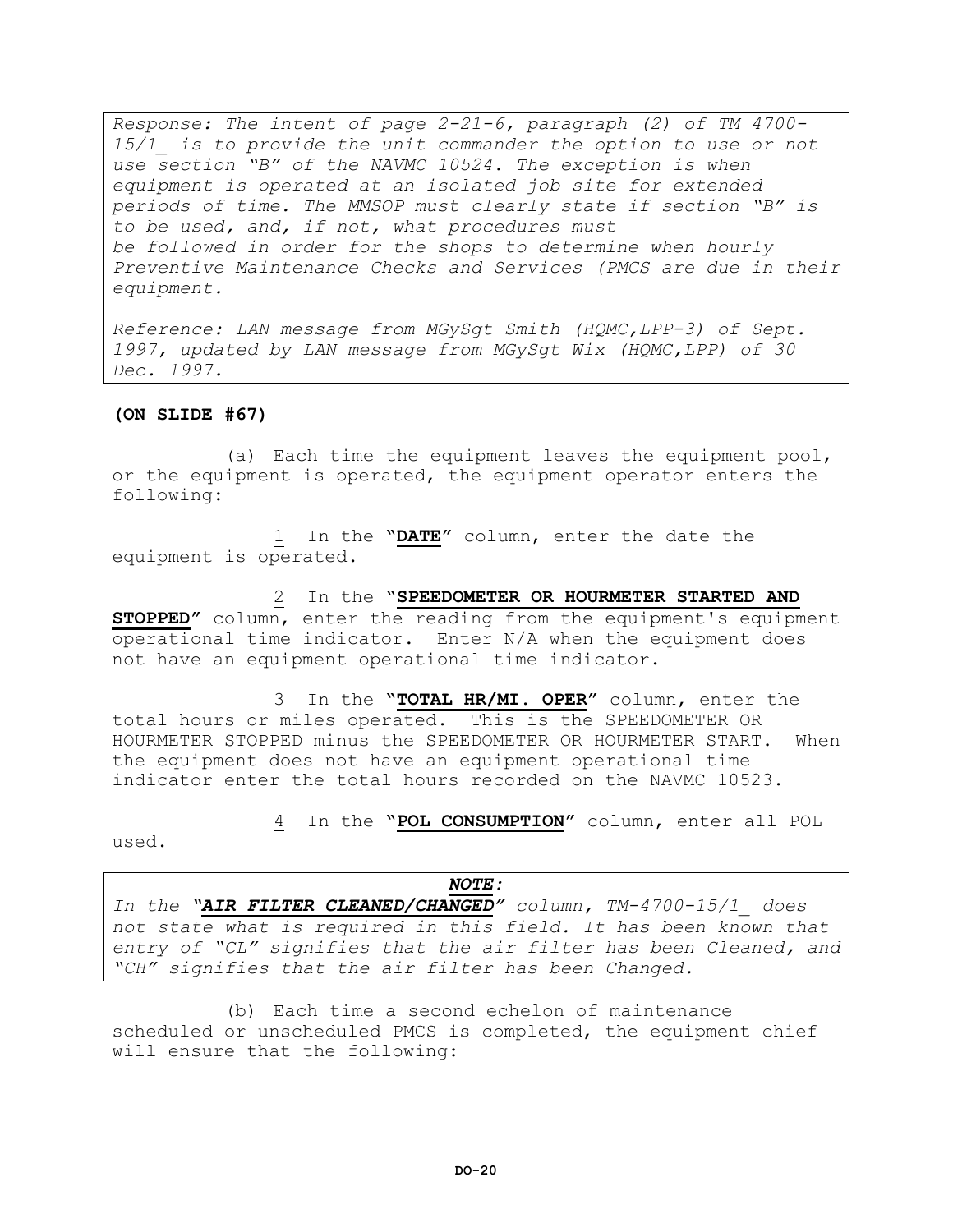*Response: The intent of page 2-21-6, paragraph (2) of TM 4700- 15/1\_ is to provide the unit commander the option to use or not use section "B" of the NAVMC 10524. The exception is when equipment is operated at an isolated job site for extended periods of time. The MMSOP must clearly state if section "B" is to be used, and, if not, what procedures must be followed in order for the shops to determine when hourly Preventive Maintenance Checks and Services (PMCS are due in their equipment.*

*Reference: LAN message from MGySgt Smith (HQMC,LPP-3) of Sept. 1997, updated by LAN message from MGySgt Wix (HQMC,LPP) of 30 Dec. 1997.*

# **(ON SLIDE #67)**

(a) Each time the equipment leaves the equipment pool, or the equipment is operated, the equipment operator enters the following:

1 In the **"DATE"** column, enter the date the equipment is operated.

2 In the **"SPEEDOMETER OR HOURMETER STARTED AND STOPPED"** column, enter the reading from the equipment's equipment operational time indicator. Enter N/A when the equipment does not have an equipment operational time indicator.

3 In the **"TOTAL HR/MI. OPER"** column, enter the total hours or miles operated. This is the SPEEDOMETER OR HOURMETER STOPPED minus the SPEEDOMETER OR HOURMETER START. When the equipment does not have an equipment operational time indicator enter the total hours recorded on the NAVMC 10523.

4 In the **"POL CONSUMPTION"** column, enter all POL

used.

*NOTE: In the "AIR FILTER CLEANED/CHANGED" column, TM-4700-15/1\_ does not state what is required in this field. It has been known that entry of "CL" signifies that the air filter has been Cleaned, and "CH" signifies that the air filter has been Changed.*

(b) Each time a second echelon of maintenance scheduled or unscheduled PMCS is completed, the equipment chief will ensure that the following: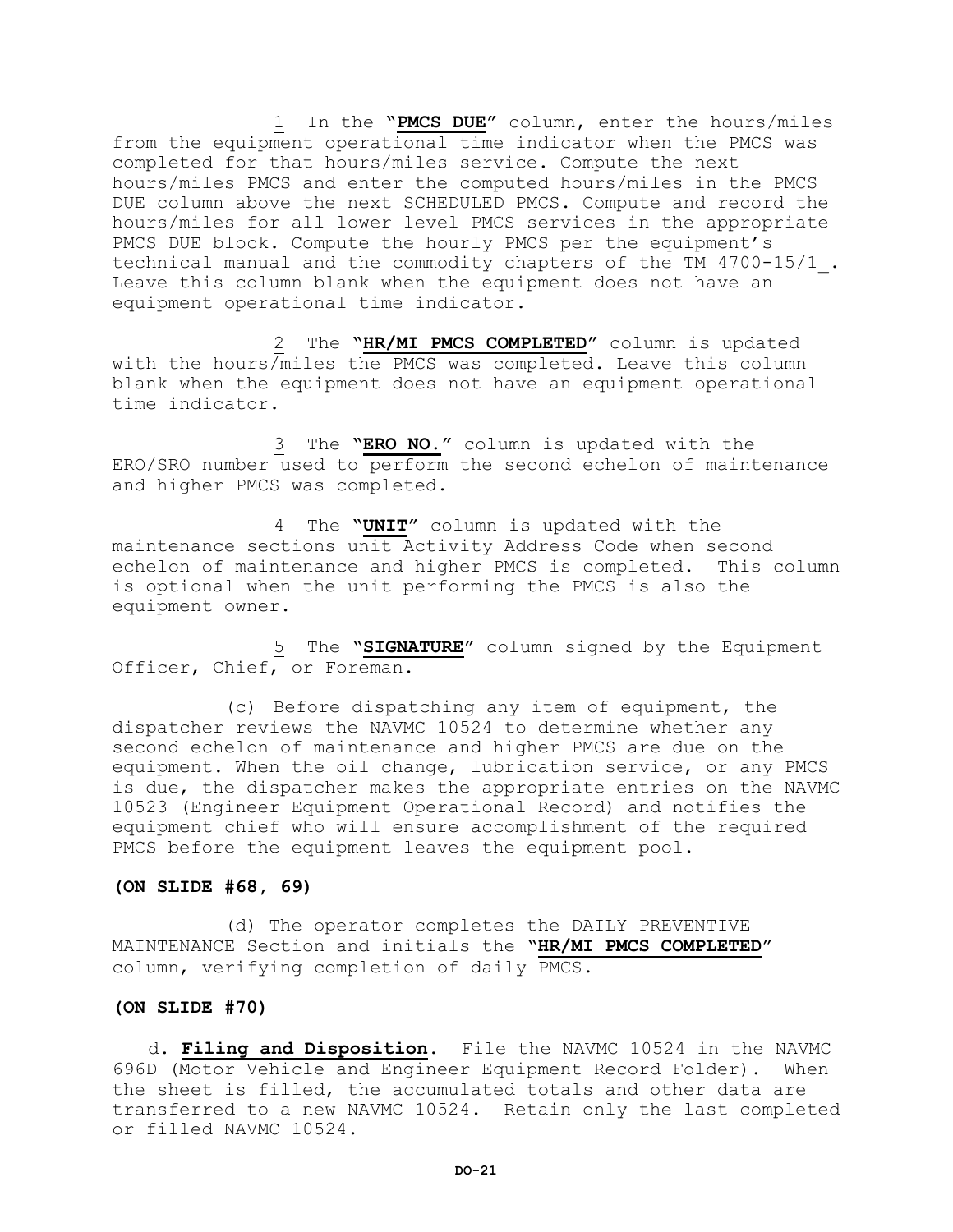1 In the **"PMCS DUE"** column, enter the hours/miles from the equipment operational time indicator when the PMCS was completed for that hours/miles service. Compute the next hours/miles PMCS and enter the computed hours/miles in the PMCS DUE column above the next SCHEDULED PMCS. Compute and record the hours/miles for all lower level PMCS services in the appropriate PMCS DUE block. Compute the hourly PMCS per the equipment's technical manual and the commodity chapters of the TM 4700-15/1\_. Leave this column blank when the equipment does not have an equipment operational time indicator.

2 The **"HR/MI PMCS COMPLETED"** column is updated with the hours/miles the PMCS was completed. Leave this column blank when the equipment does not have an equipment operational time indicator.

3 The **"ERO NO."** column is updated with the ERO/SRO number used to perform the second echelon of maintenance and higher PMCS was completed.

4 The **"UNIT"** column is updated with the maintenance sections unit Activity Address Code when second echelon of maintenance and higher PMCS is completed. This column is optional when the unit performing the PMCS is also the equipment owner.

5 The **"SIGNATURE"** column signed by the Equipment Officer, Chief, or Foreman.

(c) Before dispatching any item of equipment, the dispatcher reviews the NAVMC 10524 to determine whether any second echelon of maintenance and higher PMCS are due on the equipment. When the oil change, lubrication service, or any PMCS is due, the dispatcher makes the appropriate entries on the NAVMC 10523 (Engineer Equipment Operational Record) and notifies the equipment chief who will ensure accomplishment of the required PMCS before the equipment leaves the equipment pool.

#### **(ON SLIDE #68, 69)**

 (d) The operator completes the DAILY PREVENTIVE MAINTENANCE Section and initials the **"HR/MI PMCS COMPLETED"** column, verifying completion of daily PMCS.

# **(ON SLIDE #70)**

d. **Filing and Disposition**. File the NAVMC 10524 in the NAVMC 696D (Motor Vehicle and Engineer Equipment Record Folder). When the sheet is filled, the accumulated totals and other data are transferred to a new NAVMC 10524. Retain only the last completed or filled NAVMC 10524.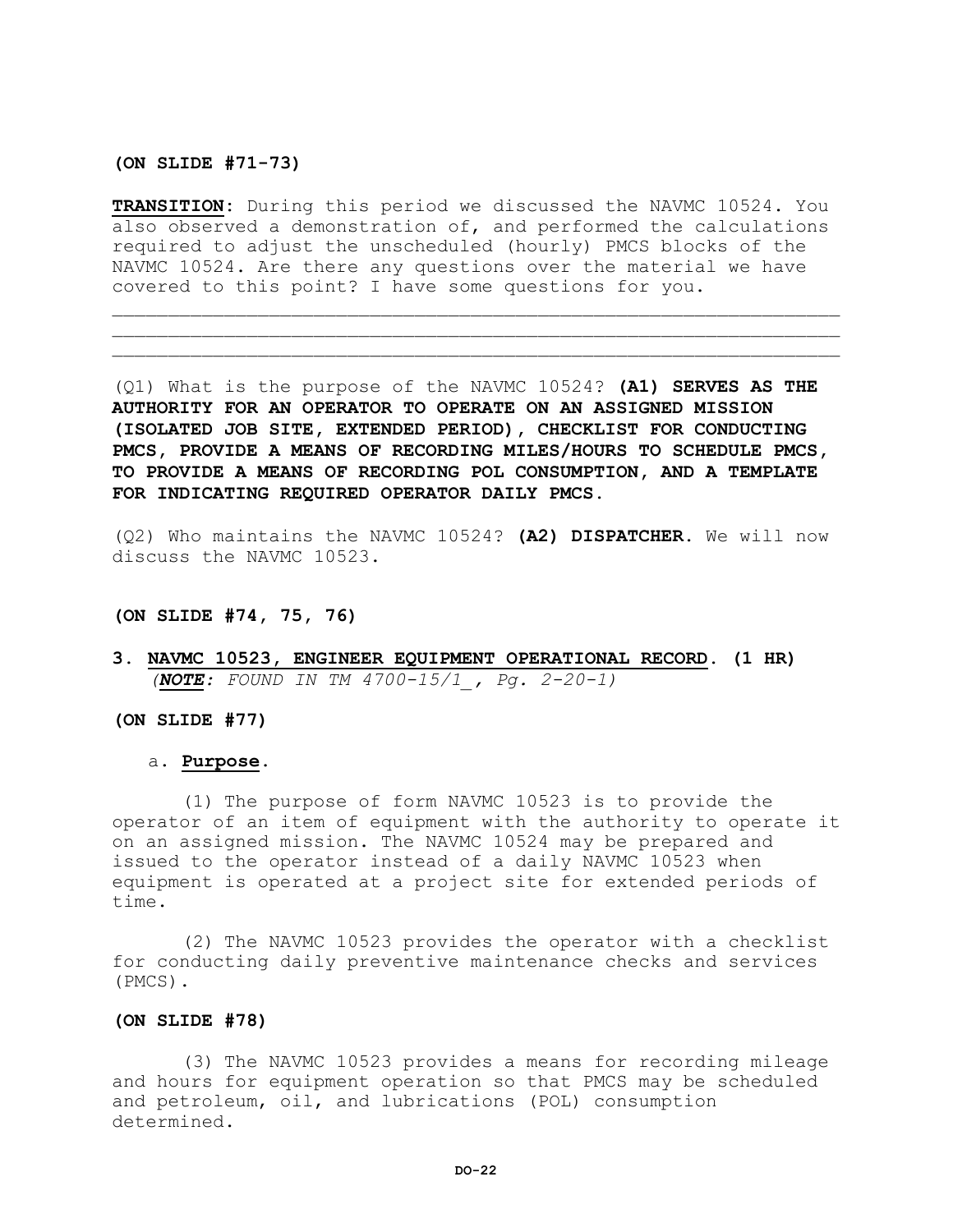**(ON SLIDE #71-73)**

**TRANSITION:** During this period we discussed the NAVMC 10524. You also observed a demonstration of, and performed the calculations required to adjust the unscheduled (hourly) PMCS blocks of the NAVMC 10524. Are there any questions over the material we have covered to this point? I have some questions for you.

 $\mathcal{L} = \{ \mathcal{L} = \{ \mathcal{L} \} \cup \{ \mathcal{L} \} \cup \{ \mathcal{L} \} \cup \{ \mathcal{L} \} \cup \{ \mathcal{L} \} \cup \{ \mathcal{L} \} \cup \{ \mathcal{L} \} \cup \{ \mathcal{L} \} \cup \{ \mathcal{L} \} \cup \{ \mathcal{L} \} \cup \{ \mathcal{L} \} \cup \{ \mathcal{L} \} \cup \{ \mathcal{L} \} \cup \{ \mathcal{L} \} \cup \{ \mathcal{L} \} \cup \{ \mathcal{L} \} \cup \{ \mathcal{L} \} \cup$  $\mathcal{L}=\{1,2,3,4,5,6,6,8,10\}$ 

(Q1) What is the purpose of the NAVMC 10524? **(A1) SERVES AS THE AUTHORITY FOR AN OPERATOR TO OPERATE ON AN ASSIGNED MISSION (ISOLATED JOB SITE, EXTENDED PERIOD), CHECKLIST FOR CONDUCTING PMCS, PROVIDE A MEANS OF RECORDING MILES/HOURS TO SCHEDULE PMCS, TO PROVIDE A MEANS OF RECORDING POL CONSUMPTION, AND A TEMPLATE FOR INDICATING REQUIRED OPERATOR DAILY PMCS.** 

(Q2) Who maintains the NAVMC 10524? **(A2) DISPATCHER.** We will now discuss the NAVMC 10523.

# **(ON SLIDE #74, 75, 76)**

**3. NAVMC 10523, ENGINEER EQUIPMENT OPERATIONAL RECORD. (1 HR)** *(NOTE: FOUND IN TM 4700-15/1\_, Pg. 2-20-1)*

#### **(ON SLIDE #77)**

#### a. **Purpose.**

(1) The purpose of form NAVMC 10523 is to provide the operator of an item of equipment with the authority to operate it on an assigned mission. The NAVMC 10524 may be prepared and issued to the operator instead of a daily NAVMC 10523 when equipment is operated at a project site for extended periods of time.

(2) The NAVMC 10523 provides the operator with a checklist for conducting daily preventive maintenance checks and services (PMCS).

#### **(ON SLIDE #78)**

(3) The NAVMC 10523 provides a means for recording mileage and hours for equipment operation so that PMCS may be scheduled and petroleum, oil, and lubrications (POL) consumption determined.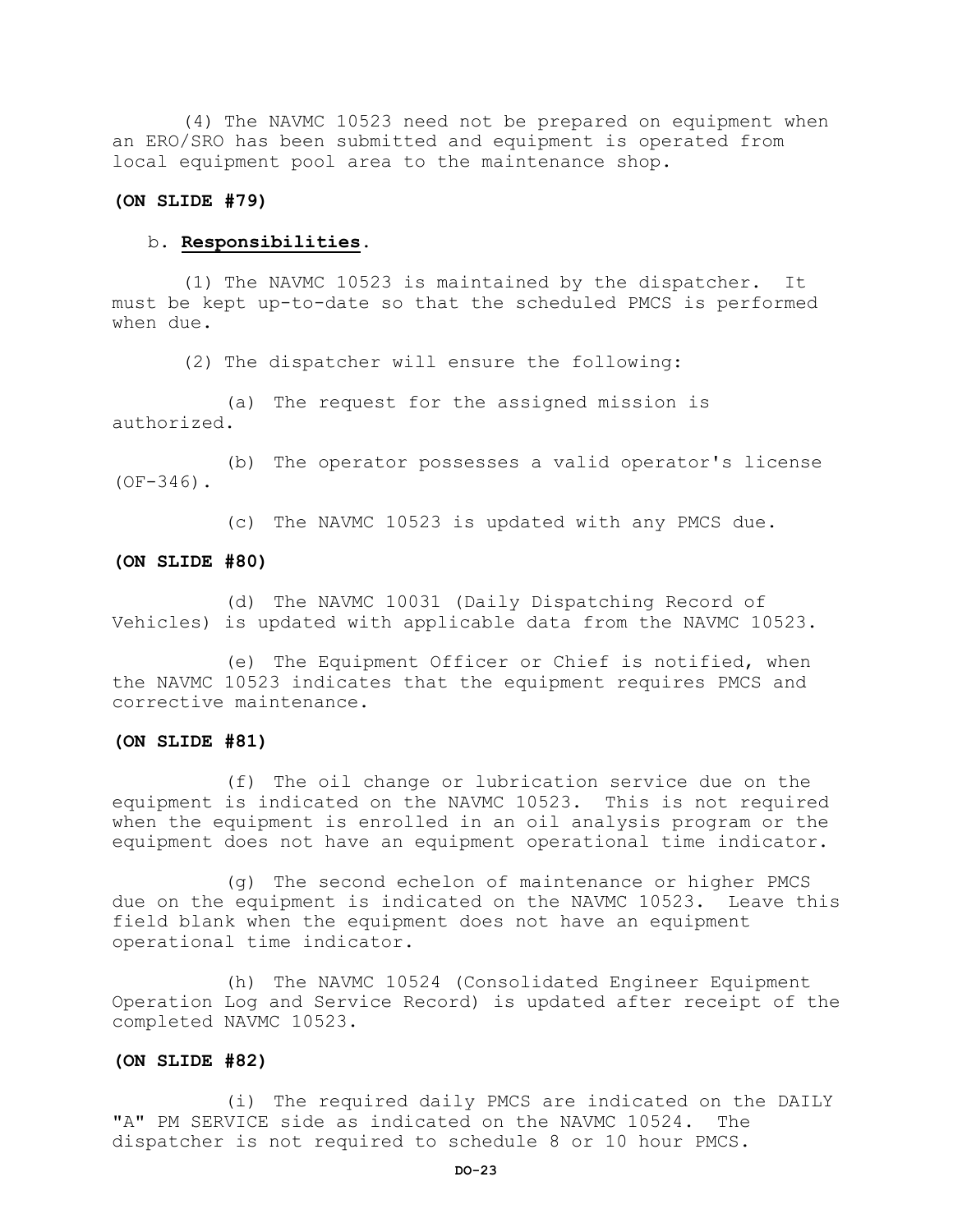(4) The NAVMC 10523 need not be prepared on equipment when an ERO/SRO has been submitted and equipment is operated from local equipment pool area to the maintenance shop.

# **(ON SLIDE #79)**

# b. **Responsibilities.**

(1) The NAVMC 10523 is maintained by the dispatcher. It must be kept up-to-date so that the scheduled PMCS is performed when due.

(2) The dispatcher will ensure the following:

(a) The request for the assigned mission is authorized.

(b) The operator possesses a valid operator's license  $(OF-346)$ .

(c) The NAVMC 10523 is updated with any PMCS due.

#### **(ON SLIDE #80)**

(d) The NAVMC 10031 (Daily Dispatching Record of Vehicles) is updated with applicable data from the NAVMC 10523.

(e) The Equipment Officer or Chief is notified, when the NAVMC 10523 indicates that the equipment requires PMCS and corrective maintenance.

#### **(ON SLIDE #81)**

(f) The oil change or lubrication service due on the equipment is indicated on the NAVMC 10523. This is not required when the equipment is enrolled in an oil analysis program or the equipment does not have an equipment operational time indicator.

(g) The second echelon of maintenance or higher PMCS due on the equipment is indicated on the NAVMC 10523. Leave this field blank when the equipment does not have an equipment operational time indicator.

(h) The NAVMC 10524 (Consolidated Engineer Equipment Operation Log and Service Record) is updated after receipt of the completed NAVMC 10523.

# **(ON SLIDE #82)**

(i) The required daily PMCS are indicated on the DAILY "A" PM SERVICE side as indicated on the NAVMC 10524. The dispatcher is not required to schedule 8 or 10 hour PMCS.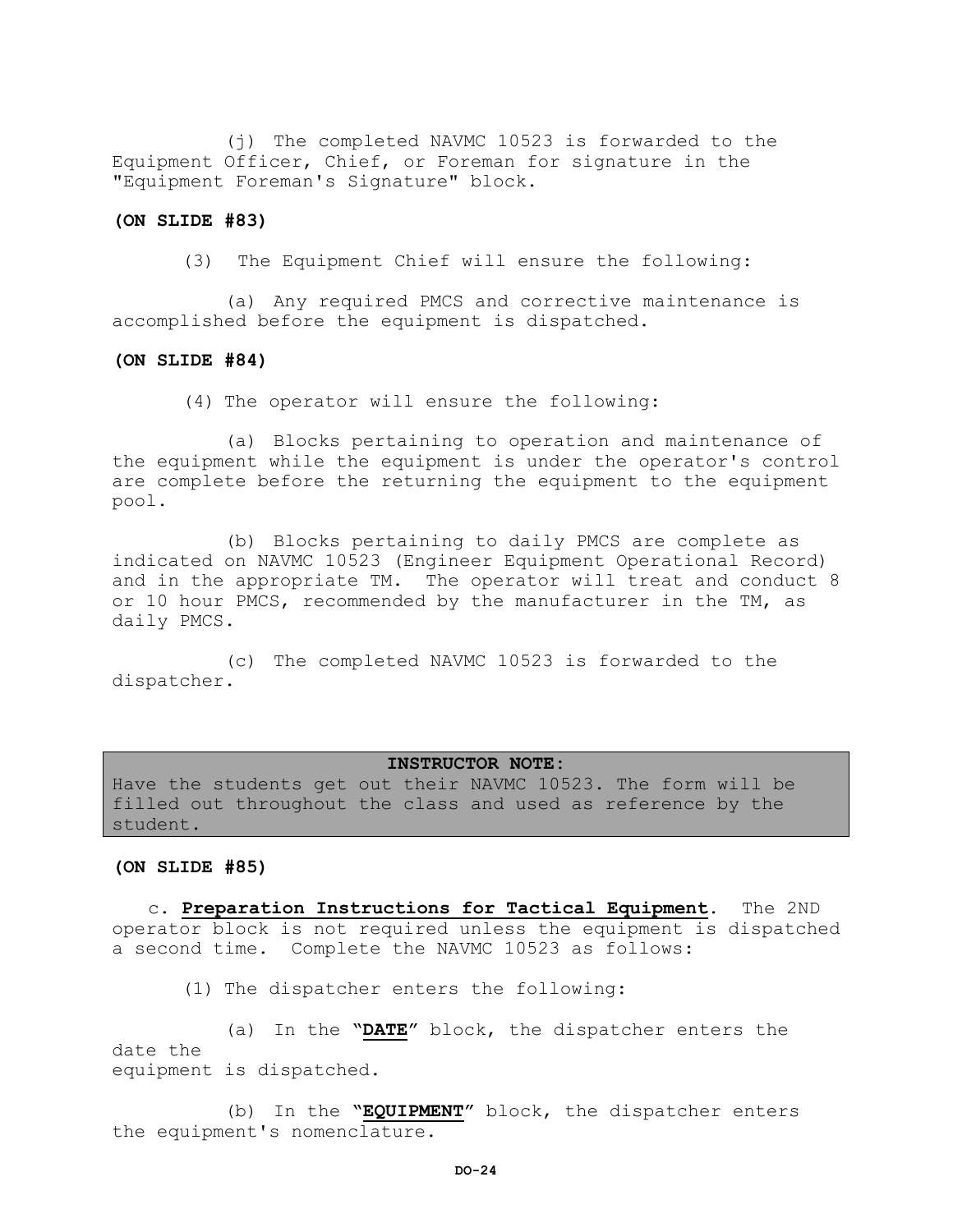(j) The completed NAVMC 10523 is forwarded to the Equipment Officer, Chief, or Foreman for signature in the "Equipment Foreman's Signature" block.

#### **(ON SLIDE #83)**

(3) The Equipment Chief will ensure the following:

(a) Any required PMCS and corrective maintenance is accomplished before the equipment is dispatched.

#### **(ON SLIDE #84)**

(4) The operator will ensure the following:

(a) Blocks pertaining to operation and maintenance of the equipment while the equipment is under the operator's control are complete before the returning the equipment to the equipment pool.

(b) Blocks pertaining to daily PMCS are complete as indicated on NAVMC 10523 (Engineer Equipment Operational Record) and in the appropriate TM. The operator will treat and conduct 8 or 10 hour PMCS, recommended by the manufacturer in the TM, as daily PMCS.

(c) The completed NAVMC 10523 is forwarded to the dispatcher.

#### **INSTRUCTOR NOTE:**

Have the students get out their NAVMC 10523. The form will be filled out throughout the class and used as reference by the student.

#### **(ON SLIDE #85)**

c. **Preparation Instructions for Tactical Equipment**. The 2ND operator block is not required unless the equipment is dispatched a second time. Complete the NAVMC 10523 as follows:

(1) The dispatcher enters the following:

(a) In the **"DATE"** block, the dispatcher enters the date the equipment is dispatched.

(b) In the **"EQUIPMENT"** block, the dispatcher enters the equipment's nomenclature.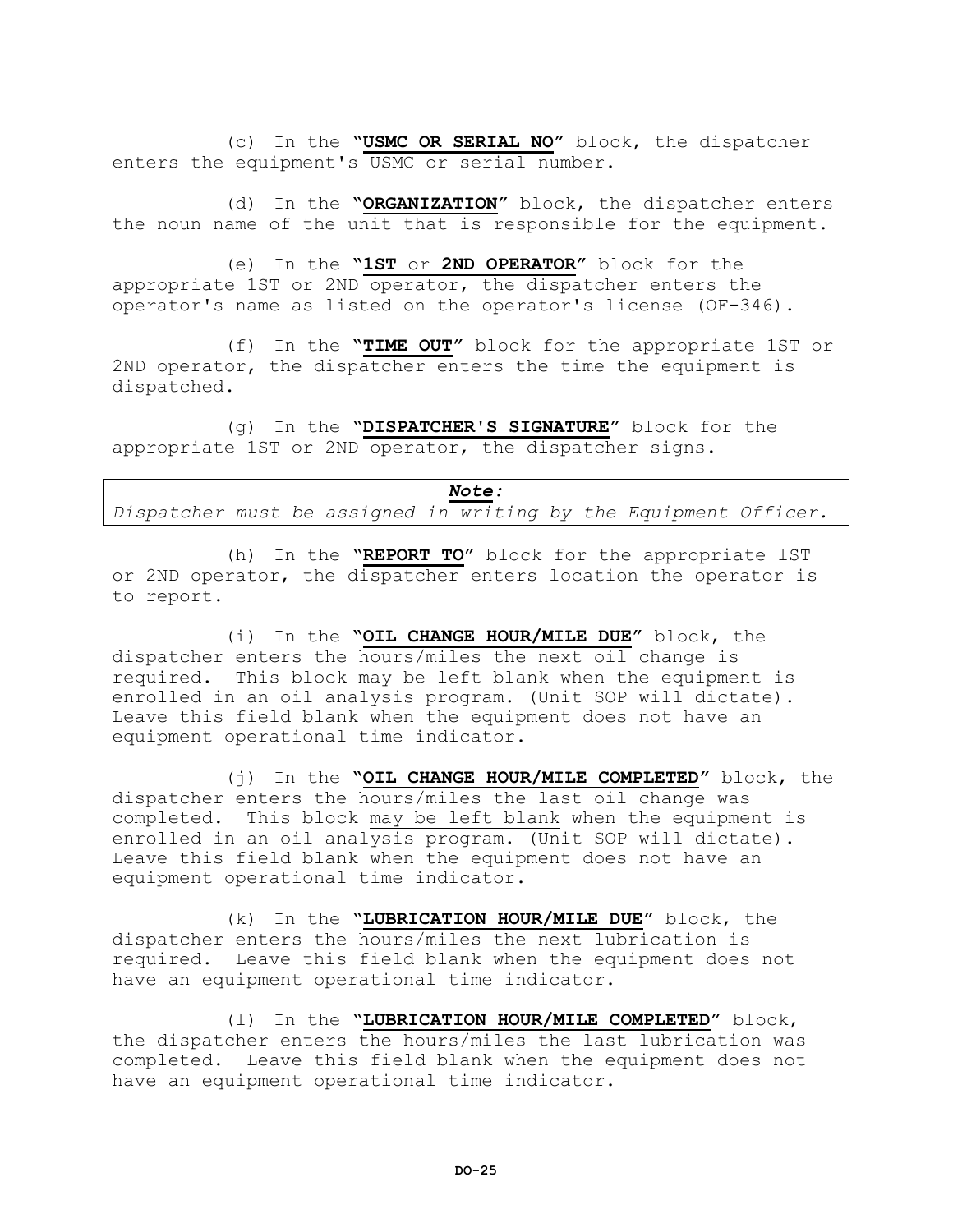(c) In the **"USMC OR SERIAL NO"** block, the dispatcher enters the equipment's USMC or serial number.

(d) In the **"ORGANIZATION"** block, the dispatcher enters the noun name of the unit that is responsible for the equipment.

(e) In the **"1ST** or **2ND OPERATOR"** block for the appropriate 1ST or 2ND operator, the dispatcher enters the operator's name as listed on the operator's license (OF-346).

(f) In the **"TIME OUT"** block for the appropriate 1ST or 2ND operator, the dispatcher enters the time the equipment is dispatched.

(g) In the **"DISPATCHER'S SIGNATURE"** block for the appropriate 1ST or 2ND operator, the dispatcher signs.

| <i>Note:</i>                                                     |  |  |  |  |  |  |  |  |  |  |
|------------------------------------------------------------------|--|--|--|--|--|--|--|--|--|--|
| Dispatcher must be assigned in writing by the Equipment Officer. |  |  |  |  |  |  |  |  |  |  |

(h) In the **"REPORT TO"** block for the appropriate lST or 2ND operator, the dispatcher enters location the operator is to report.

(i) In the **"OIL CHANGE HOUR/MILE DUE"** block, the dispatcher enters the hours/miles the next oil change is required. This block may be left blank when the equipment is enrolled in an oil analysis program. (Unit SOP will dictate). Leave this field blank when the equipment does not have an equipment operational time indicator.

(j) In the **"OIL CHANGE HOUR/MILE COMPLETED"** block, the dispatcher enters the hours/miles the last oil change was completed. This block may be left blank when the equipment is enrolled in an oil analysis program. (Unit SOP will dictate). Leave this field blank when the equipment does not have an equipment operational time indicator.

(k) In the **"LUBRICATION HOUR/MILE DUE"** block, the dispatcher enters the hours/miles the next lubrication is required. Leave this field blank when the equipment does not have an equipment operational time indicator.

(l) In the **"LUBRICATION HOUR/MILE COMPLETED"** block, the dispatcher enters the hours/miles the last lubrication was completed. Leave this field blank when the equipment does not have an equipment operational time indicator.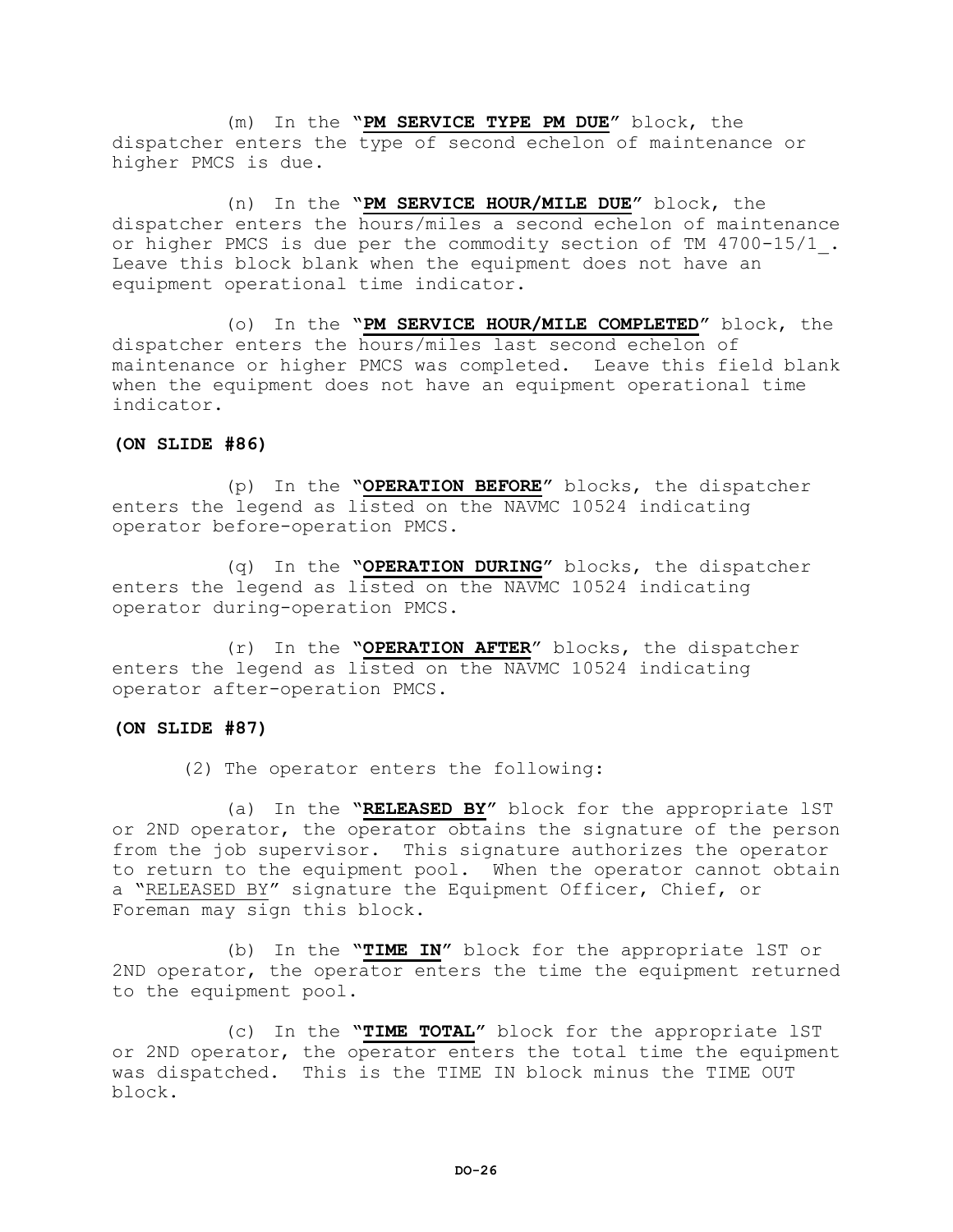(m) In the **"PM SERVICE TYPE PM DUE"** block, the dispatcher enters the type of second echelon of maintenance or higher PMCS is due.

(n) In the **"PM SERVICE HOUR/MILE DUE"** block, the dispatcher enters the hours/miles a second echelon of maintenance or higher PMCS is due per the commodity section of TM 4700-15/1\_. Leave this block blank when the equipment does not have an equipment operational time indicator.

(o) In the **"PM SERVICE HOUR/MILE COMPLETED"** block, the dispatcher enters the hours/miles last second echelon of maintenance or higher PMCS was completed. Leave this field blank when the equipment does not have an equipment operational time indicator.

# **(ON SLIDE #86)**

(p) In the **"OPERATION BEFORE"** blocks, the dispatcher enters the legend as listed on the NAVMC 10524 indicating operator before-operation PMCS.

(q) In the **"OPERATION DURING"** blocks, the dispatcher enters the legend as listed on the NAVMC 10524 indicating operator during-operation PMCS.

(r) In the **"OPERATION AFTER**" blocks, the dispatcher enters the legend as listed on the NAVMC 10524 indicating operator after-operation PMCS.

#### **(ON SLIDE #87)**

(2) The operator enters the following:

(a) In the **"RELEASED BY"** block for the appropriate lST or 2ND operator, the operator obtains the signature of the person from the job supervisor. This signature authorizes the operator to return to the equipment pool. When the operator cannot obtain a "RELEASED BY" signature the Equipment Officer, Chief, or Foreman may sign this block.

(b) In the **"TIME IN"** block for the appropriate lST or 2ND operator, the operator enters the time the equipment returned to the equipment pool.

(c) In the **"TIME TOTAL"** block for the appropriate lST or 2ND operator, the operator enters the total time the equipment was dispatched. This is the TIME IN block minus the TIME OUT block.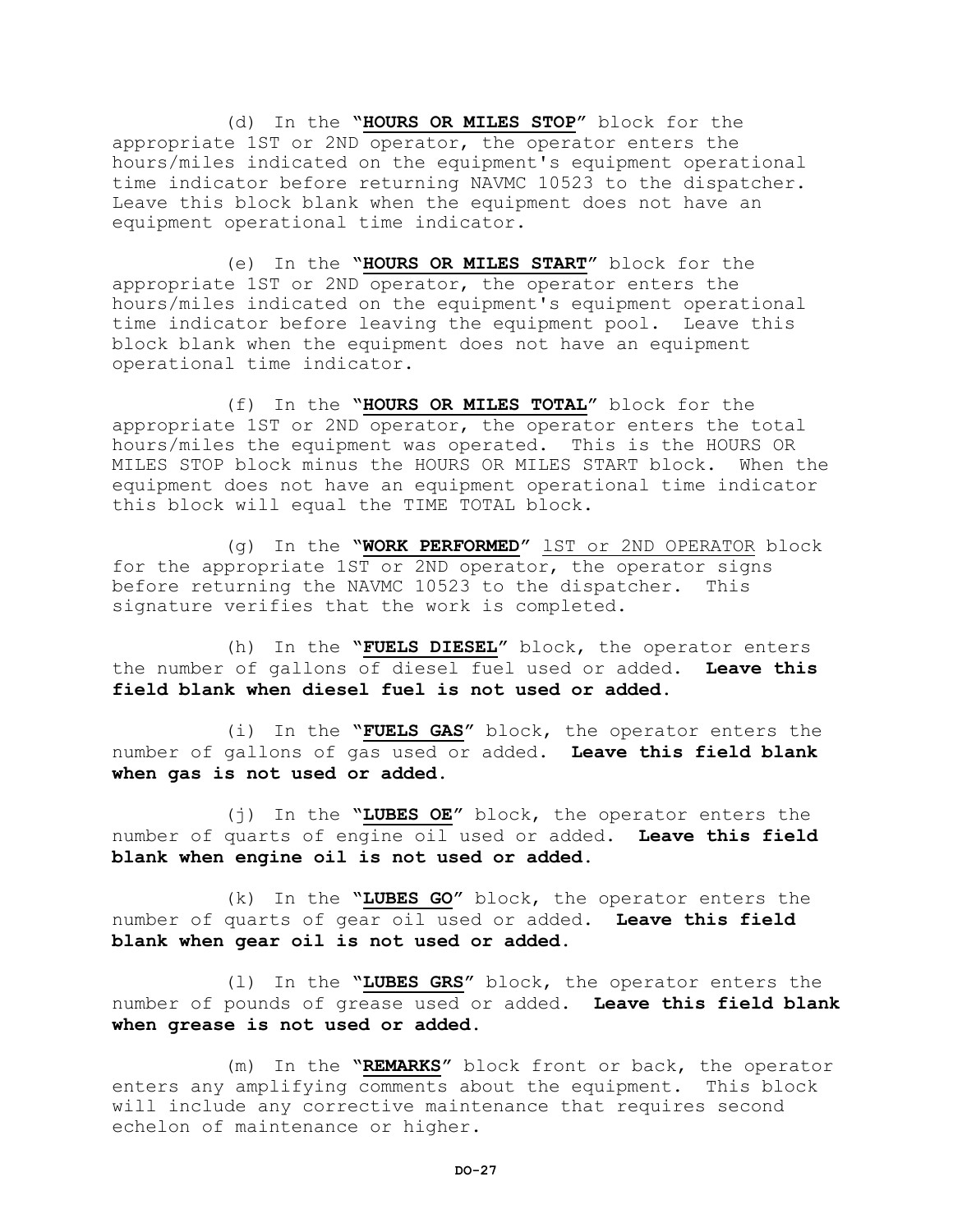(d) In the **"HOURS OR MILES STOP"** block for the appropriate 1ST or 2ND operator, the operator enters the hours/miles indicated on the equipment's equipment operational time indicator before returning NAVMC 10523 to the dispatcher. Leave this block blank when the equipment does not have an equipment operational time indicator.

(e) In the **"HOURS OR MILES START"** block for the appropriate 1ST or 2ND operator, the operator enters the hours/miles indicated on the equipment's equipment operational time indicator before leaving the equipment pool. Leave this block blank when the equipment does not have an equipment operational time indicator.

(f) In the **"HOURS OR MILES TOTAL"** block for the appropriate 1ST or 2ND operator, the operator enters the total hours/miles the equipment was operated. This is the HOURS OR MILES STOP block minus the HOURS OR MILES START block. When the equipment does not have an equipment operational time indicator this block will equal the TIME TOTAL block.

(g) In the **"WORK PERFORMED"** lST or 2ND OPERATOR block for the appropriate 1ST or 2ND operator, the operator signs before returning the NAVMC 10523 to the dispatcher. This signature verifies that the work is completed.

(h) In the **"FUELS DIESEL"** block, the operator enters the number of gallons of diesel fuel used or added. **Leave this field blank when diesel fuel is not used or added.**

(i) In the **"FUELS GAS"** block, the operator enters the number of gallons of gas used or added. **Leave this field blank when gas is not used or added.**

(j) In the **"LUBES OE"** block, the operator enters the number of quarts of engine oil used or added. **Leave this field blank when engine oil is not used or added.**

(k) In the **"LUBES GO"** block, the operator enters the number of quarts of gear oil used or added. **Leave this field blank when gear oil is not used or added.**

(l) In the **"LUBES GRS"** block, the operator enters the number of pounds of grease used or added. **Leave this field blank when grease is not used or added.**

(m) In the **"REMARKS"** block front or back, the operator enters any amplifying comments about the equipment. This block will include any corrective maintenance that requires second echelon of maintenance or higher.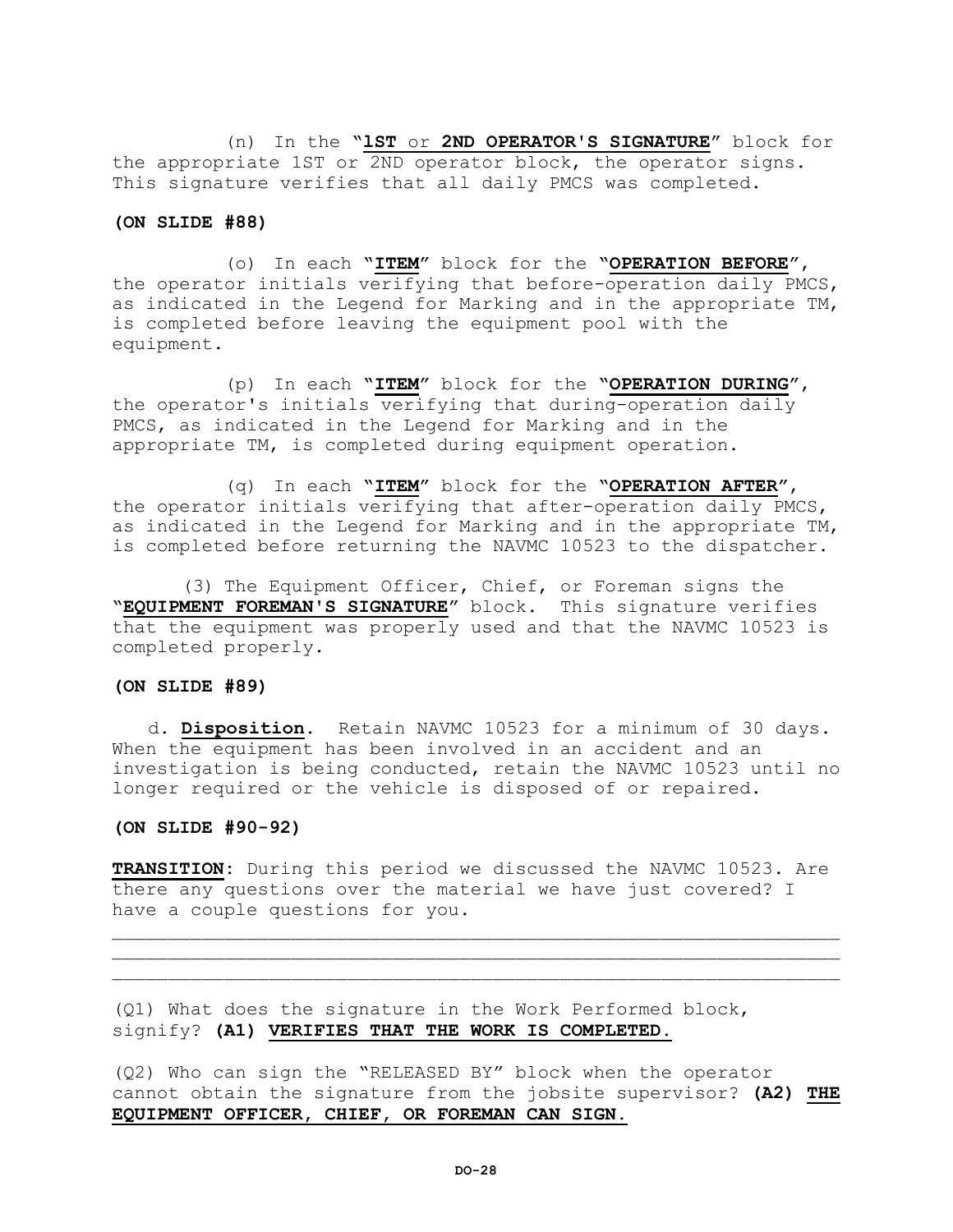(n) In the **"lST** or **2ND OPERATOR'S SIGNATURE"** block for the appropriate 1ST or 2ND operator block, the operator signs. This signature verifies that all daily PMCS was completed.

#### **(ON SLIDE #88)**

(o) In each **"ITEM"** block for the **"OPERATION BEFORE"**, the operator initials verifying that before-operation daily PMCS, as indicated in the Legend for Marking and in the appropriate TM, is completed before leaving the equipment pool with the equipment.

(p) In each **"ITEM"** block for the **"OPERATION DURING"**, the operator's initials verifying that during-operation daily PMCS, as indicated in the Legend for Marking and in the appropriate TM, is completed during equipment operation.

(q) In each **"ITEM"** block for the **"OPERATION AFTER"**, the operator initials verifying that after-operation daily PMCS, as indicated in the Legend for Marking and in the appropriate TM, is completed before returning the NAVMC 10523 to the dispatcher.

(3) The Equipment Officer, Chief, or Foreman signs the **"EQUIPMENT FOREMAN'S SIGNATURE"** block. This signature verifies that the equipment was properly used and that the NAVMC 10523 is completed properly.

#### **(ON SLIDE #89)**

d. **Disposition.** Retain NAVMC 10523 for a minimum of 30 days. When the equipment has been involved in an accident and an investigation is being conducted, retain the NAVMC 10523 until no longer required or the vehicle is disposed of or repaired.

#### **(ON SLIDE #90-92)**

**TRANSITION:** During this period we discussed the NAVMC 10523. Are there any questions over the material we have just covered? I have a couple questions for you.

 $\mathcal{L}=\{1,2,3,4,5,6,6,8,10\}$  $\mathcal{L}=\{1,2,3,4,5,6,6,8,10\}$ 

(Q1) What does the signature in the Work Performed block, signify? **(A1) VERIFIES THAT THE WORK IS COMPLETED.**

(Q2) Who can sign the "RELEASED BY" block when the operator cannot obtain the signature from the jobsite supervisor? **(A2) THE EQUIPMENT OFFICER, CHIEF, OR FOREMAN CAN SIGN.**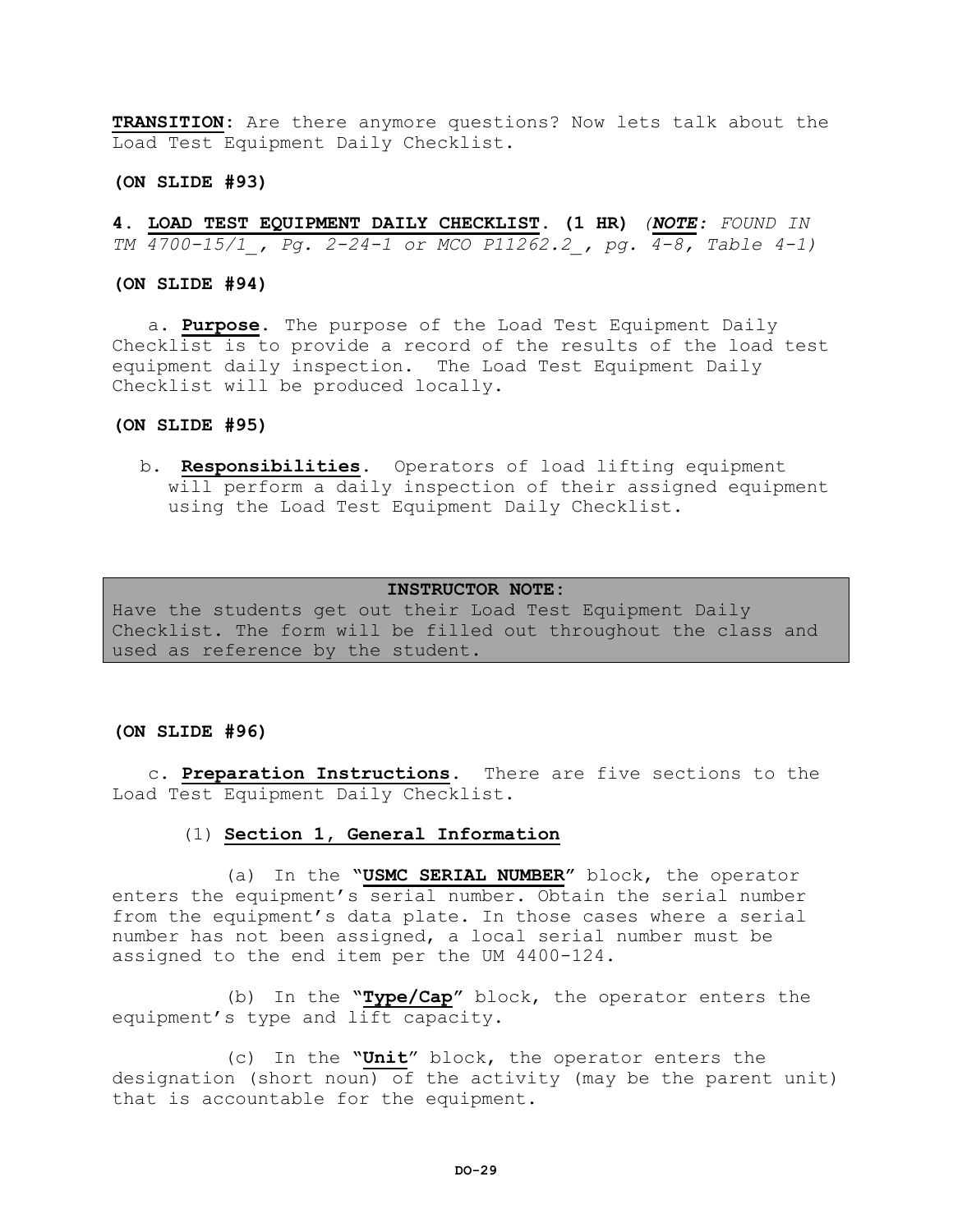**TRANSITION:** Are there anymore questions? Now lets talk about the Load Test Equipment Daily Checklist.

# **(ON SLIDE #93)**

**4. LOAD TEST EQUIPMENT DAILY CHECKLIST. (1 HR)** *(NOTE: FOUND IN TM 4700-15/1\_, Pg. 2-24-1 or MCO P11262.2\_, pg. 4-8, Table 4-1)*

**(ON SLIDE #94)**

a. **Purpose.** The purpose of the Load Test Equipment Daily Checklist is to provide a record of the results of the load test equipment daily inspection. The Load Test Equipment Daily Checklist will be produced locally.

#### **(ON SLIDE #95)**

b. **Responsibilities.** Operators of load lifting equipment will perform a daily inspection of their assigned equipment using the Load Test Equipment Daily Checklist.

#### **INSTRUCTOR NOTE:**

Have the students get out their Load Test Equipment Daily Checklist. The form will be filled out throughout the class and used as reference by the student.

#### **(ON SLIDE #96)**

c. **Preparation Instructions.** There are five sections to the Load Test Equipment Daily Checklist.

# (1) **Section 1, General Information**

(a) In the **"USMC SERIAL NUMBER"** block, the operator enters the equipment's serial number. Obtain the serial number from the equipment's data plate. In those cases where a serial number has not been assigned, a local serial number must be assigned to the end item per the UM 4400-124.

(b) In the **"Type/Cap"** block, the operator enters the equipment's type and lift capacity.

(c) In the **"Unit**" block, the operator enters the designation (short noun) of the activity (may be the parent unit) that is accountable for the equipment.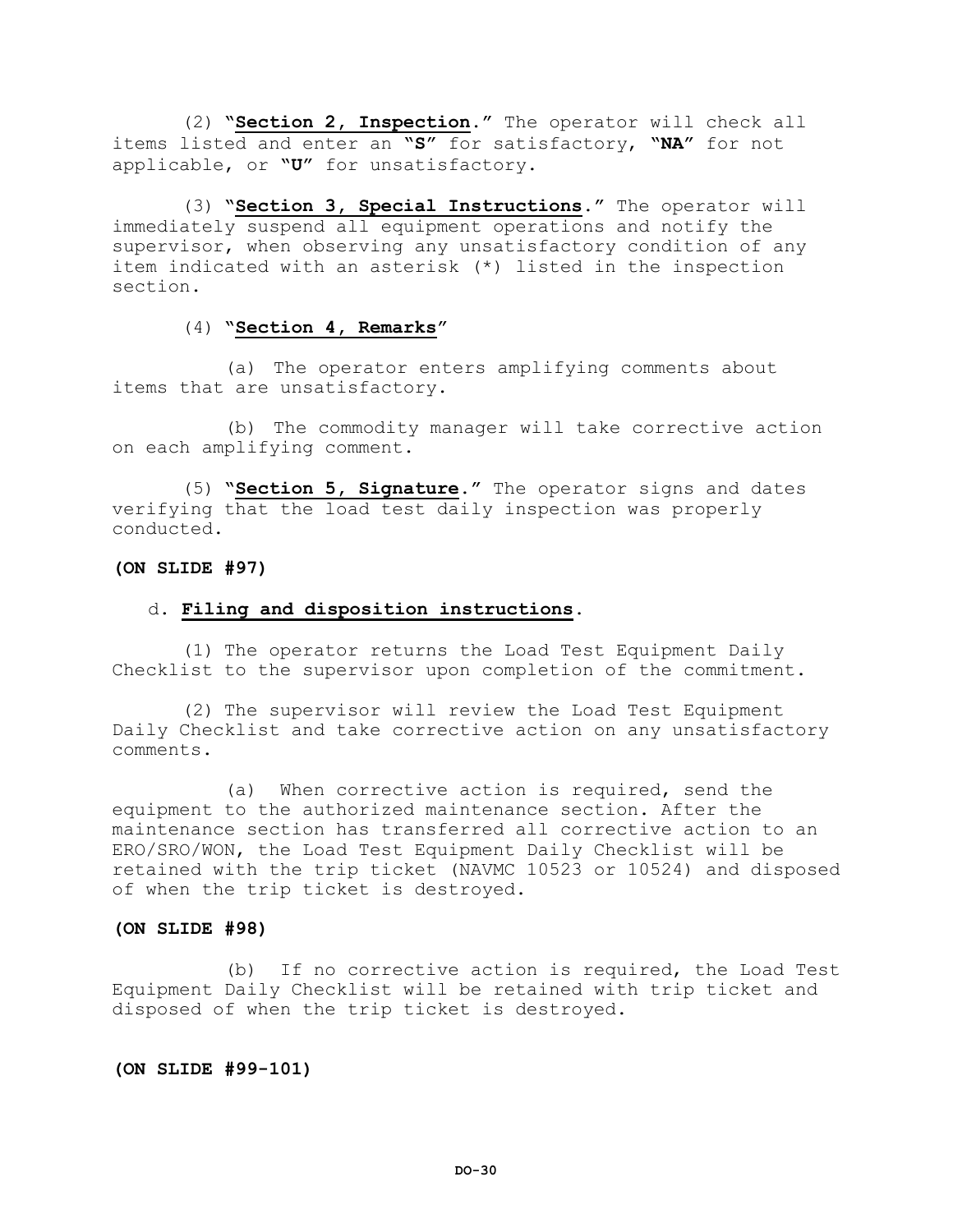(2) **"Section 2, Inspection**.**"** The operator will check all items listed and enter an **"S"** for satisfactory, **"NA"** for not applicable, or **"U"** for unsatisfactory.

(3) **"Section 3, Special Instructions."** The operator will immediately suspend all equipment operations and notify the supervisor, when observing any unsatisfactory condition of any item indicated with an asterisk (\*) listed in the inspection section.

# (4) **"Section 4, Remarks"**

(a) The operator enters amplifying comments about items that are unsatisfactory.

(b) The commodity manager will take corrective action on each amplifying comment.

(5) **"Section 5, Signature."** The operator signs and dates verifying that the load test daily inspection was properly conducted.

# **(ON SLIDE #97)**

#### d. **Filing and disposition instructions.**

(1) The operator returns the Load Test Equipment Daily Checklist to the supervisor upon completion of the commitment.

(2) The supervisor will review the Load Test Equipment Daily Checklist and take corrective action on any unsatisfactory comments.

(a) When corrective action is required, send the equipment to the authorized maintenance section. After the maintenance section has transferred all corrective action to an ERO/SRO/WON, the Load Test Equipment Daily Checklist will be retained with the trip ticket (NAVMC 10523 or 10524) and disposed of when the trip ticket is destroyed.

#### **(ON SLIDE #98)**

(b) If no corrective action is required, the Load Test Equipment Daily Checklist will be retained with trip ticket and disposed of when the trip ticket is destroyed.

# **(ON SLIDE #99-101)**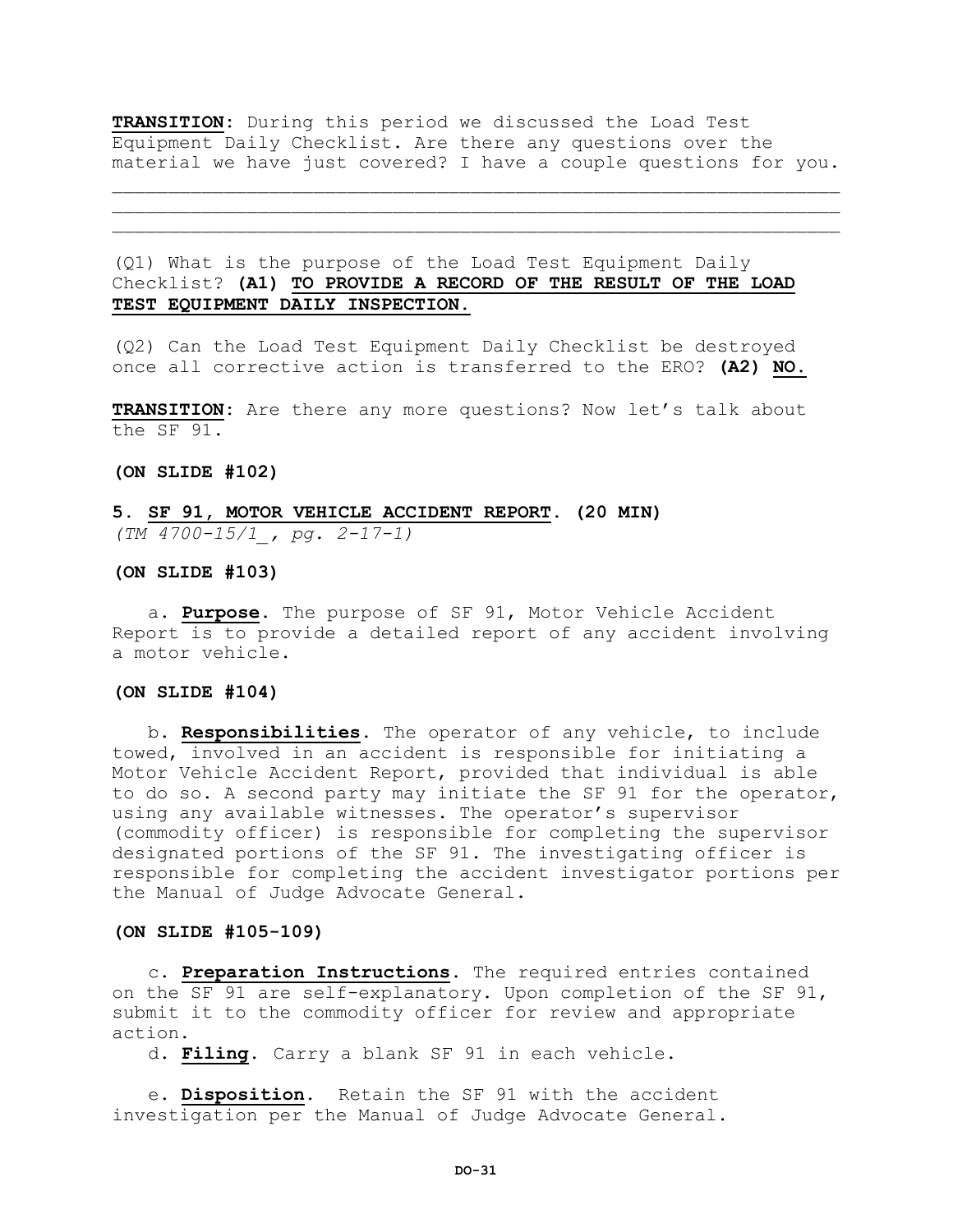**TRANSITION:** During this period we discussed the Load Test Equipment Daily Checklist. Are there any questions over the material we have just covered? I have a couple questions for you.

 $\mathcal{L} = \{ \mathcal{L} = \{ \mathcal{L} \} \cup \{ \mathcal{L} \} \cup \{ \mathcal{L} \} \cup \{ \mathcal{L} \} \cup \{ \mathcal{L} \} \cup \{ \mathcal{L} \} \cup \{ \mathcal{L} \} \cup \{ \mathcal{L} \} \cup \{ \mathcal{L} \} \cup \{ \mathcal{L} \} \cup \{ \mathcal{L} \} \cup \{ \mathcal{L} \} \cup \{ \mathcal{L} \} \cup \{ \mathcal{L} \} \cup \{ \mathcal{L} \} \cup \{ \mathcal{L} \} \cup \{ \mathcal{L} \} \cup$  $\mathcal{L} = \{ \mathcal{L} = \{ \mathcal{L} \} \cup \{ \mathcal{L} \} \cup \{ \mathcal{L} \} \cup \{ \mathcal{L} \} \cup \{ \mathcal{L} \} \cup \{ \mathcal{L} \} \cup \{ \mathcal{L} \} \cup \{ \mathcal{L} \} \cup \{ \mathcal{L} \} \cup \{ \mathcal{L} \} \cup \{ \mathcal{L} \} \cup \{ \mathcal{L} \} \cup \{ \mathcal{L} \} \cup \{ \mathcal{L} \} \cup \{ \mathcal{L} \} \cup \{ \mathcal{L} \} \cup \{ \mathcal{L} \} \cup$ 

(Q1) What is the purpose of the Load Test Equipment Daily Checklist? **(A1) TO PROVIDE A RECORD OF THE RESULT OF THE LOAD TEST EQUIPMENT DAILY INSPECTION.**

(Q2) Can the Load Test Equipment Daily Checklist be destroyed once all corrective action is transferred to the ERO? **(A2) NO.**

**TRANSITION:** Are there any more questions? Now let's talk about the SF 91.

**(ON SLIDE #102)** 

# **5. SF 91, MOTOR VEHICLE ACCIDENT REPORT. (20 MIN)** *(TM 4700-15/1\_, pg. 2-17-1)*

**(ON SLIDE #103)**

a. **Purpose.** The purpose of SF 91, Motor Vehicle Accident Report is to provide a detailed report of any accident involving a motor vehicle.

#### **(ON SLIDE #104)**

b. **Responsibilities.** The operator of any vehicle, to include towed, involved in an accident is responsible for initiating a Motor Vehicle Accident Report, provided that individual is able to do so. A second party may initiate the SF 91 for the operator, using any available witnesses. The operator's supervisor (commodity officer) is responsible for completing the supervisor designated portions of the SF 91. The investigating officer is responsible for completing the accident investigator portions per the Manual of Judge Advocate General.

#### **(ON SLIDE #105-109)**

c. **Preparation Instructions**. The required entries contained on the SF 91 are self-explanatory. Upon completion of the SF 91, submit it to the commodity officer for review and appropriate action.

d. **Filing.** Carry a blank SF 91 in each vehicle.

e. **Disposition.** Retain the SF 91 with the accident investigation per the Manual of Judge Advocate General.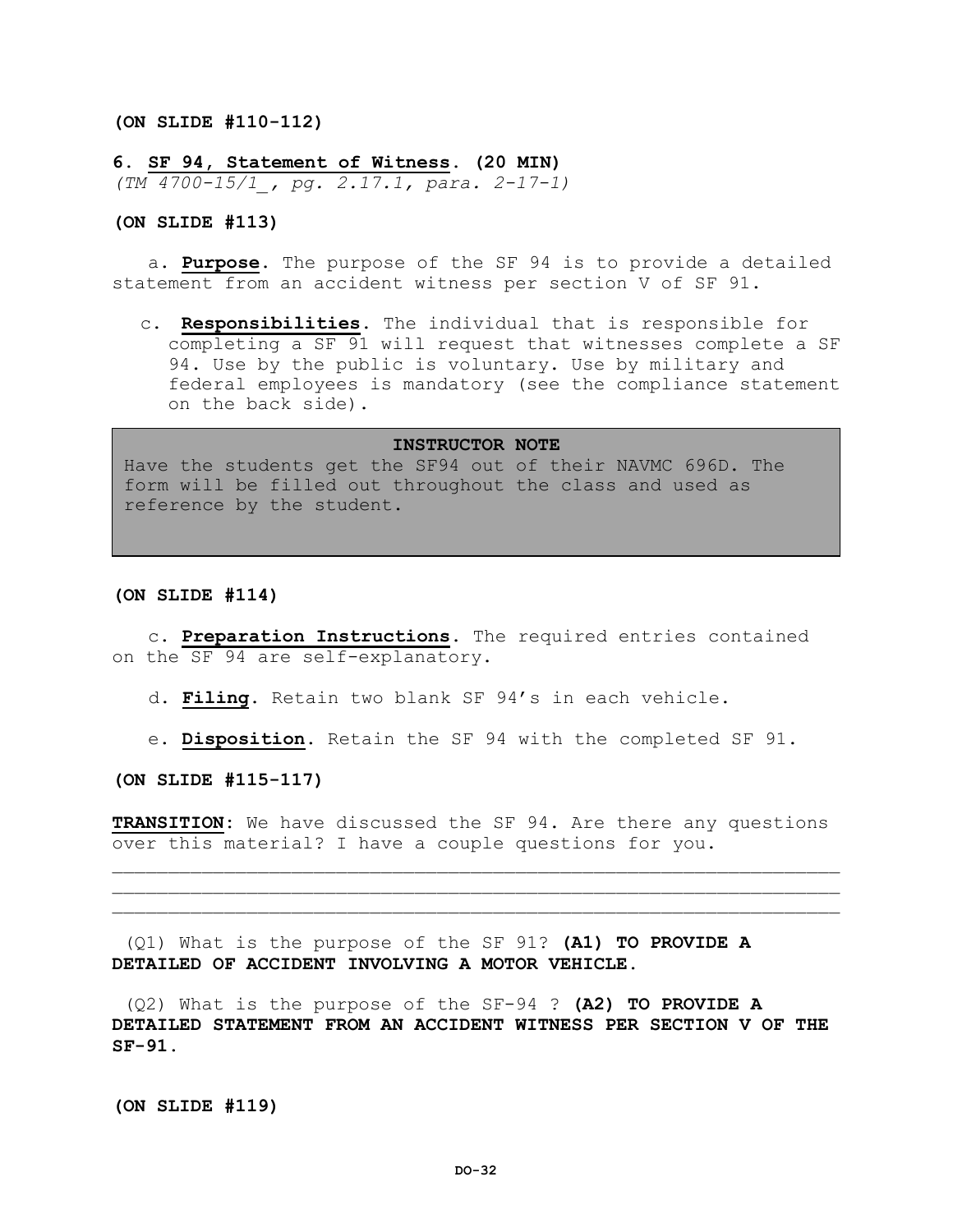#### **(ON SLIDE #110-112)**

**6. SF 94, Statement of Witness. (20 MIN)**

*(TM 4700-15/1\_, pg. 2.17.1, para. 2-17-1)*

#### **(ON SLIDE #113)**

a. **Purpose.** The purpose of the SF 94 is to provide a detailed statement from an accident witness per section V of SF 91.

c. **Responsibilities**. The individual that is responsible for completing a SF 91 will request that witnesses complete a SF 94. Use by the public is voluntary. Use by military and federal employees is mandatory (see the compliance statement on the back side).

#### **INSTRUCTOR NOTE**

Have the students get the SF94 out of their NAVMC 696D. The form will be filled out throughout the class and used as reference by the student.

#### **(ON SLIDE #114)**

c. **Preparation Instructions**. The required entries contained on the SF 94 are self-explanatory.

d. **Filing**. Retain two blank SF 94's in each vehicle.

e. **Disposition.** Retain the SF 94 with the completed SF 91.

**(ON SLIDE #115-117)**

**TRANSITION:** We have discussed the SF 94. Are there any questions over this material? I have a couple questions for you.

 $\mathcal{L}=\{1,2,3,4,5,6,6,8,10\}$  $\mathcal{L} = \{ \mathcal{L} = \{ \mathcal{L} \} \cup \{ \mathcal{L} \} \cup \{ \mathcal{L} \} \cup \{ \mathcal{L} \} \cup \{ \mathcal{L} \} \cup \{ \mathcal{L} \} \cup \{ \mathcal{L} \} \cup \{ \mathcal{L} \} \cup \{ \mathcal{L} \} \cup \{ \mathcal{L} \} \cup \{ \mathcal{L} \} \cup \{ \mathcal{L} \} \cup \{ \mathcal{L} \} \cup \{ \mathcal{L} \} \cup \{ \mathcal{L} \} \cup \{ \mathcal{L} \} \cup \{ \mathcal{L} \} \cup$ 

(Q1) What is the purpose of the SF 91? **(A1) TO PROVIDE A DETAILED OF ACCIDENT INVOLVING A MOTOR VEHICLE.**

(Q2) What is the purpose of the SF-94 ? **(A2) TO PROVIDE A DETAILED STATEMENT FROM AN ACCIDENT WITNESS PER SECTION V OF THE SF-91.**

**(ON SLIDE #119)**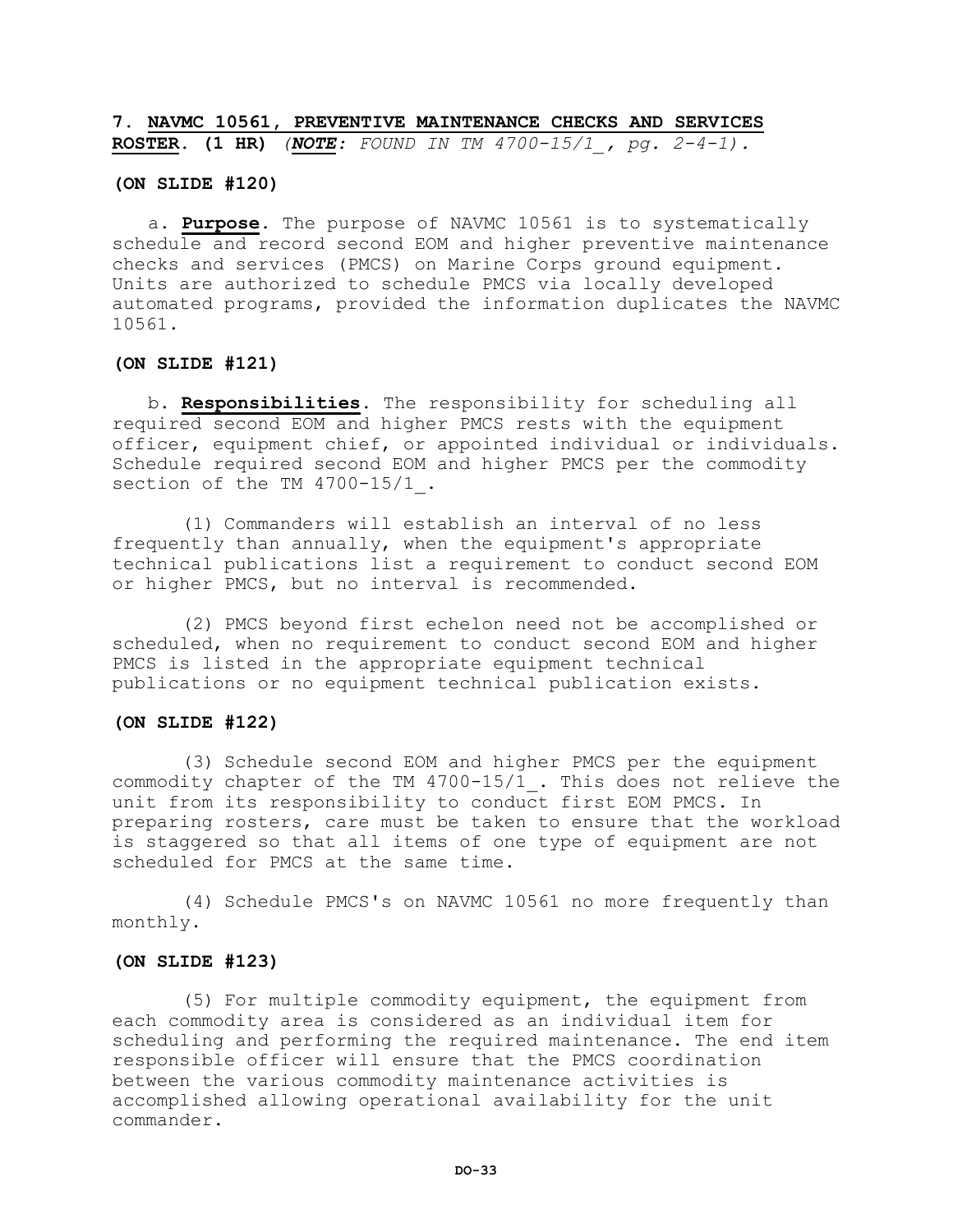**7. NAVMC 10561, PREVENTIVE MAINTENANCE CHECKS AND SERVICES ROSTER. (1 HR)** *(NOTE: FOUND IN TM 4700-15/1\_, pg. 2-4-1).*

#### **(ON SLIDE #120)**

a. **Purpose.** The purpose of NAVMC 10561 is to systematically schedule and record second EOM and higher preventive maintenance checks and services (PMCS) on Marine Corps ground equipment. Units are authorized to schedule PMCS via locally developed automated programs, provided the information duplicates the NAVMC 10561.

#### **(ON SLIDE #121)**

b. **Responsibilities.** The responsibility for scheduling all required second EOM and higher PMCS rests with the equipment officer, equipment chief, or appointed individual or individuals. Schedule required second EOM and higher PMCS per the commodity section of the TM 4700-15/1.

(1) Commanders will establish an interval of no less frequently than annually, when the equipment's appropriate technical publications list a requirement to conduct second EOM or higher PMCS, but no interval is recommended.

(2) PMCS beyond first echelon need not be accomplished or scheduled, when no requirement to conduct second EOM and higher PMCS is listed in the appropriate equipment technical publications or no equipment technical publication exists.

#### **(ON SLIDE #122)**

(3) Schedule second EOM and higher PMCS per the equipment commodity chapter of the TM 4700-15/1\_. This does not relieve the unit from its responsibility to conduct first EOM PMCS. In preparing rosters, care must be taken to ensure that the workload is staggered so that all items of one type of equipment are not scheduled for PMCS at the same time.

(4) Schedule PMCS's on NAVMC 10561 no more frequently than monthly.

#### **(ON SLIDE #123)**

(5) For multiple commodity equipment, the equipment from each commodity area is considered as an individual item for scheduling and performing the required maintenance. The end item responsible officer will ensure that the PMCS coordination between the various commodity maintenance activities is accomplished allowing operational availability for the unit commander.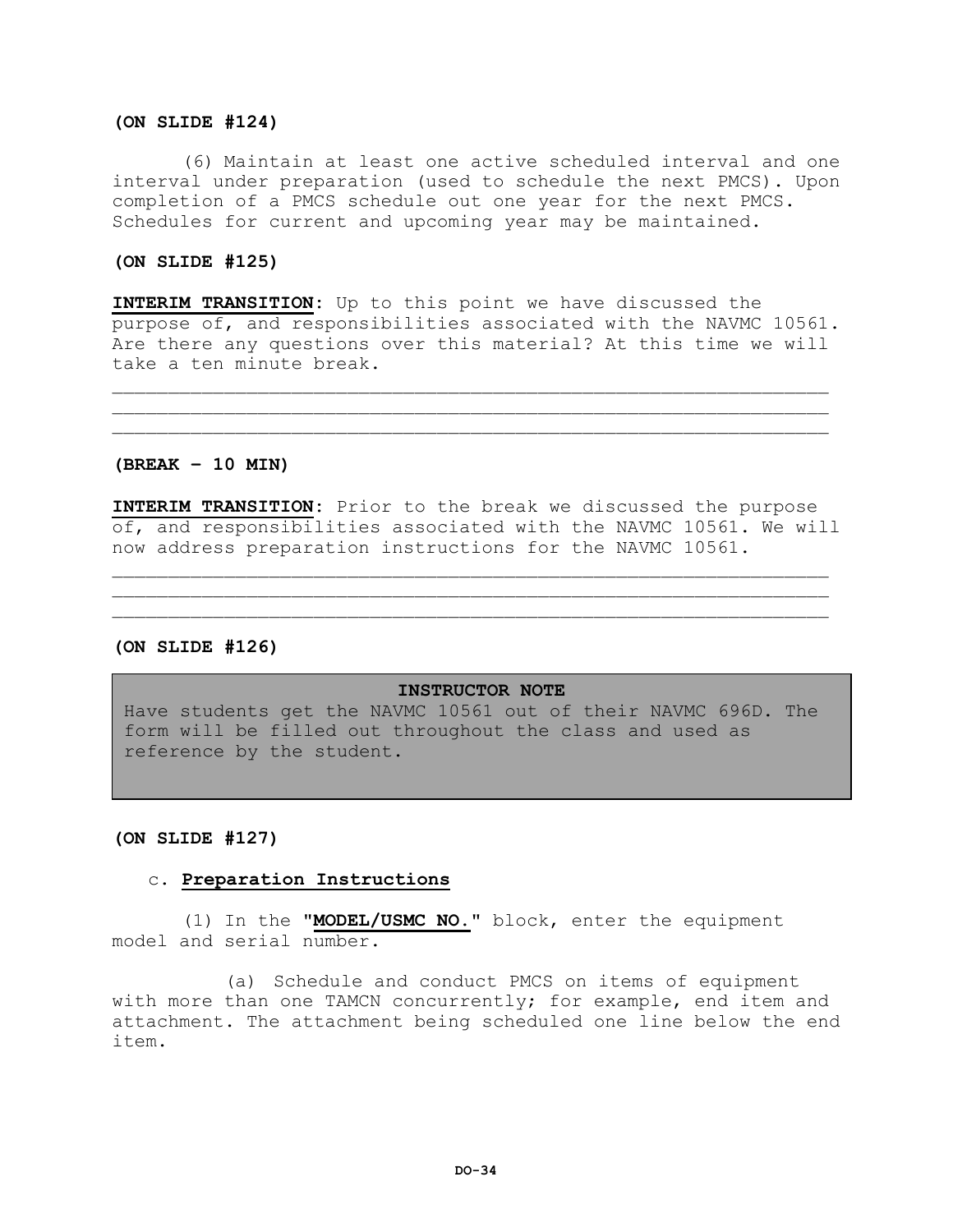#### **(ON SLIDE #124)**

(6) Maintain at least one active scheduled interval and one interval under preparation (used to schedule the next PMCS). Upon completion of a PMCS schedule out one year for the next PMCS. Schedules for current and upcoming year may be maintained.

#### **(ON SLIDE #125)**

**INTERIM TRANSITION:** Up to this point we have discussed the purpose of, and responsibilities associated with the NAVMC 10561. Are there any questions over this material? At this time we will take a ten minute break.

 $\mathcal{L}_\mathcal{L}$  , we can assume that the contribution of the contribution of the contribution of the contribution of the contribution of the contribution of the contribution of the contribution of the contribution of the c  $\mathcal{L}_\mathcal{L}$  , we can assume that the contribution of the contribution of the contribution of the contribution of the contribution of the contribution of the contribution of the contribution of the contribution of the c

#### **(BREAK – 10 MIN)**

**INTERIM TRANSITION:** Prior to the break we discussed the purpose of, and responsibilities associated with the NAVMC 10561. We will now address preparation instructions for the NAVMC 10561.

 $\mathcal{L}_\mathcal{L}$  , we can assume that the contribution of the contribution of the contribution of the contribution of the contribution of the contribution of the contribution of the contribution of the contribution of the c \_\_\_\_\_\_\_\_\_\_\_\_\_\_\_\_\_\_\_\_\_\_\_\_\_\_\_\_\_\_\_\_\_\_\_\_\_\_\_\_\_\_\_\_\_\_\_\_\_\_\_\_\_\_\_\_\_\_\_\_\_\_\_\_

#### **(ON SLIDE #126)**

#### **INSTRUCTOR NOTE**

Have students get the NAVMC 10561 out of their NAVMC 696D. The form will be filled out throughout the class and used as reference by the student.

#### **(ON SLIDE #127)**

# c. **Preparation Instructions**

(1) In the **"MODEL/USMC NO."** block, enter the equipment model and serial number.

(a) Schedule and conduct PMCS on items of equipment with more than one TAMCN concurrently; for example, end item and attachment. The attachment being scheduled one line below the end item.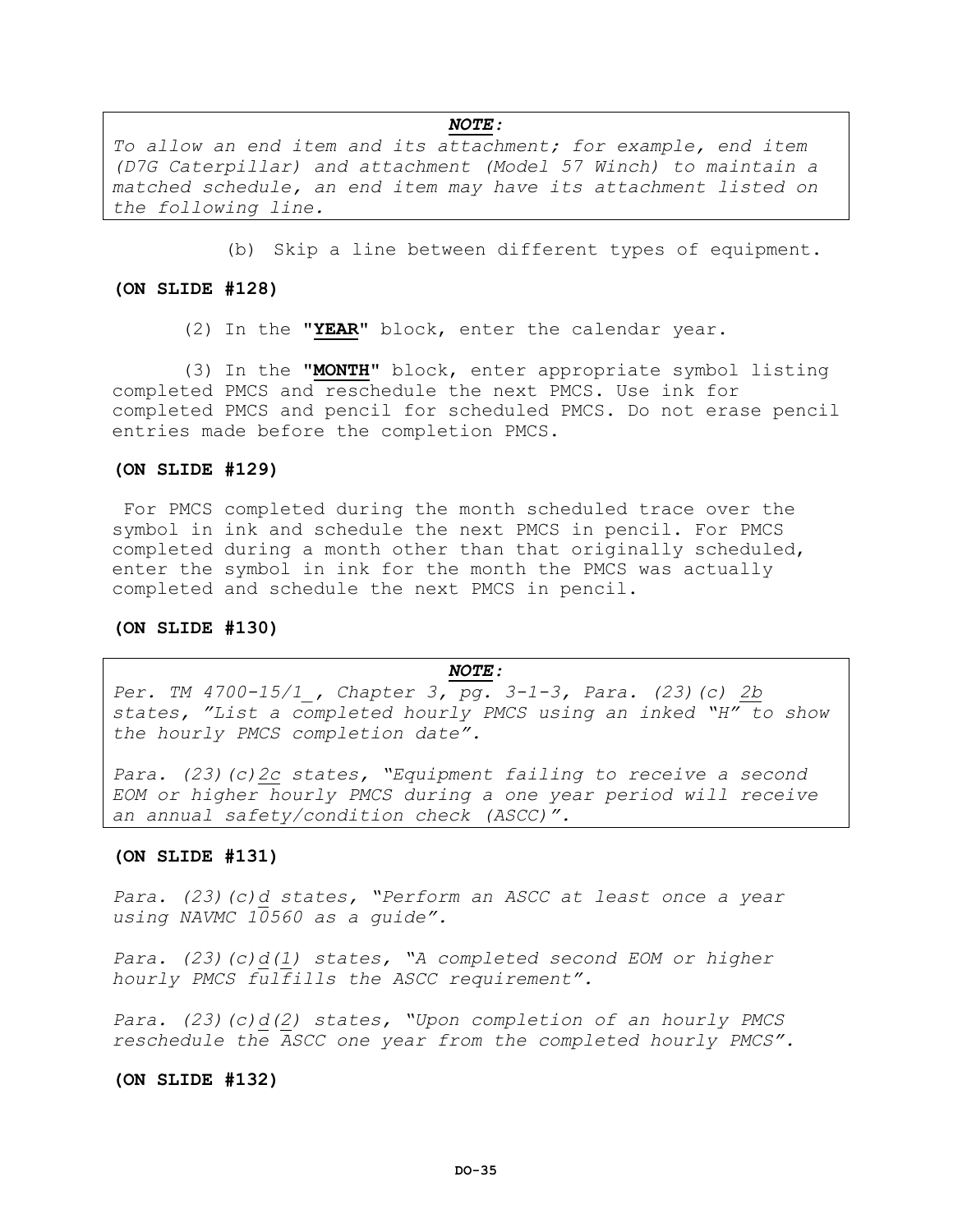# *NOTE:*

*To allow an end item and its attachment; for example, end item (D7G Caterpillar) and attachment (Model 57 Winch) to maintain a matched schedule, an end item may have its attachment listed on the following line.*

(b) Skip a line between different types of equipment.

#### **(ON SLIDE #128)**

(2) In the **"YEAR"** block, enter the calendar year.

(3) In the **"MONTH"** block, enter appropriate symbol listing completed PMCS and reschedule the next PMCS. Use ink for completed PMCS and pencil for scheduled PMCS. Do not erase pencil entries made before the completion PMCS.

#### **(ON SLIDE #129)**

For PMCS completed during the month scheduled trace over the symbol in ink and schedule the next PMCS in pencil. For PMCS completed during a month other than that originally scheduled, enter the symbol in ink for the month the PMCS was actually completed and schedule the next PMCS in pencil.

#### **(ON SLIDE #130)**

#### *NOTE:*

*Per. TM 4700-15/1\_, Chapter 3, pg. 3-1-3, Para. (23)(c) 2b states, "List a completed hourly PMCS using an inked "H" to show the hourly PMCS completion date".*

*Para. (23)(c)2c states, "Equipment failing to receive a second EOM or higher hourly PMCS during a one year period will receive an annual safety/condition check (ASCC)".*

#### **(ON SLIDE #131)**

*Para. (23)(c)d states, "Perform an ASCC at least once a year using NAVMC 10560 as a guide".*

*Para. (23)(c)d(1) states, "A completed second EOM or higher hourly PMCS fulfills the ASCC requirement".*

*Para. (23)(c)d(2) states, "Upon completion of an hourly PMCS reschedule the ASCC one year from the completed hourly PMCS".*

#### **(ON SLIDE #132)**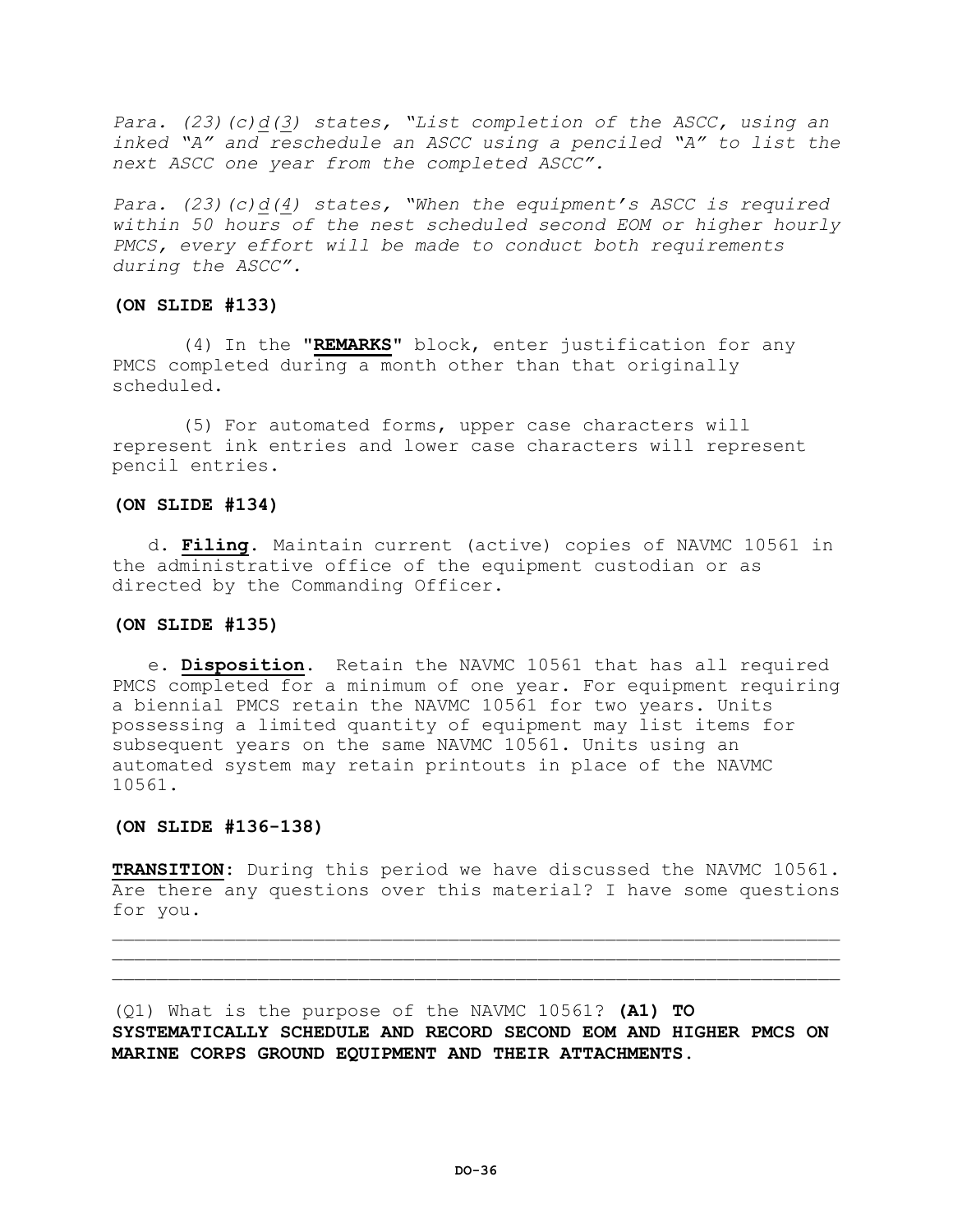*Para. (23)(c)d(3) states, "List completion of the ASCC, using an inked "A" and reschedule an ASCC using a penciled "A" to list the next ASCC one year from the completed ASCC".*

*Para. (23)(c)d(4) states, "When the equipment's ASCC is required within 50 hours of the nest scheduled second EOM or higher hourly PMCS, every effort will be made to conduct both requirements during the ASCC".*

#### **(ON SLIDE #133)**

(4) In the **"REMARKS"** block, enter justification for any PMCS completed during a month other than that originally scheduled.

(5) For automated forms, upper case characters will represent ink entries and lower case characters will represent pencil entries.

#### **(ON SLIDE #134)**

d. **Filing.** Maintain current (active) copies of NAVMC 10561 in the administrative office of the equipment custodian or as directed by the Commanding Officer.

# **(ON SLIDE #135)**

e. **Disposition.** Retain the NAVMC 10561 that has all required PMCS completed for a minimum of one year. For equipment requiring a biennial PMCS retain the NAVMC 10561 for two years. Units possessing a limited quantity of equipment may list items for subsequent years on the same NAVMC 10561. Units using an automated system may retain printouts in place of the NAVMC 10561.

#### **(ON SLIDE #136-138)**

**TRANSITION:** During this period we have discussed the NAVMC 10561. Are there any questions over this material? I have some questions for you.

 $\mathcal{L}=\{1,2,3,4,5,6,6,8,10\}$  $\mathcal{L}=\{1,2,3,4,5,6,6,8,10\}$ 

(Q1) What is the purpose of the NAVMC 10561? **(A1) TO SYSTEMATICALLY SCHEDULE AND RECORD SECOND EOM AND HIGHER PMCS ON MARINE CORPS GROUND EQUIPMENT AND THEIR ATTACHMENTS.**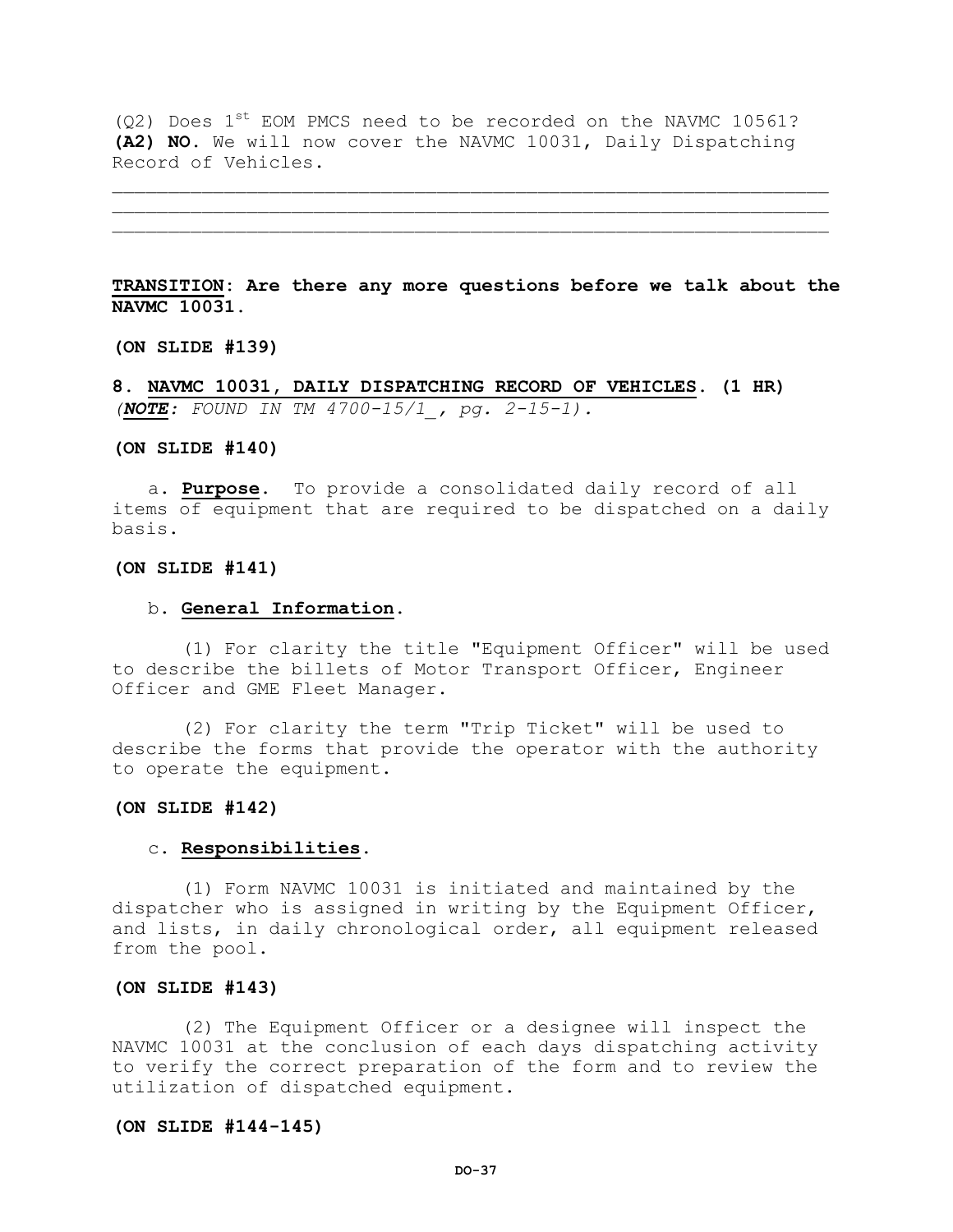$(Q2)$  Does 1<sup>st</sup> EOM PMCS need to be recorded on the NAVMC 10561? **(A2) NO.** We will now cover the NAVMC 10031, Daily Dispatching Record of Vehicles.

**TRANSITION: Are there any more questions before we talk about the NAVMC 10031.**

\_\_\_\_\_\_\_\_\_\_\_\_\_\_\_\_\_\_\_\_\_\_\_\_\_\_\_\_\_\_\_\_\_\_\_\_\_\_\_\_\_\_\_\_\_\_\_\_\_\_\_\_\_\_\_\_\_\_\_\_\_\_\_\_ \_\_\_\_\_\_\_\_\_\_\_\_\_\_\_\_\_\_\_\_\_\_\_\_\_\_\_\_\_\_\_\_\_\_\_\_\_\_\_\_\_\_\_\_\_\_\_\_\_\_\_\_\_\_\_\_\_\_\_\_\_\_\_\_

**(ON SLIDE #139)** 

**8. NAVMC 10031, DAILY DISPATCHING RECORD OF VEHICLES. (1 HR)** *(NOTE: FOUND IN TM 4700-15/1\_, pg. 2-15-1).*

### **(ON SLIDE #140)**

a. **Purpose.** To provide a consolidated daily record of all items of equipment that are required to be dispatched on a daily basis.

#### **(ON SLIDE #141)**

### b. **General Information.**

(1) For clarity the title "Equipment Officer" will be used to describe the billets of Motor Transport Officer, Engineer Officer and GME Fleet Manager.

(2) For clarity the term "Trip Ticket" will be used to describe the forms that provide the operator with the authority to operate the equipment.

### **(ON SLIDE #142)**

#### c. **Responsibilities.**

(1) Form NAVMC 10031 is initiated and maintained by the dispatcher who is assigned in writing by the Equipment Officer, and lists, in daily chronological order, all equipment released from the pool.

## **(ON SLIDE #143)**

(2) The Equipment Officer or a designee will inspect the NAVMC 10031 at the conclusion of each days dispatching activity to verify the correct preparation of the form and to review the utilization of dispatched equipment.

### **(ON SLIDE #144-145)**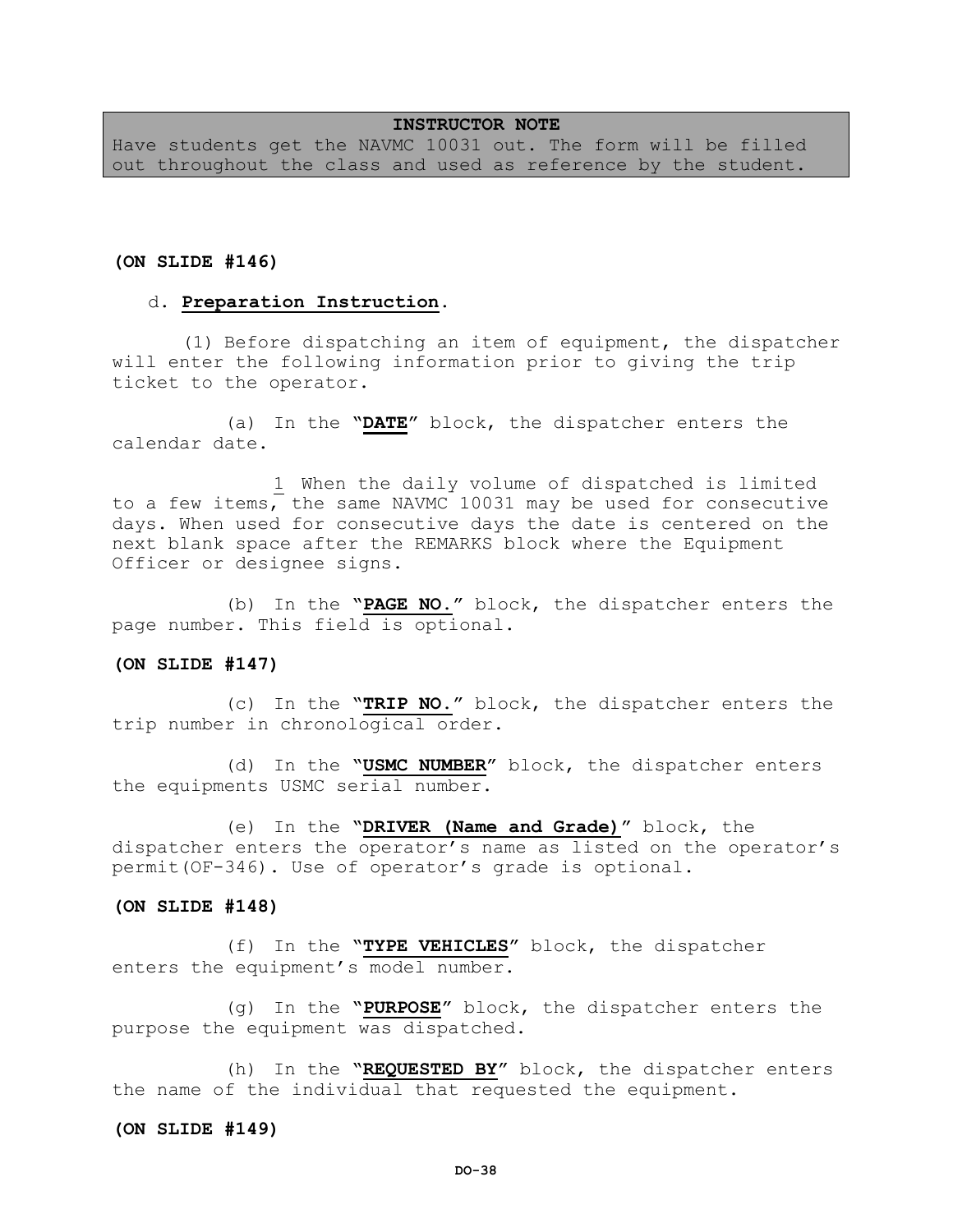## **INSTRUCTOR NOTE**

Have students get the NAVMC 10031 out. The form will be filled out throughout the class and used as reference by the student.

### **(ON SLIDE #146)**

#### d. **Preparation Instruction.**

(1) Before dispatching an item of equipment, the dispatcher will enter the following information prior to giving the trip ticket to the operator.

(a) In the **"DATE"** block, the dispatcher enters the calendar date.

1 When the daily volume of dispatched is limited to a few items, the same NAVMC 10031 may be used for consecutive days. When used for consecutive days the date is centered on the next blank space after the REMARKS block where the Equipment Officer or designee signs.

(b) In the **"PAGE NO."** block, the dispatcher enters the page number. This field is optional.

#### **(ON SLIDE #147)**

(c) In the **"TRIP NO."** block, the dispatcher enters the trip number in chronological order.

(d) In the **"USMC NUMBER"** block, the dispatcher enters the equipments USMC serial number.

(e) In the **"DRIVER (Name and Grade)"** block, the dispatcher enters the operator's name as listed on the operator's permit(OF-346). Use of operator's grade is optional.

### **(ON SLIDE #148)**

(f) In the **"TYPE VEHICLES"** block, the dispatcher enters the equipment's model number.

(g) In the **"PURPOSE"** block, the dispatcher enters the purpose the equipment was dispatched.

(h) In the **"REQUESTED BY"** block, the dispatcher enters the name of the individual that requested the equipment.

#### **(ON SLIDE #149)**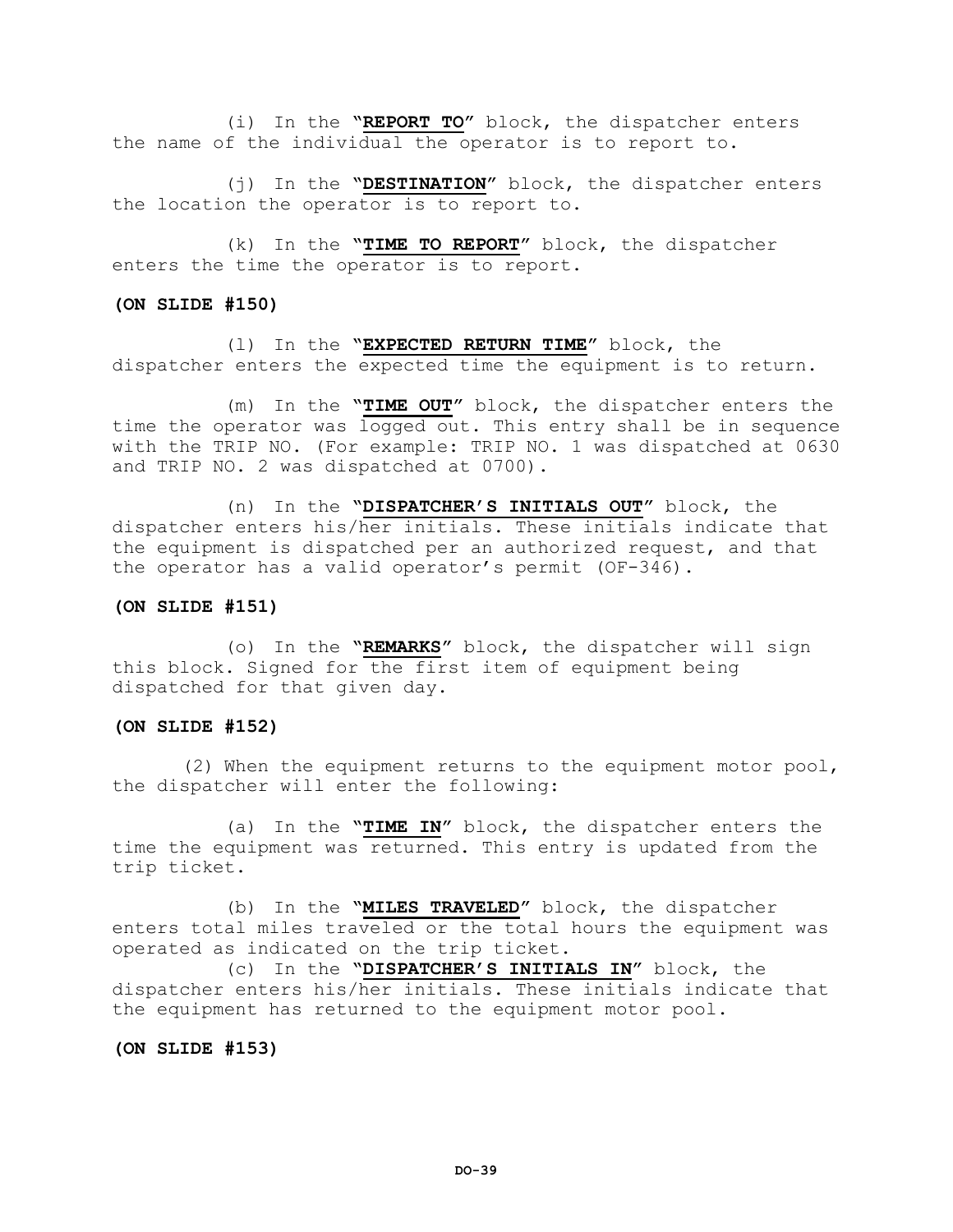(i) In the **"REPORT TO"** block, the dispatcher enters the name of the individual the operator is to report to.

(j) In the **"DESTINATION"** block, the dispatcher enters the location the operator is to report to.

(k) In the **"TIME TO REPORT"** block, the dispatcher enters the time the operator is to report.

#### **(ON SLIDE #150)**

(l) In the **"EXPECTED RETURN TIME"** block, the dispatcher enters the expected time the equipment is to return.

(m) In the **"TIME OUT"** block, the dispatcher enters the time the operator was logged out. This entry shall be in sequence with the TRIP NO. (For example: TRIP NO. 1 was dispatched at 0630 and TRIP NO. 2 was dispatched at 0700).

(n) In the **"DISPATCHER'S INITIALS OUT"** block, the dispatcher enters his/her initials. These initials indicate that the equipment is dispatched per an authorized request, and that the operator has a valid operator's permit (OF-346).

## **(ON SLIDE #151)**

(o) In the **"REMARKS"** block, the dispatcher will sign this block. Signed for the first item of equipment being dispatched for that given day.

### **(ON SLIDE #152)**

(2) When the equipment returns to the equipment motor pool, the dispatcher will enter the following:

(a) In the **"TIME IN"** block, the dispatcher enters the time the equipment was returned. This entry is updated from the trip ticket.

(b) In the **"MILES TRAVELED"** block, the dispatcher enters total miles traveled or the total hours the equipment was operated as indicated on the trip ticket.

(c) In the **"DISPATCHER'S INITIALS IN"** block, the dispatcher enters his/her initials. These initials indicate that the equipment has returned to the equipment motor pool.

**(ON SLIDE #153)**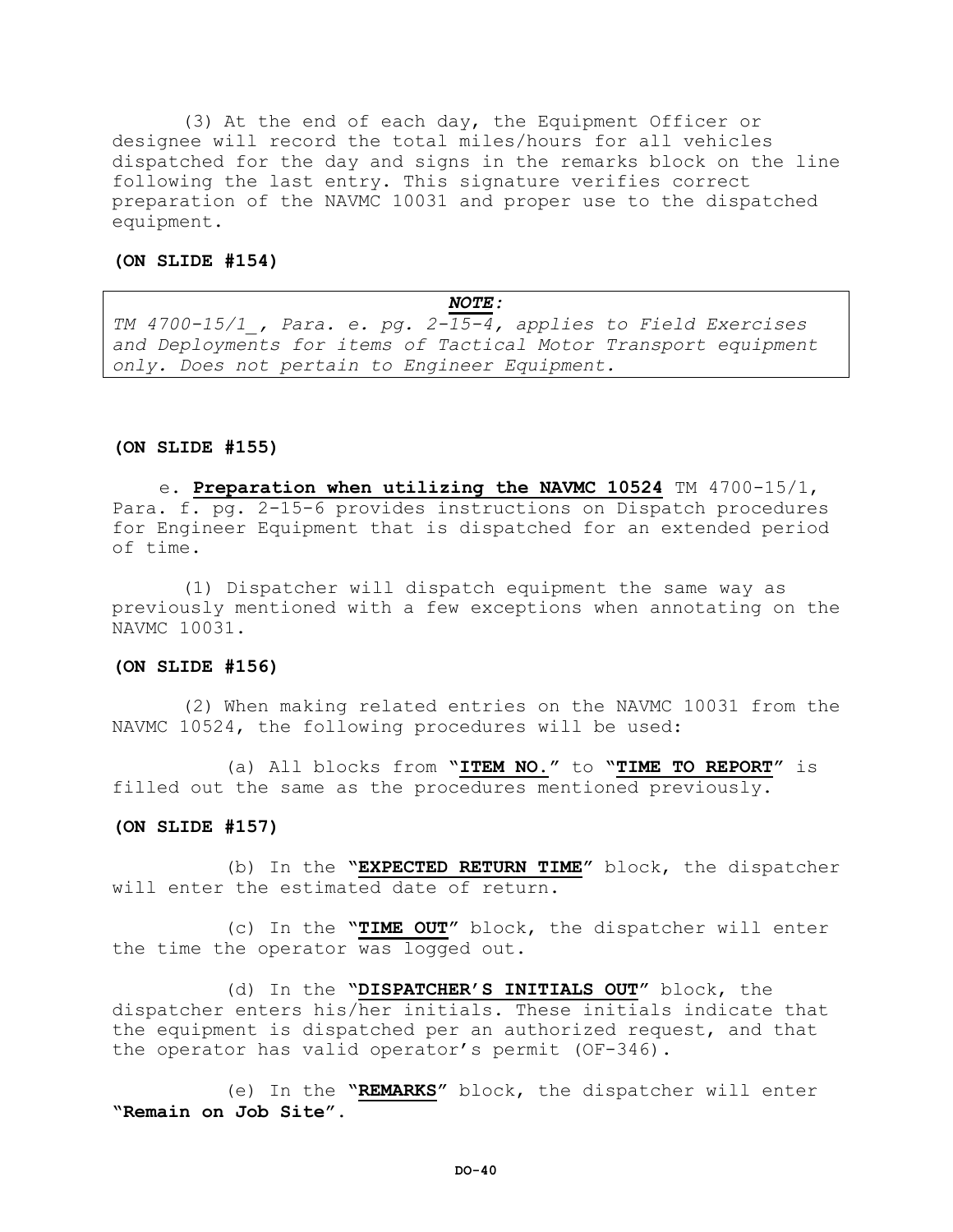(3) At the end of each day, the Equipment Officer or designee will record the total miles/hours for all vehicles dispatched for the day and signs in the remarks block on the line following the last entry. This signature verifies correct preparation of the NAVMC 10031 and proper use to the dispatched equipment.

### **(ON SLIDE #154)**

*NOTE: TM 4700-15/1\_, Para. e. pg. 2-15-4, applies to Field Exercises and Deployments for items of Tactical Motor Transport equipment only. Does not pertain to Engineer Equipment.* 

### **(ON SLIDE #155)**

e. **Preparation when utilizing the NAVMC 10524** TM 4700-15/1, Para. f. pg. 2-15-6 provides instructions on Dispatch procedures for Engineer Equipment that is dispatched for an extended period of time.

(1) Dispatcher will dispatch equipment the same way as previously mentioned with a few exceptions when annotating on the NAVMC 10031.

### **(ON SLIDE #156)**

(2) When making related entries on the NAVMC 10031 from the NAVMC 10524, the following procedures will be used:

(a) All blocks from **"ITEM NO."** to **"TIME TO REPORT"** is filled out the same as the procedures mentioned previously.

#### **(ON SLIDE #157)**

(b) In the **"EXPECTED RETURN TIME"** block, the dispatcher will enter the estimated date of return.

(c) In the **"TIME OUT"** block, the dispatcher will enter the time the operator was logged out.

(d) In the **"DISPATCHER'S INITIALS OUT"** block, the dispatcher enters his/her initials. These initials indicate that the equipment is dispatched per an authorized request, and that the operator has valid operator's permit (OF-346).

(e) In the **"REMARKS"** block, the dispatcher will enter **"Remain on Job Site"**.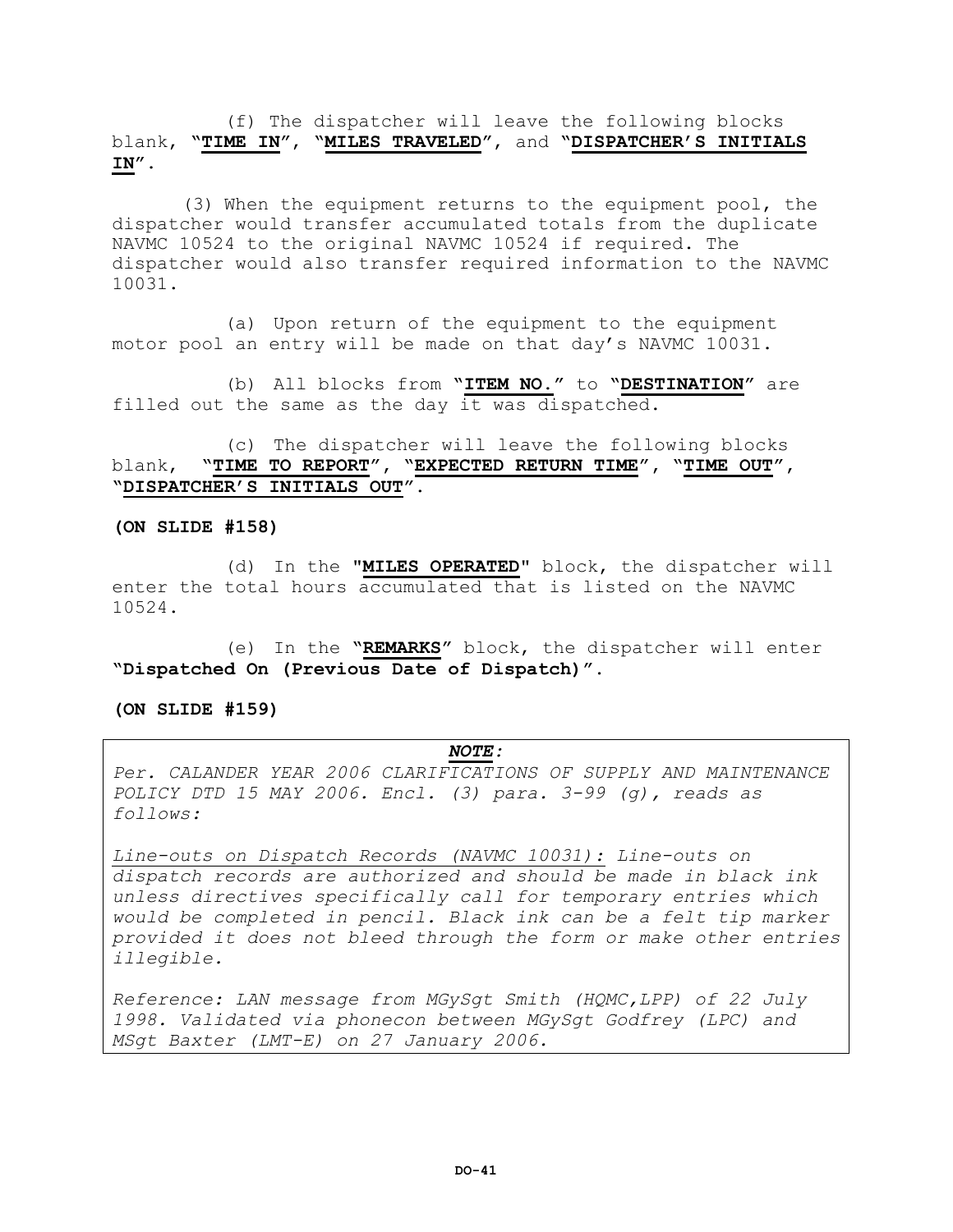(f) The dispatcher will leave the following blocks blank, **"TIME IN"**, **"MILES TRAVELED"**, and **"DISPATCHER'S INITIALS IN"**.

(3) When the equipment returns to the equipment pool, the dispatcher would transfer accumulated totals from the duplicate NAVMC 10524 to the original NAVMC 10524 if required. The dispatcher would also transfer required information to the NAVMC 10031.

(a) Upon return of the equipment to the equipment motor pool an entry will be made on that day's NAVMC 10031.

(b) All blocks from **"ITEM NO."** to **"DESTINATION"** are filled out the same as the day it was dispatched.

(c) The dispatcher will leave the following blocks blank, **"TIME TO REPORT", "EXPECTED RETURN TIME", "TIME OUT", "DISPATCHER'S INITIALS OUT"**.

### **(ON SLIDE #158)**

(d) In the **"MILES OPERATED"** block, the dispatcher will enter the total hours accumulated that is listed on the NAVMC 10524.

(e) In the **"REMARKS"** block, the dispatcher will enter **"Dispatched On (Previous Date of Dispatch)"**.

#### **(ON SLIDE #159)**

### *NOTE:*

*Per. CALANDER YEAR 2006 CLARIFICATIONS OF SUPPLY AND MAINTENANCE POLICY DTD 15 MAY 2006. Encl. (3) para. 3-99 (g), reads as follows:*

*Line-outs on Dispatch Records (NAVMC 10031): Line-outs on dispatch records are authorized and should be made in black ink unless directives specifically call for temporary entries which would be completed in pencil. Black ink can be a felt tip marker provided it does not bleed through the form or make other entries illegible.*

*Reference: LAN message from MGySgt Smith (HQMC,LPP) of 22 July 1998. Validated via phonecon between MGySgt Godfrey (LPC) and MSgt Baxter (LMT-E) on 27 January 2006.*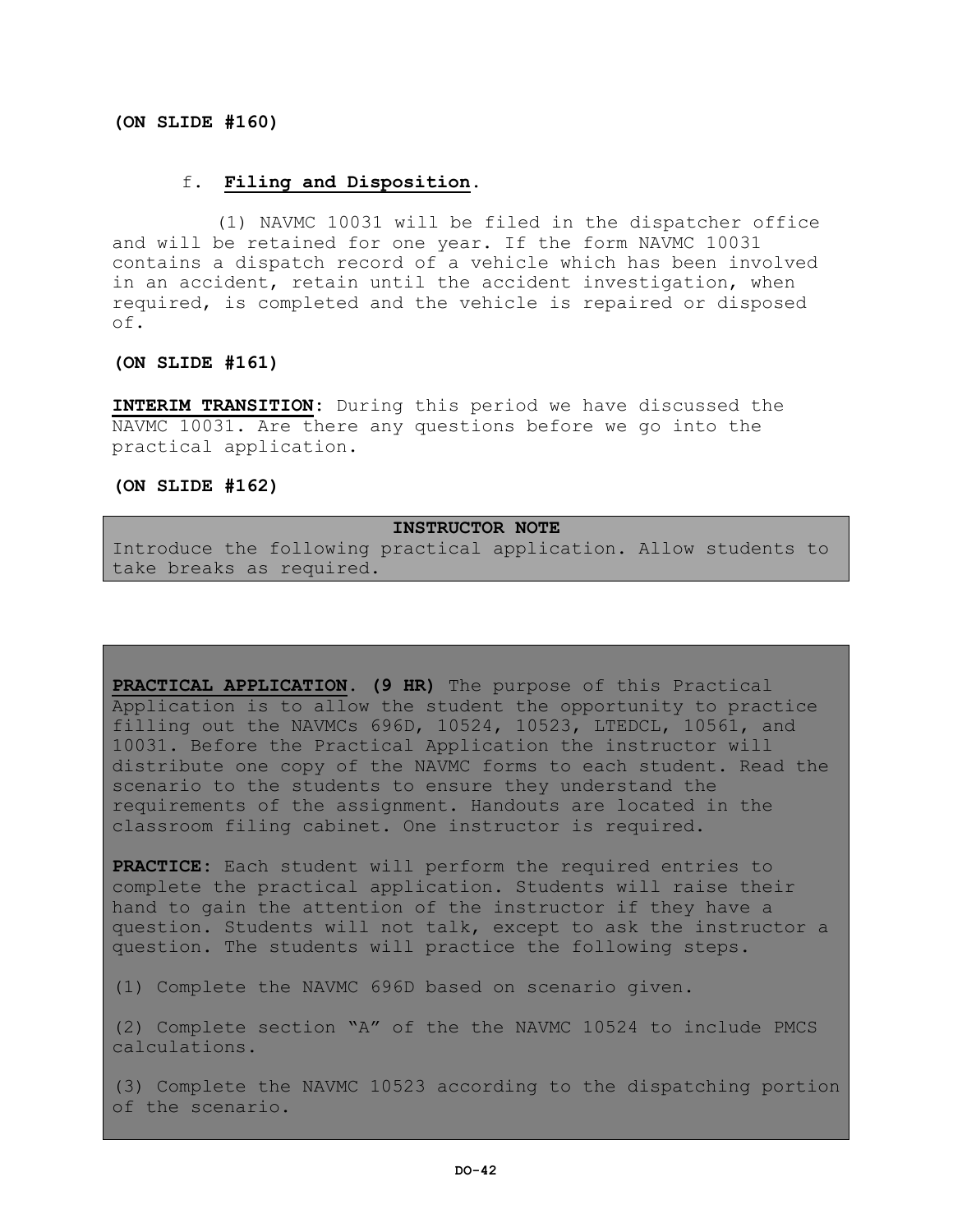### **(ON SLIDE #160)**

## f. **Filing and Disposition.**

 (1) NAVMC 10031 will be filed in the dispatcher office and will be retained for one year. If the form NAVMC 10031 contains a dispatch record of a vehicle which has been involved in an accident, retain until the accident investigation, when required, is completed and the vehicle is repaired or disposed of.

### **(ON SLIDE #161)**

**INTERIM TRANSITION:** During this period we have discussed the NAVMC 10031. Are there any questions before we go into the practical application.

**(ON SLIDE #162)**

## **INSTRUCTOR NOTE**

Introduce the following practical application. Allow students to take breaks as required.

**PRACTICAL APPLICATION. (9 HR)** The purpose of this Practical Application is to allow the student the opportunity to practice filling out the NAVMCs 696D, 10524, 10523, LTEDCL, 10561, and 10031. Before the Practical Application the instructor will distribute one copy of the NAVMC forms to each student. Read the scenario to the students to ensure they understand the requirements of the assignment. Handouts are located in the classroom filing cabinet. One instructor is required.

**PRACTICE:** Each student will perform the required entries to complete the practical application. Students will raise their hand to gain the attention of the instructor if they have a question. Students will not talk, except to ask the instructor a question. The students will practice the following steps.

(1) Complete the NAVMC 696D based on scenario given.

(2) Complete section "A" of the the NAVMC 10524 to include PMCS calculations.

(3) Complete the NAVMC 10523 according to the dispatching portion of the scenario.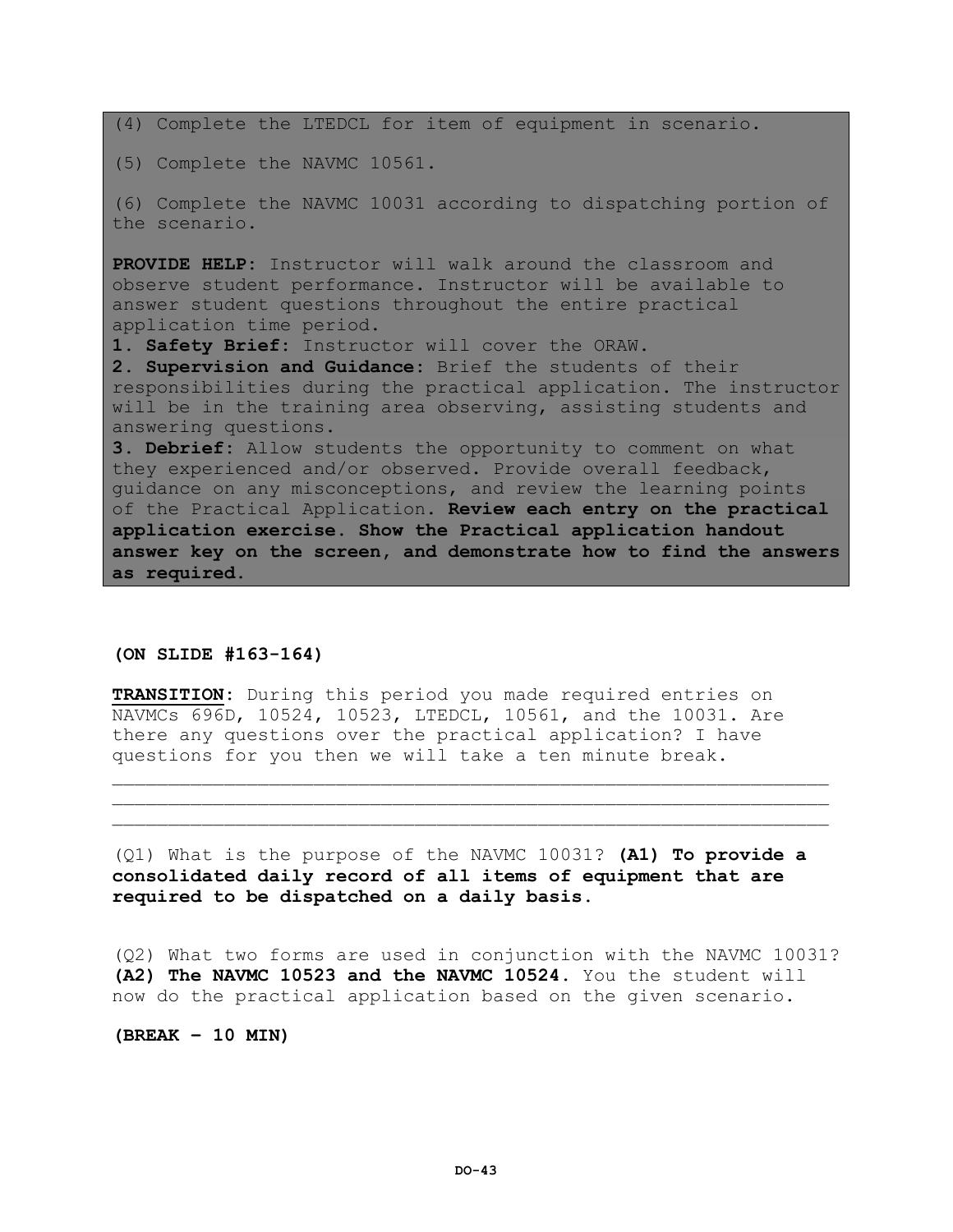(4) Complete the LTEDCL for item of equipment in scenario.

(5) Complete the NAVMC 10561.

(6) Complete the NAVMC 10031 according to dispatching portion of the scenario.

**PROVIDE HELP:** Instructor will walk around the classroom and observe student performance. Instructor will be available to answer student questions throughout the entire practical application time period.

**1. Safety Brief:** Instructor will cover the ORAW.

**2. Supervision and Guidance:** Brief the students of their responsibilities during the practical application. The instructor will be in the training area observing, assisting students and answering questions.

**3. Debrief:** Allow students the opportunity to comment on what they experienced and/or observed. Provide overall feedback, guidance on any misconceptions, and review the learning points of the Practical Application. **Review each entry on the practical application exercise. Show the Practical application handout answer key on the screen, and demonstrate how to find the answers as required.**

## **(ON SLIDE #163-164)**

**TRANSITION:** During this period you made required entries on NAVMCs 696D, 10524, 10523, LTEDCL, 10561, and the 10031. Are there any questions over the practical application? I have questions for you then we will take a ten minute break.

(Q1) What is the purpose of the NAVMC 10031? **(A1) To provide a consolidated daily record of all items of equipment that are required to be dispatched on a daily basis.**

 $\mathcal{L}_\mathcal{L}$  , we can assume that the contribution of the contribution of the contribution of the contribution of the contribution of the contribution of the contribution of the contribution of the contribution of the c \_\_\_\_\_\_\_\_\_\_\_\_\_\_\_\_\_\_\_\_\_\_\_\_\_\_\_\_\_\_\_\_\_\_\_\_\_\_\_\_\_\_\_\_\_\_\_\_\_\_\_\_\_\_\_\_\_\_\_\_\_\_\_\_

(Q2) What two forms are used in conjunction with the NAVMC 10031? **(A2) The NAVMC 10523 and the NAVMC 10524.** You the student will now do the practical application based on the given scenario.

**(BREAK – 10 MIN)**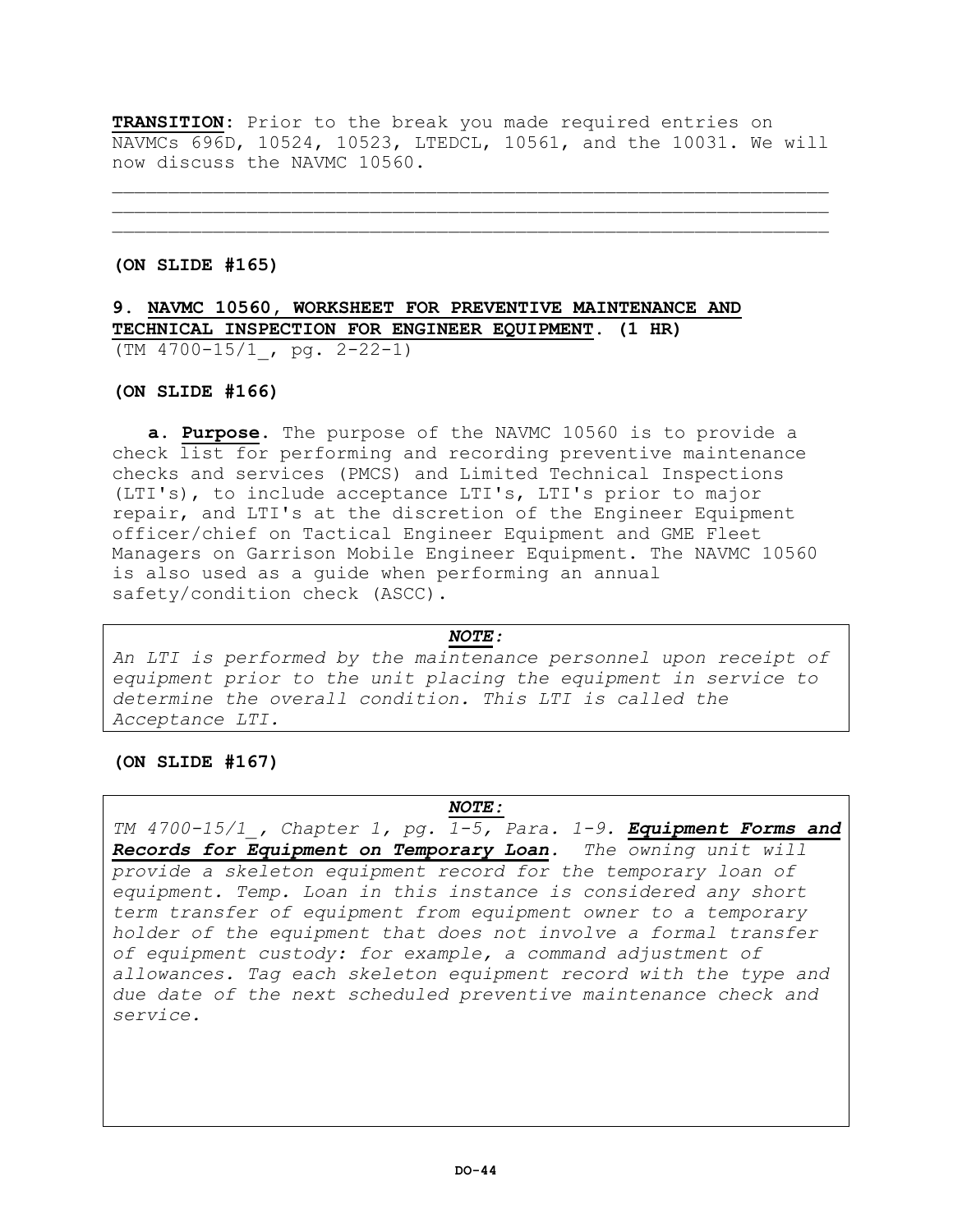**TRANSITION:** Prior to the break you made required entries on NAVMCs 696D, 10524, 10523, LTEDCL, 10561, and the 10031. We will now discuss the NAVMC 10560.

\_\_\_\_\_\_\_\_\_\_\_\_\_\_\_\_\_\_\_\_\_\_\_\_\_\_\_\_\_\_\_\_\_\_\_\_\_\_\_\_\_\_\_\_\_\_\_\_\_\_\_\_\_\_\_\_\_\_\_\_\_\_\_\_ \_\_\_\_\_\_\_\_\_\_\_\_\_\_\_\_\_\_\_\_\_\_\_\_\_\_\_\_\_\_\_\_\_\_\_\_\_\_\_\_\_\_\_\_\_\_\_\_\_\_\_\_\_\_\_\_\_\_\_\_\_\_\_\_

## **(ON SLIDE #165)**

# **9. NAVMC 10560, WORKSHEET FOR PREVENTIVE MAINTENANCE AND TECHNICAL INSPECTION FOR ENGINEER EQUIPMENT. (1 HR)** (TM 4700-15/1\_, pg. 2-22-1)

## **(ON SLIDE #166)**

**a. Purpose.** The purpose of the NAVMC 10560 is to provide a check list for performing and recording preventive maintenance checks and services (PMCS) and Limited Technical Inspections (LTI's), to include acceptance LTI's, LTI's prior to major repair, and LTI's at the discretion of the Engineer Equipment officer/chief on Tactical Engineer Equipment and GME Fleet Managers on Garrison Mobile Engineer Equipment. The NAVMC 10560 is also used as a guide when performing an annual safety/condition check (ASCC).

#### *NOTE:*

*An LTI is performed by the maintenance personnel upon receipt of equipment prior to the unit placing the equipment in service to determine the overall condition. This LTI is called the Acceptance LTI.*

## **(ON SLIDE #167)**

## *NOTE:*

*TM 4700-15/1\_, Chapter 1, pg. 1-5, Para. 1-9. Equipment Forms and Records for Equipment on Temporary Loan. The owning unit will provide a skeleton equipment record for the temporary loan of equipment. Temp. Loan in this instance is considered any short term transfer of equipment from equipment owner to a temporary holder of the equipment that does not involve a formal transfer of equipment custody: for example, a command adjustment of allowances. Tag each skeleton equipment record with the type and due date of the next scheduled preventive maintenance check and service.*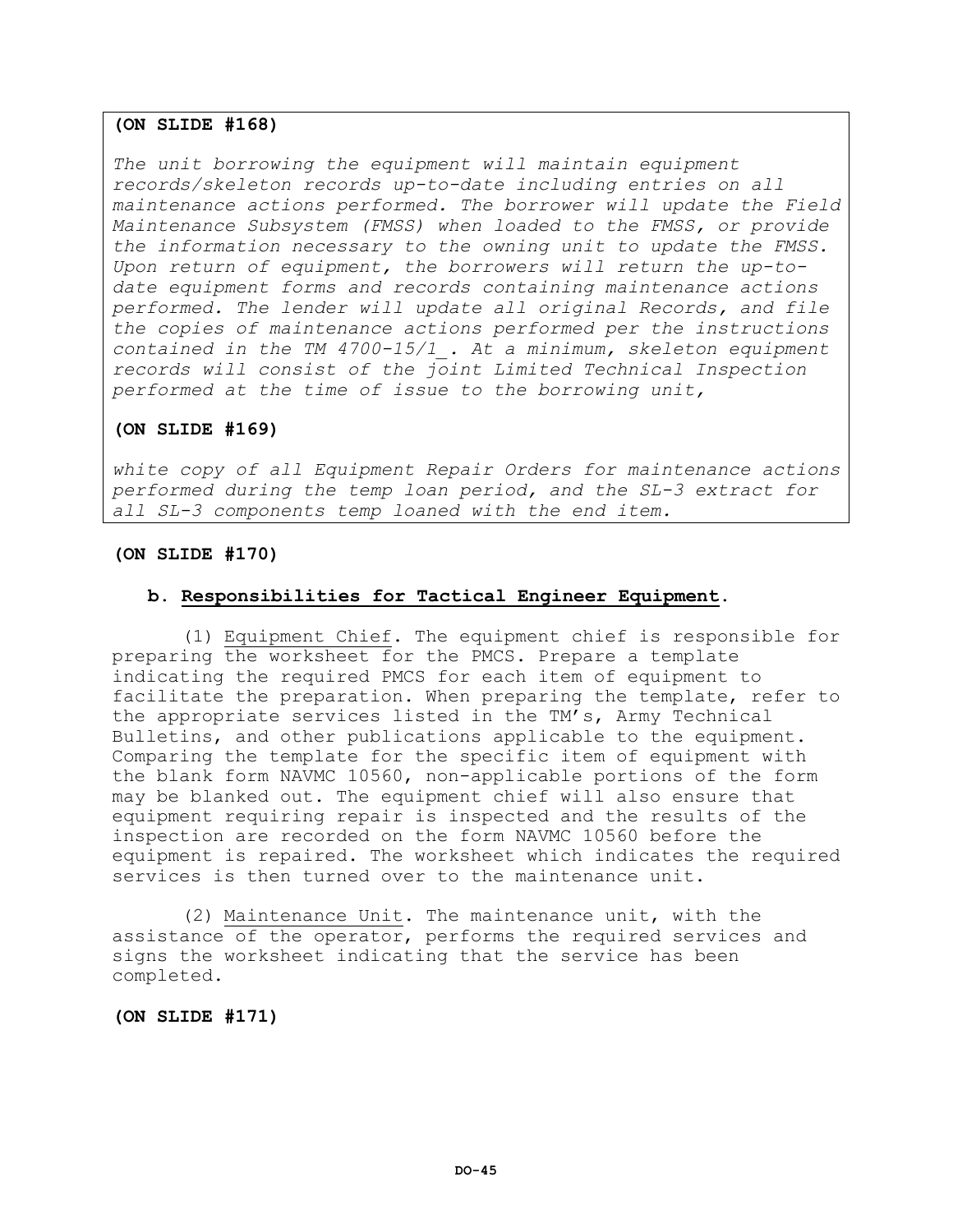## **(ON SLIDE #168)**

*The unit borrowing the equipment will maintain equipment records/skeleton records up-to-date including entries on all maintenance actions performed. The borrower will update the Field Maintenance Subsystem (FMSS) when loaded to the FMSS, or provide the information necessary to the owning unit to update the FMSS. Upon return of equipment, the borrowers will return the up-todate equipment forms and records containing maintenance actions performed. The lender will update all original Records, and file the copies of maintenance actions performed per the instructions contained in the TM 4700-15/1\_. At a minimum, skeleton equipment records will consist of the joint Limited Technical Inspection performed at the time of issue to the borrowing unit,* 

## **(ON SLIDE #169)**

*white copy of all Equipment Repair Orders for maintenance actions performed during the temp loan period, and the SL-3 extract for all SL-3 components temp loaned with the end item.* 

## **(ON SLIDE #170)**

## **b. Responsibilities for Tactical Engineer Equipment.**

(1) Equipment Chief. The equipment chief is responsible for preparing the worksheet for the PMCS. Prepare a template indicating the required PMCS for each item of equipment to facilitate the preparation. When preparing the template, refer to the appropriate services listed in the TM's, Army Technical Bulletins, and other publications applicable to the equipment. Comparing the template for the specific item of equipment with the blank form NAVMC 10560, non-applicable portions of the form may be blanked out. The equipment chief will also ensure that equipment requiring repair is inspected and the results of the inspection are recorded on the form NAVMC 10560 before the equipment is repaired. The worksheet which indicates the required services is then turned over to the maintenance unit.

(2) Maintenance Unit. The maintenance unit, with the assistance of the operator, performs the required services and signs the worksheet indicating that the service has been completed.

### **(ON SLIDE #171)**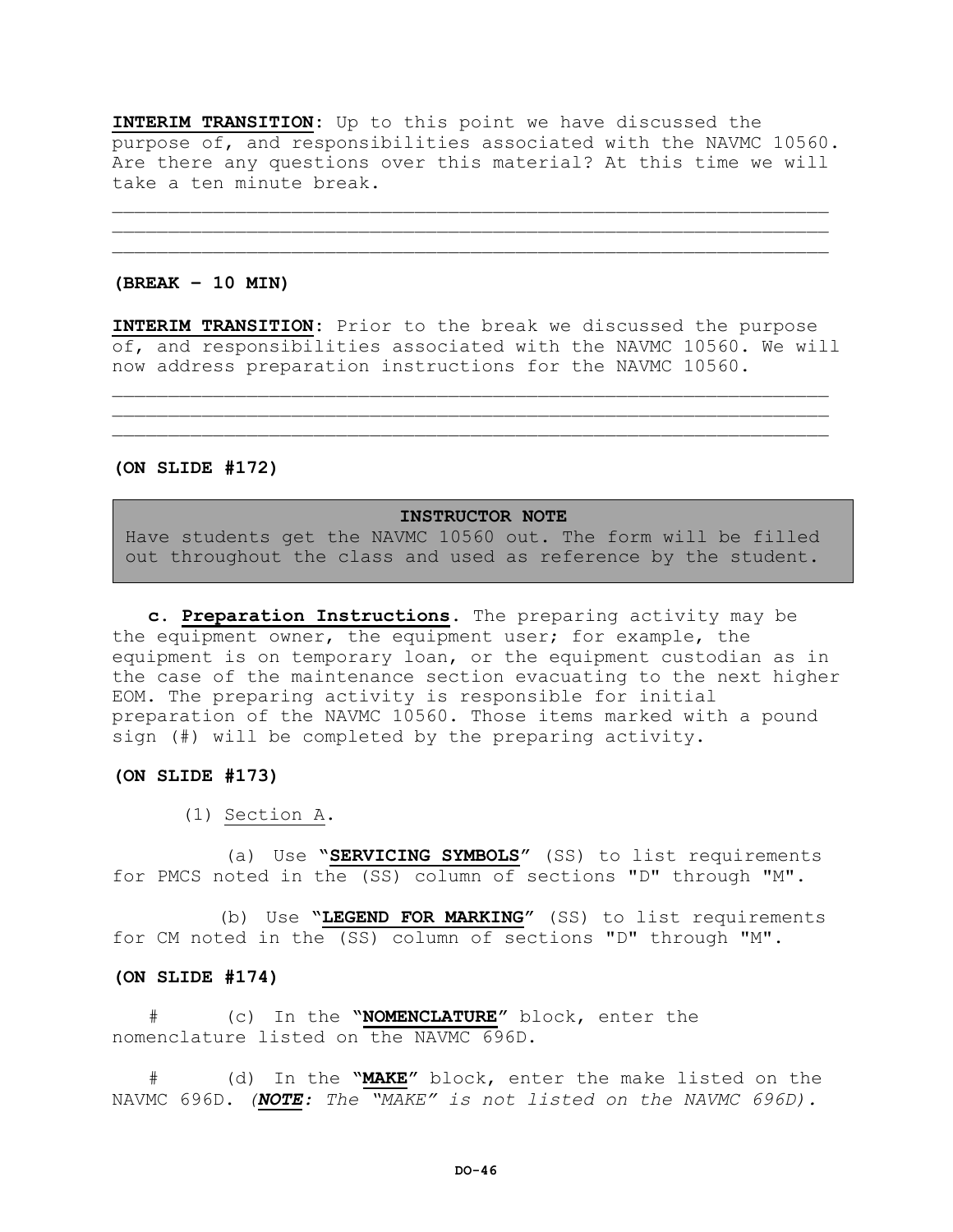**INTERIM TRANSITION:** Up to this point we have discussed the purpose of, and responsibilities associated with the NAVMC 10560. Are there any questions over this material? At this time we will take a ten minute break.

\_\_\_\_\_\_\_\_\_\_\_\_\_\_\_\_\_\_\_\_\_\_\_\_\_\_\_\_\_\_\_\_\_\_\_\_\_\_\_\_\_\_\_\_\_\_\_\_\_\_\_\_\_\_\_\_\_\_\_\_\_\_\_\_  $\mathcal{L}_\mathcal{L}$  , we can assume that the contribution of the contribution of the contribution of the contribution of the contribution of the contribution of the contribution of the contribution of the contribution of the c

**(BREAK – 10 MIN)**

**INTERIM TRANSITION:** Prior to the break we discussed the purpose of, and responsibilities associated with the NAVMC 10560. We will now address preparation instructions for the NAVMC 10560.

\_\_\_\_\_\_\_\_\_\_\_\_\_\_\_\_\_\_\_\_\_\_\_\_\_\_\_\_\_\_\_\_\_\_\_\_\_\_\_\_\_\_\_\_\_\_\_\_\_\_\_\_\_\_\_\_\_\_\_\_\_\_\_\_ \_\_\_\_\_\_\_\_\_\_\_\_\_\_\_\_\_\_\_\_\_\_\_\_\_\_\_\_\_\_\_\_\_\_\_\_\_\_\_\_\_\_\_\_\_\_\_\_\_\_\_\_\_\_\_\_\_\_\_\_\_\_\_\_

**(ON SLIDE #172)**

#### **INSTRUCTOR NOTE**

Have students get the NAVMC 10560 out. The form will be filled out throughout the class and used as reference by the student.

**c. Preparation Instructions.** The preparing activity may be the equipment owner, the equipment user; for example, the equipment is on temporary loan, or the equipment custodian as in the case of the maintenance section evacuating to the next higher EOM. The preparing activity is responsible for initial preparation of the NAVMC 10560. Those items marked with a pound sign (#) will be completed by the preparing activity.

### **(ON SLIDE #173)**

(1) Section A.

(a) Use **"SERVICING SYMBOLS"** (SS) to list requirements for PMCS noted in the (SS) column of sections "D" through "M".

(b) Use **"LEGEND FOR MARKING"** (SS) to list requirements for CM noted in the (SS) column of sections "D" through "M".

### **(ON SLIDE #174)**

# (c) In the **"NOMENCLATURE"** block, enter the nomenclature listed on the NAVMC 696D.

# (d) In the **"MAKE"** block, enter the make listed on the NAVMC 696D. *(NOTE: The "MAKE" is not listed on the NAVMC 696D).*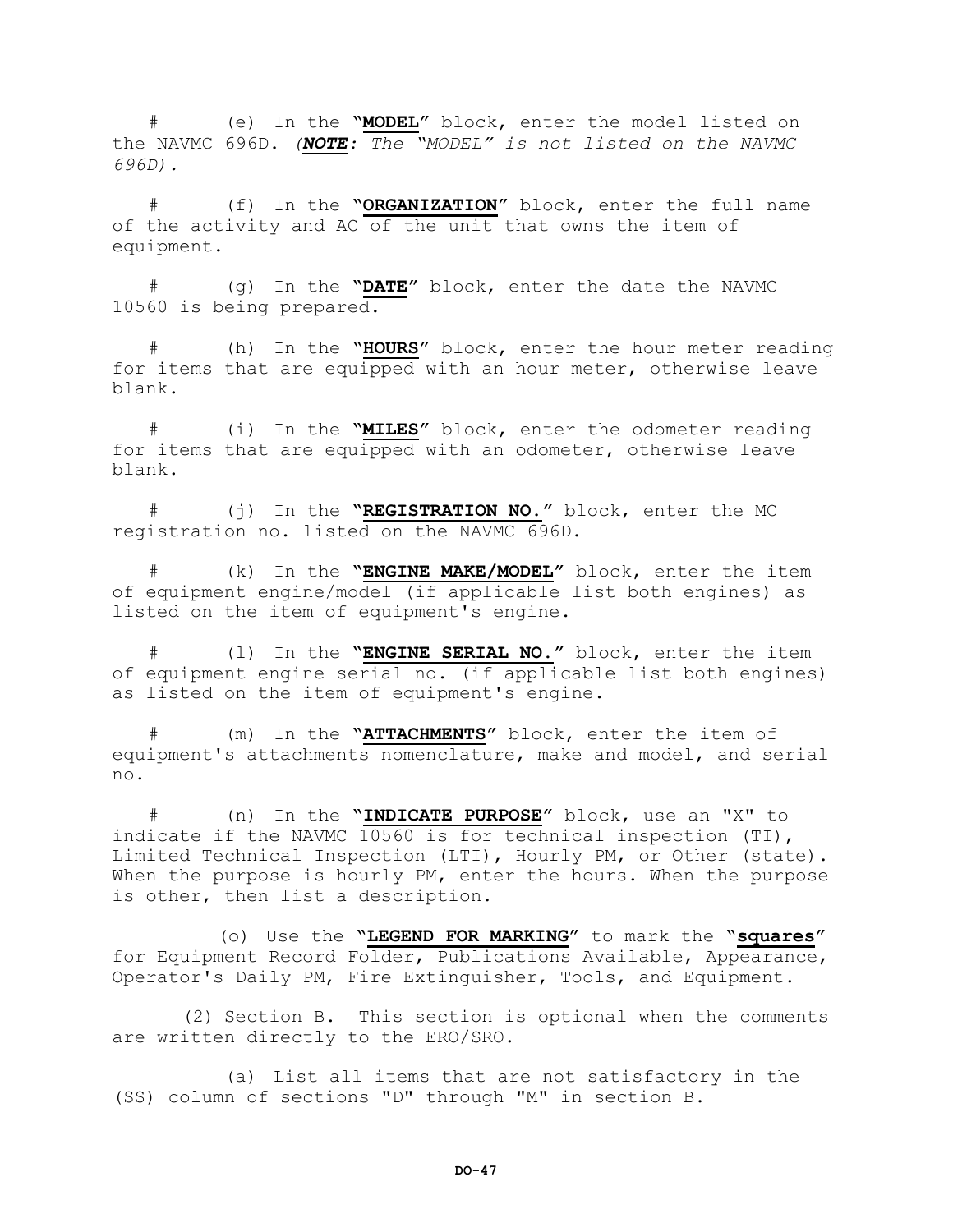# (e) In the **"MODEL"** block, enter the model listed on the NAVMC 696D. *(NOTE: The "MODEL" is not listed on the NAVMC 696D).*

# (f) In the **"ORGANIZATION"** block, enter the full name of the activity and AC of the unit that owns the item of equipment.

# (g) In the **"DATE"** block, enter the date the NAVMC 10560 is being prepared.

# (h) In the **"HOURS"** block, enter the hour meter reading for items that are equipped with an hour meter, otherwise leave blank.

# (i) In the **"MILES"** block, enter the odometer reading for items that are equipped with an odometer, otherwise leave blank.

# (j) In the **"REGISTRATION NO."** block, enter the MC registration no. listed on the NAVMC 696D.

# (k) In the **"ENGINE MAKE/MODEL"** block, enter the item of equipment engine/model (if applicable list both engines) as listed on the item of equipment's engine.

# (l) In the **"ENGINE SERIAL NO."** block, enter the item of equipment engine serial no. (if applicable list both engines) as listed on the item of equipment's engine.

# (m) In the **"ATTACHMENTS"** block, enter the item of equipment's attachments nomenclature, make and model, and serial no.

# (n) In the **"INDICATE PURPOSE"** block, use an "X" to indicate if the NAVMC 10560 is for technical inspection (TI), Limited Technical Inspection (LTI), Hourly PM, or Other (state). When the purpose is hourly PM, enter the hours. When the purpose is other, then list a description.

(o) Use the **"LEGEND FOR MARKING"** to mark the **"squares"** for Equipment Record Folder, Publications Available, Appearance, Operator's Daily PM, Fire Extinguisher, Tools, and Equipment.

(2) Section B. This section is optional when the comments are written directly to the ERO/SRO.

(a) List all items that are not satisfactory in the (SS) column of sections "D" through "M" in section B.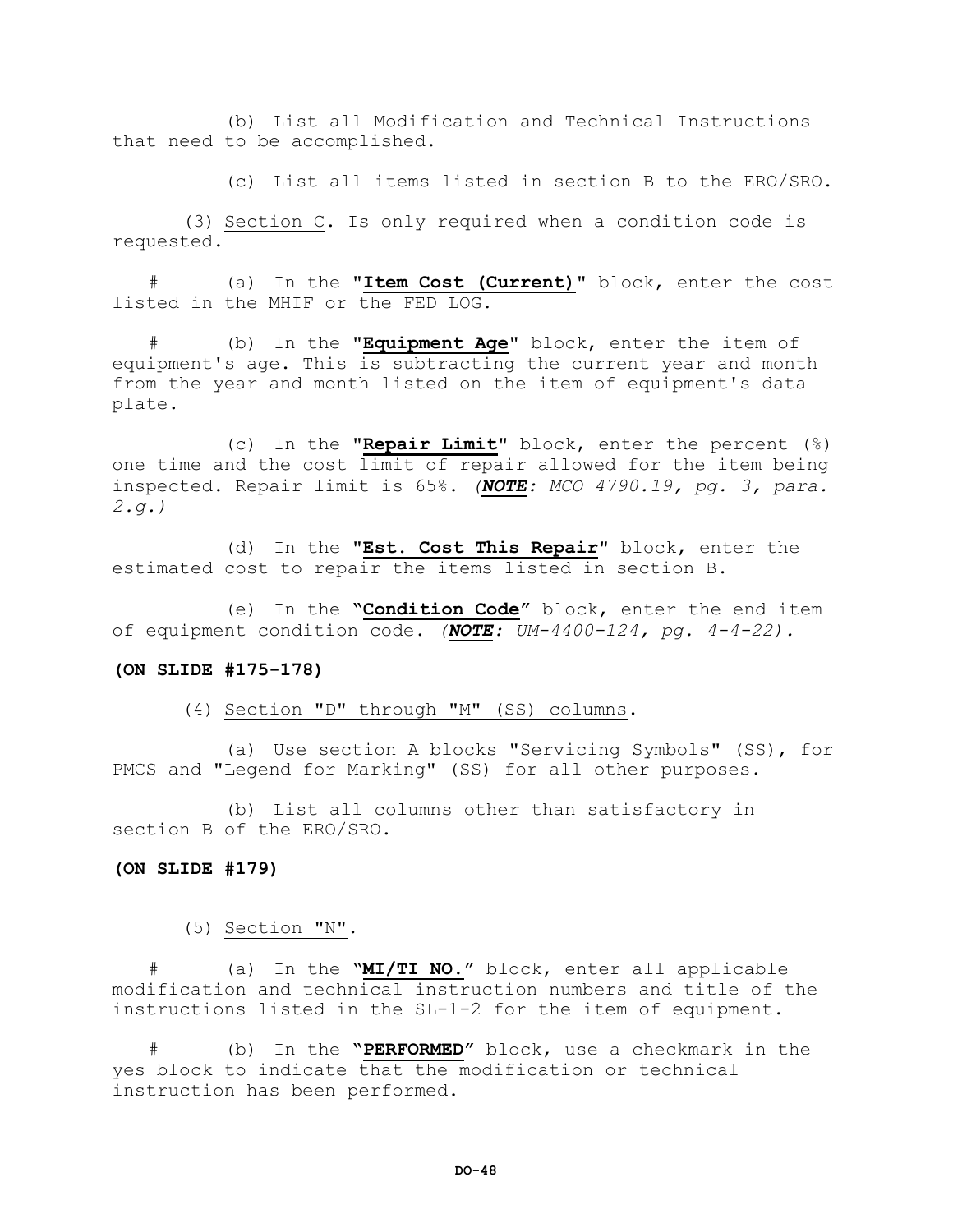(b) List all Modification and Technical Instructions that need to be accomplished.

(c) List all items listed in section B to the ERO/SRO.

(3) Section C. Is only required when a condition code is requested.

# (a) In the **"Item Cost (Current)"** block, enter the cost listed in the MHIF or the FED LOG.

# (b) In the **"Equipment Age"** block, enter the item of equipment's age. This is subtracting the current year and month from the year and month listed on the item of equipment's data plate.

(c) In the **"Repair Limit"** block, enter the percent (%) one time and the cost limit of repair allowed for the item being inspected. Repair limit is 65%. *(NOTE: MCO 4790.19, pg. 3, para. 2.g.)*

(d) In the **"Est. Cost This Repair"** block, enter the estimated cost to repair the items listed in section B.

(e) In the **"Condition Code"** block, enter the end item of equipment condition code. *(NOTE: UM-4400-124, pg. 4-4-22).*

#### **(ON SLIDE #175-178)**

(4) Section "D" through "M" (SS) columns.

(a) Use section A blocks "Servicing Symbols" (SS), for PMCS and "Legend for Marking" (SS) for all other purposes.

(b) List all columns other than satisfactory in section B of the ERO/SRO.

### **(ON SLIDE #179)**

(5) Section "N".

# (a) In the **"MI/TI NO."** block, enter all applicable modification and technical instruction numbers and title of the instructions listed in the SL-1-2 for the item of equipment.

# (b) In the **"PERFORMED"** block, use a checkmark in the yes block to indicate that the modification or technical instruction has been performed.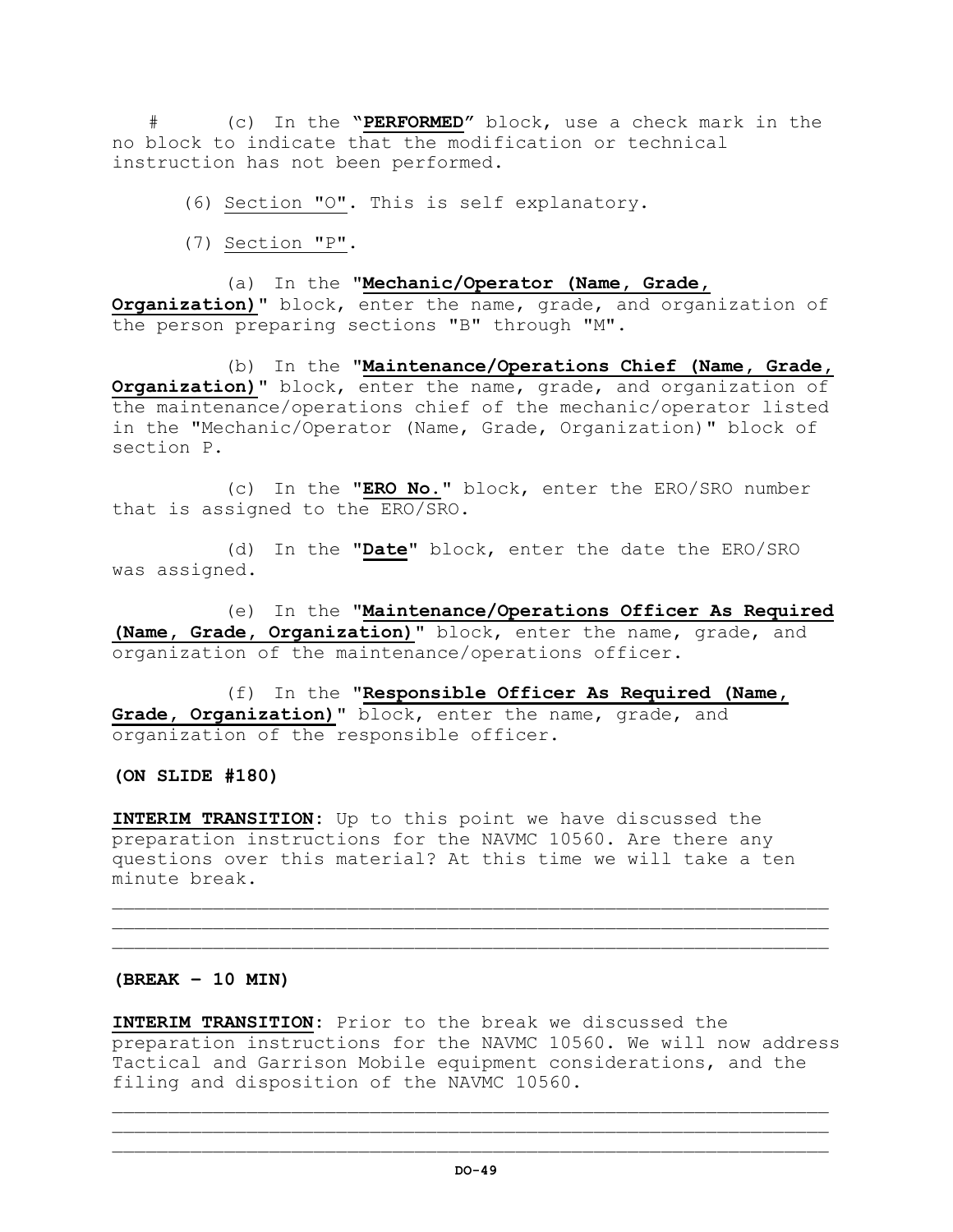# (c) In the **"PERFORMED"** block, use a check mark in the no block to indicate that the modification or technical instruction has not been performed.

(6) Section "O". This is self explanatory.

(7) Section "P".

(a) In the **"Mechanic/Operator (Name, Grade, Organization)"** block, enter the name, grade, and organization of the person preparing sections "B" through "M".

(b) In the **"Maintenance/Operations Chief (Name, Grade, Organization)"** block, enter the name, grade, and organization of the maintenance/operations chief of the mechanic/operator listed in the "Mechanic/Operator (Name, Grade, Organization)" block of section P.

(c) In the **"ERO No."** block, enter the ERO/SRO number that is assigned to the ERO/SRO.

(d) In the **"Date"** block, enter the date the ERO/SRO was assigned.

(e) In the **"Maintenance/Operations Officer As Required (Name, Grade, Organization)"** block, enter the name, grade, and organization of the maintenance/operations officer.

(f) In the **"Responsible Officer As Required (Name, Grade, Organization)"** block, enter the name, grade, and organization of the responsible officer.

**(ON SLIDE #180)**

**INTERIM TRANSITION:** Up to this point we have discussed the preparation instructions for the NAVMC 10560. Are there any questions over this material? At this time we will take a ten minute break.

 $\mathcal{L}_\mathcal{L}$  , we can assume that the contribution of the contribution of the contribution of the contribution of the contribution of the contribution of the contribution of the contribution of the contribution of the c \_\_\_\_\_\_\_\_\_\_\_\_\_\_\_\_\_\_\_\_\_\_\_\_\_\_\_\_\_\_\_\_\_\_\_\_\_\_\_\_\_\_\_\_\_\_\_\_\_\_\_\_\_\_\_\_\_\_\_\_\_\_\_\_

## **(BREAK – 10 MIN)**

**INTERIM TRANSITION:** Prior to the break we discussed the preparation instructions for the NAVMC 10560. We will now address Tactical and Garrison Mobile equipment considerations, and the filing and disposition of the NAVMC 10560.

 $\mathcal{L}_\mathcal{L}$  , we can assume that the contribution of the contribution of the contribution of the contribution of the contribution of the contribution of the contribution of the contribution of the contribution of the c \_\_\_\_\_\_\_\_\_\_\_\_\_\_\_\_\_\_\_\_\_\_\_\_\_\_\_\_\_\_\_\_\_\_\_\_\_\_\_\_\_\_\_\_\_\_\_\_\_\_\_\_\_\_\_\_\_\_\_\_\_\_\_\_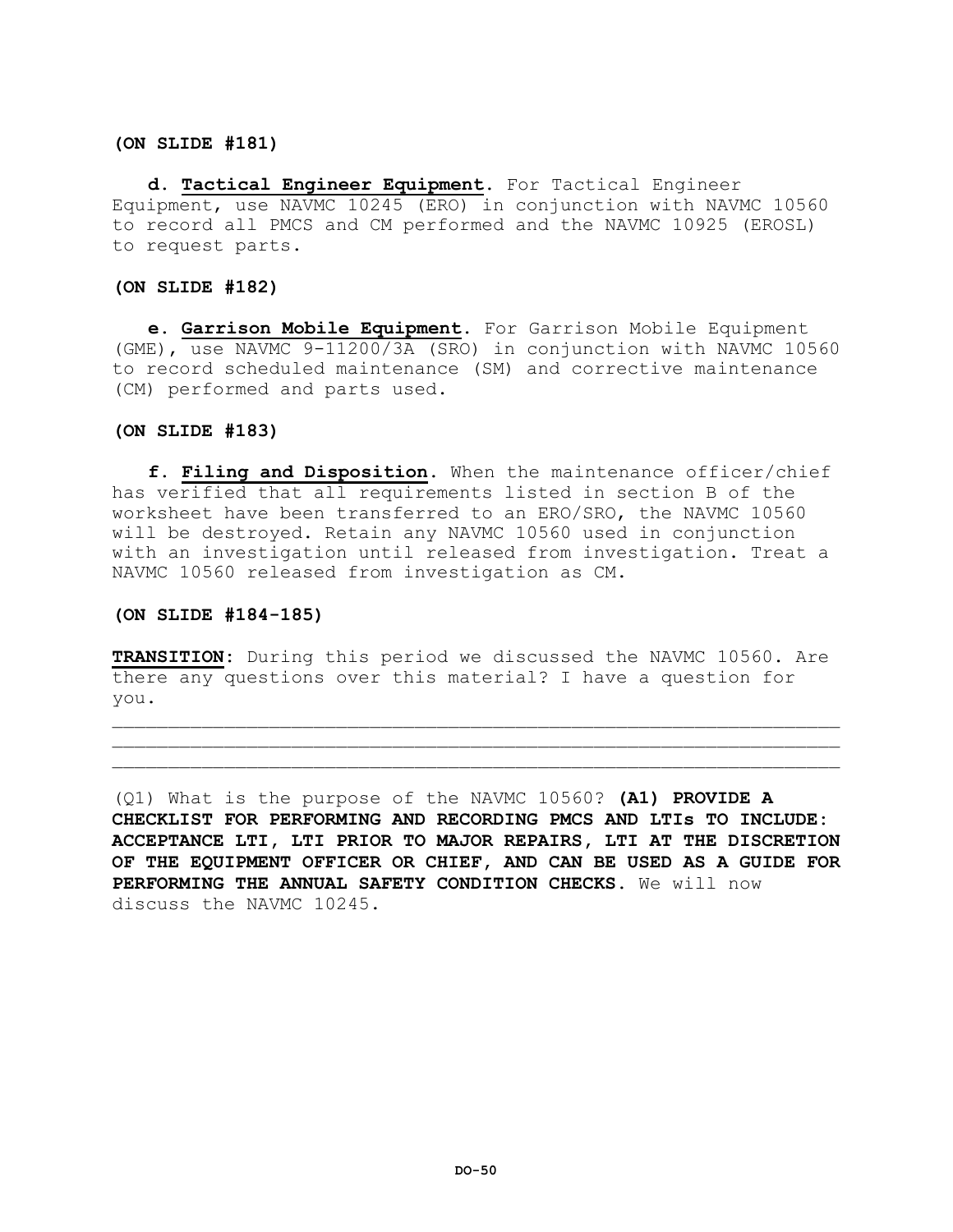### **(ON SLIDE #181)**

**d. Tactical Engineer Equipment.** For Tactical Engineer Equipment, use NAVMC 10245 (ERO) in conjunction with NAVMC 10560 to record all PMCS and CM performed and the NAVMC 10925 (EROSL) to request parts.

### **(ON SLIDE #182)**

**e. Garrison Mobile Equipment.** For Garrison Mobile Equipment (GME), use NAVMC 9-11200/3A (SRO) in conjunction with NAVMC 10560 to record scheduled maintenance (SM) and corrective maintenance (CM) performed and parts used.

## **(ON SLIDE #183)**

**f. Filing and Disposition.** When the maintenance officer/chief has verified that all requirements listed in section B of the worksheet have been transferred to an ERO/SRO, the NAVMC 10560 will be destroyed. Retain any NAVMC 10560 used in conjunction with an investigation until released from investigation. Treat a NAVMC 10560 released from investigation as CM.

## **(ON SLIDE #184-185)**

**TRANSITION:** During this period we discussed the NAVMC 10560. Are there any questions over this material? I have a question for you.

 $\mathcal{L} = \{ \mathcal{L} = \{ \mathcal{L} \} \cup \{ \mathcal{L} \} \cup \{ \mathcal{L} \} \cup \{ \mathcal{L} \} \cup \{ \mathcal{L} \} \cup \{ \mathcal{L} \} \cup \{ \mathcal{L} \} \cup \{ \mathcal{L} \} \cup \{ \mathcal{L} \} \cup \{ \mathcal{L} \} \cup \{ \mathcal{L} \} \cup \{ \mathcal{L} \} \cup \{ \mathcal{L} \} \cup \{ \mathcal{L} \} \cup \{ \mathcal{L} \} \cup \{ \mathcal{L} \} \cup \{ \mathcal{L} \} \cup$  $\mathcal{L}=\{1,2,3,4,5,6,6,8,10\}$ 

(Q1) What is the purpose of the NAVMC 10560? **(A1) PROVIDE A CHECKLIST FOR PERFORMING AND RECORDING PMCS AND LTIs TO INCLUDE: ACCEPTANCE LTI, LTI PRIOR TO MAJOR REPAIRS, LTI AT THE DISCRETION OF THE EQUIPMENT OFFICER OR CHIEF, AND CAN BE USED AS A GUIDE FOR PERFORMING THE ANNUAL SAFETY CONDITION CHECKS.** We will now discuss the NAVMC 10245.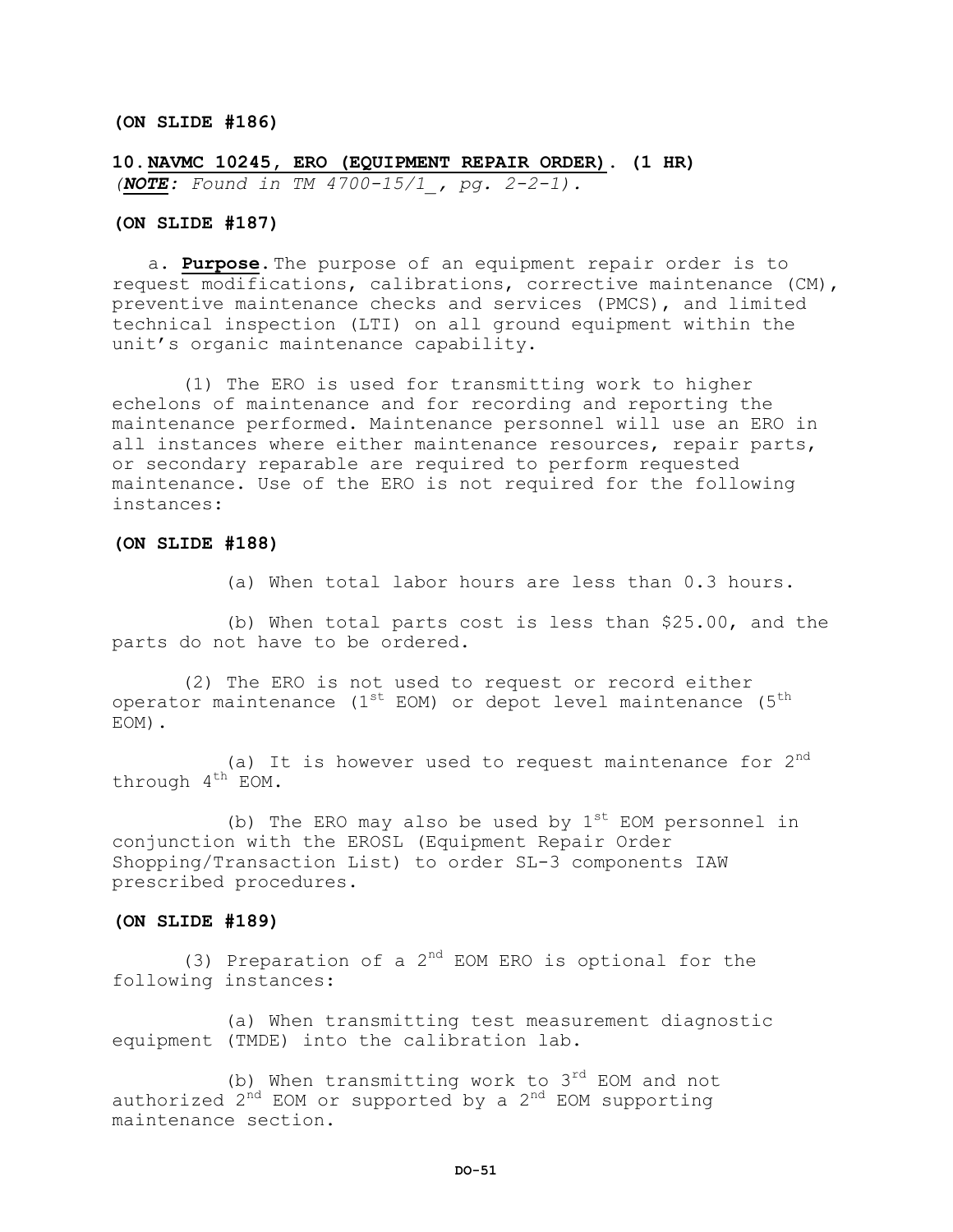#### **(ON SLIDE #186)**

**10.NAVMC 10245, ERO (EQUIPMENT REPAIR ORDER). (1 HR)**  *(NOTE: Found in TM 4700-15/1\_, pg. 2-2-1).*

## **(ON SLIDE #187)**

a. **Purpose.**The purpose of an equipment repair order is to request modifications, calibrations, corrective maintenance (CM), preventive maintenance checks and services (PMCS), and limited technical inspection (LTI) on all ground equipment within the unit's organic maintenance capability.

 (1) The ERO is used for transmitting work to higher echelons of maintenance and for recording and reporting the maintenance performed. Maintenance personnel will use an ERO in all instances where either maintenance resources, repair parts, or secondary reparable are required to perform requested maintenance. Use of the ERO is not required for the following instances:

#### **(ON SLIDE #188)**

(a) When total labor hours are less than 0.3 hours.

(b) When total parts cost is less than \$25.00, and the parts do not have to be ordered.

 (2) The ERO is not used to request or record either operator maintenance  $(1^{st}$  EOM) or depot level maintenance  $(5^{th}$ EOM).

(a) It is however used to request maintenance for  $2^{nd}$ through  $4^{th}$  EOM.

(b) The ERO may also be used by  $1^{st}$  EOM personnel in conjunction with the EROSL (Equipment Repair Order Shopping/Transaction List) to order SL-3 components IAW prescribed procedures.

### **(ON SLIDE #189)**

(3) Preparation of a  $2^{nd}$  EOM ERO is optional for the following instances:

(a) When transmitting test measurement diagnostic equipment (TMDE) into the calibration lab.

(b) When transmitting work to  $3^{rd}$  EOM and not authorized  $2^{nd}$  EOM or supported by a  $2^{nd}$  EOM supporting maintenance section.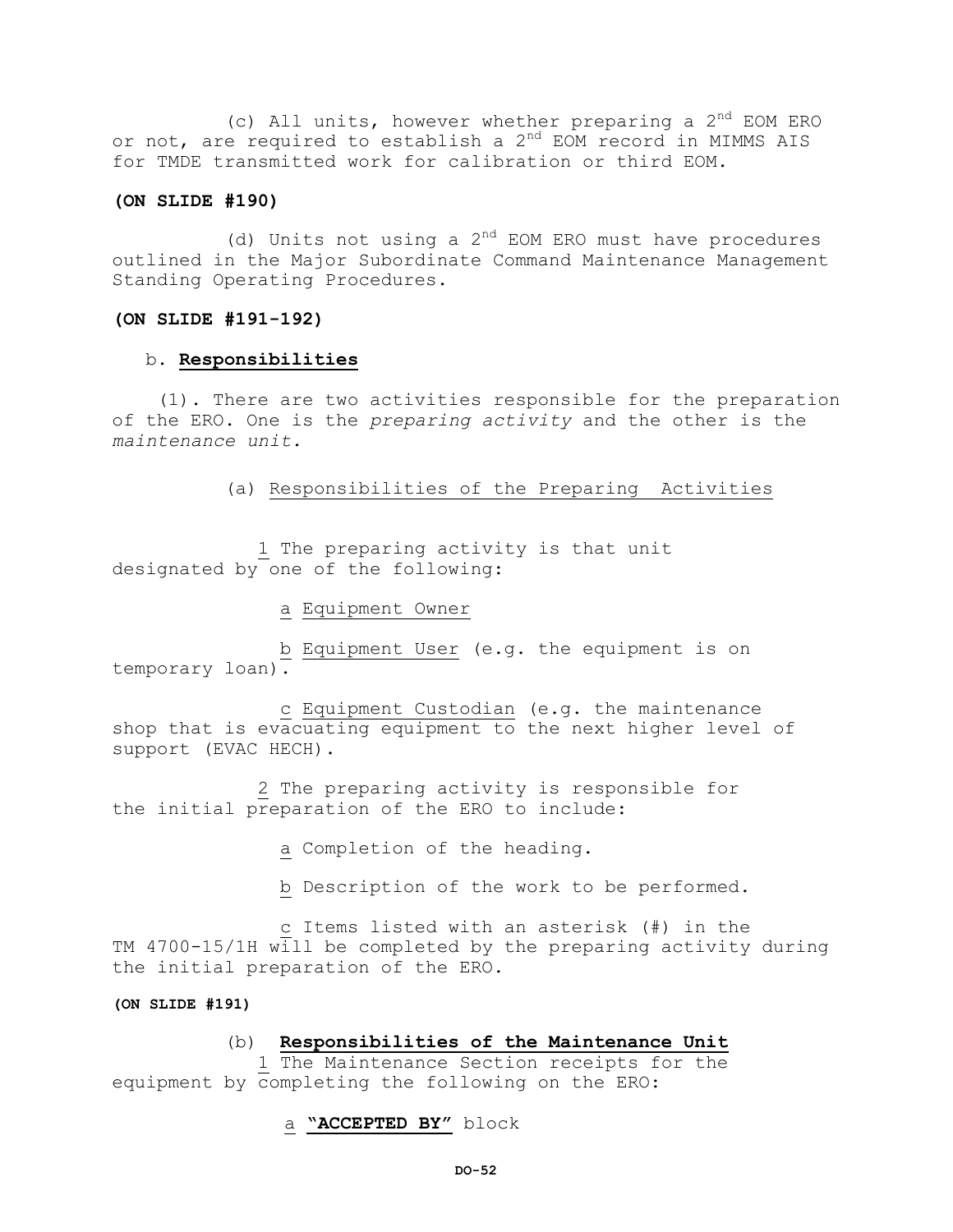(c) All units, however whether preparing a  $2^{nd}$  EOM ERO or not, are required to establish a 2<sup>nd</sup> EOM record in MIMMS AIS for TMDE transmitted work for calibration or third EOM.

### **(ON SLIDE #190)**

(d) Units not using a  $2^{nd}$  EOM ERO must have procedures outlined in the Major Subordinate Command Maintenance Management Standing Operating Procedures.

## **(ON SLIDE #191-192)**

## b. **Responsibilities**

 (1). There are two activities responsible for the preparation of the ERO. One is the *preparing activity* and the other is the *maintenance unit.*

(a) Responsibilities of the Preparing Activities

1 The preparing activity is that unit designated by one of the following:

a Equipment Owner

b Equipment User (e.g. the equipment is on temporary loan).

 c Equipment Custodian (e.g. the maintenance shop that is evacuating equipment to the next higher level of support (EVAC HECH).

 2 The preparing activity is responsible for the initial preparation of the ERO to include:

a Completion of the heading.

b Description of the work to be performed.

c Items listed with an asterisk (#) in the TM 4700-15/1H will be completed by the preparing activity during the initial preparation of the ERO.

## **(ON SLIDE #191)**

## (b) **Responsibilities of the Maintenance Unit**

1 The Maintenance Section receipts for the equipment by completing the following on the ERO:

## a **"ACCEPTED BY"** block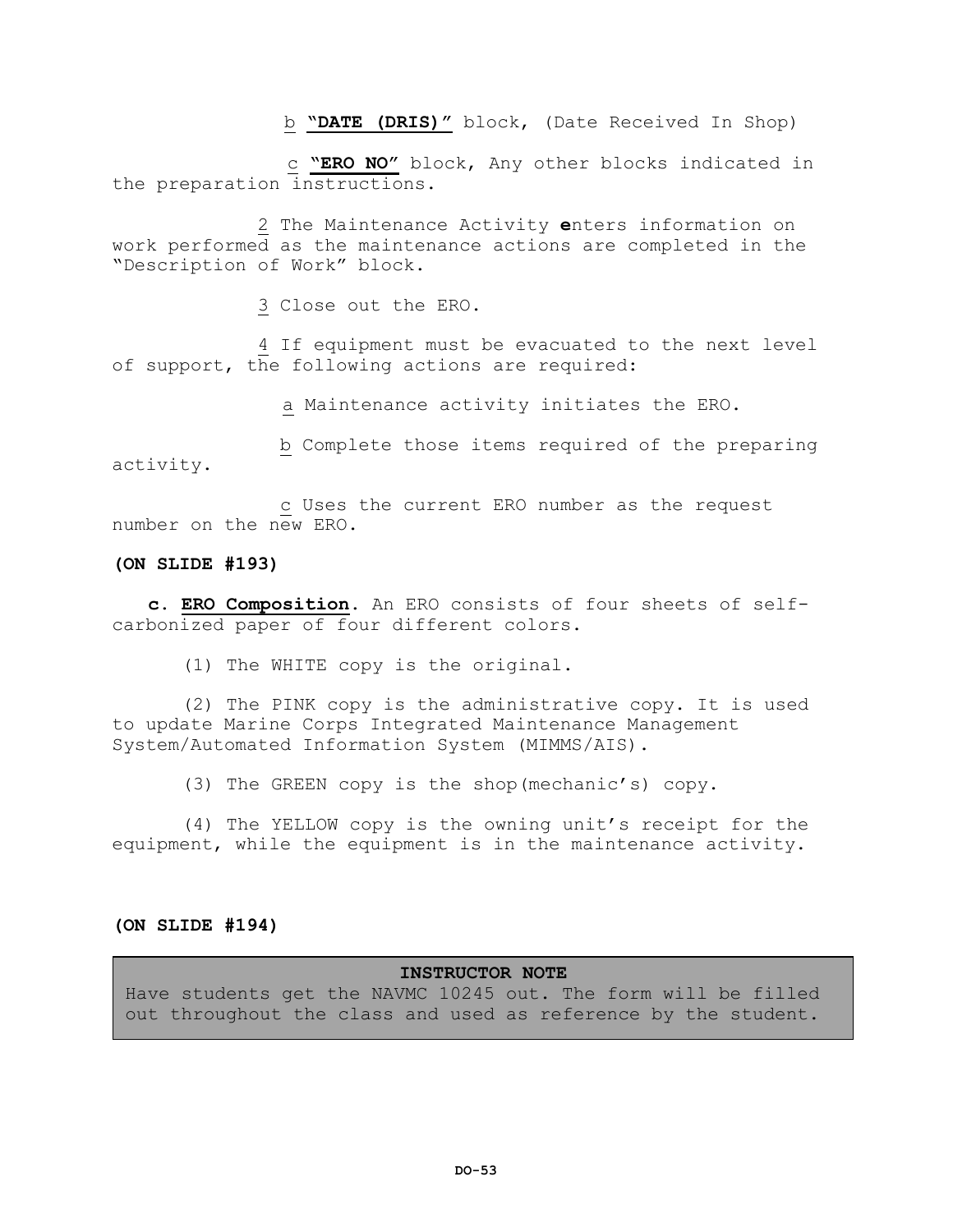b **"DATE (DRIS)"** block, (Date Received In Shop)

 c **"ERO NO"** block, Any other blocks indicated in the preparation instructions.

 2 The Maintenance Activity **e**nters information on work performed as the maintenance actions are completed in the "Description of Work" block.

3 Close out the ERO.

 4 If equipment must be evacuated to the next level of support, the following actions are required:

a Maintenance activity initiates the ERO.

 b Complete those items required of the preparing activity.

c Uses the current ERO number as the request number on the new ERO.

## **(ON SLIDE #193)**

**c. ERO Composition**. An ERO consists of four sheets of selfcarbonized paper of four different colors.

(1) The WHITE copy is the original.

(2) The PINK copy is the administrative copy. It is used to update Marine Corps Integrated Maintenance Management System/Automated Information System (MIMMS/AIS).

(3) The GREEN copy is the shop(mechanic's) copy.

(4) The YELLOW copy is the owning unit's receipt for the equipment, while the equipment is in the maintenance activity.

### **(ON SLIDE #194)**

## **INSTRUCTOR NOTE**

Have students get the NAVMC 10245 out. The form will be filled out throughout the class and used as reference by the student.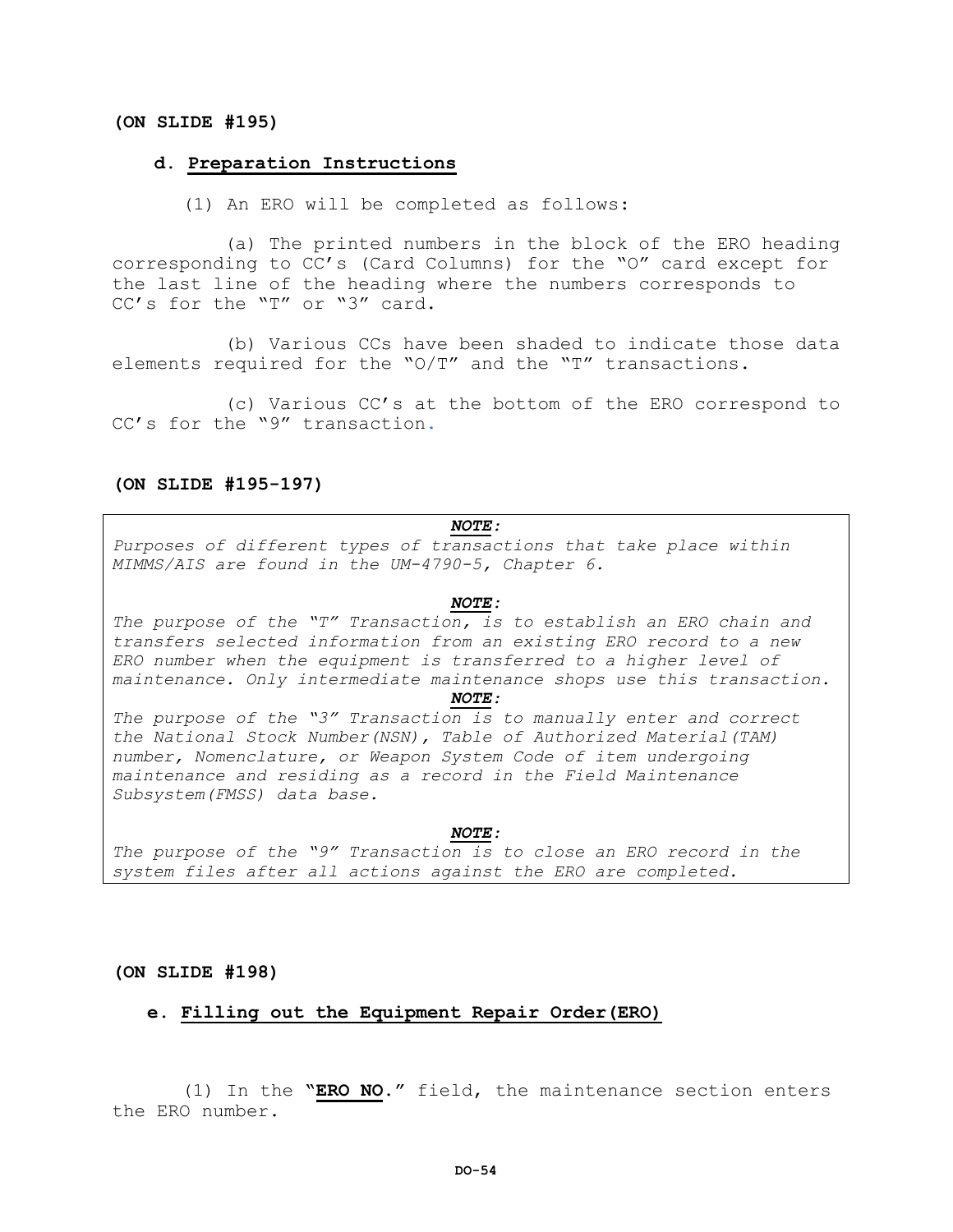### **(ON SLIDE #195)**

#### **d. Preparation Instructions**

(1) An ERO will be completed as follows:

(a) The printed numbers in the block of the ERO heading corresponding to CC's (Card Columns) for the "O" card except for the last line of the heading where the numbers corresponds to CC's for the "T" or "3" card.

(b) Various CCs have been shaded to indicate those data elements required for the "O/T" and the "T" transactions.

(c) Various CC's at the bottom of the ERO correspond to CC's for the "9" transaction.

#### **(ON SLIDE #195-197)**

# *NOTE:*

*Purposes of different types of transactions that take place within MIMMS/AIS are found in the UM-4790-5, Chapter 6.*

#### *NOTE:*

*The purpose of the "T" Transaction, is to establish an ERO chain and transfers selected information from an existing ERO record to a new ERO number when the equipment is transferred to a higher level of maintenance. Only intermediate maintenance shops use this transaction.*

#### *NOTE:*

*The purpose of the "3" Transaction is to manually enter and correct the National Stock Number(NSN), Table of Authorized Material(TAM) number, Nomenclature, or Weapon System Code of item undergoing maintenance and residing as a record in the Field Maintenance Subsystem(FMSS) data base.*

### *NOTE:*

*The purpose of the "9" Transaction is to close an ERO record in the system files after all actions against the ERO are completed.*

**(ON SLIDE #198)**

## **e. Filling out the Equipment Repair Order(ERO)**

(1) In the **"ERO NO."** field, the maintenance section enters the ERO number.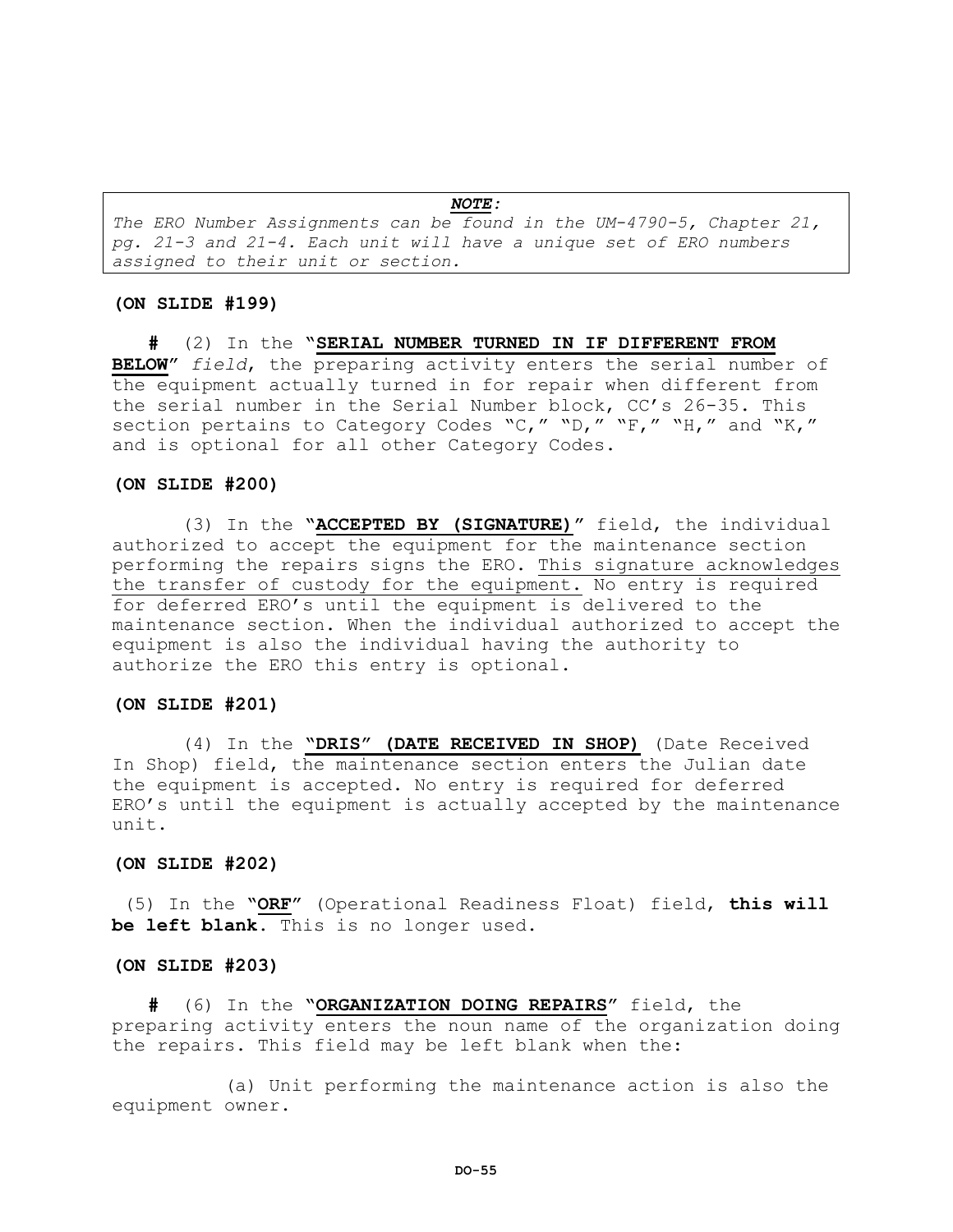*NOTE: The ERO Number Assignments can be found in the UM-4790-5, Chapter 21, pg. 21-3 and 21-4. Each unit will have a unique set of ERO numbers assigned to their unit or section.*

#### **(ON SLIDE #199)**

**#** (2) In the **"SERIAL NUMBER TURNED IN IF DIFFERENT FROM BELOW"** *field*, the preparing activity enters the serial number of the equipment actually turned in for repair when different from the serial number in the Serial Number block, CC's 26-35. This section pertains to Category Codes "C," "D," "F," "H," and "K," and is optional for all other Category Codes.

#### **(ON SLIDE #200)**

(3) In the **"ACCEPTED BY (SIGNATURE)"** field, the individual authorized to accept the equipment for the maintenance section performing the repairs signs the ERO. This signature acknowledges the transfer of custody for the equipment. No entry is required for deferred ERO's until the equipment is delivered to the maintenance section. When the individual authorized to accept the equipment is also the individual having the authority to authorize the ERO this entry is optional.

## **(ON SLIDE #201)**

(4) In the **"DRIS" (DATE RECEIVED IN SHOP)** (Date Received In Shop) field, the maintenance section enters the Julian date the equipment is accepted. No entry is required for deferred ERO's until the equipment is actually accepted by the maintenance unit.

### **(ON SLIDE #202)**

(5) In the **"ORF"** (Operational Readiness Float) field, **this will be left blank**. This is no longer used.

### **(ON SLIDE #203)**

**#** (6) In the **"ORGANIZATION DOING REPAIRS"** field, the preparing activity enters the noun name of the organization doing the repairs. This field may be left blank when the:

(a) Unit performing the maintenance action is also the equipment owner.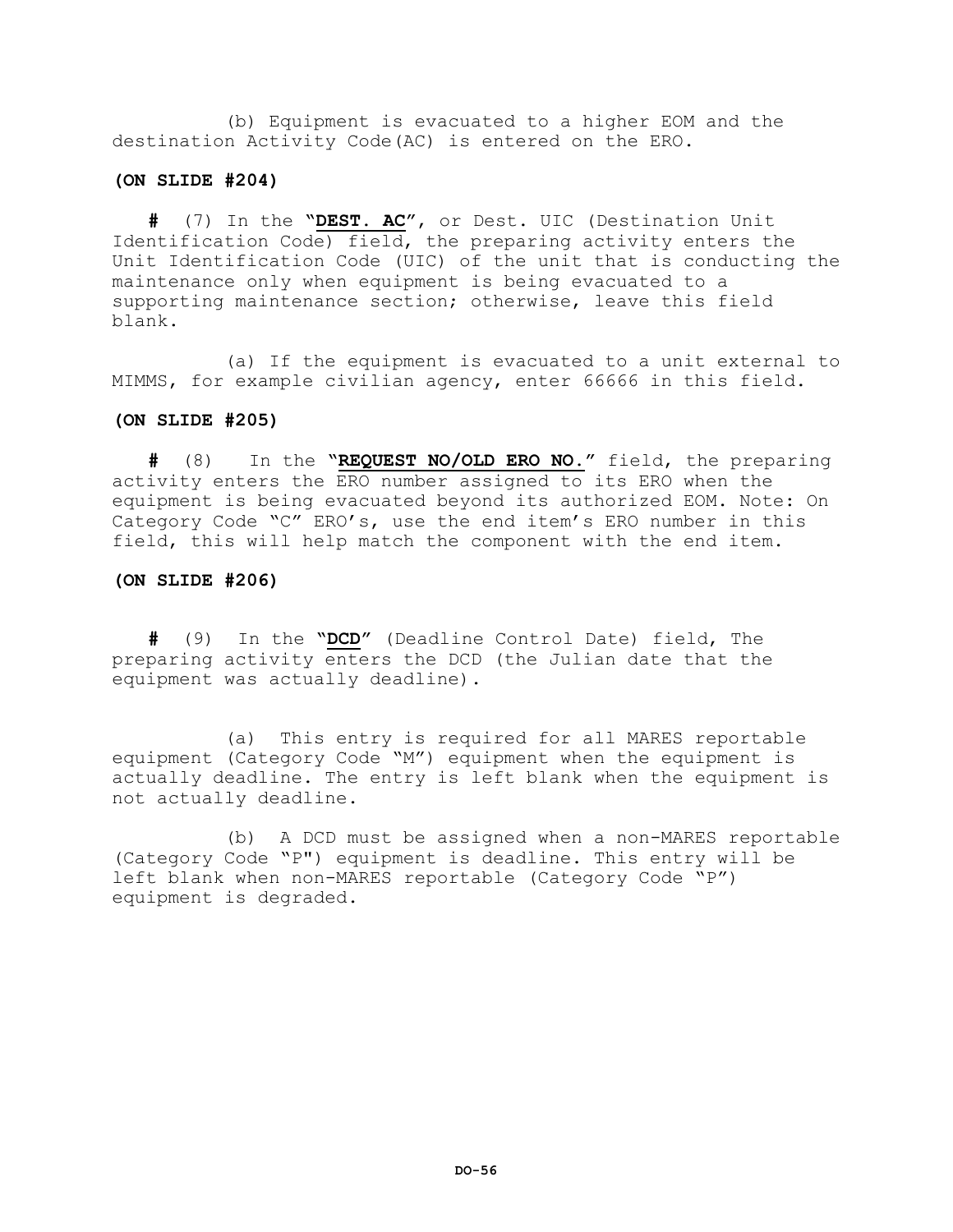(b) Equipment is evacuated to a higher EOM and the destination Activity Code(AC) is entered on the ERO.

## **(ON SLIDE #204)**

**#** (7) In the **"DEST. AC"**, or Dest. UIC (Destination Unit Identification Code) field, the preparing activity enters the Unit Identification Code (UIC) of the unit that is conducting the maintenance only when equipment is being evacuated to a supporting maintenance section; otherwise, leave this field blank.

(a) If the equipment is evacuated to a unit external to MIMMS, for example civilian agency, enter 66666 in this field.

## **(ON SLIDE #205)**

**#** (8) In the **"REQUEST NO/OLD ERO NO."** field, the preparing activity enters the ERO number assigned to its ERO when the equipment is being evacuated beyond its authorized EOM. Note: On Category Code "C" ERO's, use the end item's ERO number in this field, this will help match the component with the end item.

## **(ON SLIDE #206)**

**#** (9) In the **"DCD"** (Deadline Control Date) field, The preparing activity enters the DCD (the Julian date that the equipment was actually deadline).

(a) This entry is required for all MARES reportable equipment (Category Code "M") equipment when the equipment is actually deadline. The entry is left blank when the equipment is not actually deadline.

(b) A DCD must be assigned when a non-MARES reportable (Category Code "P") equipment is deadline. This entry will be left blank when non-MARES reportable (Category Code "P") equipment is degraded.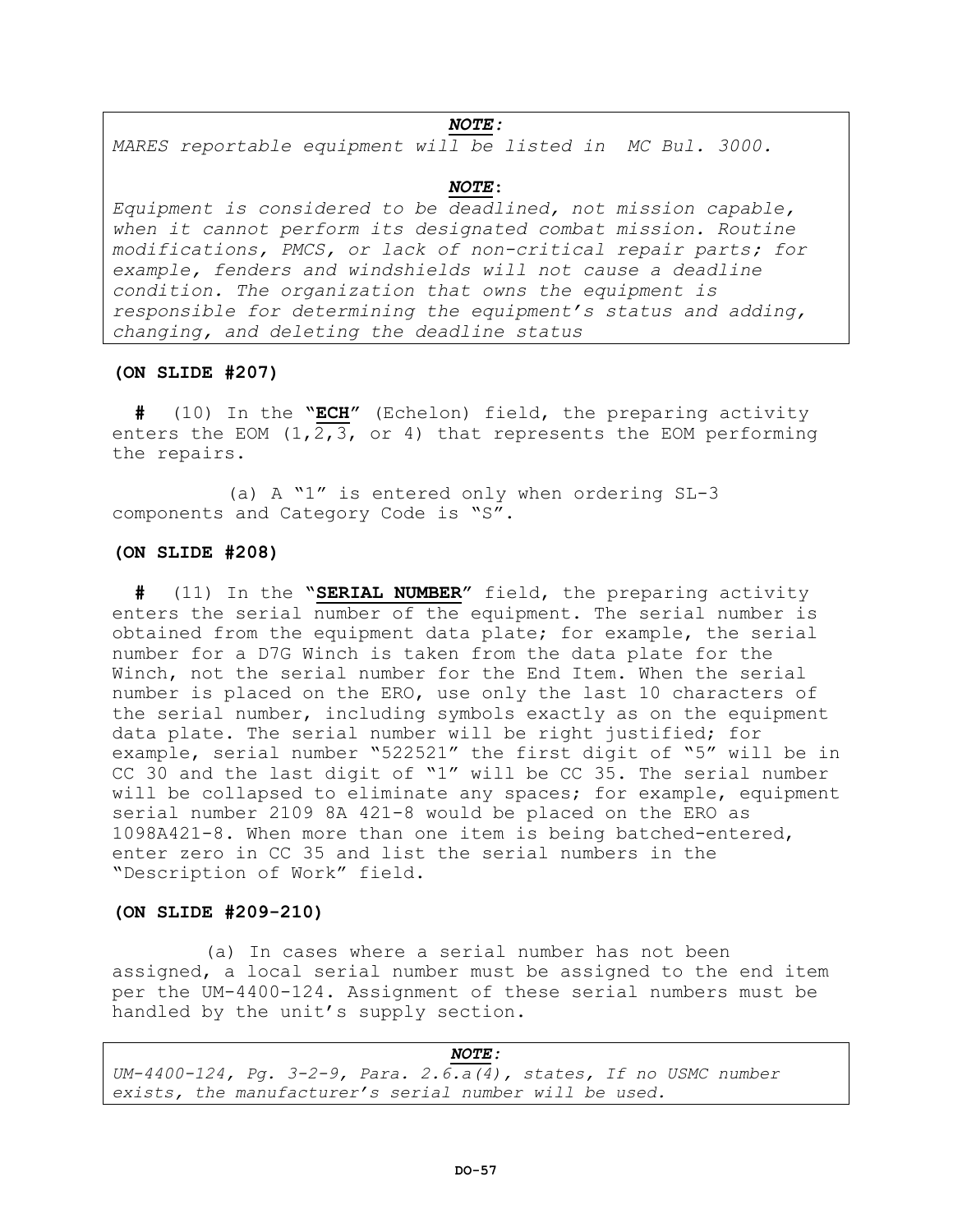### *NOTE:*

*MARES reportable equipment will be listed in MC Bul. 3000.*

#### *NOTE*:

*Equipment is considered to be deadlined, not mission capable, when it cannot perform its designated combat mission. Routine modifications, PMCS, or lack of non-critical repair parts; for example, fenders and windshields will not cause a deadline condition. The organization that owns the equipment is responsible for determining the equipment's status and adding, changing, and deleting the deadline status*

### **(ON SLIDE #207)**

 **#** (10) In the **"ECH"** (Echelon) field, the preparing activity enters the EOM  $(1, 2, 3, \text{ or } 4)$  that represents the EOM performing the repairs.

 (a) A "1" is entered only when ordering SL-3 components and Category Code is "S".

## **(ON SLIDE #208)**

 **#** (11) In the **"SERIAL NUMBER"** field, the preparing activity enters the serial number of the equipment. The serial number is obtained from the equipment data plate; for example, the serial number for a D7G Winch is taken from the data plate for the Winch, not the serial number for the End Item. When the serial number is placed on the ERO, use only the last 10 characters of the serial number, including symbols exactly as on the equipment data plate. The serial number will be right justified; for example, serial number "522521" the first digit of "5" will be in CC 30 and the last digit of "1" will be CC 35. The serial number will be collapsed to eliminate any spaces; for example, equipment serial number 2109 8A 421-8 would be placed on the ERO as 1098A421-8. When more than one item is being batched-entered, enter zero in CC 35 and list the serial numbers in the "Description of Work" field.

## **(ON SLIDE #209-210)**

 (a) In cases where a serial number has not been assigned, a local serial number must be assigned to the end item per the UM-4400-124. Assignment of these serial numbers must be handled by the unit's supply section.

*NOTE: UM-4400-124, Pg. 3-2-9, Para. 2.6.a(4), states, If no USMC number exists, the manufacturer's serial number will be used.*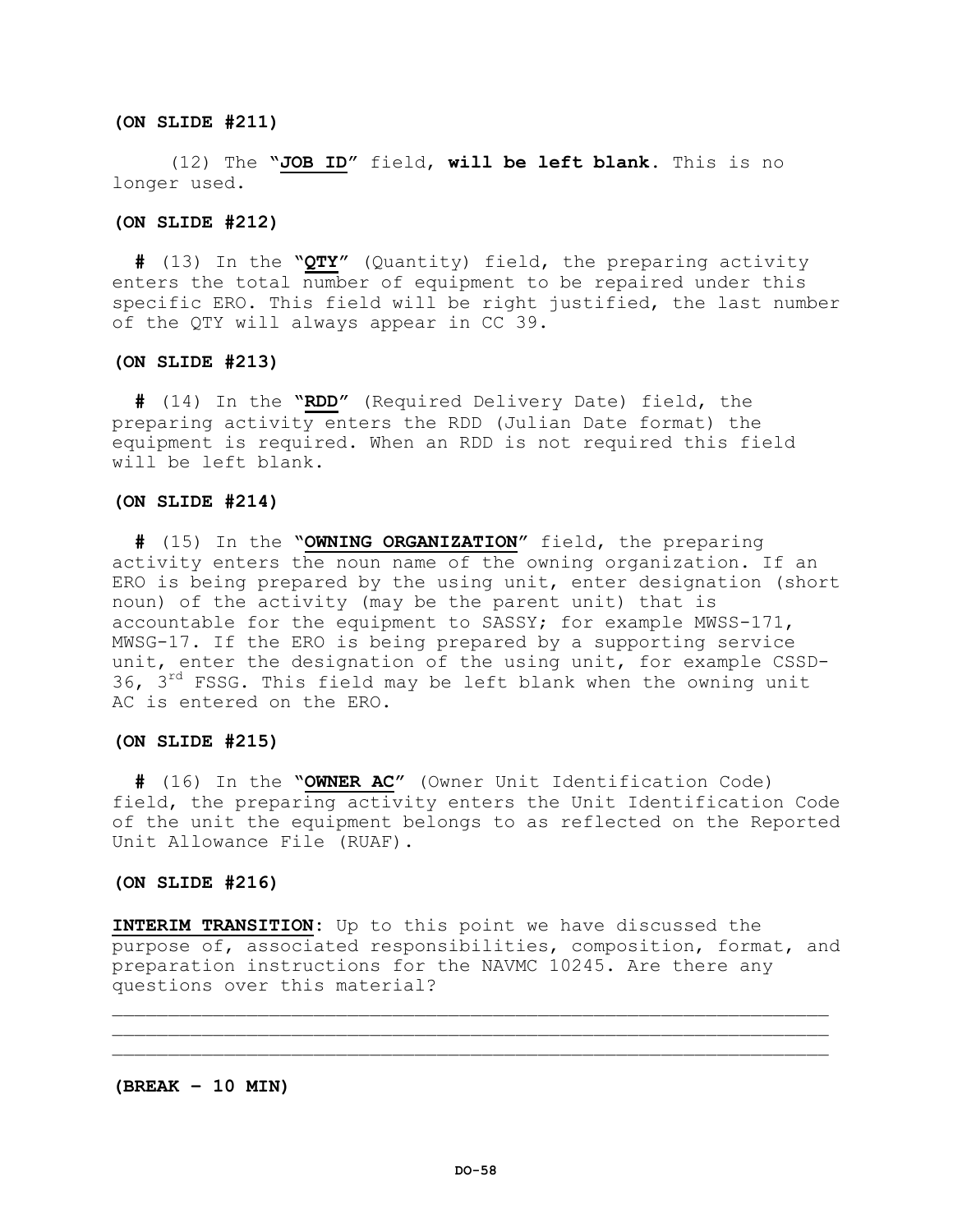## **(ON SLIDE #211)**

 (12) The **"JOB ID"** field, **will be left blank**. This is no longer used.

### **(ON SLIDE #212)**

 **#** (13) In the **"QTY"** (Quantity) field, the preparing activity enters the total number of equipment to be repaired under this specific ERO. This field will be right justified, the last number of the QTY will always appear in CC 39.

#### **(ON SLIDE #213)**

 **#** (14) In the **"RDD"** (Required Delivery Date) field, the preparing activity enters the RDD (Julian Date format) the equipment is required. When an RDD is not required this field will be left blank.

#### **(ON SLIDE #214)**

 **#** (15) In the **"OWNING ORGANIZATION"** field, the preparing activity enters the noun name of the owning organization. If an ERO is being prepared by the using unit, enter designation (short noun) of the activity (may be the parent unit) that is accountable for the equipment to SASSY; for example MWSS-171, MWSG-17. If the ERO is being prepared by a supporting service unit, enter the designation of the using unit, for example CSSD-36,  $3<sup>rd</sup>$  FSSG. This field may be left blank when the owning unit AC is entered on the ERO.

## **(ON SLIDE #215)**

 **#** (16) In the **"OWNER AC"** (Owner Unit Identification Code) field, the preparing activity enters the Unit Identification Code of the unit the equipment belongs to as reflected on the Reported Unit Allowance File (RUAF).

## **(ON SLIDE #216)**

**INTERIM TRANSITION:** Up to this point we have discussed the purpose of, associated responsibilities, composition, format, and preparation instructions for the NAVMC 10245. Are there any questions over this material?

 $\mathcal{L}_\mathcal{L}$  , we can assume that the contribution of the contribution of the contribution of the contribution of the contribution of the contribution of the contribution of the contribution of the contribution of the c \_\_\_\_\_\_\_\_\_\_\_\_\_\_\_\_\_\_\_\_\_\_\_\_\_\_\_\_\_\_\_\_\_\_\_\_\_\_\_\_\_\_\_\_\_\_\_\_\_\_\_\_\_\_\_\_\_\_\_\_\_\_\_\_

**(BREAK – 10 MIN)**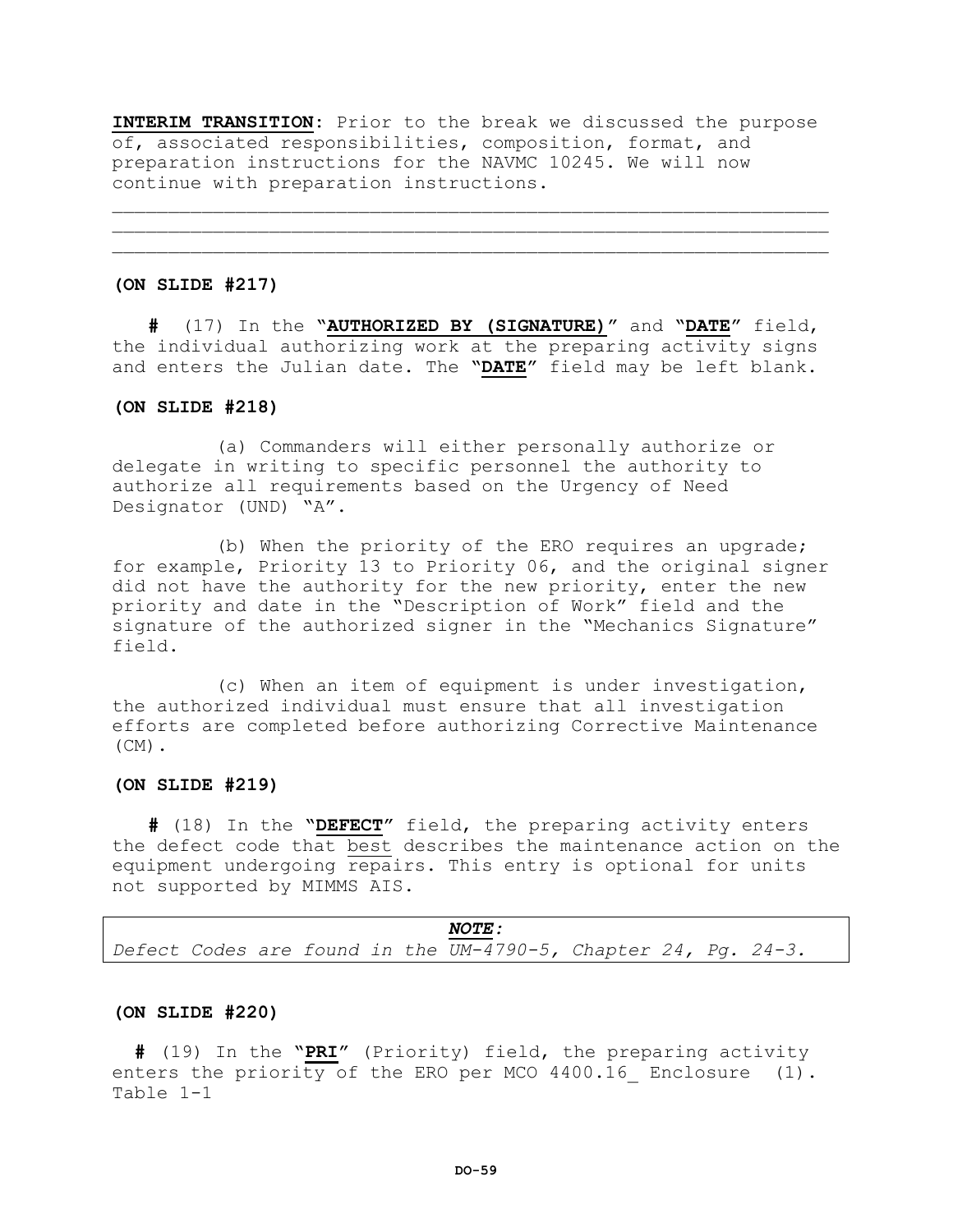**INTERIM TRANSITION:** Prior to the break we discussed the purpose of, associated responsibilities, composition, format, and preparation instructions for the NAVMC 10245. We will now continue with preparation instructions.

\_\_\_\_\_\_\_\_\_\_\_\_\_\_\_\_\_\_\_\_\_\_\_\_\_\_\_\_\_\_\_\_\_\_\_\_\_\_\_\_\_\_\_\_\_\_\_\_\_\_\_\_\_\_\_\_\_\_\_\_\_\_\_\_  $\mathcal{L}_\mathcal{L}$  , we can assume that the contribution of the contribution of the contribution of the contribution of the contribution of the contribution of the contribution of the contribution of the contribution of the c

#### **(ON SLIDE #217)**

**#** (17) In the **"AUTHORIZED BY (SIGNATURE)"** and **"DATE"** field, the individual authorizing work at the preparing activity signs and enters the Julian date. The **"DATE"** field may be left blank.

### **(ON SLIDE #218)**

 (a) Commanders will either personally authorize or delegate in writing to specific personnel the authority to authorize all requirements based on the Urgency of Need Designator (UND) "A".

 (b) When the priority of the ERO requires an upgrade; for example, Priority 13 to Priority 06, and the original signer did not have the authority for the new priority, enter the new priority and date in the "Description of Work" field and the signature of the authorized signer in the "Mechanics Signature" field.

 (c) When an item of equipment is under investigation, the authorized individual must ensure that all investigation efforts are completed before authorizing Corrective Maintenance  $(CM)$ .

### **(ON SLIDE #219)**

**#** (18) In the **"DEFECT"** field, the preparing activity enters the defect code that best describes the maintenance action on the equipment undergoing repairs. This entry is optional for units not supported by MIMMS AIS.

|  |  |  | <i>NOTE:</i>                                                   |  |  |
|--|--|--|----------------------------------------------------------------|--|--|
|  |  |  | Defect Codes are found in the UM-4790-5, Chapter 24, Pg. 24-3. |  |  |

## **(ON SLIDE #220)**

 **#** (19) In the **"PRI"** (Priority) field, the preparing activity enters the priority of the ERO per MCO 4400.16 Enclosure (1). Table 1-1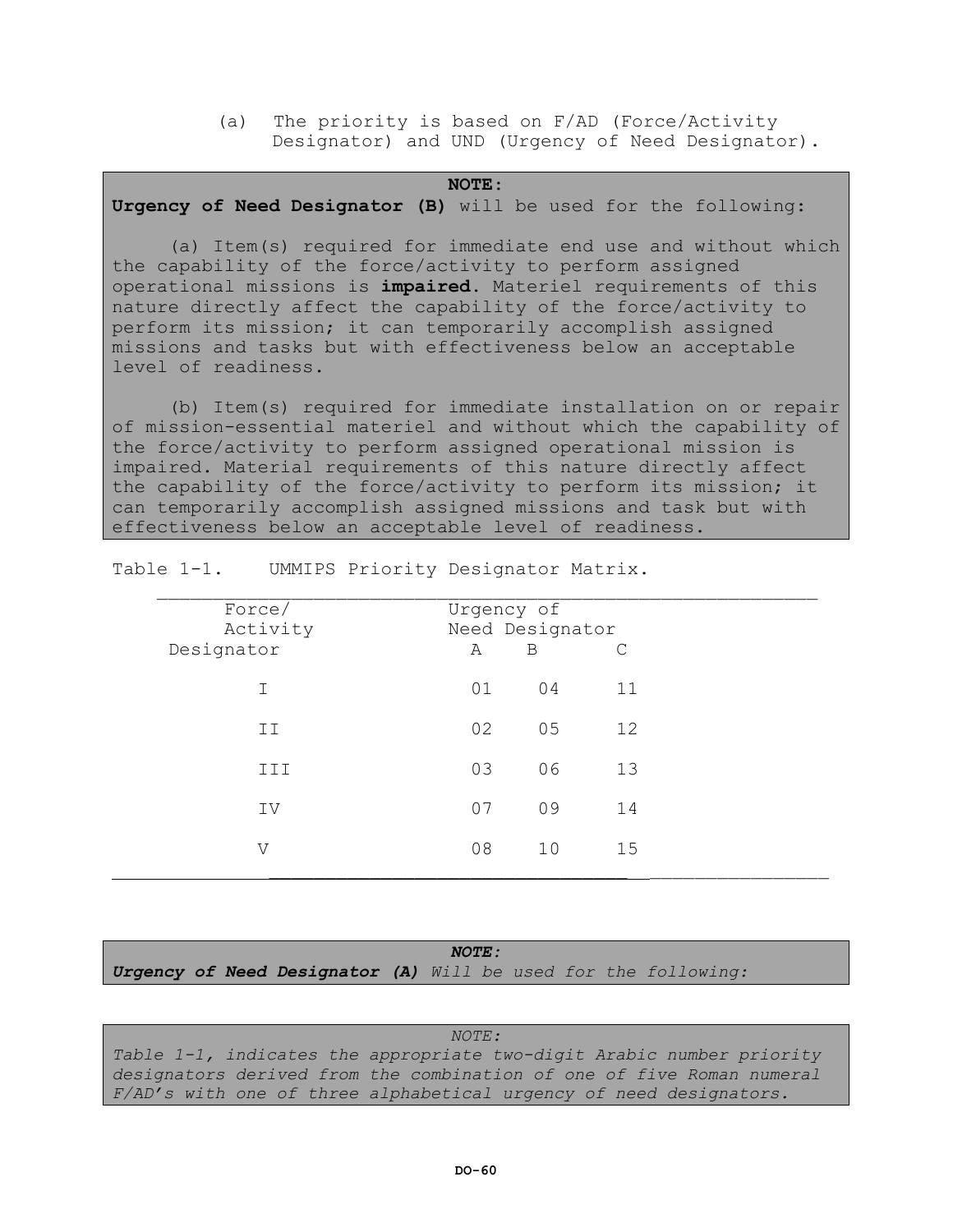(a) The priority is based on F/AD (Force/Activity Designator) and UND (Urgency of Need Designator).

#### **NOTE**:

## **Urgency of Need Designator (B)** will be used for the following:

(a) Item(s) required for immediate end use and without which the capability of the force/activity to perform assigned operational missions is **impaired.** Materiel requirements of this nature directly affect the capability of the force/activity to perform its mission; it can temporarily accomplish assigned missions and tasks but with effectiveness below an acceptable level of readiness.

(b) Item(s) required for immediate installation on or repair of mission-essential materiel and without which the capability of the force/activity to perform assigned operational mission is impaired. Material requirements of this nature directly affect the capability of the force/activity to perform its mission; it can temporarily accomplish assigned missions and task but with effectiveness below an acceptable level of readiness.

| Force/<br>Activity<br>Designator | Urgency of<br>Need Designator<br>A |    |    |  |
|----------------------------------|------------------------------------|----|----|--|
| T.                               | 01                                 | 04 | 11 |  |
| ΙI                               | 02                                 | 05 | 12 |  |
| III                              | 03                                 | 06 | 13 |  |
| IV                               | 07                                 | 09 | 14 |  |
| V                                | 08                                 | 10 | 15 |  |

Table 1-1. UMMIPS Priority Designator Matrix.

|                                                                       | <b>NOTE:</b> |  |  |  |  |  |  |
|-----------------------------------------------------------------------|--------------|--|--|--|--|--|--|
| <b>Urgency of Need Designator (A)</b> Will be used for the following: |              |  |  |  |  |  |  |

*NOTE: Table 1-1, indicates the appropriate two-digit Arabic number priority designators derived from the combination of one of five Roman numeral F/AD's with one of three alphabetical urgency of need designators.*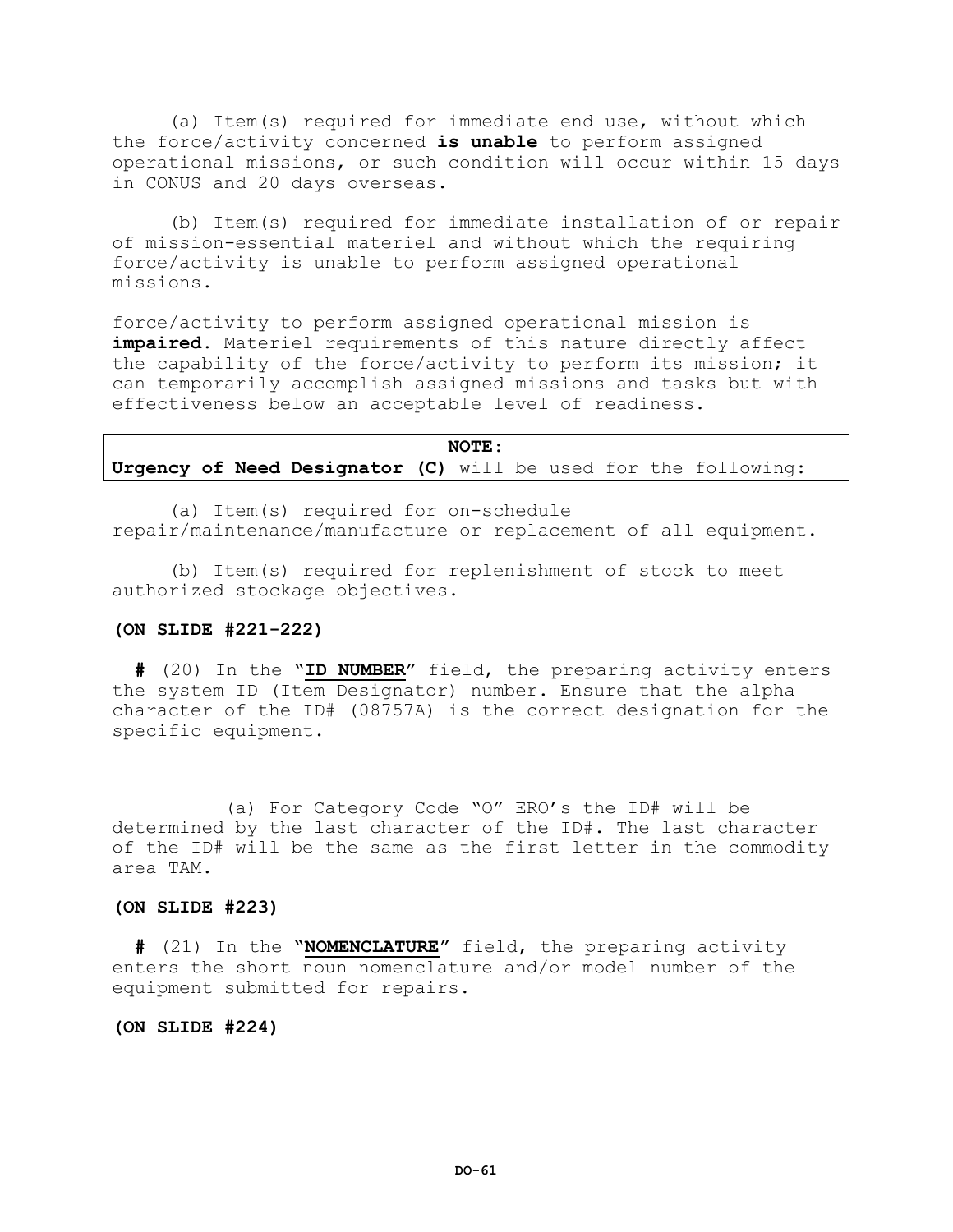(a) Item(s) required for immediate end use, without which the force/activity concerned **is unable** to perform assigned operational missions, or such condition will occur within 15 days in CONUS and 20 days overseas.

(b) Item(s) required for immediate installation of or repair of mission-essential materiel and without which the requiring force/activity is unable to perform assigned operational missions.

force/activity to perform assigned operational mission is **impaired.** Materiel requirements of this nature directly affect the capability of the force/activity to perform its mission; it can temporarily accomplish assigned missions and tasks but with effectiveness below an acceptable level of readiness.

|                                                                | NOTE: |  |  |  |  |  |  |  |
|----------------------------------------------------------------|-------|--|--|--|--|--|--|--|
| Urgency of Need Designator (C) will be used for the following: |       |  |  |  |  |  |  |  |

(a) Item(s) required for on-schedule repair/maintenance/manufacture or replacement of all equipment.

(b) Item(s) required for replenishment of stock to meet authorized stockage objectives.

### **(ON SLIDE #221-222)**

 **#** (20) In the **"ID NUMBER"** field, the preparing activity enters the system ID (Item Designator) number. Ensure that the alpha character of the ID# (08757A) is the correct designation for the specific equipment.

(a) For Category Code "O" ERO's the ID# will be determined by the last character of the ID#. The last character of the ID# will be the same as the first letter in the commodity area TAM.

## **(ON SLIDE #223)**

 **#** (21) In the **"NOMENCLATURE"** field, the preparing activity enters the short noun nomenclature and/or model number of the equipment submitted for repairs.

## **(ON SLIDE #224)**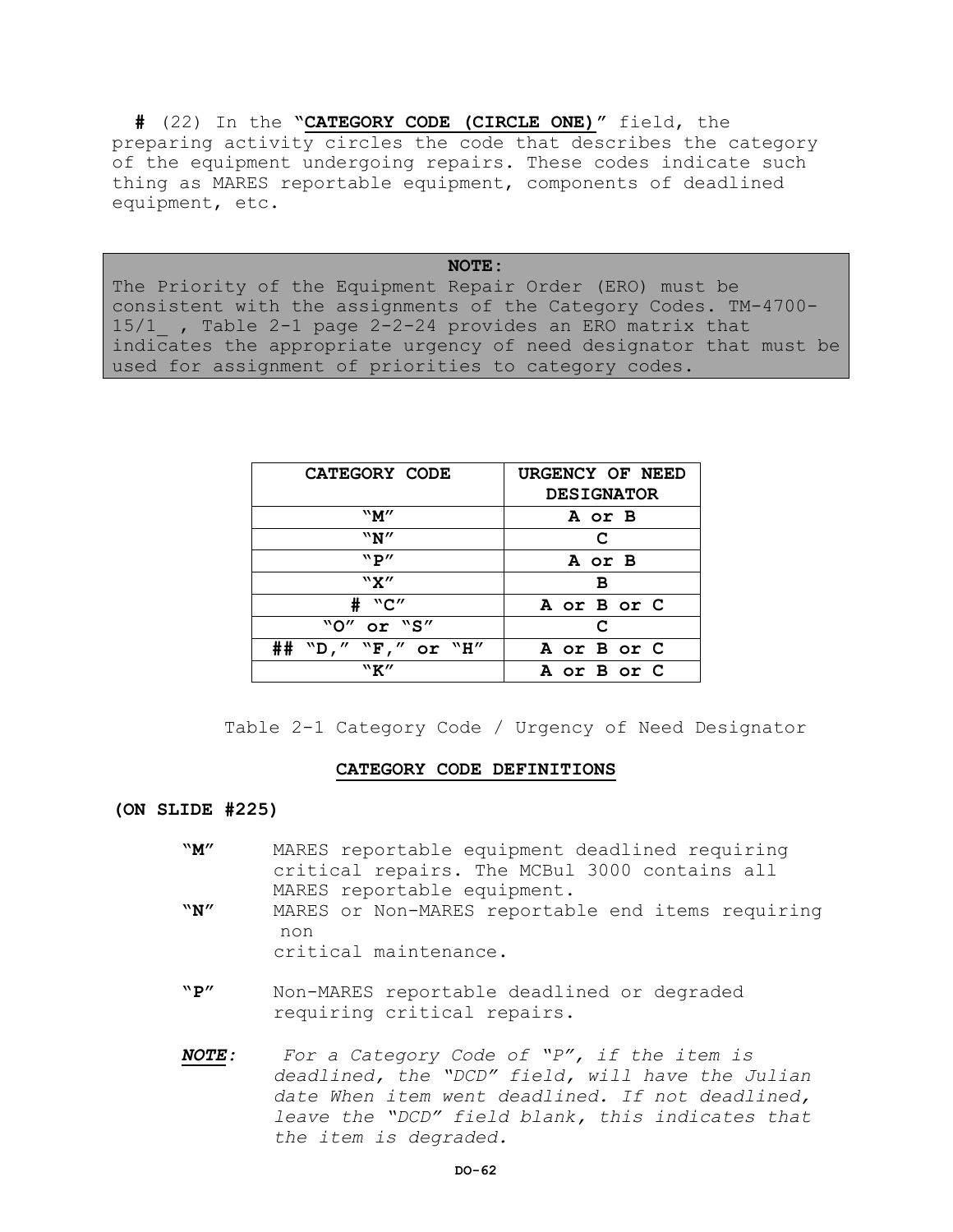**#** (22) In the **"CATEGORY CODE (CIRCLE ONE)"** field, the preparing activity circles the code that describes the category of the equipment undergoing repairs. These codes indicate such thing as MARES reportable equipment, components of deadlined equipment, etc.

**NOTE:** The Priority of the Equipment Repair Order (ERO) must be consistent with the assignments of the Category Codes. TM-4700- 15/1\_ , Table 2-1 page 2-2-24 provides an ERO matrix that indicates the appropriate urgency of need designator that must be used for assignment of priorities to category codes.

| CATEGORY CODE          | URGENCY OF NEED   |
|------------------------|-------------------|
|                        | <b>DESIGNATOR</b> |
| "M"                    | A or B            |
| ``N''                  | C                 |
| ``P''                  | A or B            |
| "X"                    | в                 |
| #<br>"C"               | A or B or C       |
| "O"<br>or "S"          | C                 |
| ##<br>"D," "F," or "H" | A or B or C       |
| "K"                    | A or B or C       |

Table 2-1 Category Code / Urgency of Need Designator

## **CATEGORY CODE DEFINITIONS**

**(ON SLIDE #225)**

- **"M"** MARES reportable equipment deadlined requiring critical repairs. The MCBul 3000 contains all MARES reportable equipment.
- **"N"** MARES or Non-MARES reportable end items requiring non
	- critical maintenance.
- **"P"** Non-MARES reportable deadlined or degraded requiring critical repairs.
- *NOTE: For a Category Code of "P", if the item is deadlined, the "DCD" field, will have the Julian date When item went deadlined. If not deadlined, leave the "DCD" field blank, this indicates that the item is degraded.*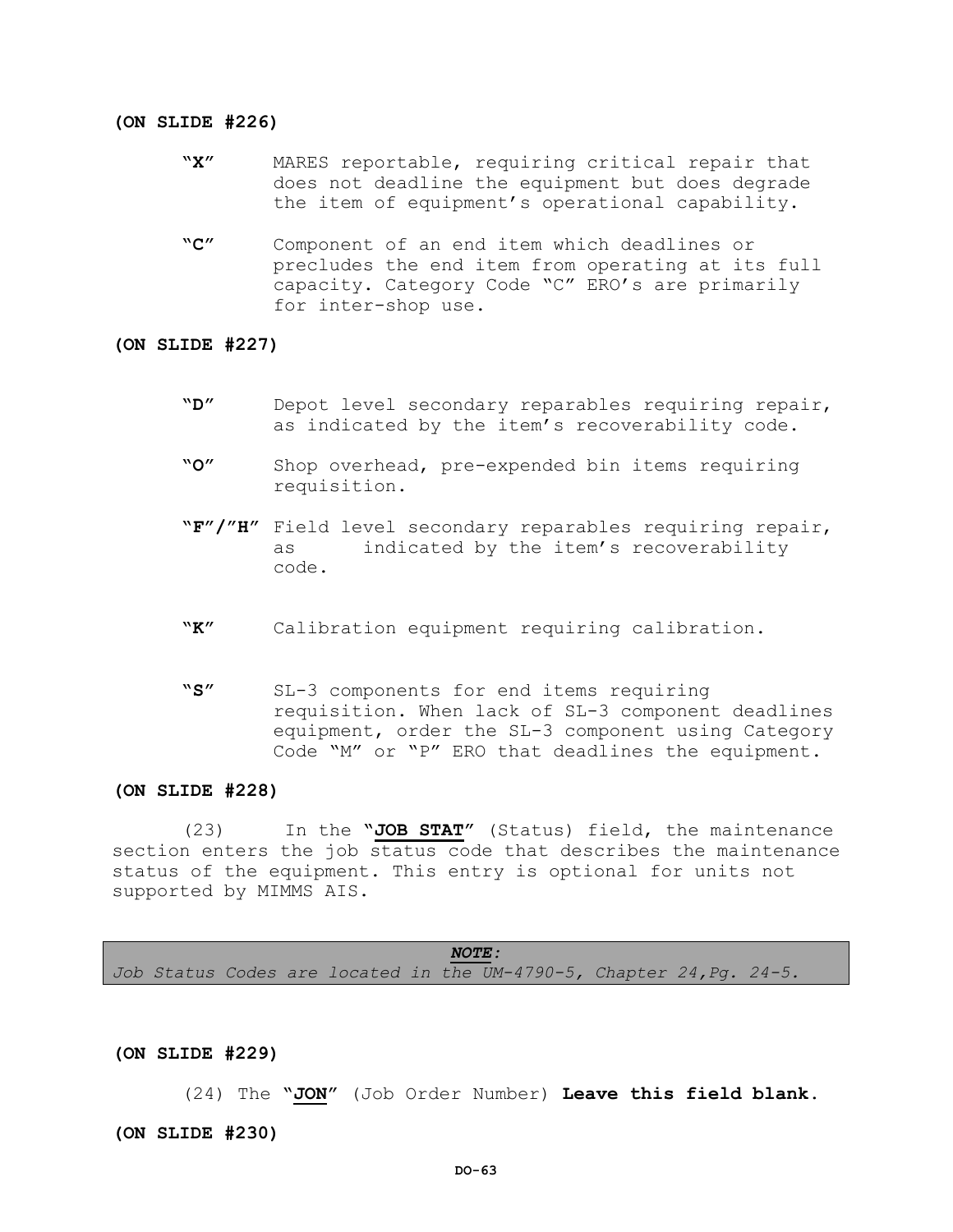#### **(ON SLIDE #226)**

- **"X"** MARES reportable, requiring critical repair that does not deadline the equipment but does degrade the item of equipment's operational capability.
- **"C"** Component of an end item which deadlines or precludes the end item from operating at its full capacity. Category Code "C" ERO's are primarily for inter-shop use.

### **(ON SLIDE #227)**

- **"D"** Depot level secondary reparables requiring repair, as indicated by the item's recoverability code.
- **"O"** Shop overhead, pre-expended bin items requiring requisition.
- **"F"/"H"** Field level secondary reparables requiring repair, as indicated by the item's recoverability code.
- **"K"** Calibration equipment requiring calibration.
- **"S"** SL-3 components for end items requiring requisition. When lack of SL-3 component deadlines equipment, order the SL-3 component using Category Code "M" or "P" ERO that deadlines the equipment.

## **(ON SLIDE #228)**

(23) In the **"JOB STAT"** (Status) field, the maintenance section enters the job status code that describes the maintenance status of the equipment. This entry is optional for units not supported by MIMMS AIS.

*NOTE: Job Status Codes are located in the UM-4790-5, Chapter 24,Pg. 24-5.*

**(ON SLIDE #229)**

(24) The **"JON"** (Job Order Number) **Leave this field blank. (ON SLIDE #230)**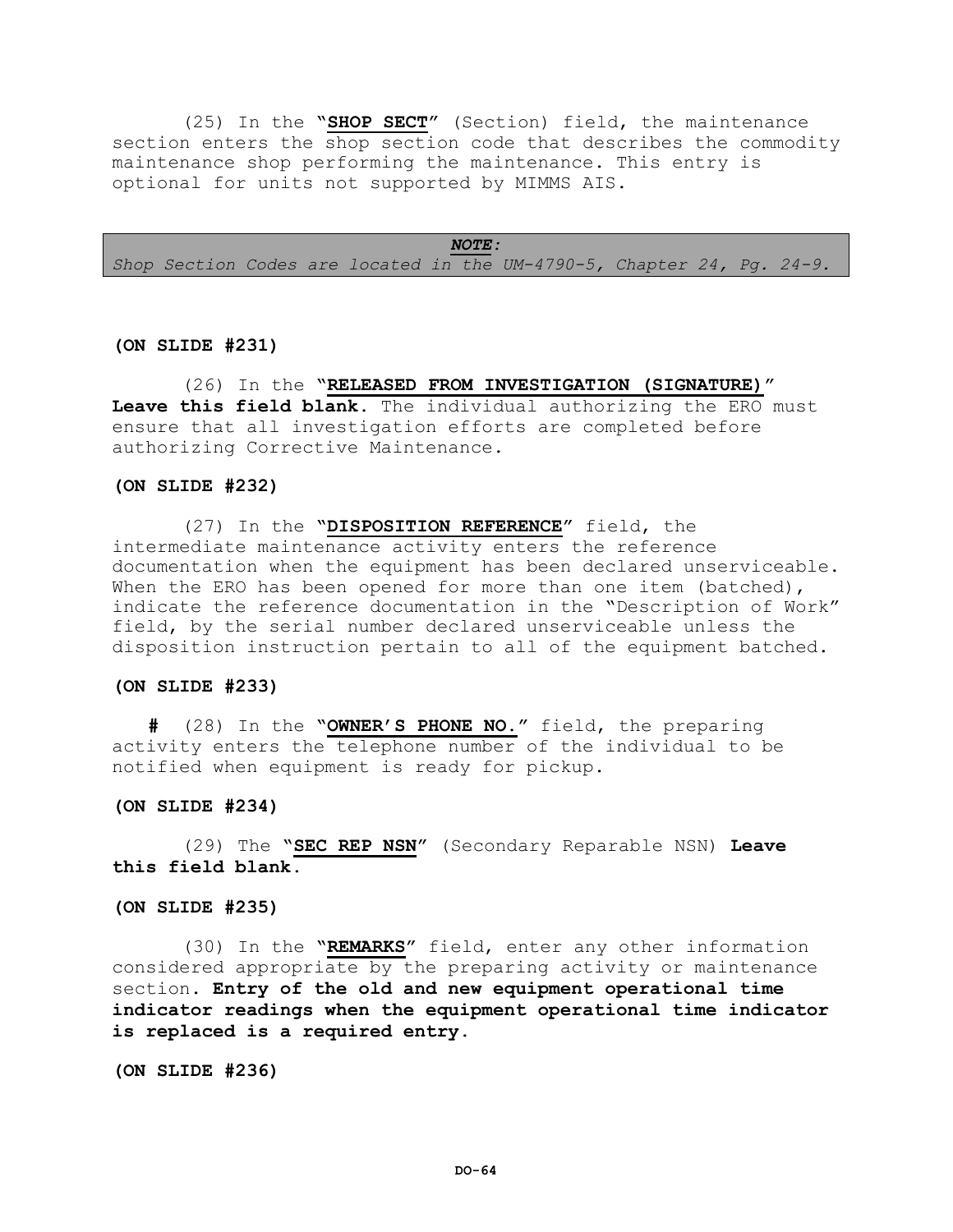(25) In the **"SHOP SECT"** (Section) field, the maintenance section enters the shop section code that describes the commodity maintenance shop performing the maintenance. This entry is optional for units not supported by MIMMS AIS.

*NOTE:*

*Shop Section Codes are located in the UM-4790-5, Chapter 24, Pg. 24-9.*

### **(ON SLIDE #231)**

(26) In the **"RELEASED FROM INVESTIGATION (SIGNATURE)" Leave this field blank**. The individual authorizing the ERO must ensure that all investigation efforts are completed before authorizing Corrective Maintenance.

### **(ON SLIDE #232)**

(27) In the **"DISPOSITION REFERENCE"** field, the intermediate maintenance activity enters the reference documentation when the equipment has been declared unserviceable. When the ERO has been opened for more than one item (batched), indicate the reference documentation in the "Description of Work" field, by the serial number declared unserviceable unless the disposition instruction pertain to all of the equipment batched.

### **(ON SLIDE #233)**

**#** (28) In the **"OWNER'S PHONE NO."** field, the preparing activity enters the telephone number of the individual to be notified when equipment is ready for pickup.

#### **(ON SLIDE #234)**

(29) The **"SEC REP NSN"** (Secondary Reparable NSN) **Leave this field blank.**

### **(ON SLIDE #235)**

(30) In the **"REMARKS"** field, enter any other information considered appropriate by the preparing activity or maintenance section. **Entry of the old and new equipment operational time indicator readings when the equipment operational time indicator is replaced is a required entry.**

**(ON SLIDE #236)**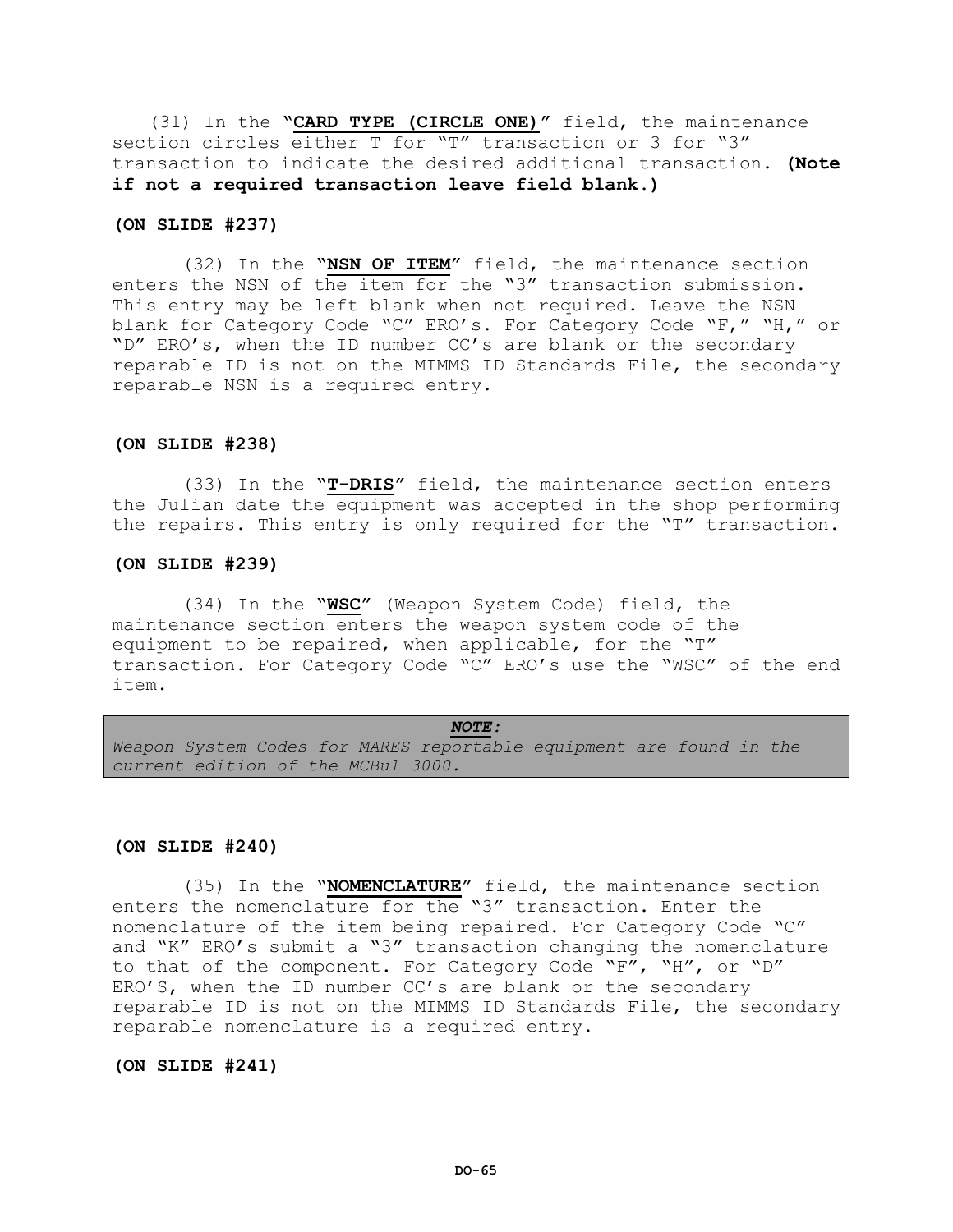(31) In the **"CARD TYPE (CIRCLE ONE)"** field, the maintenance section circles either T for "T" transaction or 3 for "3" transaction to indicate the desired additional transaction. **(Note if not a required transaction leave field blank.)**

### **(ON SLIDE #237)**

(32) In the **"NSN OF ITEM"** field, the maintenance section enters the NSN of the item for the "3" transaction submission. This entry may be left blank when not required. Leave the NSN blank for Category Code "C" ERO's. For Category Code "F," "H," or "D" ERO's, when the ID number CC's are blank or the secondary reparable ID is not on the MIMMS ID Standards File, the secondary reparable NSN is a required entry.

### **(ON SLIDE #238)**

 (33) In the **"T-DRIS"** field, the maintenance section enters the Julian date the equipment was accepted in the shop performing the repairs. This entry is only required for the "T" transaction.

### **(ON SLIDE #239)**

(34) In the **"WSC"** (Weapon System Code) field, the maintenance section enters the weapon system code of the equipment to be repaired, when applicable, for the "T" transaction. For Category Code "C" ERO's use the "WSC" of the end item.

*NOTE: Weapon System Codes for MARES reportable equipment are found in the current edition of the MCBul 3000.*

#### **(ON SLIDE #240)**

(35) In the **"NOMENCLATURE"** field, the maintenance section enters the nomenclature for the "3" transaction. Enter the nomenclature of the item being repaired. For Category Code "C" and "K" ERO's submit a "3" transaction changing the nomenclature to that of the component. For Category Code "F", "H", or "D" ERO'S, when the ID number CC's are blank or the secondary reparable ID is not on the MIMMS ID Standards File, the secondary reparable nomenclature is a required entry.

## **(ON SLIDE #241)**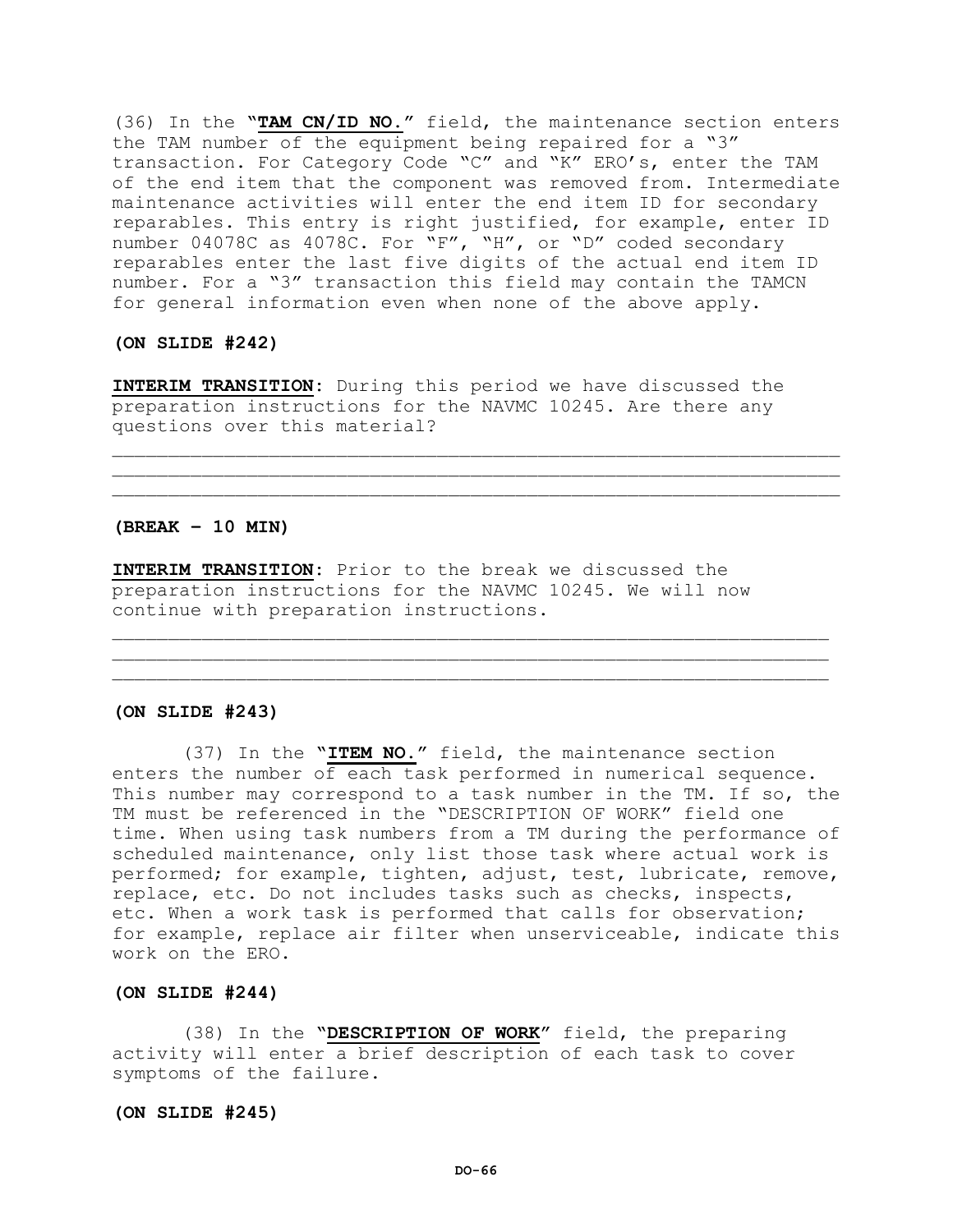(36) In the **"TAM CN/ID NO."** field, the maintenance section enters the TAM number of the equipment being repaired for a "3" transaction. For Category Code "C" and "K" ERO's, enter the TAM of the end item that the component was removed from. Intermediate maintenance activities will enter the end item ID for secondary reparables. This entry is right justified, for example, enter ID number 04078C as 4078C. For "F", "H", or "D" coded secondary reparables enter the last five digits of the actual end item ID number. For a "3" transaction this field may contain the TAMCN for general information even when none of the above apply.

### **(ON SLIDE #242)**

**INTERIM TRANSITION:** During this period we have discussed the preparation instructions for the NAVMC 10245. Are there any questions over this material?

 $\mathcal{L} = \{ \mathcal{L} = \{ \mathcal{L} \} \cup \{ \mathcal{L} \} \cup \{ \mathcal{L} \} \cup \{ \mathcal{L} \} \cup \{ \mathcal{L} \} \cup \{ \mathcal{L} \} \cup \{ \mathcal{L} \} \cup \{ \mathcal{L} \} \cup \{ \mathcal{L} \} \cup \{ \mathcal{L} \} \cup \{ \mathcal{L} \} \cup \{ \mathcal{L} \} \cup \{ \mathcal{L} \} \cup \{ \mathcal{L} \} \cup \{ \mathcal{L} \} \cup \{ \mathcal{L} \} \cup \{ \mathcal{L} \} \cup$  $\mathcal{L} = \{ \mathcal{L} = \{ \mathcal{L} \} \cup \{ \mathcal{L} \} \cup \{ \mathcal{L} \} \cup \{ \mathcal{L} \} \cup \{ \mathcal{L} \} \cup \{ \mathcal{L} \} \cup \{ \mathcal{L} \} \cup \{ \mathcal{L} \} \cup \{ \mathcal{L} \} \cup \{ \mathcal{L} \} \cup \{ \mathcal{L} \} \cup \{ \mathcal{L} \} \cup \{ \mathcal{L} \} \cup \{ \mathcal{L} \} \cup \{ \mathcal{L} \} \cup \{ \mathcal{L} \} \cup \{ \mathcal{L} \} \cup$ 

 $\mathcal{L}_\mathcal{L}$  , where  $\mathcal{L}_\mathcal{L}$  is the contribution of the contribution of the contribution of the contribution of the contribution of the contribution of the contribution of the contribution of the contribution of \_\_\_\_\_\_\_\_\_\_\_\_\_\_\_\_\_\_\_\_\_\_\_\_\_\_\_\_\_\_\_\_\_\_\_\_\_\_\_\_\_\_\_\_\_\_\_\_\_\_\_\_\_\_\_\_\_\_\_\_\_\_\_\_

#### **(BREAK – 10 MIN)**

**INTERIM TRANSITION:** Prior to the break we discussed the preparation instructions for the NAVMC 10245. We will now continue with preparation instructions.

#### **(ON SLIDE #243)**

(37) In the **"ITEM NO."** field, the maintenance section enters the number of each task performed in numerical sequence. This number may correspond to a task number in the TM. If so, the TM must be referenced in the "DESCRIPTION OF WORK" field one time. When using task numbers from a TM during the performance of scheduled maintenance, only list those task where actual work is performed; for example, tighten, adjust, test, lubricate, remove, replace, etc. Do not includes tasks such as checks, inspects, etc. When a work task is performed that calls for observation; for example, replace air filter when unserviceable, indicate this work on the ERO.

### **(ON SLIDE #244)**

(38) In the **"DESCRIPTION OF WORK"** field, the preparing activity will enter a brief description of each task to cover symptoms of the failure.

### **(ON SLIDE #245)**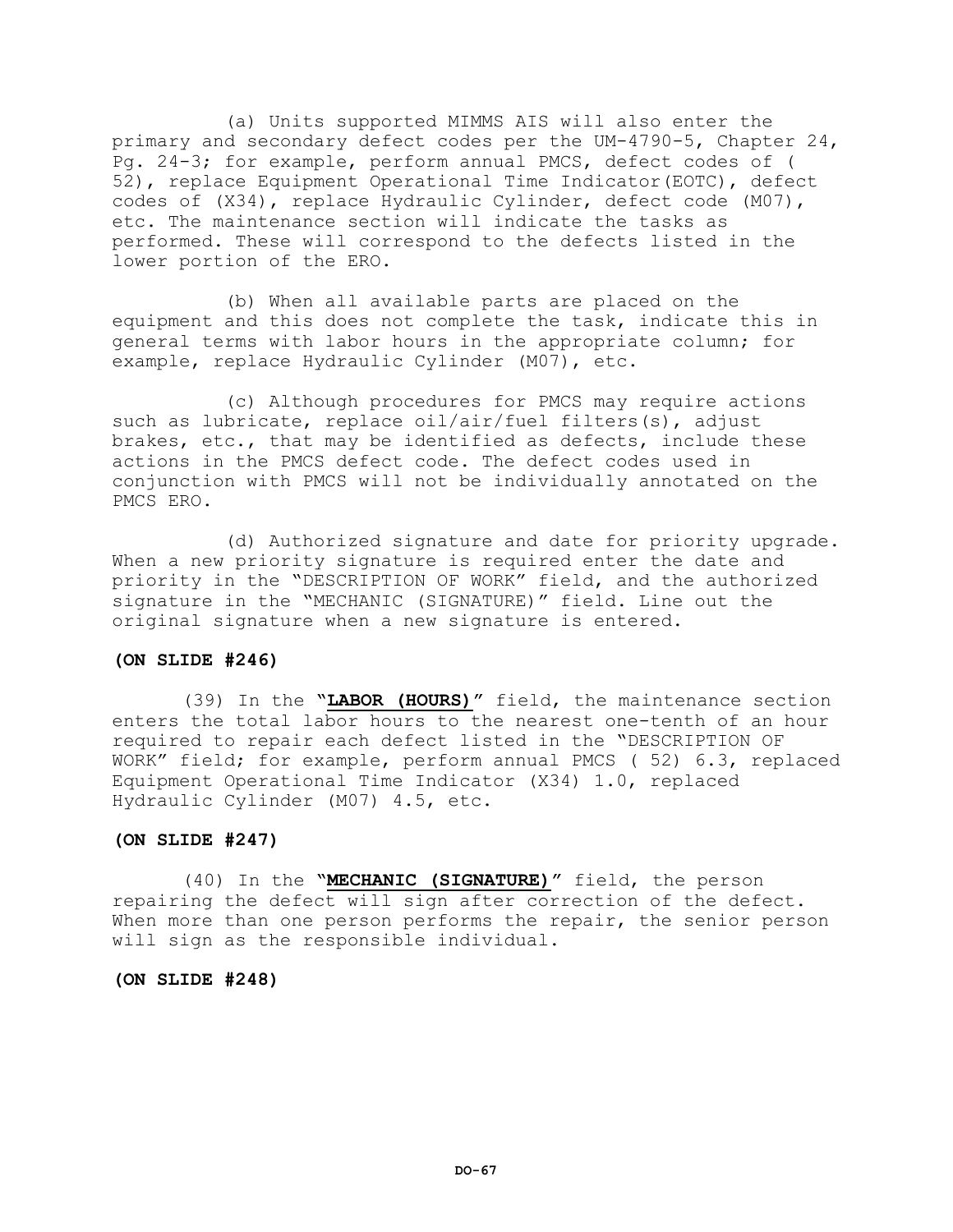(a) Units supported MIMMS AIS will also enter the primary and secondary defect codes per the UM-4790-5, Chapter 24, Pg. 24-3; for example, perform annual PMCS, defect codes of ( 52), replace Equipment Operational Time Indicator(EOTC), defect codes of (X34), replace Hydraulic Cylinder, defect code (M07), etc. The maintenance section will indicate the tasks as performed. These will correspond to the defects listed in the lower portion of the ERO.

(b) When all available parts are placed on the equipment and this does not complete the task, indicate this in general terms with labor hours in the appropriate column; for example, replace Hydraulic Cylinder (M07), etc.

(c) Although procedures for PMCS may require actions such as lubricate, replace oil/air/fuel filters(s), adjust brakes, etc., that may be identified as defects, include these actions in the PMCS defect code. The defect codes used in conjunction with PMCS will not be individually annotated on the PMCS ERO.

(d) Authorized signature and date for priority upgrade. When a new priority signature is required enter the date and priority in the "DESCRIPTION OF WORK" field, and the authorized signature in the "MECHANIC (SIGNATURE)" field. Line out the original signature when a new signature is entered.

### **(ON SLIDE #246)**

(39) In the **"LABOR (HOURS)"** field, the maintenance section enters the total labor hours to the nearest one-tenth of an hour required to repair each defect listed in the "DESCRIPTION OF WORK" field; for example, perform annual PMCS ( 52) 6.3, replaced Equipment Operational Time Indicator (X34) 1.0, replaced Hydraulic Cylinder (M07) 4.5, etc.

### **(ON SLIDE #247)**

(40) In the **"MECHANIC (SIGNATURE)"** field, the person repairing the defect will sign after correction of the defect. When more than one person performs the repair, the senior person will sign as the responsible individual.

**(ON SLIDE #248)**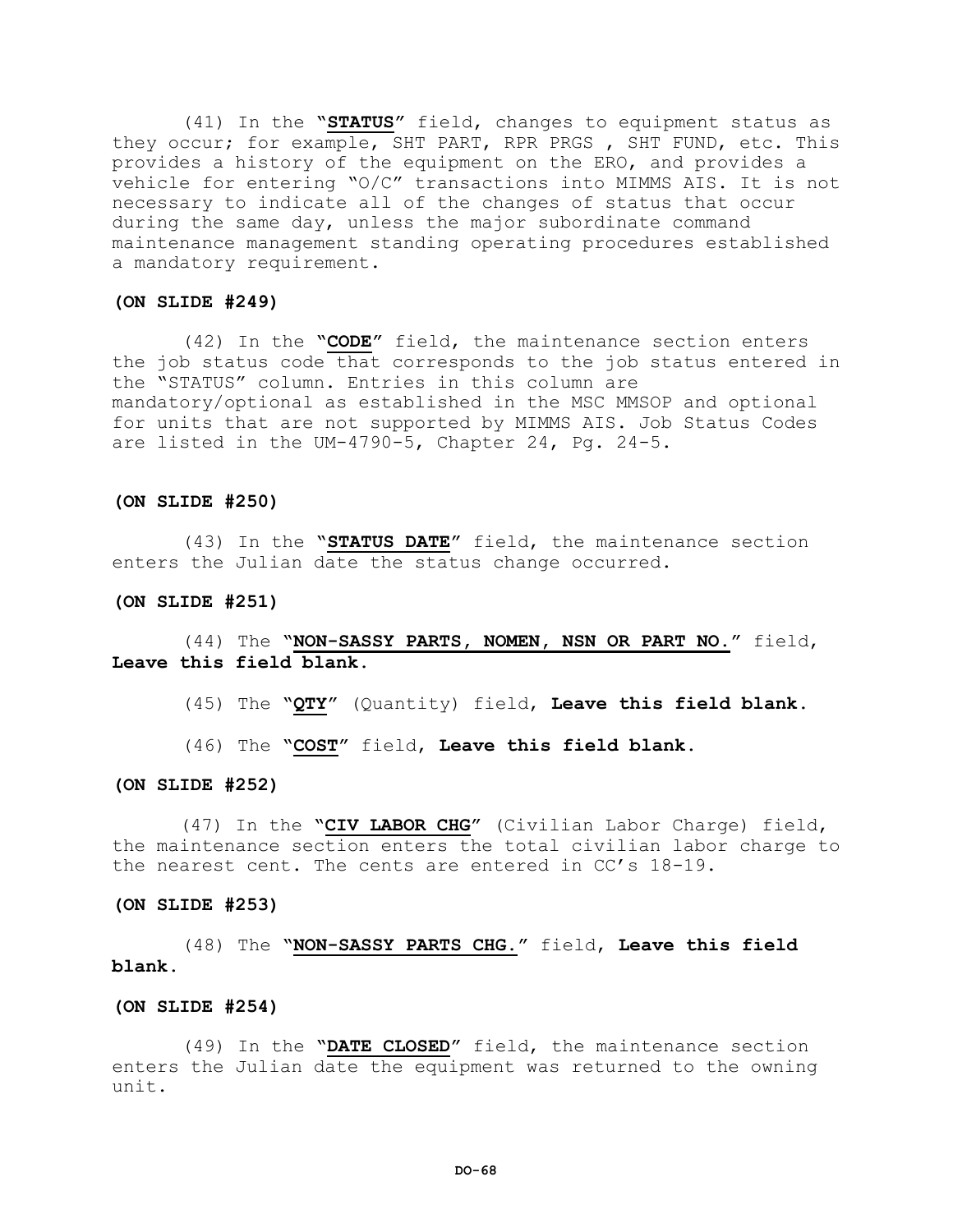(41) In the **"STATUS"** field, changes to equipment status as they occur; for example, SHT PART, RPR PRGS , SHT FUND, etc. This provides a history of the equipment on the ERO, and provides a vehicle for entering "O/C" transactions into MIMMS AIS. It is not necessary to indicate all of the changes of status that occur during the same day, unless the major subordinate command maintenance management standing operating procedures established a mandatory requirement.

#### **(ON SLIDE #249)**

(42) In the **"CODE"** field, the maintenance section enters the job status code that corresponds to the job status entered in the "STATUS" column. Entries in this column are mandatory/optional as established in the MSC MMSOP and optional for units that are not supported by MIMMS AIS. Job Status Codes are listed in the UM-4790-5, Chapter 24, Pg. 24-5.

#### **(ON SLIDE #250)**

(43) In the **"STATUS DATE"** field, the maintenance section enters the Julian date the status change occurred.

#### **(ON SLIDE #251)**

# (44) The **"NON-SASSY PARTS, NOMEN, NSN OR PART NO."** field, **Leave this field blank.**

(45) The **"QTY"** (Quantity) field, **Leave this field blank.**

(46) The **"COST"** field, **Leave this field blank.**

#### **(ON SLIDE #252)**

 (47) In the **"CIV LABOR CHG"** (Civilian Labor Charge) field, the maintenance section enters the total civilian labor charge to the nearest cent. The cents are entered in CC's 18-19.

#### **(ON SLIDE #253)**

# (48) The **"NON-SASSY PARTS CHG."** field, **Leave this field blank.**

#### **(ON SLIDE #254)**

(49) In the **"DATE CLOSED"** field, the maintenance section enters the Julian date the equipment was returned to the owning unit.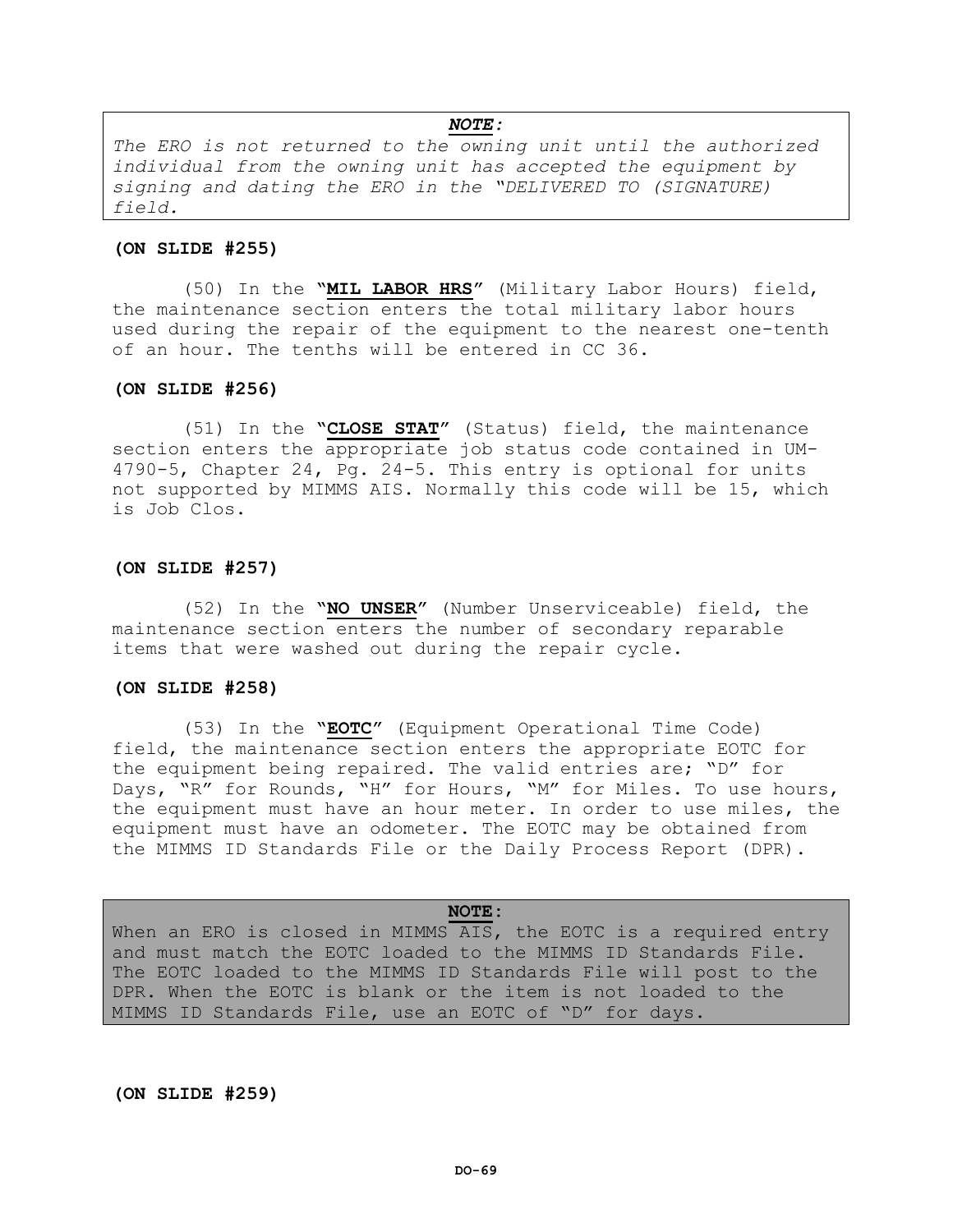*NOTE: The ERO is not returned to the owning unit until the authorized individual from the owning unit has accepted the equipment by signing and dating the ERO in the "DELIVERED TO (SIGNATURE) field.*

#### **(ON SLIDE #255)**

(50) In the **"MIL LABOR HRS"** (Military Labor Hours) field, the maintenance section enters the total military labor hours used during the repair of the equipment to the nearest one-tenth of an hour. The tenths will be entered in CC 36.

#### **(ON SLIDE #256)**

(51) In the **"CLOSE STAT"** (Status) field, the maintenance section enters the appropriate job status code contained in UM-4790-5, Chapter 24, Pg. 24-5. This entry is optional for units not supported by MIMMS AIS. Normally this code will be 15, which is Job Clos.

#### **(ON SLIDE #257)**

(52) In the **"NO UNSER"** (Number Unserviceable) field, the maintenance section enters the number of secondary reparable items that were washed out during the repair cycle.

#### **(ON SLIDE #258)**

(53) In the **"EOTC"** (Equipment Operational Time Code) field, the maintenance section enters the appropriate EOTC for the equipment being repaired. The valid entries are; "D" for Days, "R" for Rounds, "H" for Hours, "M" for Miles. To use hours, the equipment must have an hour meter. In order to use miles, the equipment must have an odometer. The EOTC may be obtained from the MIMMS ID Standards File or the Daily Process Report (DPR).

#### **NOTE:**

When an ERO is closed in MIMMS AIS, the EOTC is a required entry and must match the EOTC loaded to the MIMMS ID Standards File. The EOTC loaded to the MIMMS ID Standards File will post to the DPR. When the EOTC is blank or the item is not loaded to the MIMMS ID Standards File, use an EOTC of "D" for days.

### **(ON SLIDE #259)**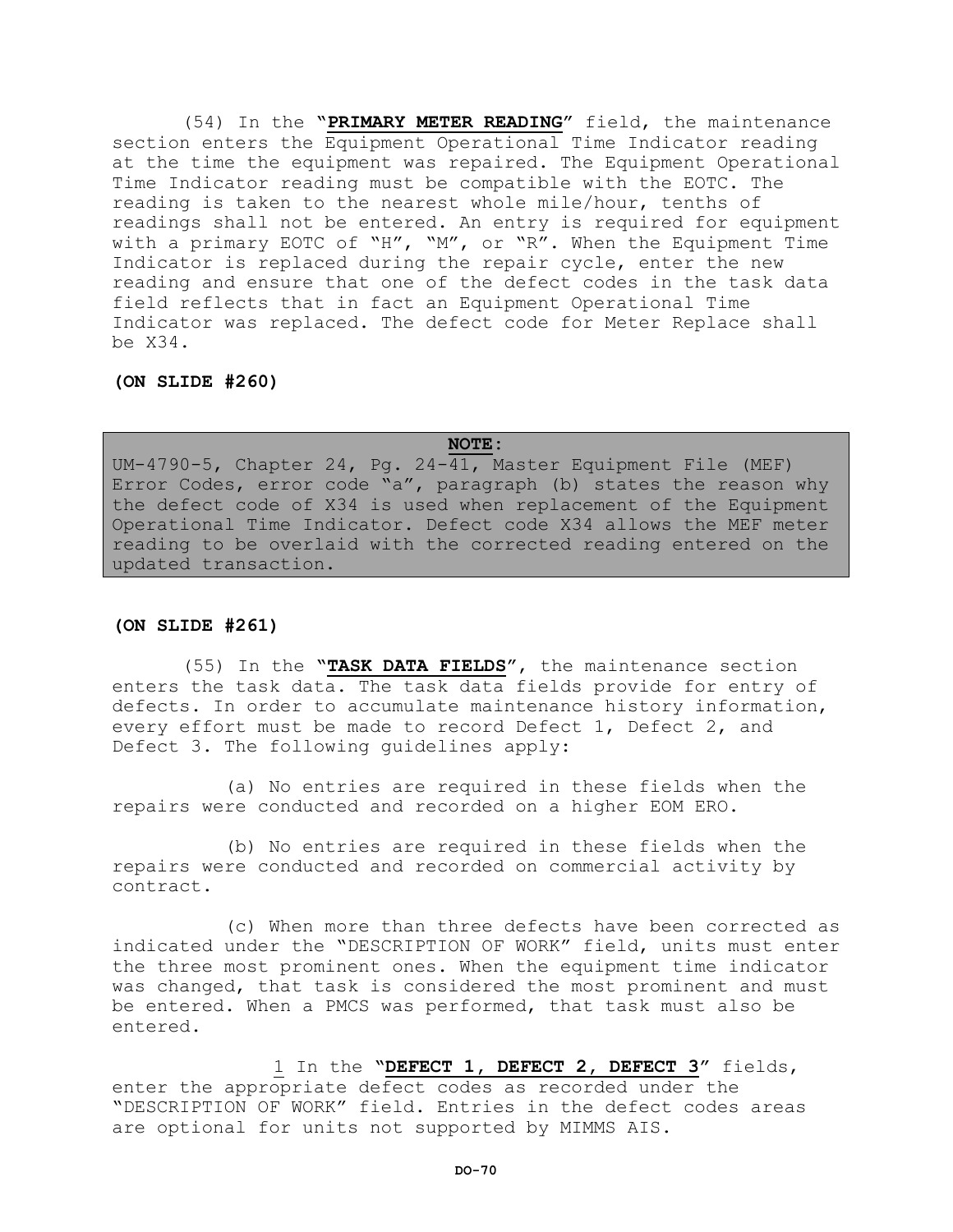(54) In the **"PRIMARY METER READING"** field, the maintenance section enters the Equipment Operational Time Indicator reading at the time the equipment was repaired. The Equipment Operational Time Indicator reading must be compatible with the EOTC. The reading is taken to the nearest whole mile/hour, tenths of readings shall not be entered. An entry is required for equipment with a primary EOTC of "H", "M", or "R". When the Equipment Time Indicator is replaced during the repair cycle, enter the new reading and ensure that one of the defect codes in the task data field reflects that in fact an Equipment Operational Time Indicator was replaced. The defect code for Meter Replace shall be X34.

**(ON SLIDE #260)**

### **NOTE:**

UM-4790-5, Chapter 24, Pg. 24-41, Master Equipment File (MEF) Error Codes, error code "a", paragraph (b) states the reason why the defect code of X34 is used when replacement of the Equipment Operational Time Indicator. Defect code X34 allows the MEF meter reading to be overlaid with the corrected reading entered on the updated transaction.

## **(ON SLIDE #261)**

(55) In the **"TASK DATA FIELDS"**, the maintenance section enters the task data. The task data fields provide for entry of defects. In order to accumulate maintenance history information, every effort must be made to record Defect 1, Defect 2, and Defect 3. The following guidelines apply:

(a) No entries are required in these fields when the repairs were conducted and recorded on a higher EOM ERO.

(b) No entries are required in these fields when the repairs were conducted and recorded on commercial activity by contract.

(c) When more than three defects have been corrected as indicated under the "DESCRIPTION OF WORK" field, units must enter the three most prominent ones. When the equipment time indicator was changed, that task is considered the most prominent and must be entered. When a PMCS was performed, that task must also be entered.

1 In the **"DEFECT 1, DEFECT 2, DEFECT 3"** fields, enter the appropriate defect codes as recorded under the "DESCRIPTION OF WORK" field. Entries in the defect codes areas are optional for units not supported by MIMMS AIS.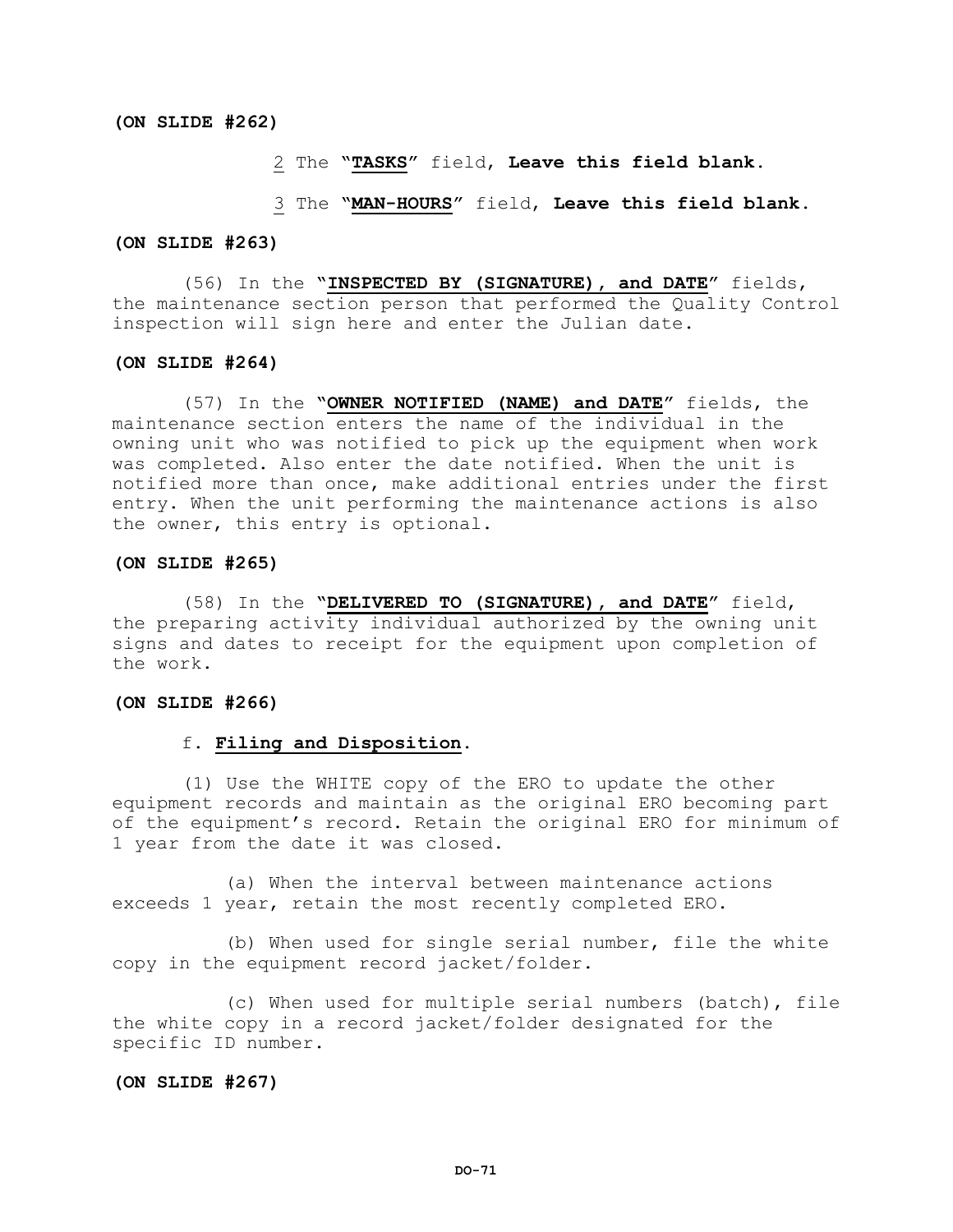2 The **"TASKS"** field, **Leave this field blank.**

#### 3 The **"MAN-HOURS"** field, **Leave this field blank.**

#### **(ON SLIDE #263)**

(56) In the **"INSPECTED BY (SIGNATURE), and DATE"** fields, the maintenance section person that performed the Quality Control inspection will sign here and enter the Julian date.

#### **(ON SLIDE #264)**

(57) In the **"OWNER NOTIFIED (NAME) and DATE"** fields, the maintenance section enters the name of the individual in the owning unit who was notified to pick up the equipment when work was completed. Also enter the date notified. When the unit is notified more than once, make additional entries under the first entry. When the unit performing the maintenance actions is also the owner, this entry is optional.

#### **(ON SLIDE #265)**

(58) In the **"DELIVERED TO (SIGNATURE), and DATE"** field, the preparing activity individual authorized by the owning unit signs and dates to receipt for the equipment upon completion of the work.

#### **(ON SLIDE #266)**

### f. **Filing and Disposition.**

(1) Use the WHITE copy of the ERO to update the other equipment records and maintain as the original ERO becoming part of the equipment's record. Retain the original ERO for minimum of 1 year from the date it was closed.

(a) When the interval between maintenance actions exceeds 1 year, retain the most recently completed ERO.

(b) When used for single serial number, file the white copy in the equipment record jacket/folder.

(c) When used for multiple serial numbers (batch), file the white copy in a record jacket/folder designated for the specific ID number.

### **(ON SLIDE #267)**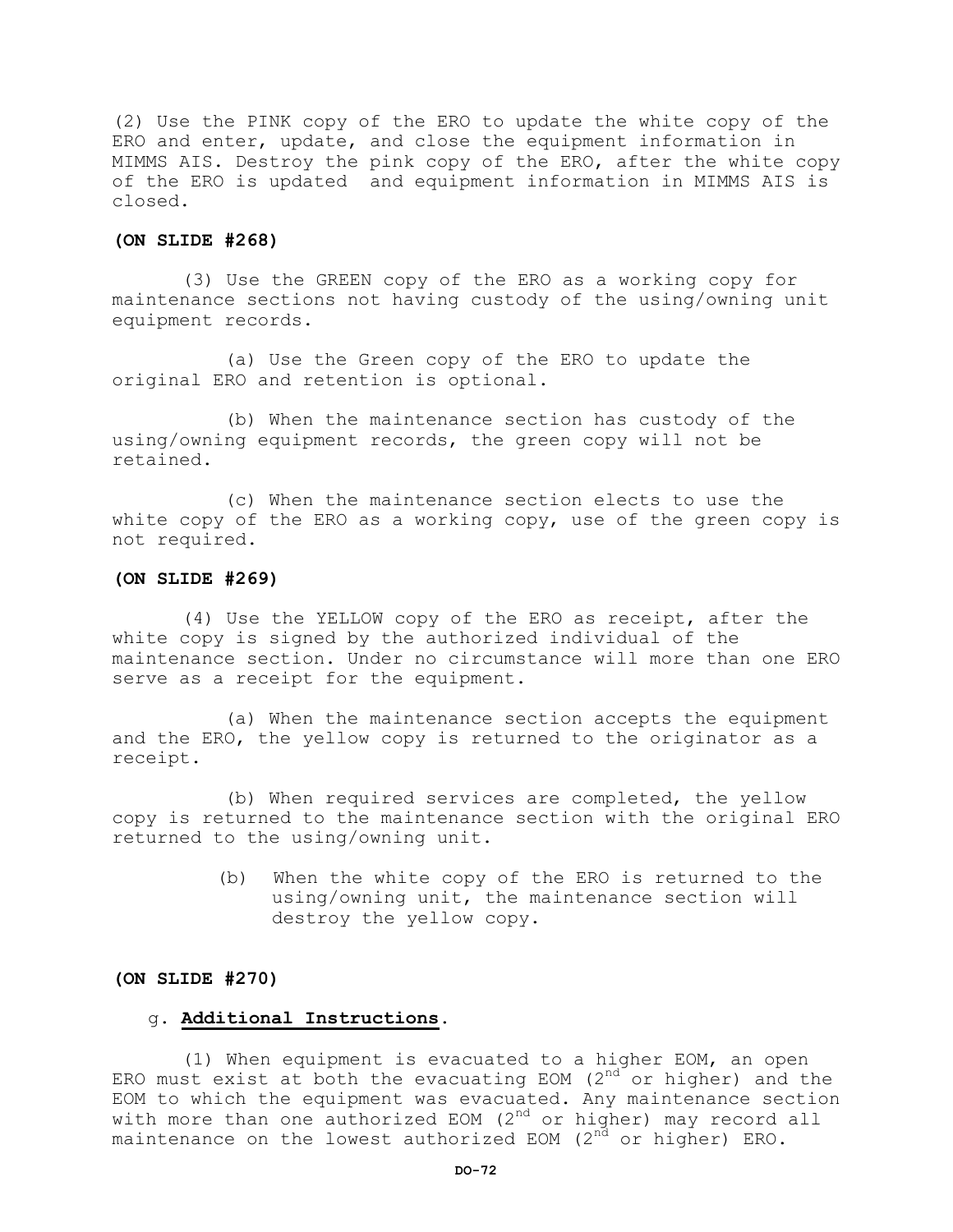(2) Use the PINK copy of the ERO to update the white copy of the ERO and enter, update, and close the equipment information in MIMMS AIS. Destroy the pink copy of the ERO, after the white copy of the ERO is updated and equipment information in MIMMS AIS is closed.

## **(ON SLIDE #268)**

(3) Use the GREEN copy of the ERO as a working copy for maintenance sections not having custody of the using/owning unit equipment records.

(a) Use the Green copy of the ERO to update the original ERO and retention is optional.

(b) When the maintenance section has custody of the using/owning equipment records, the green copy will not be retained.

(c) When the maintenance section elects to use the white copy of the ERO as a working copy, use of the green copy is not required.

#### **(ON SLIDE #269)**

(4) Use the YELLOW copy of the ERO as receipt, after the white copy is signed by the authorized individual of the maintenance section. Under no circumstance will more than one ERO serve as a receipt for the equipment.

(a) When the maintenance section accepts the equipment and the ERO, the yellow copy is returned to the originator as a receipt.

(b) When required services are completed, the yellow copy is returned to the maintenance section with the original ERO returned to the using/owning unit.

> (b) When the white copy of the ERO is returned to the using/owning unit, the maintenance section will destroy the yellow copy.

### **(ON SLIDE #270)**

## g. **Additional Instructions.**

(1) When equipment is evacuated to a higher EOM, an open ERO must exist at both the evacuating EOM  $(2^{nd}$  or higher) and the EOM to which the equipment was evacuated. Any maintenance section with more than one authorized EOM  $(2^{nd}$  or higher) may record all maintenance on the lowest authorized EOM  $(2^{nd}$  or higher) ERO.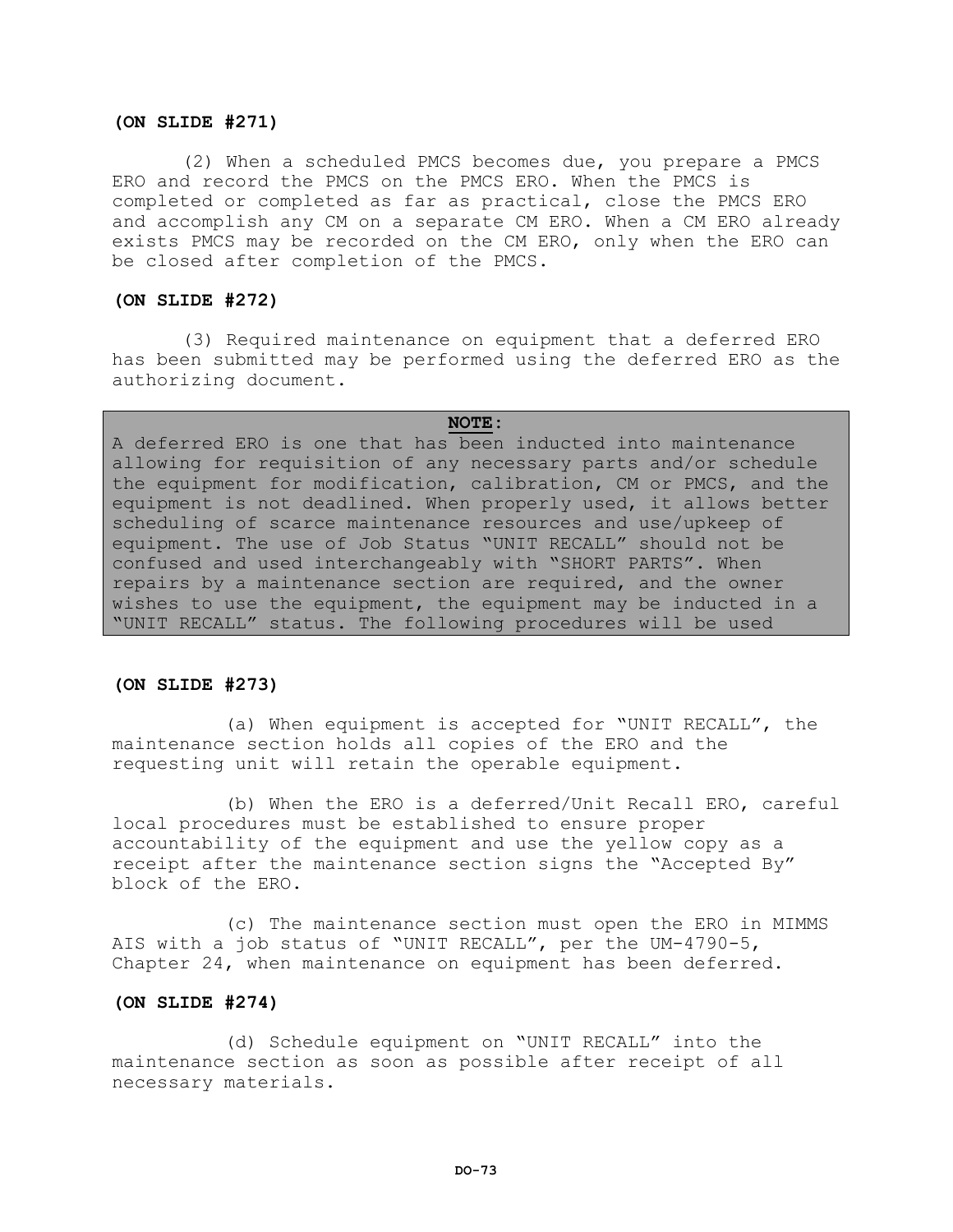# **(ON SLIDE #271)**

(2) When a scheduled PMCS becomes due, you prepare a PMCS ERO and record the PMCS on the PMCS ERO. When the PMCS is completed or completed as far as practical, close the PMCS ERO and accomplish any CM on a separate CM ERO. When a CM ERO already exists PMCS may be recorded on the CM ERO, only when the ERO can be closed after completion of the PMCS.

# **(ON SLIDE #272)**

(3) Required maintenance on equipment that a deferred ERO has been submitted may be performed using the deferred ERO as the authorizing document.

#### **NOTE:**

A deferred ERO is one that has been inducted into maintenance allowing for requisition of any necessary parts and/or schedule the equipment for modification, calibration, CM or PMCS, and the equipment is not deadlined. When properly used, it allows better scheduling of scarce maintenance resources and use/upkeep of equipment. The use of Job Status "UNIT RECALL" should not be confused and used interchangeably with "SHORT PARTS". When repairs by a maintenance section are required, and the owner wishes to use the equipment, the equipment may be inducted in a "UNIT RECALL" status. The following procedures will be used

# **(ON SLIDE #273)**

(a) When equipment is accepted for "UNIT RECALL", the maintenance section holds all copies of the ERO and the requesting unit will retain the operable equipment.

(b) When the ERO is a deferred/Unit Recall ERO, careful local procedures must be established to ensure proper accountability of the equipment and use the yellow copy as a receipt after the maintenance section signs the "Accepted By" block of the ERO.

(c) The maintenance section must open the ERO in MIMMS AIS with a job status of "UNIT RECALL", per the UM-4790-5, Chapter 24, when maintenance on equipment has been deferred.

# **(ON SLIDE #274)**

(d) Schedule equipment on "UNIT RECALL" into the maintenance section as soon as possible after receipt of all necessary materials.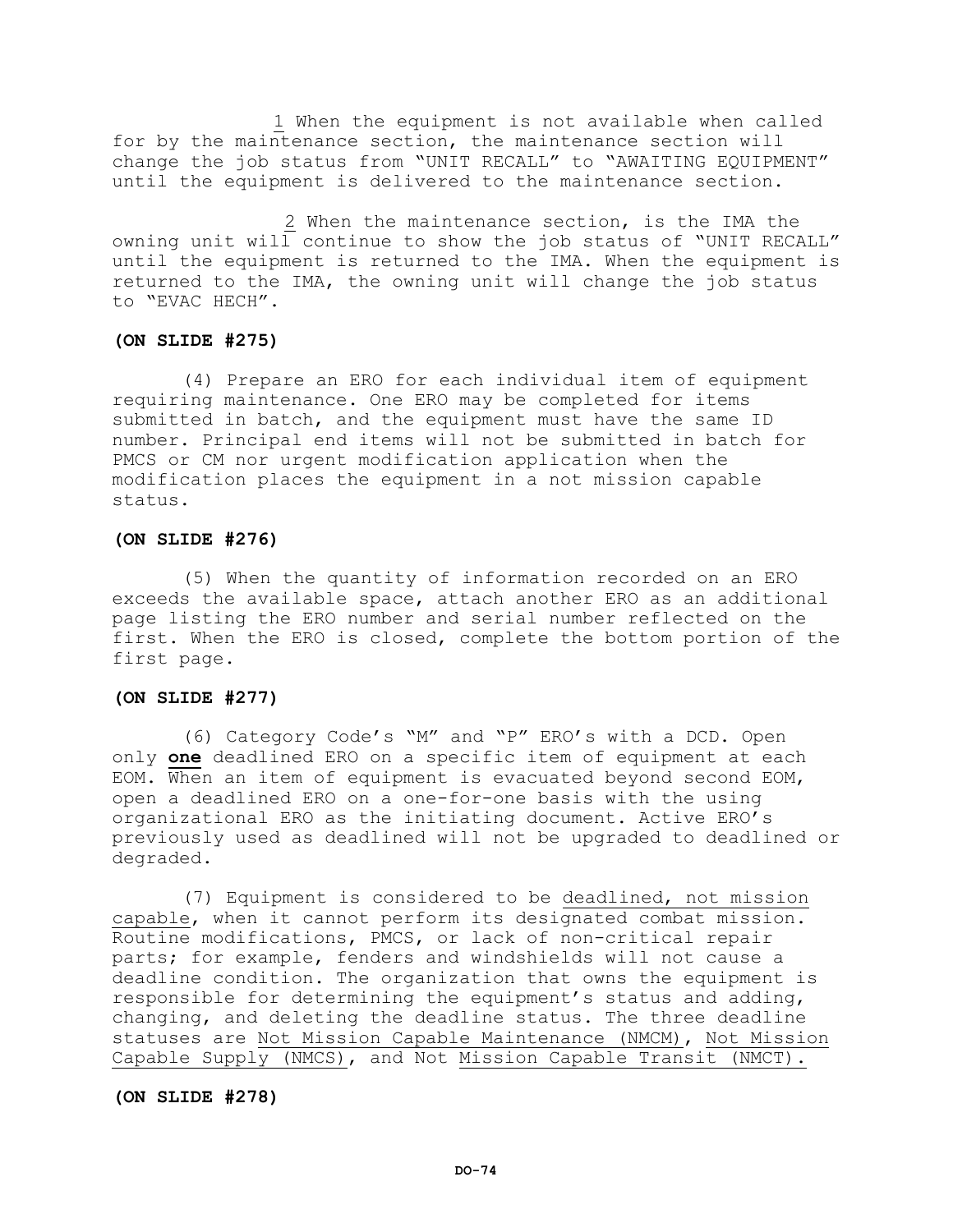1 When the equipment is not available when called for by the maintenance section, the maintenance section will change the job status from "UNIT RECALL" to "AWAITING EQUIPMENT" until the equipment is delivered to the maintenance section.

2 When the maintenance section, is the IMA the owning unit will continue to show the job status of "UNIT RECALL" until the equipment is returned to the IMA. When the equipment is returned to the IMA, the owning unit will change the job status to "EVAC HECH".

# **(ON SLIDE #275)**

(4) Prepare an ERO for each individual item of equipment requiring maintenance. One ERO may be completed for items submitted in batch, and the equipment must have the same ID number. Principal end items will not be submitted in batch for PMCS or CM nor urgent modification application when the modification places the equipment in a not mission capable status.

# **(ON SLIDE #276)**

(5) When the quantity of information recorded on an ERO exceeds the available space, attach another ERO as an additional page listing the ERO number and serial number reflected on the first. When the ERO is closed, complete the bottom portion of the first page.

# **(ON SLIDE #277)**

(6) Category Code's "M" and "P" ERO's with a DCD. Open only **one** deadlined ERO on a specific item of equipment at each EOM. When an item of equipment is evacuated beyond second EOM, open a deadlined ERO on a one-for-one basis with the using organizational ERO as the initiating document. Active ERO's previously used as deadlined will not be upgraded to deadlined or degraded.

(7) Equipment is considered to be deadlined, not mission capable, when it cannot perform its designated combat mission. Routine modifications, PMCS, or lack of non-critical repair parts; for example, fenders and windshields will not cause a deadline condition. The organization that owns the equipment is responsible for determining the equipment's status and adding, changing, and deleting the deadline status. The three deadline statuses are Not Mission Capable Maintenance (NMCM), Not Mission Capable Supply (NMCS), and Not Mission Capable Transit (NMCT).

## **(ON SLIDE #278)**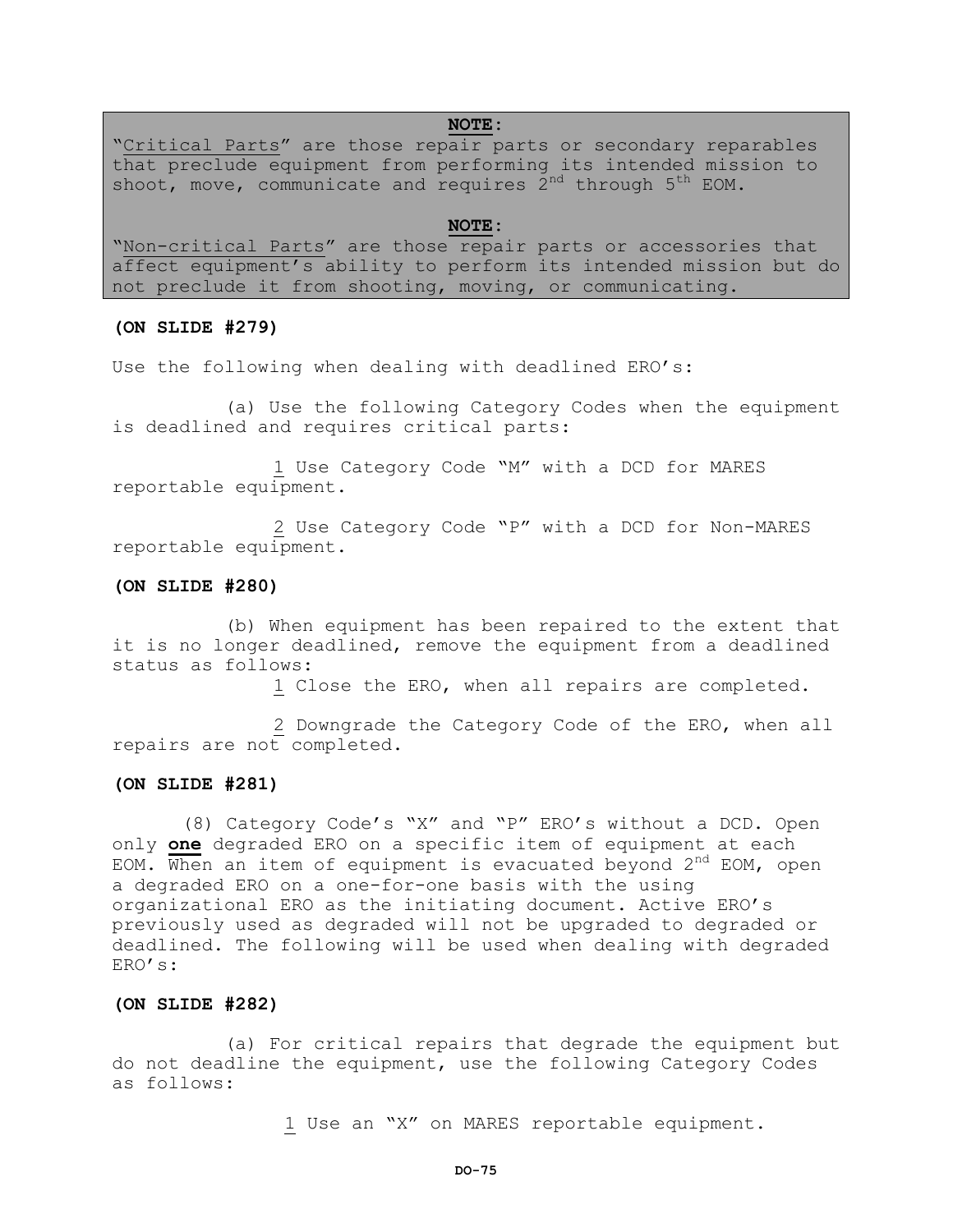# **NOTE:**

"Critical Parts" are those repair parts or secondary reparables that preclude equipment from performing its intended mission to shoot, move, communicate and requires  $2^{nd}$  through  $5^{th}$  EOM.

#### **NOTE:**

"Non-critical Parts" are those repair parts or accessories that affect equipment's ability to perform its intended mission but do not preclude it from shooting, moving, or communicating.

## **(ON SLIDE #279)**

Use the following when dealing with deadlined ERO's:

(a) Use the following Category Codes when the equipment is deadlined and requires critical parts:

1 Use Category Code "M" with a DCD for MARES reportable equipment.

2 Use Category Code "P" with a DCD for Non-MARES reportable equipment.

# **(ON SLIDE #280)**

(b) When equipment has been repaired to the extent that it is no longer deadlined, remove the equipment from a deadlined status as follows:

1 Close the ERO, when all repairs are completed.

2 Downgrade the Category Code of the ERO, when all repairs are not completed.

## **(ON SLIDE #281)**

(8) Category Code's "X" and "P" ERO's without a DCD. Open only **one** degraded ERO on a specific item of equipment at each EOM. When an item of equipment is evacuated beyond  $2^{nd}$  EOM, open a degraded ERO on a one-for-one basis with the using organizational ERO as the initiating document. Active ERO's previously used as degraded will not be upgraded to degraded or deadlined. The following will be used when dealing with degraded ERO's:

# **(ON SLIDE #282)**

(a) For critical repairs that degrade the equipment but do not deadline the equipment, use the following Category Codes as follows:

1 Use an "X" on MARES reportable equipment.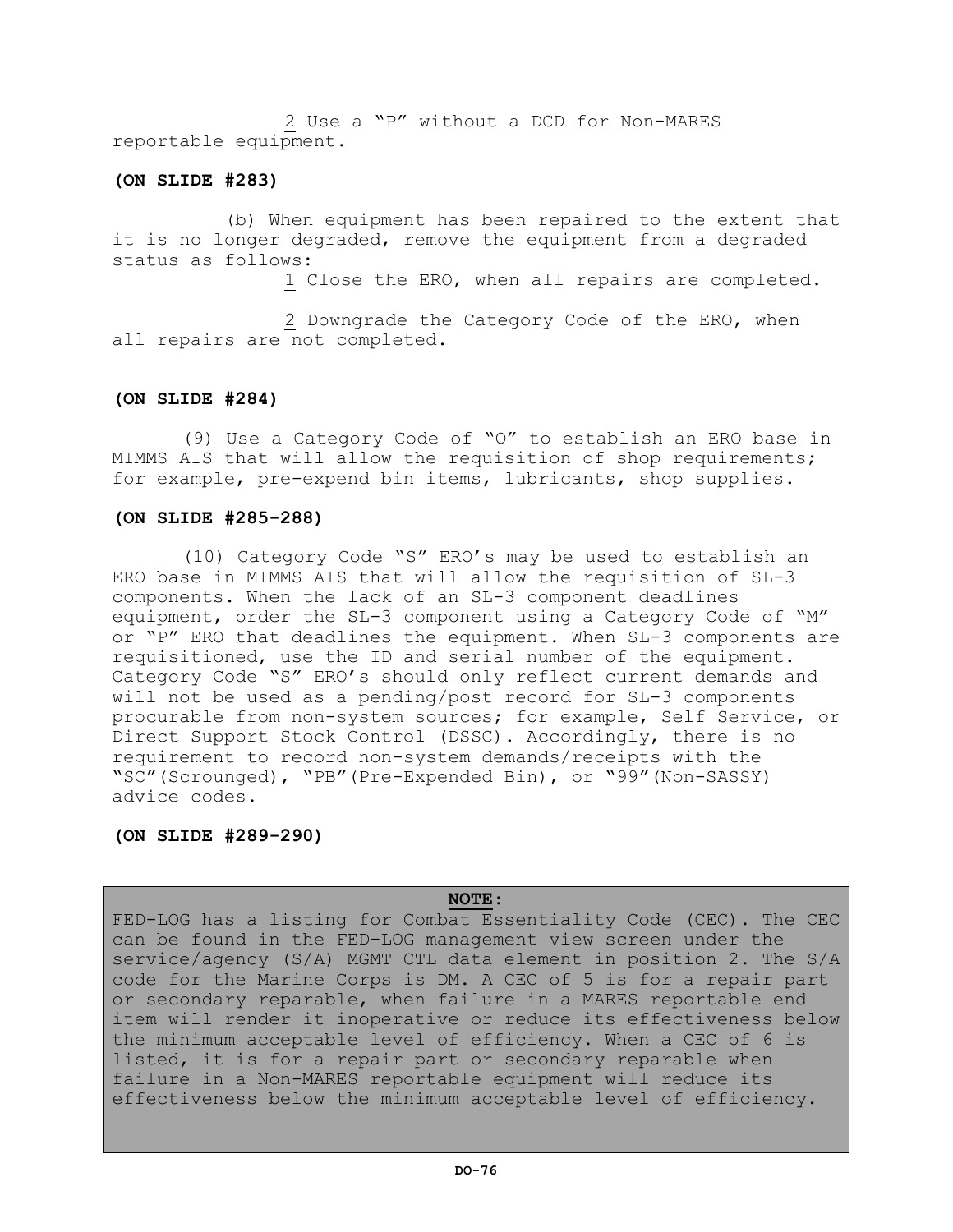2 Use a "P" without a DCD for Non-MARES reportable equipment.

# **(ON SLIDE #283)**

(b) When equipment has been repaired to the extent that it is no longer degraded, remove the equipment from a degraded status as follows:

1 Close the ERO, when all repairs are completed.

2 Downgrade the Category Code of the ERO, when all repairs are not completed.

# **(ON SLIDE #284)**

(9) Use a Category Code of "O" to establish an ERO base in MIMMS AIS that will allow the requisition of shop requirements; for example, pre-expend bin items, lubricants, shop supplies.

# **(ON SLIDE #285-288)**

(10) Category Code "S" ERO's may be used to establish an ERO base in MIMMS AIS that will allow the requisition of SL-3 components. When the lack of an SL-3 component deadlines equipment, order the SL-3 component using a Category Code of "M" or "P" ERO that deadlines the equipment. When SL-3 components are requisitioned, use the ID and serial number of the equipment. Category Code "S" ERO's should only reflect current demands and will not be used as a pending/post record for SL-3 components procurable from non-system sources; for example, Self Service, or Direct Support Stock Control (DSSC). Accordingly, there is no requirement to record non-system demands/receipts with the "SC"(Scrounged), "PB"(Pre-Expended Bin), or "99"(Non-SASSY) advice codes.

# **(ON SLIDE #289-290)**

# **NOTE**:

FED-LOG has a listing for Combat Essentiality Code (CEC). The CEC can be found in the FED-LOG management view screen under the service/agency (S/A) MGMT CTL data element in position 2. The S/A code for the Marine Corps is DM. A CEC of 5 is for a repair part or secondary reparable, when failure in a MARES reportable end item will render it inoperative or reduce its effectiveness below the minimum acceptable level of efficiency. When a CEC of 6 is listed, it is for a repair part or secondary reparable when failure in a Non-MARES reportable equipment will reduce its effectiveness below the minimum acceptable level of efficiency.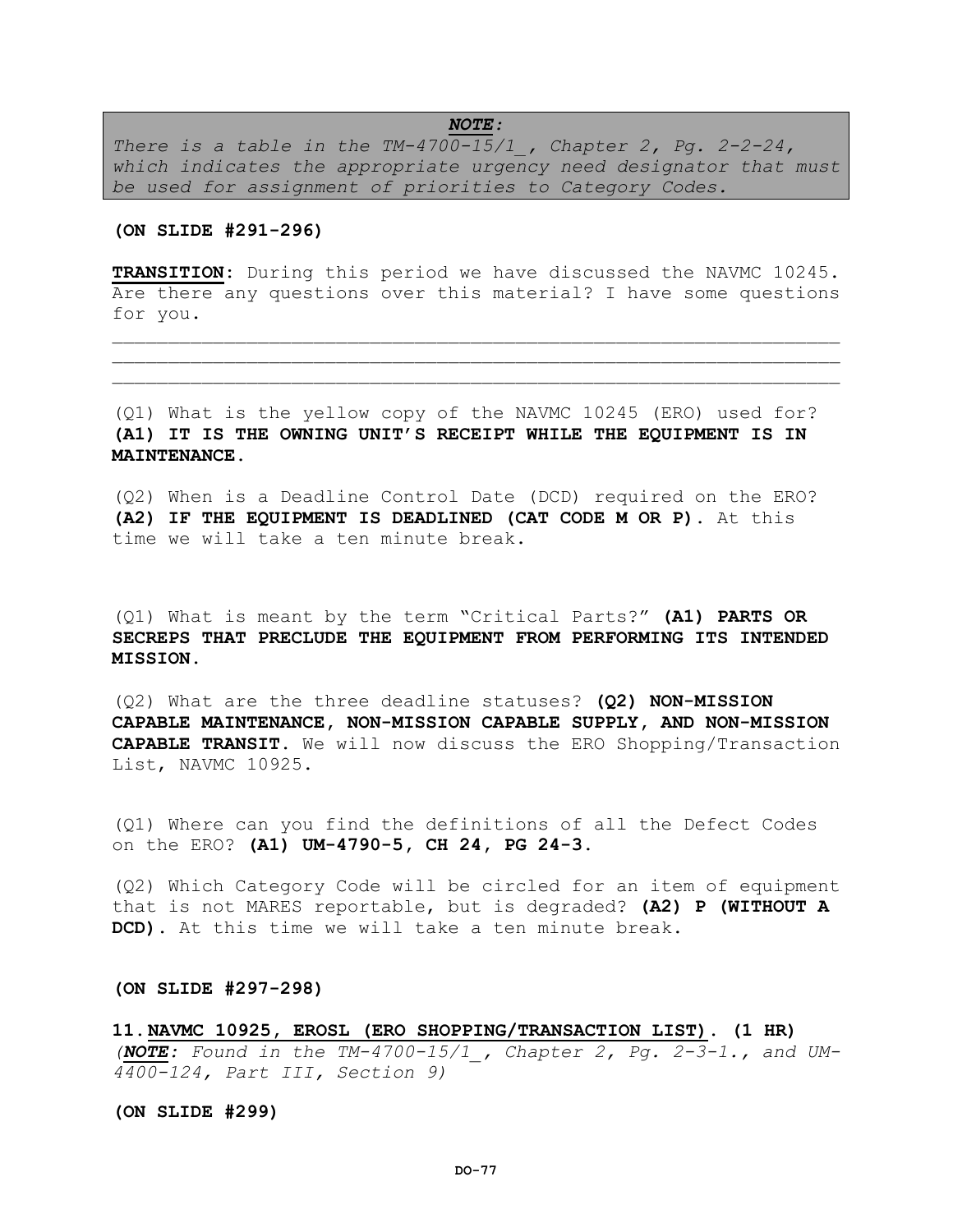# *NOTE:*

*There is a table in the TM-4700-15/1\_, Chapter 2, Pg. 2-2-24, which indicates the appropriate urgency need designator that must be used for assignment of priorities to Category Codes.*

# **(ON SLIDE #291-296)**

**TRANSITION:** During this period we have discussed the NAVMC 10245. Are there any questions over this material? I have some questions for you.

 $\mathcal{L} = \{ \mathcal{L} = \{ \mathcal{L} \} \cup \{ \mathcal{L} \} \cup \{ \mathcal{L} \} \cup \{ \mathcal{L} \} \cup \{ \mathcal{L} \} \cup \{ \mathcal{L} \} \cup \{ \mathcal{L} \} \cup \{ \mathcal{L} \} \cup \{ \mathcal{L} \} \cup \{ \mathcal{L} \} \cup \{ \mathcal{L} \} \cup \{ \mathcal{L} \} \cup \{ \mathcal{L} \} \cup \{ \mathcal{L} \} \cup \{ \mathcal{L} \} \cup \{ \mathcal{L} \} \cup \{ \mathcal{L} \} \cup$  $\mathcal{L}=\{1,2,3,4,5,6,6,8,10\}$ 

(Q1) What is the yellow copy of the NAVMC 10245 (ERO) used for? **(A1) IT IS THE OWNING UNIT'S RECEIPT WHILE THE EQUIPMENT IS IN MAINTENANCE.**

(Q2) When is a Deadline Control Date (DCD) required on the ERO? **(A2) IF THE EQUIPMENT IS DEADLINED (CAT CODE M OR P).** At this time we will take a ten minute break.

(Q1) What is meant by the term "Critical Parts?" **(A1) PARTS OR SECREPS THAT PRECLUDE THE EQUIPMENT FROM PERFORMING ITS INTENDED MISSION.**

(Q2) What are the three deadline statuses? **(Q2) NON-MISSION CAPABLE MAINTENANCE, NON-MISSION CAPABLE SUPPLY, AND NON-MISSION CAPABLE TRANSIT.** We will now discuss the ERO Shopping/Transaction List, NAVMC 10925.

(Q1) Where can you find the definitions of all the Defect Codes on the ERO? **(A1) UM-4790-5, CH 24, PG 24-3.** 

(Q2) Which Category Code will be circled for an item of equipment that is not MARES reportable, but is degraded? **(A2) P (WITHOUT A DCD).** At this time we will take a ten minute break.

**(ON SLIDE #297-298)** 

**11.NAVMC 10925, EROSL (ERO SHOPPING/TRANSACTION LIST). (1 HR)**  *(NOTE: Found in the TM-4700-15/1\_, Chapter 2, Pg. 2-3-1., and UM-4400-124, Part III, Section 9)*

**(ON SLIDE #299)**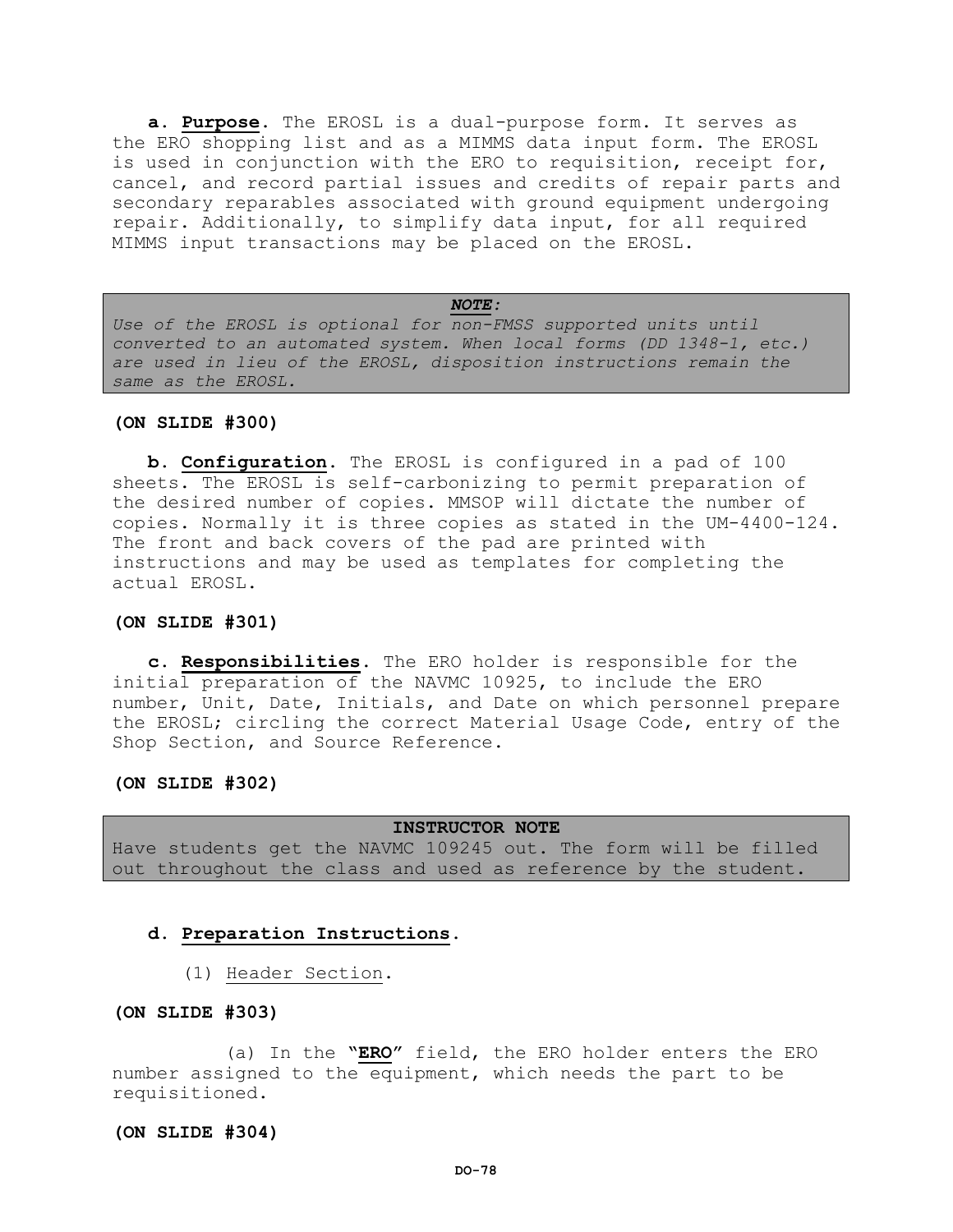**a. Purpose**. The EROSL is a dual-purpose form. It serves as the ERO shopping list and as a MIMMS data input form. The EROSL is used in conjunction with the ERO to requisition, receipt for, cancel, and record partial issues and credits of repair parts and secondary reparables associated with ground equipment undergoing repair. Additionally, to simplify data input, for all required MIMMS input transactions may be placed on the EROSL.

*NOTE: Use of the EROSL is optional for non-FMSS supported units until converted to an automated system. When local forms (DD 1348-1, etc.) are used in lieu of the EROSL, disposition instructions remain the same as the EROSL.*

#### **(ON SLIDE #300)**

**b. Configuration**. The EROSL is configured in a pad of 100 sheets. The EROSL is self-carbonizing to permit preparation of the desired number of copies. MMSOP will dictate the number of copies. Normally it is three copies as stated in the UM-4400-124. The front and back covers of the pad are printed with instructions and may be used as templates for completing the actual EROSL.

# **(ON SLIDE #301)**

**c. Responsibilities**. The ERO holder is responsible for the initial preparation of the NAVMC 10925, to include the ERO number, Unit, Date, Initials, and Date on which personnel prepare the EROSL; circling the correct Material Usage Code, entry of the Shop Section, and Source Reference.

# **(ON SLIDE #302)**

**INSTRUCTOR NOTE** Have students get the NAVMC 109245 out. The form will be filled out throughout the class and used as reference by the student.

# **d. Preparation Instructions**.

(1) Header Section.

## **(ON SLIDE #303)**

(a) In the **"ERO"** field, the ERO holder enters the ERO number assigned to the equipment, which needs the part to be requisitioned.

## **(ON SLIDE #304)**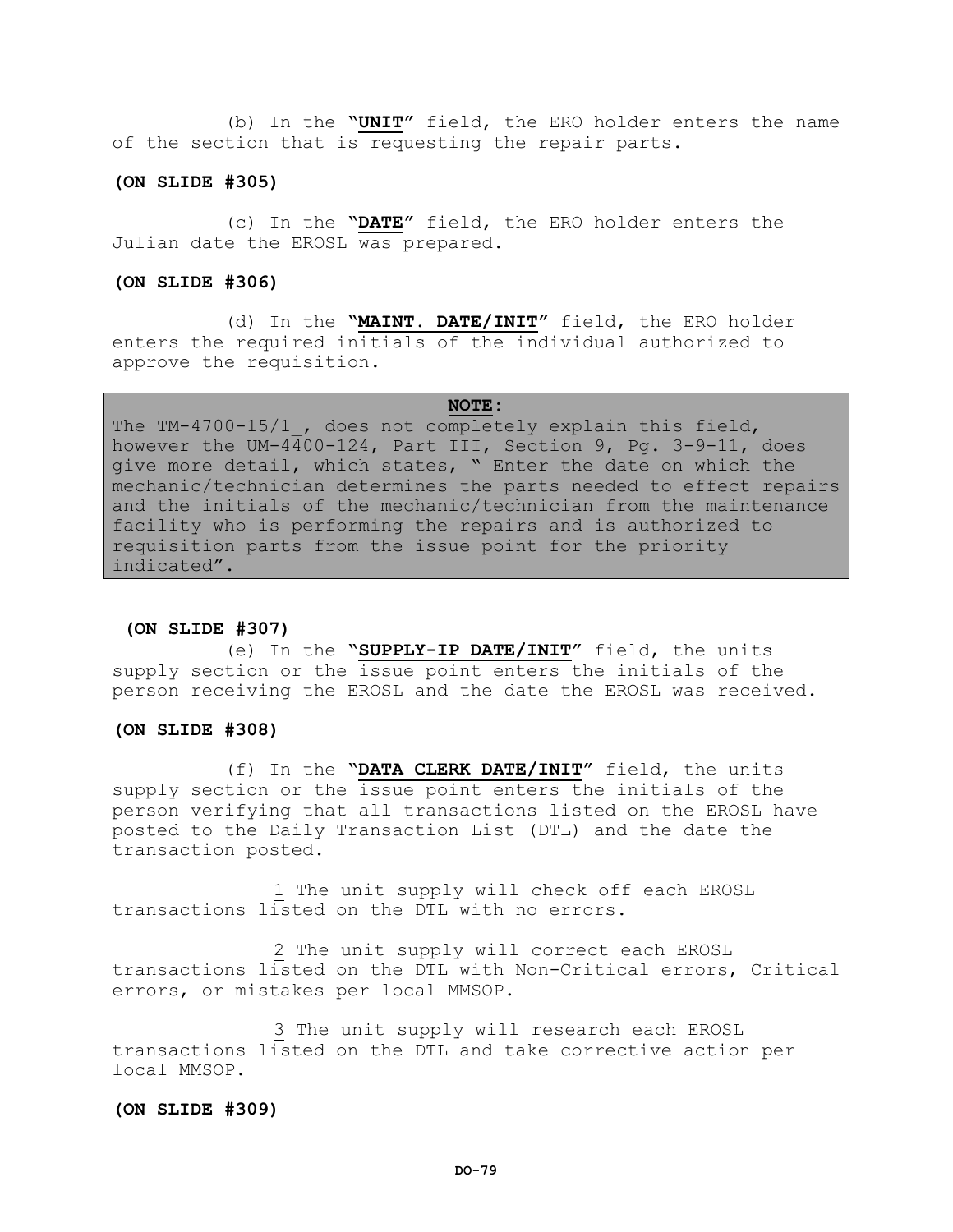(b) In the **"UNIT"** field, the ERO holder enters the name of the section that is requesting the repair parts.

# **(ON SLIDE #305)**

(c) In the **"DATE"** field, the ERO holder enters the Julian date the EROSL was prepared.

# **(ON SLIDE #306)**

(d) In the **"MAINT. DATE/INIT"** field, the ERO holder enters the required initials of the individual authorized to approve the requisition.

### **NOTE:**

The TM-4700-15/1, does not completely explain this field, however the UM-4400-124, Part III, Section 9, Pg. 3-9-11, does give more detail, which states, " Enter the date on which the mechanic/technician determines the parts needed to effect repairs and the initials of the mechanic/technician from the maintenance facility who is performing the repairs and is authorized to requisition parts from the issue point for the priority indicated".

#### **(ON SLIDE #307)**

(e) In the **"SUPPLY-IP DATE/INIT"** field, the units supply section or the issue point enters the initials of the person receiving the EROSL and the date the EROSL was received.

## **(ON SLIDE #308)**

(f) In the **"DATA CLERK DATE/INIT"** field, the units supply section or the issue point enters the initials of the person verifying that all transactions listed on the EROSL have posted to the Daily Transaction List (DTL) and the date the transaction posted.

1 The unit supply will check off each EROSL transactions listed on the DTL with no errors.

2 The unit supply will correct each EROSL transactions listed on the DTL with Non-Critical errors, Critical errors, or mistakes per local MMSOP.

3 The unit supply will research each EROSL transactions listed on the DTL and take corrective action per local MMSOP.

# **(ON SLIDE #309)**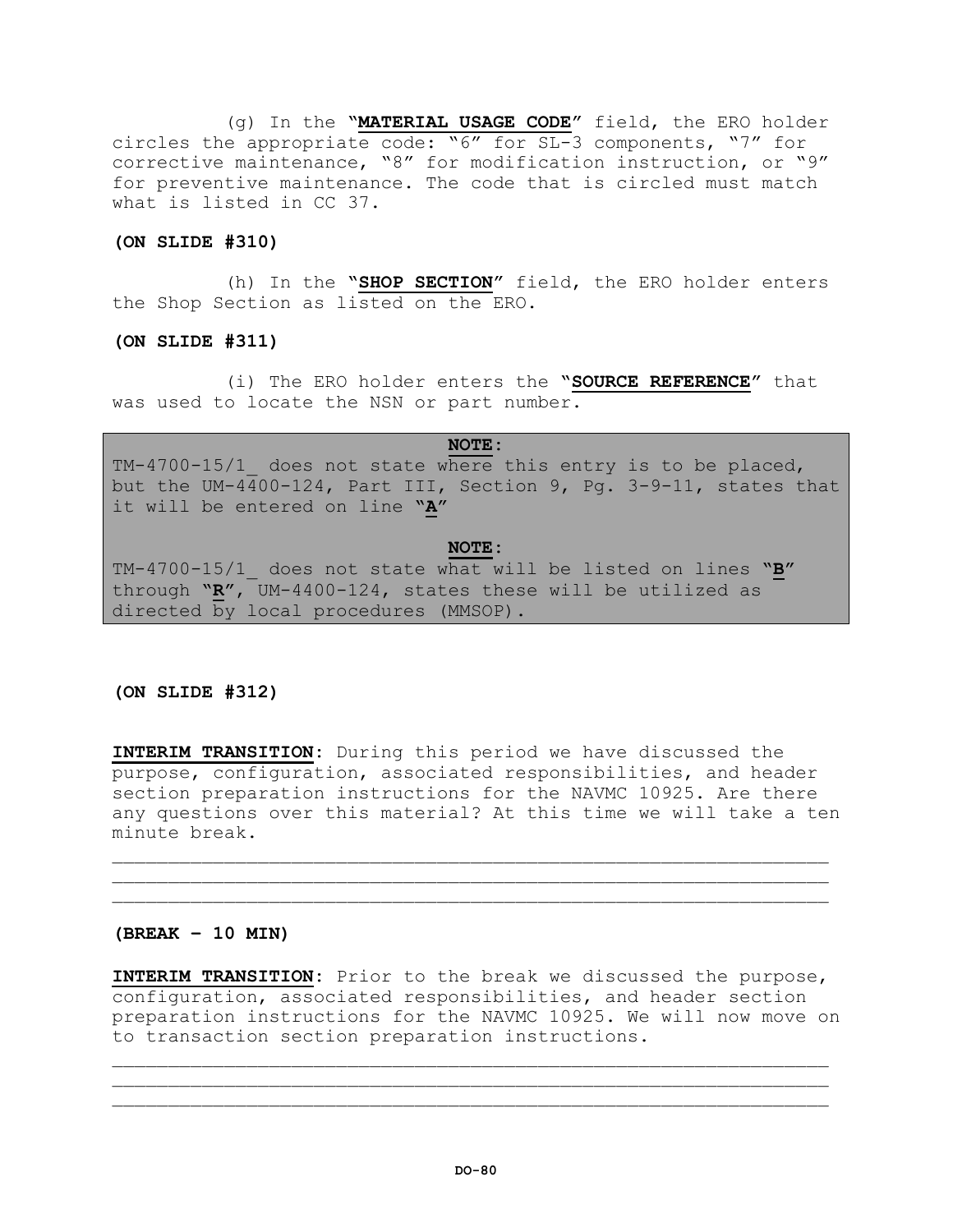(g) In the **"MATERIAL USAGE CODE"** field, the ERO holder circles the appropriate code: "6" for SL-3 components, "7" for corrective maintenance, "8" for modification instruction, or "9" for preventive maintenance. The code that is circled must match what is listed in CC 37.

# **(ON SLIDE #310)**

(h) In the **"SHOP SECTION"** field, the ERO holder enters the Shop Section as listed on the ERO.

# **(ON SLIDE #311)**

(i) The ERO holder enters the **"SOURCE REFERENCE"** that was used to locate the NSN or part number.

**NOTE:**

TM-4700-15/1\_ does not state where this entry is to be placed, but the UM-4400-124, Part III, Section 9, Pg. 3-9-11, states that it will be entered on line **"A"**

# **NOTE:**

TM-4700-15/1\_ does not state what will be listed on lines **"B"** through **"R"**, UM-4400-124, states these will be utilized as directed by local procedures (MMSOP).

# **(ON SLIDE #312)**

**INTERIM TRANSITION:** During this period we have discussed the purpose, configuration, associated responsibilities, and header section preparation instructions for the NAVMC 10925. Are there any questions over this material? At this time we will take a ten minute break.

\_\_\_\_\_\_\_\_\_\_\_\_\_\_\_\_\_\_\_\_\_\_\_\_\_\_\_\_\_\_\_\_\_\_\_\_\_\_\_\_\_\_\_\_\_\_\_\_\_\_\_\_\_\_\_\_\_\_\_\_\_\_\_\_ \_\_\_\_\_\_\_\_\_\_\_\_\_\_\_\_\_\_\_\_\_\_\_\_\_\_\_\_\_\_\_\_\_\_\_\_\_\_\_\_\_\_\_\_\_\_\_\_\_\_\_\_\_\_\_\_\_\_\_\_\_\_\_\_

# **(BREAK – 10 MIN)**

**INTERIM TRANSITION:** Prior to the break we discussed the purpose, configuration, associated responsibilities, and header section preparation instructions for the NAVMC 10925. We will now move on to transaction section preparation instructions.

\_\_\_\_\_\_\_\_\_\_\_\_\_\_\_\_\_\_\_\_\_\_\_\_\_\_\_\_\_\_\_\_\_\_\_\_\_\_\_\_\_\_\_\_\_\_\_\_\_\_\_\_\_\_\_\_\_\_\_\_\_\_\_\_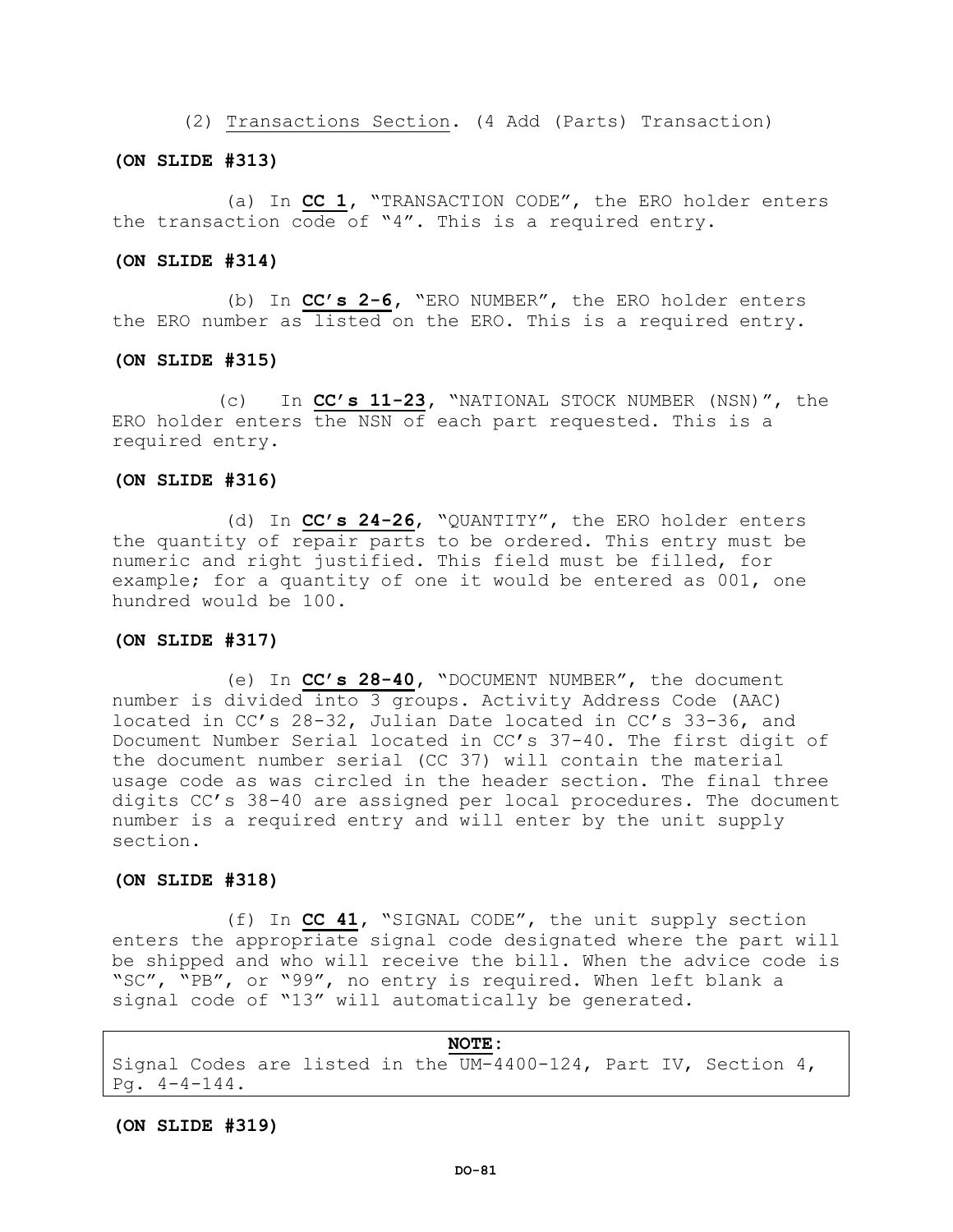(2) Transactions Section. (4 Add (Parts) Transaction)

### **(ON SLIDE #313)**

(a) In **CC 1,** "TRANSACTION CODE", the ERO holder enters the transaction code of "4". This is a required entry.

## **(ON SLIDE #314)**

(b) In **CC's 2-6,** "ERO NUMBER", the ERO holder enters the ERO number as listed on the ERO. This is a required entry.

#### **(ON SLIDE #315)**

(c) In **CC's 11-23,** "NATIONAL STOCK NUMBER (NSN)", the ERO holder enters the NSN of each part requested. This is a required entry.

#### **(ON SLIDE #316)**

(d) In **CC's 24-26**, "QUANTITY", the ERO holder enters the quantity of repair parts to be ordered. This entry must be numeric and right justified. This field must be filled, for example; for a quantity of one it would be entered as 001, one hundred would be 100.

# **(ON SLIDE #317)**

(e) In **CC's 28-40,** "DOCUMENT NUMBER", the document number is divided into 3 groups. Activity Address Code (AAC) located in CC's 28-32, Julian Date located in CC's 33-36, and Document Number Serial located in CC's 37-40. The first digit of the document number serial (CC 37) will contain the material usage code as was circled in the header section. The final three digits CC's 38-40 are assigned per local procedures. The document number is a required entry and will enter by the unit supply section.

# **(ON SLIDE #318)**

(f) In **CC 41,** "SIGNAL CODE", the unit supply section enters the appropriate signal code designated where the part will be shipped and who will receive the bill. When the advice code is "SC", "PB", or "99", no entry is required. When left blank a signal code of "13" will automatically be generated.

**NOTE:** Signal Codes are listed in the UM-4400-124, Part IV, Section 4, Pg.  $4-4-144$ .

**(ON SLIDE #319)**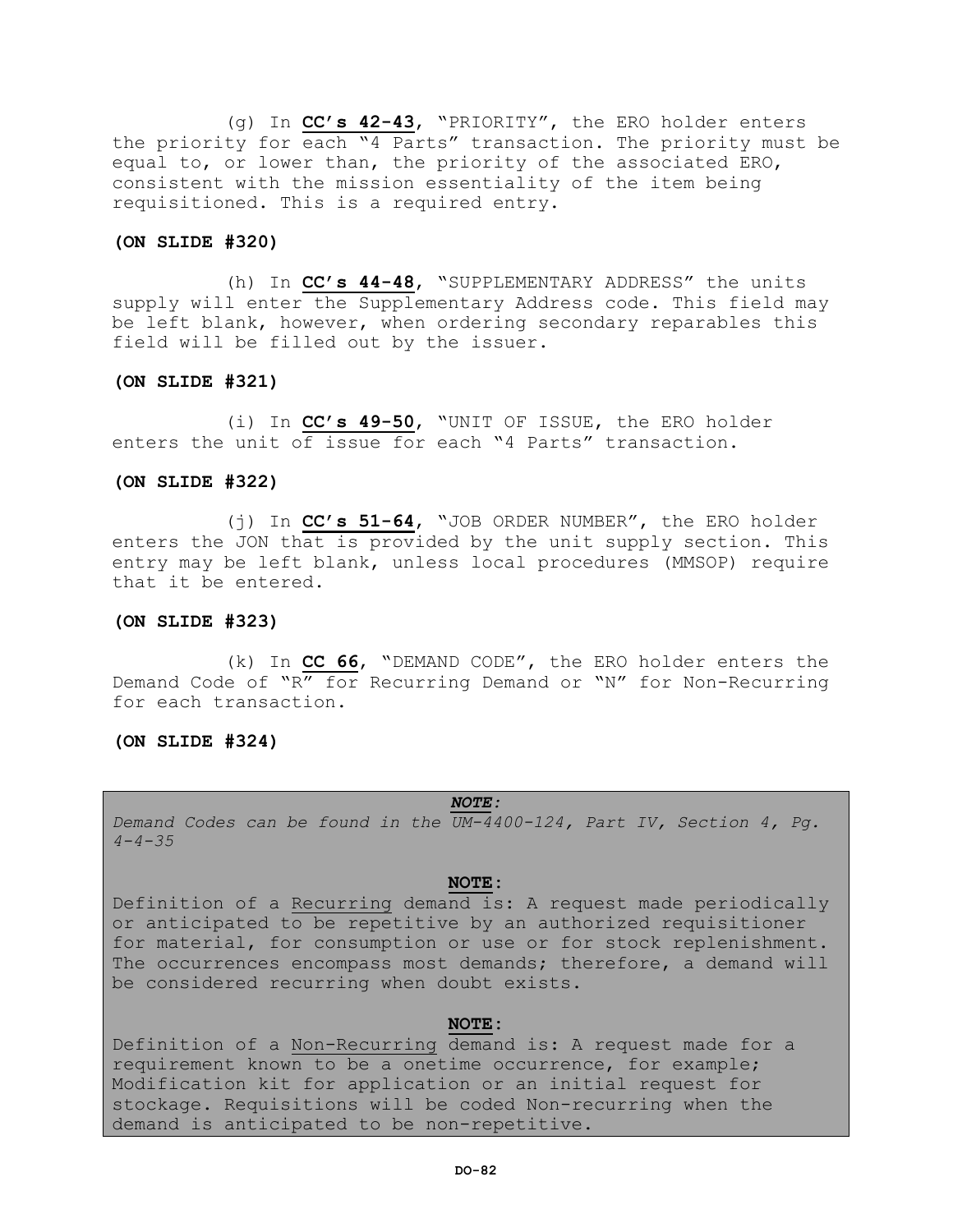(g) In **CC's 42-43**, "PRIORITY", the ERO holder enters the priority for each "4 Parts" transaction. The priority must be equal to, or lower than, the priority of the associated ERO, consistent with the mission essentiality of the item being requisitioned. This is a required entry.

# **(ON SLIDE #320)**

(h) In **CC's 44-48**, "SUPPLEMENTARY ADDRESS" the units supply will enter the Supplementary Address code. This field may be left blank, however, when ordering secondary reparables this field will be filled out by the issuer.

# **(ON SLIDE #321)**

(i) In **CC's 49-50**, "UNIT OF ISSUE, the ERO holder enters the unit of issue for each "4 Parts" transaction.

# **(ON SLIDE #322)**

(j) In **CC's 51-64**, "JOB ORDER NUMBER", the ERO holder enters the JON that is provided by the unit supply section. This entry may be left blank, unless local procedures (MMSOP) require that it be entered.

# **(ON SLIDE #323)**

(k) In **CC 66**, "DEMAND CODE", the ERO holder enters the Demand Code of "R" for Recurring Demand or "N" for Non-Recurring for each transaction.

# **(ON SLIDE #324)**

# *NOTE:*

*Demand Codes can be found in the UM-4400-124, Part IV, Section 4, Pg. 4-4-35*

# **NOTE:**

Definition of a Recurring demand is: A request made periodically or anticipated to be repetitive by an authorized requisitioner for material, for consumption or use or for stock replenishment. The occurrences encompass most demands; therefore, a demand will be considered recurring when doubt exists.

# **NOTE:**

Definition of a Non-Recurring demand is: A request made for a requirement known to be a onetime occurrence, for example; Modification kit for application or an initial request for stockage. Requisitions will be coded Non-recurring when the demand is anticipated to be non-repetitive.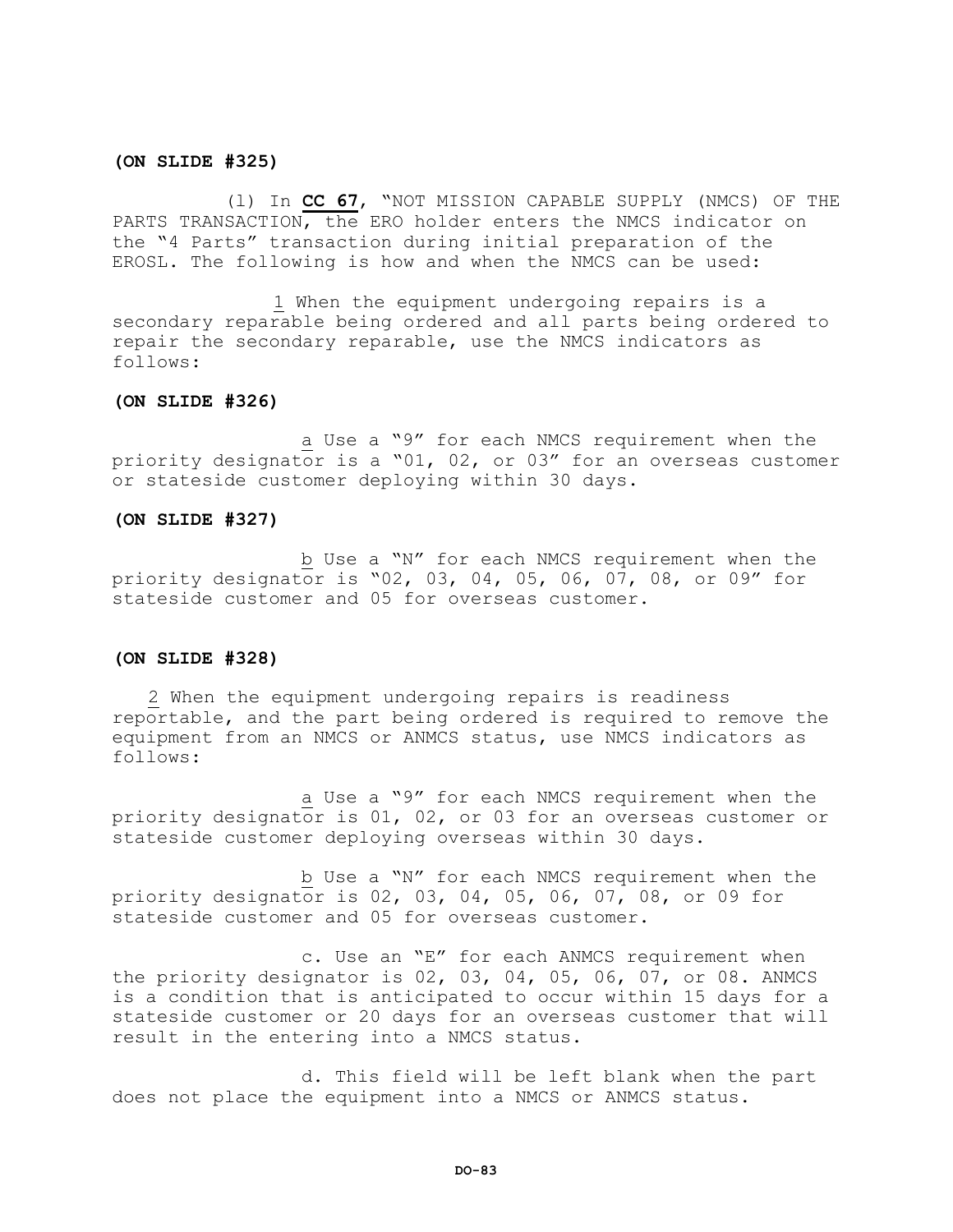# **(ON SLIDE #325)**

(l) In **CC 67**, "NOT MISSION CAPABLE SUPPLY (NMCS) OF THE PARTS TRANSACTION, the ERO holder enters the NMCS indicator on the "4 Parts" transaction during initial preparation of the EROSL. The following is how and when the NMCS can be used:

1 When the equipment undergoing repairs is a secondary reparable being ordered and all parts being ordered to repair the secondary reparable, use the NMCS indicators as follows:

# **(ON SLIDE #326)**

a Use a "9" for each NMCS requirement when the priority designator is a "01, 02, or 03" for an overseas customer or stateside customer deploying within 30 days.

#### **(ON SLIDE #327)**

b Use a "N" for each NMCS requirement when the priority designator is "02, 03, 04, 05, 06, 07, 08, or 09" for stateside customer and 05 for overseas customer.

# **(ON SLIDE #328)**

2 When the equipment undergoing repairs is readiness reportable, and the part being ordered is required to remove the equipment from an NMCS or ANMCS status, use NMCS indicators as follows:

a Use a "9" for each NMCS requirement when the priority designator is 01, 02, or 03 for an overseas customer or stateside customer deploying overseas within 30 days.

b Use a "N" for each NMCS requirement when the priority designator is 02, 03, 04, 05, 06, 07, 08, or 09 for stateside customer and 05 for overseas customer.

c. Use an "E" for each ANMCS requirement when the priority designator is 02, 03, 04, 05, 06, 07, or 08. ANMCS is a condition that is anticipated to occur within 15 days for a stateside customer or 20 days for an overseas customer that will result in the entering into a NMCS status.

d. This field will be left blank when the part does not place the equipment into a NMCS or ANMCS status.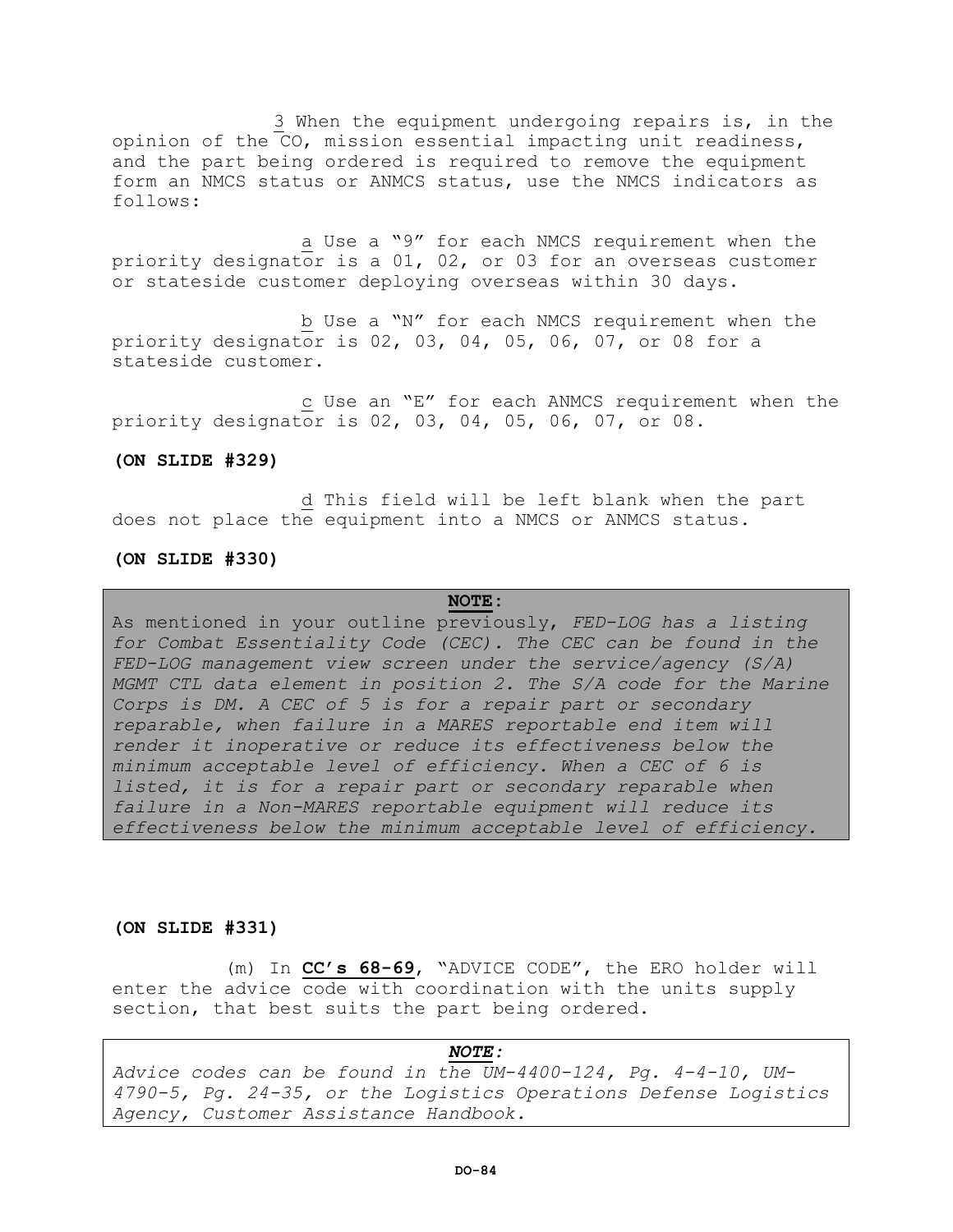3 When the equipment undergoing repairs is, in the opinion of the CO, mission essential impacting unit readiness, and the part being ordered is required to remove the equipment form an NMCS status or ANMCS status, use the NMCS indicators as follows:

a Use a "9" for each NMCS requirement when the priority designator is a 01, 02, or 03 for an overseas customer or stateside customer deploying overseas within 30 days.

b Use a "N" for each NMCS requirement when the priority designator is 02, 03, 04, 05, 06, 07, or 08 for a stateside customer.

c Use an "E" for each ANMCS requirement when the priority designator is 02, 03, 04, 05, 06, 07, or 08.

# **(ON SLIDE #329)**

d This field will be left blank when the part does not place the equipment into a NMCS or ANMCS status.

# **(ON SLIDE #330)**

# **NOTE:**

As mentioned in your outline previously, *FED-LOG has a listing for Combat Essentiality Code (CEC). The CEC can be found in the FED-LOG management view screen under the service/agency (S/A) MGMT CTL data element in position 2. The S/A code for the Marine Corps is DM. A CEC of 5 is for a repair part or secondary reparable, when failure in a MARES reportable end item will render it inoperative or reduce its effectiveness below the minimum acceptable level of efficiency. When a CEC of 6 is*  listed, it is for a repair part or secondary reparable when *failure in a Non-MARES reportable equipment will reduce its effectiveness below the minimum acceptable level of efficiency.*

#### **(ON SLIDE #331)**

(m) In **CC's 68-69**, "ADVICE CODE", the ERO holder will enter the advice code with coordination with the units supply section, that best suits the part being ordered.

*NOTE: Advice codes can be found in the UM-4400-124, Pg. 4-4-10, UM-4790-5, Pg. 24-35, or the Logistics Operations Defense Logistics Agency, Customer Assistance Handbook.*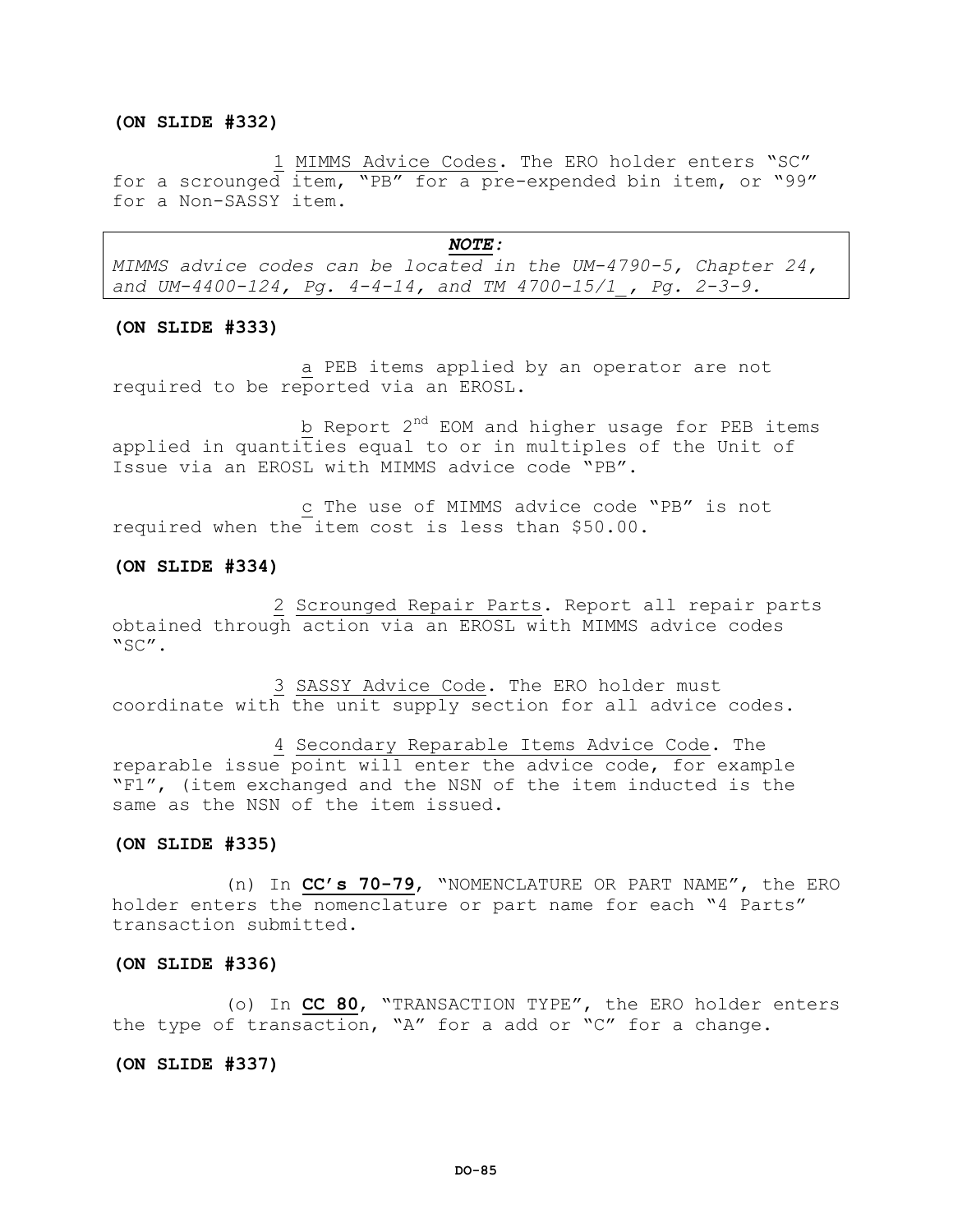# **(ON SLIDE #332)**

1 MIMMS Advice Codes. The ERO holder enters "SC" for a scrounged item, "PB" for a pre-expended bin item, or "99" for a Non-SASSY item.

#### *NOTE:*

*MIMMS advice codes can be located in the UM-4790-5, Chapter 24, and UM-4400-124, Pg. 4-4-14, and TM 4700-15/1\_, Pg. 2-3-9.*

#### **(ON SLIDE #333)**

a PEB items applied by an operator are not required to be reported via an EROSL.

b Report 2<sup>nd</sup> EOM and higher usage for PEB items applied in quantities equal to or in multiples of the Unit of Issue via an EROSL with MIMMS advice code "PB".

c The use of MIMMS advice code "PB" is not required when the item cost is less than \$50.00.

# **(ON SLIDE #334)**

2 Scrounged Repair Parts. Report all repair parts obtained through action via an EROSL with MIMMS advice codes "SC".

3 SASSY Advice Code. The ERO holder must coordinate with the unit supply section for all advice codes.

4 Secondary Reparable Items Advice Code. The reparable issue point will enter the advice code, for example "F1", (item exchanged and the NSN of the item inducted is the same as the NSN of the item issued.

## **(ON SLIDE #335)**

(n) In **CC's 70-79**, "NOMENCLATURE OR PART NAME", the ERO holder enters the nomenclature or part name for each "4 Parts" transaction submitted.

#### **(ON SLIDE #336)**

(o) In **CC 80**, "TRANSACTION TYPE", the ERO holder enters the type of transaction, "A" for a add or "C" for a change.

#### **(ON SLIDE #337)**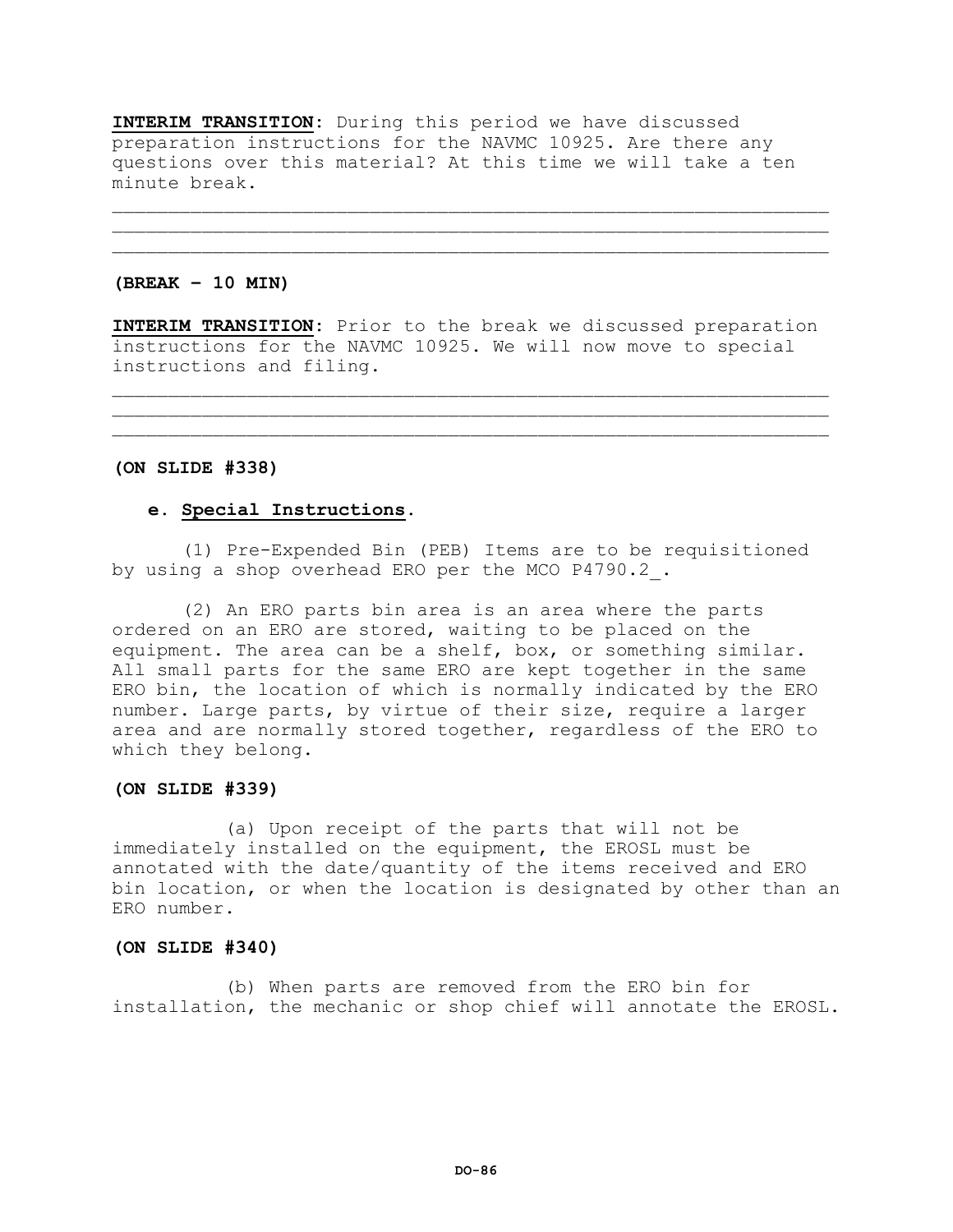**INTERIM TRANSITION:** During this period we have discussed preparation instructions for the NAVMC 10925. Are there any questions over this material? At this time we will take a ten minute break.

# **(BREAK – 10 MIN)**

**INTERIM TRANSITION:** Prior to the break we discussed preparation instructions for the NAVMC 10925. We will now move to special instructions and filing.

\_\_\_\_\_\_\_\_\_\_\_\_\_\_\_\_\_\_\_\_\_\_\_\_\_\_\_\_\_\_\_\_\_\_\_\_\_\_\_\_\_\_\_\_\_\_\_\_\_\_\_\_\_\_\_\_\_\_\_\_\_\_\_\_  $\mathcal{L}_\mathcal{L}$  , we can assume that the contribution of the contribution of the contribution of the contribution of the contribution of the contribution of the contribution of the contribution of the contribution of the c

\_\_\_\_\_\_\_\_\_\_\_\_\_\_\_\_\_\_\_\_\_\_\_\_\_\_\_\_\_\_\_\_\_\_\_\_\_\_\_\_\_\_\_\_\_\_\_\_\_\_\_\_\_\_\_\_\_\_\_\_\_\_\_\_  $\mathcal{L}_\mathcal{L}$  , we can assume that the contribution of the contribution of the contribution of the contribution of the contribution of the contribution of the contribution of the contribution of the contribution of the c

# **(ON SLIDE #338)**

# **e. Special Instructions**.

(1) Pre-Expended Bin (PEB) Items are to be requisitioned by using a shop overhead ERO per the MCO P4790.2.

(2) An ERO parts bin area is an area where the parts ordered on an ERO are stored, waiting to be placed on the equipment. The area can be a shelf, box, or something similar. All small parts for the same ERO are kept together in the same ERO bin, the location of which is normally indicated by the ERO number. Large parts, by virtue of their size, require a larger area and are normally stored together, regardless of the ERO to which they belong.

# **(ON SLIDE #339)**

(a) Upon receipt of the parts that will not be immediately installed on the equipment, the EROSL must be annotated with the date/quantity of the items received and ERO bin location, or when the location is designated by other than an ERO number.

# **(ON SLIDE #340)**

(b) When parts are removed from the ERO bin for installation, the mechanic or shop chief will annotate the EROSL.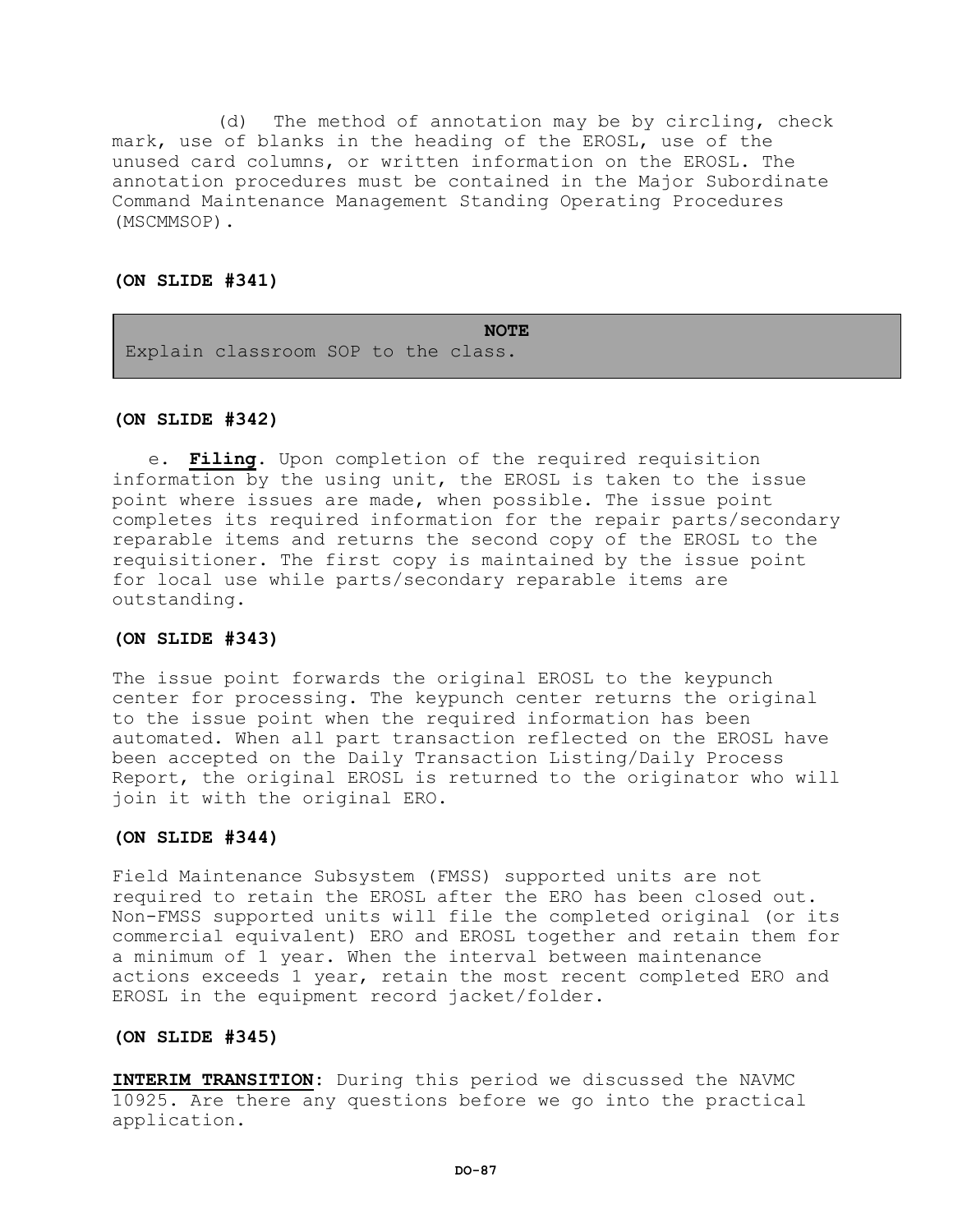(d) The method of annotation may be by circling, check mark, use of blanks in the heading of the EROSL, use of the unused card columns, or written information on the EROSL. The annotation procedures must be contained in the Major Subordinate Command Maintenance Management Standing Operating Procedures (MSCMMSOP).

# **(ON SLIDE #341)**

**NOTE**

Explain classroom SOP to the class.

# **(ON SLIDE #342)**

e. **Filing.** Upon completion of the required requisition information by the using unit, the EROSL is taken to the issue point where issues are made, when possible. The issue point completes its required information for the repair parts/secondary reparable items and returns the second copy of the EROSL to the requisitioner. The first copy is maintained by the issue point for local use while parts/secondary reparable items are outstanding.

# **(ON SLIDE #343)**

The issue point forwards the original EROSL to the keypunch center for processing. The keypunch center returns the original to the issue point when the required information has been automated. When all part transaction reflected on the EROSL have been accepted on the Daily Transaction Listing/Daily Process Report, the original EROSL is returned to the originator who will join it with the original ERO.

# **(ON SLIDE #344)**

Field Maintenance Subsystem (FMSS) supported units are not required to retain the EROSL after the ERO has been closed out. Non-FMSS supported units will file the completed original (or its commercial equivalent) ERO and EROSL together and retain them for a minimum of 1 year. When the interval between maintenance actions exceeds 1 year, retain the most recent completed ERO and EROSL in the equipment record jacket/folder.

# **(ON SLIDE #345)**

**INTERIM TRANSITION:** During this period we discussed the NAVMC 10925. Are there any questions before we go into the practical application.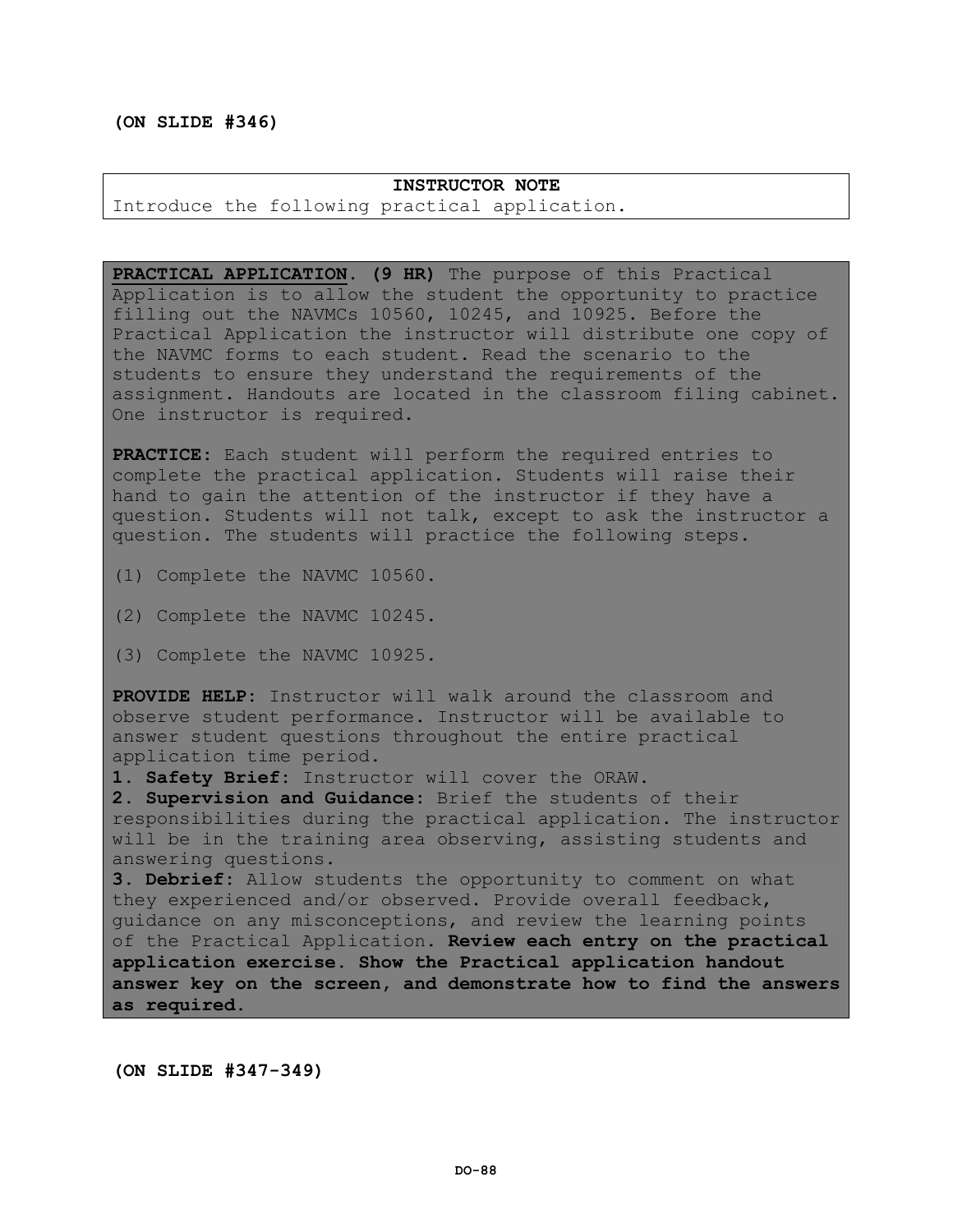# **(ON SLIDE #346)**

# **INSTRUCTOR NOTE** Introduce the following practical application.

**PRACTICAL APPLICATION. (9 HR)** The purpose of this Practical Application is to allow the student the opportunity to practice filling out the NAVMCs 10560, 10245, and 10925. Before the Practical Application the instructor will distribute one copy of the NAVMC forms to each student. Read the scenario to the students to ensure they understand the requirements of the assignment. Handouts are located in the classroom filing cabinet. One instructor is required.

**PRACTICE:** Each student will perform the required entries to complete the practical application. Students will raise their hand to gain the attention of the instructor if they have a question. Students will not talk, except to ask the instructor a question. The students will practice the following steps.

(1) Complete the NAVMC 10560.

(2) Complete the NAVMC 10245.

(3) Complete the NAVMC 10925.

**PROVIDE HELP:** Instructor will walk around the classroom and observe student performance. Instructor will be available to answer student questions throughout the entire practical application time period.

**1. Safety Brief:** Instructor will cover the ORAW.

**2. Supervision and Guidance:** Brief the students of their responsibilities during the practical application. The instructor will be in the training area observing, assisting students and answering questions.

**3. Debrief:** Allow students the opportunity to comment on what they experienced and/or observed. Provide overall feedback, guidance on any misconceptions, and review the learning points of the Practical Application. **Review each entry on the practical application exercise. Show the Practical application handout answer key on the screen, and demonstrate how to find the answers as required.**

**(ON SLIDE #347-349)**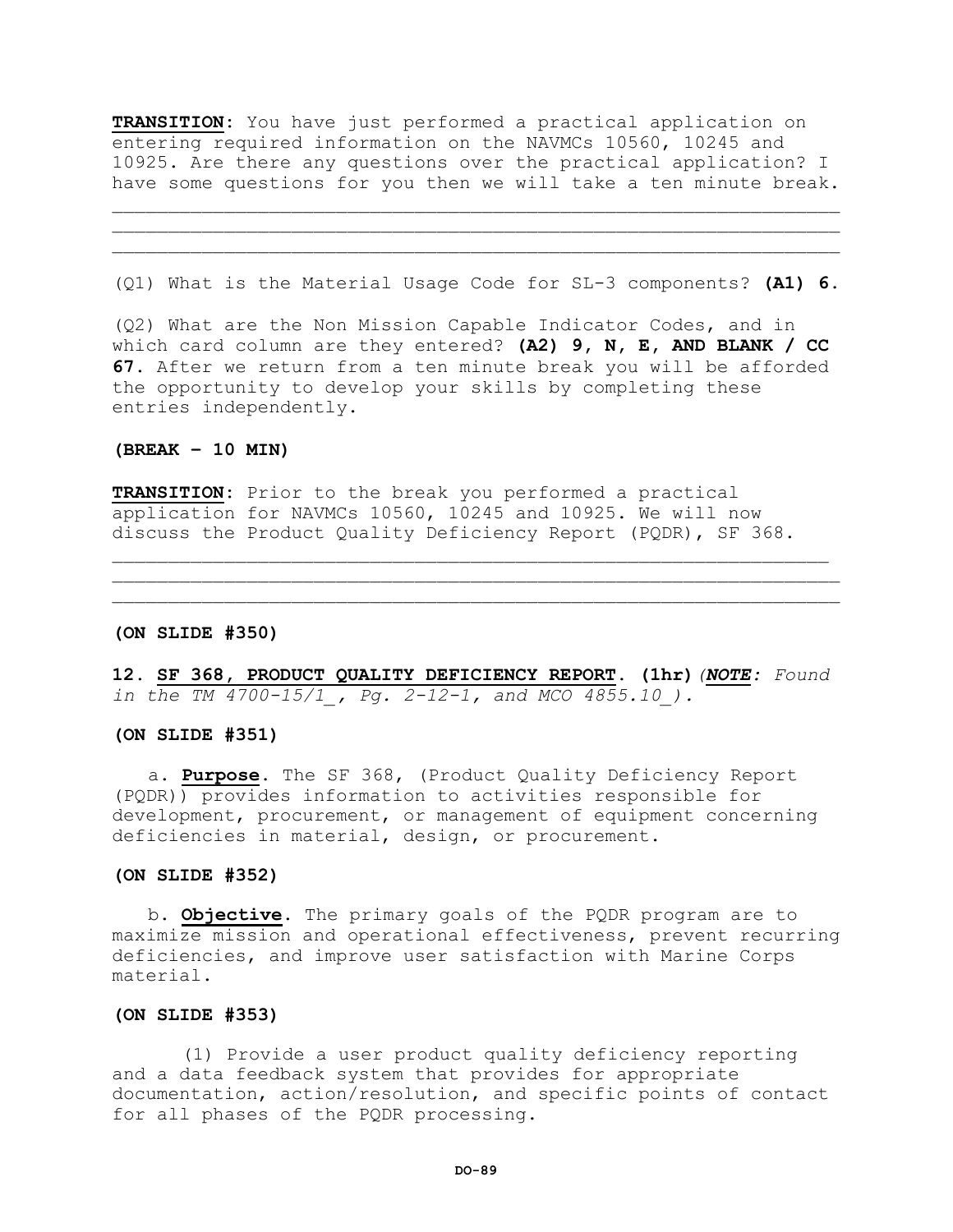**TRANSITION:** You have just performed a practical application on entering required information on the NAVMCs 10560, 10245 and 10925. Are there any questions over the practical application? I have some questions for you then we will take a ten minute break.

(Q1) What is the Material Usage Code for SL-3 components? **(A1) 6.**

 $\mathcal{L} = \{ \mathcal{L} = \{ \mathcal{L} \} \cup \{ \mathcal{L} \} \cup \{ \mathcal{L} \} \cup \{ \mathcal{L} \} \cup \{ \mathcal{L} \} \cup \{ \mathcal{L} \} \cup \{ \mathcal{L} \} \cup \{ \mathcal{L} \} \cup \{ \mathcal{L} \} \cup \{ \mathcal{L} \} \cup \{ \mathcal{L} \} \cup \{ \mathcal{L} \} \cup \{ \mathcal{L} \} \cup \{ \mathcal{L} \} \cup \{ \mathcal{L} \} \cup \{ \mathcal{L} \} \cup \{ \mathcal{L} \} \cup$  $\mathcal{L}=\{1,2,3,4,5,6,6,8,10\}$ 

(Q2) What are the Non Mission Capable Indicator Codes, and in which card column are they entered? **(A2) 9, N, E, AND BLANK / CC 67.** After we return from a ten minute break you will be afforded the opportunity to develop your skills by completing these entries independently.

# **(BREAK – 10 MIN)**

**TRANSITION:** Prior to the break you performed a practical application for NAVMCs 10560, 10245 and 10925. We will now discuss the Product Quality Deficiency Report (PQDR), SF 368.

#### **(ON SLIDE #350)**

**12. SF 368, PRODUCT QUALITY DEFICIENCY REPORT. (1hr)***(NOTE: Found in the TM 4700-15/1\_, Pg. 2-12-1, and MCO 4855.10\_).*

 $\mathcal{L}=\{1,2,3,4,5,6,6,8,10\}$ 

# **(ON SLIDE #351)**

a. **Purpose.** The SF 368, (Product Quality Deficiency Report (PQDR)) provides information to activities responsible for development, procurement, or management of equipment concerning deficiencies in material, design, or procurement.

#### **(ON SLIDE #352)**

b**. Objective.** The primary goals of the PQDR program are to maximize mission and operational effectiveness, prevent recurring deficiencies, and improve user satisfaction with Marine Corps material.

#### **(ON SLIDE #353)**

(1) Provide a user product quality deficiency reporting and a data feedback system that provides for appropriate documentation, action/resolution, and specific points of contact for all phases of the PQDR processing.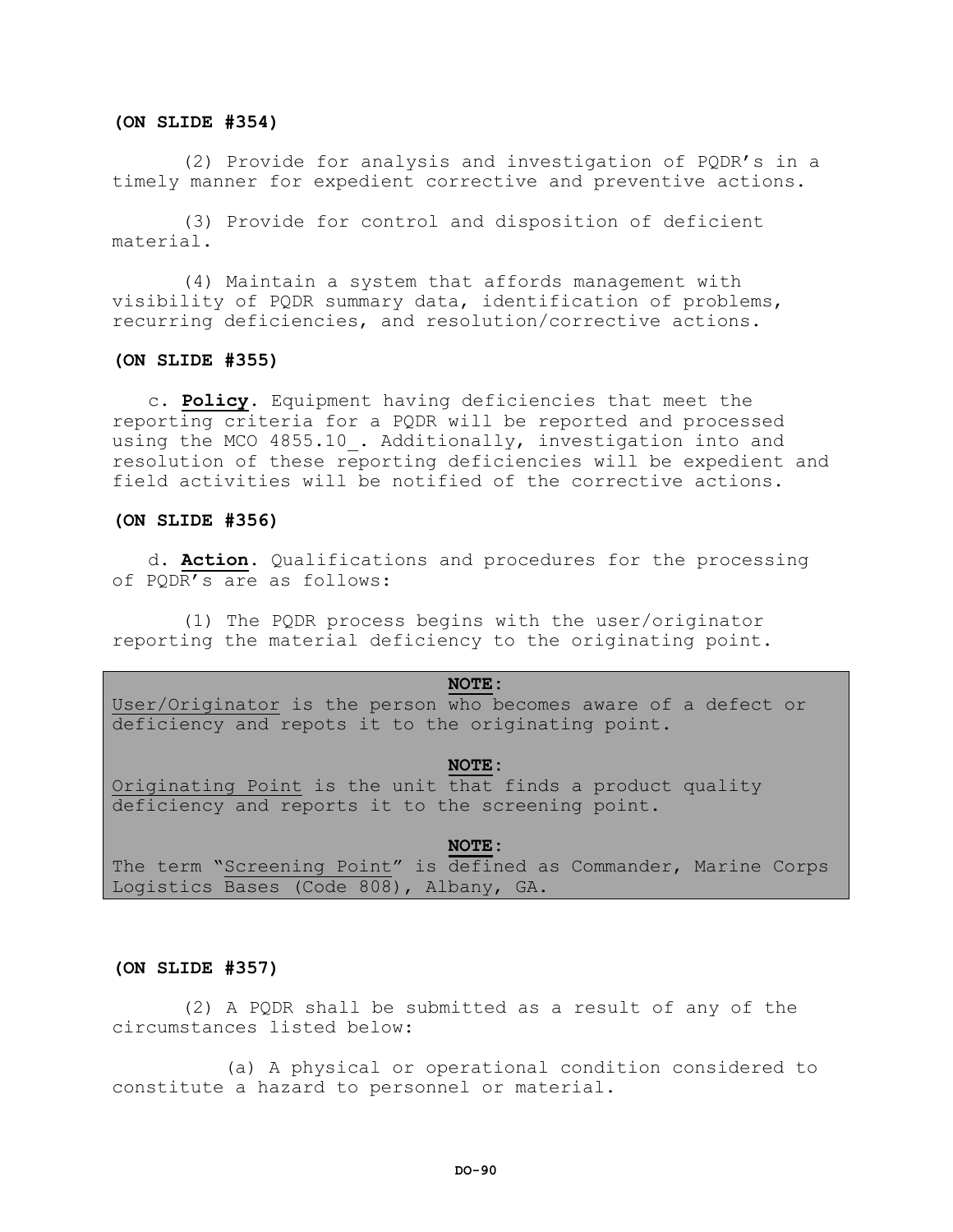# **(ON SLIDE #354)**

(2) Provide for analysis and investigation of PQDR's in a timely manner for expedient corrective and preventive actions.

(3) Provide for control and disposition of deficient material.

(4) Maintain a system that affords management with visibility of PQDR summary data, identification of problems, recurring deficiencies, and resolution/corrective actions.

## **(ON SLIDE #355)**

c**. Policy.** Equipment having deficiencies that meet the reporting criteria for a PQDR will be reported and processed using the MCO 4855.10. Additionally, investigation into and resolution of these reporting deficiencies will be expedient and field activities will be notified of the corrective actions.

# **(ON SLIDE #356)**

d**. Action.** Qualifications and procedures for the processing of PQDR's are as follows:

(1) The PQDR process begins with the user/originator reporting the material deficiency to the originating point.

# **NOTE:**

User/Originator is the person who becomes aware of a defect or deficiency and repots it to the originating point.

#### **NOTE:**

Originating Point is the unit that finds a product quality deficiency and reports it to the screening point.

#### **NOTE:**

The term "Screening Point" is defined as Commander, Marine Corps Logistics Bases (Code 808), Albany, GA.

# **(ON SLIDE #357)**

(2) A PQDR shall be submitted as a result of any of the circumstances listed below:

(a) A physical or operational condition considered to constitute a hazard to personnel or material.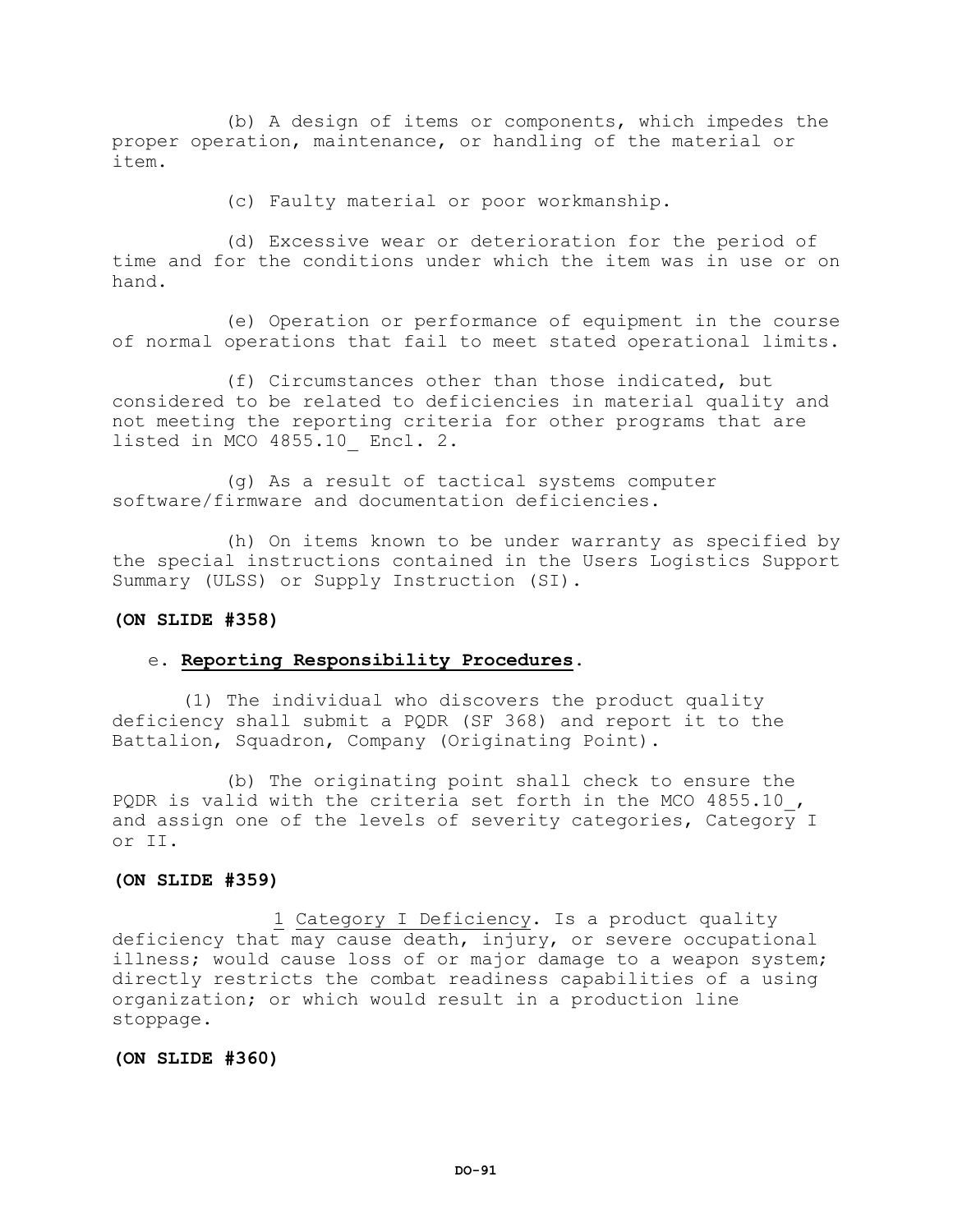(b) A design of items or components, which impedes the proper operation, maintenance, or handling of the material or item.

(c) Faulty material or poor workmanship.

(d) Excessive wear or deterioration for the period of time and for the conditions under which the item was in use or on hand.

(e) Operation or performance of equipment in the course of normal operations that fail to meet stated operational limits.

(f) Circumstances other than those indicated, but considered to be related to deficiencies in material quality and not meeting the reporting criteria for other programs that are listed in MCO 4855.10\_ Encl. 2.

(g) As a result of tactical systems computer software/firmware and documentation deficiencies.

(h) On items known to be under warranty as specified by the special instructions contained in the Users Logistics Support Summary (ULSS) or Supply Instruction (SI).

# **(ON SLIDE #358)**

# e. **Reporting Responsibility Procedures.**

(1) The individual who discovers the product quality deficiency shall submit a PQDR (SF 368) and report it to the Battalion, Squadron, Company (Originating Point).

(b) The originating point shall check to ensure the PQDR is valid with the criteria set forth in the MCO 4855.10, and assign one of the levels of severity categories, Category I or II.

# **(ON SLIDE #359)**

1 Category I Deficiency. Is a product quality deficiency that may cause death, injury, or severe occupational illness; would cause loss of or major damage to a weapon system; directly restricts the combat readiness capabilities of a using organization; or which would result in a production line stoppage.

## **(ON SLIDE #360)**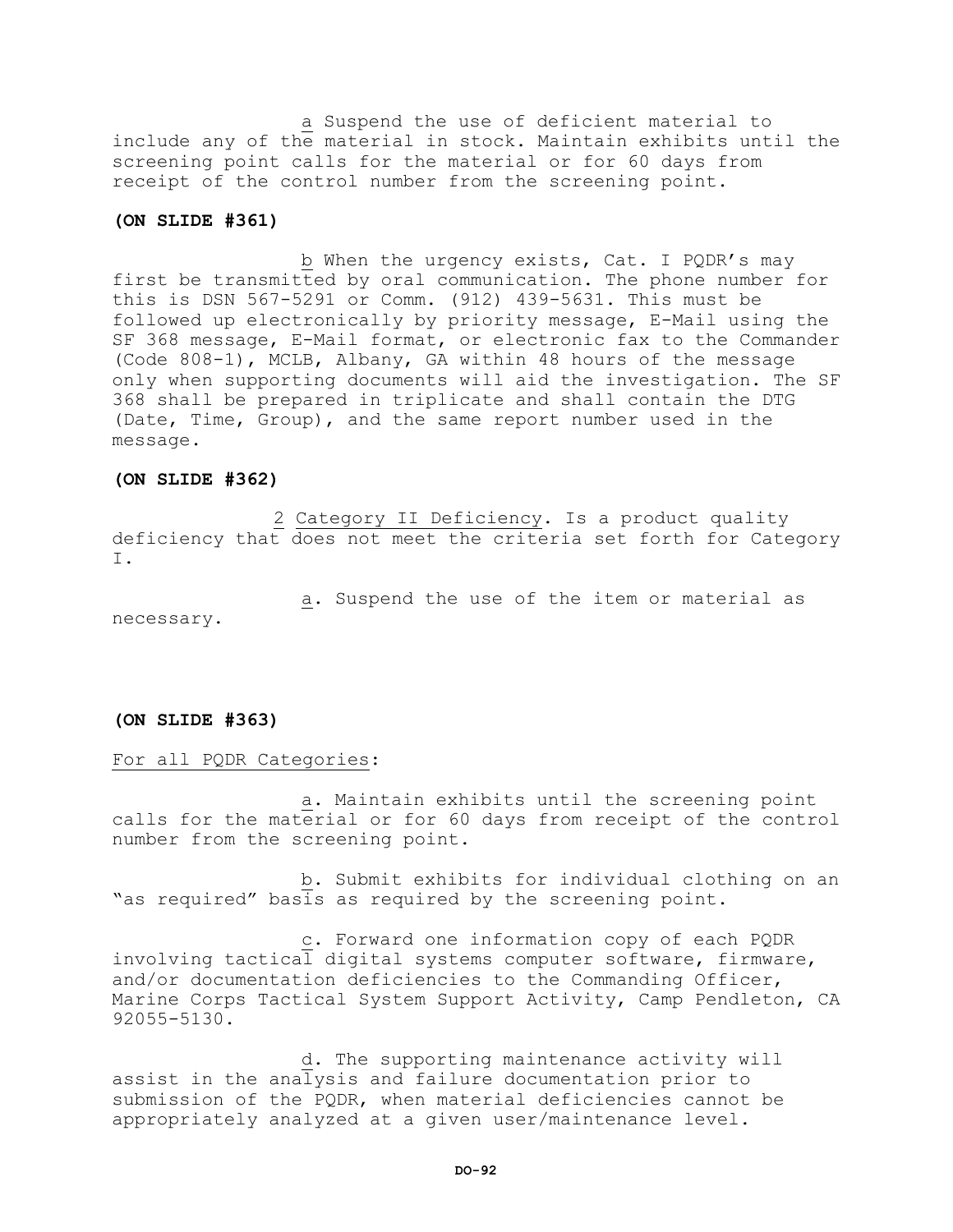a Suspend the use of deficient material to include any of the material in stock. Maintain exhibits until the screening point calls for the material or for 60 days from receipt of the control number from the screening point.

# **(ON SLIDE #361)**

b When the urgency exists, Cat. I PQDR's may first be transmitted by oral communication. The phone number for this is DSN 567-5291 or Comm. (912) 439-5631. This must be followed up electronically by priority message, E-Mail using the SF 368 message, E-Mail format, or electronic fax to the Commander (Code 808-1), MCLB, Albany, GA within 48 hours of the message only when supporting documents will aid the investigation. The SF 368 shall be prepared in triplicate and shall contain the DTG (Date, Time, Group), and the same report number used in the message.

# **(ON SLIDE #362)**

2 Category II Deficiency. Is a product quality deficiency that does not meet the criteria set forth for Category I.

a. Suspend the use of the item or material as necessary.

# **(ON SLIDE #363)**

# For all PQDR Categories:

a. Maintain exhibits until the screening point calls for the material or for 60 days from receipt of the control number from the screening point.

b. Submit exhibits for individual clothing on an "as required" basis as required by the screening point.

c. Forward one information copy of each PQDR involving tactical digital systems computer software, firmware, and/or documentation deficiencies to the Commanding Officer, Marine Corps Tactical System Support Activity, Camp Pendleton, CA 92055-5130.

d. The supporting maintenance activity will assist in the analysis and failure documentation prior to submission of the PQDR, when material deficiencies cannot be appropriately analyzed at a given user/maintenance level.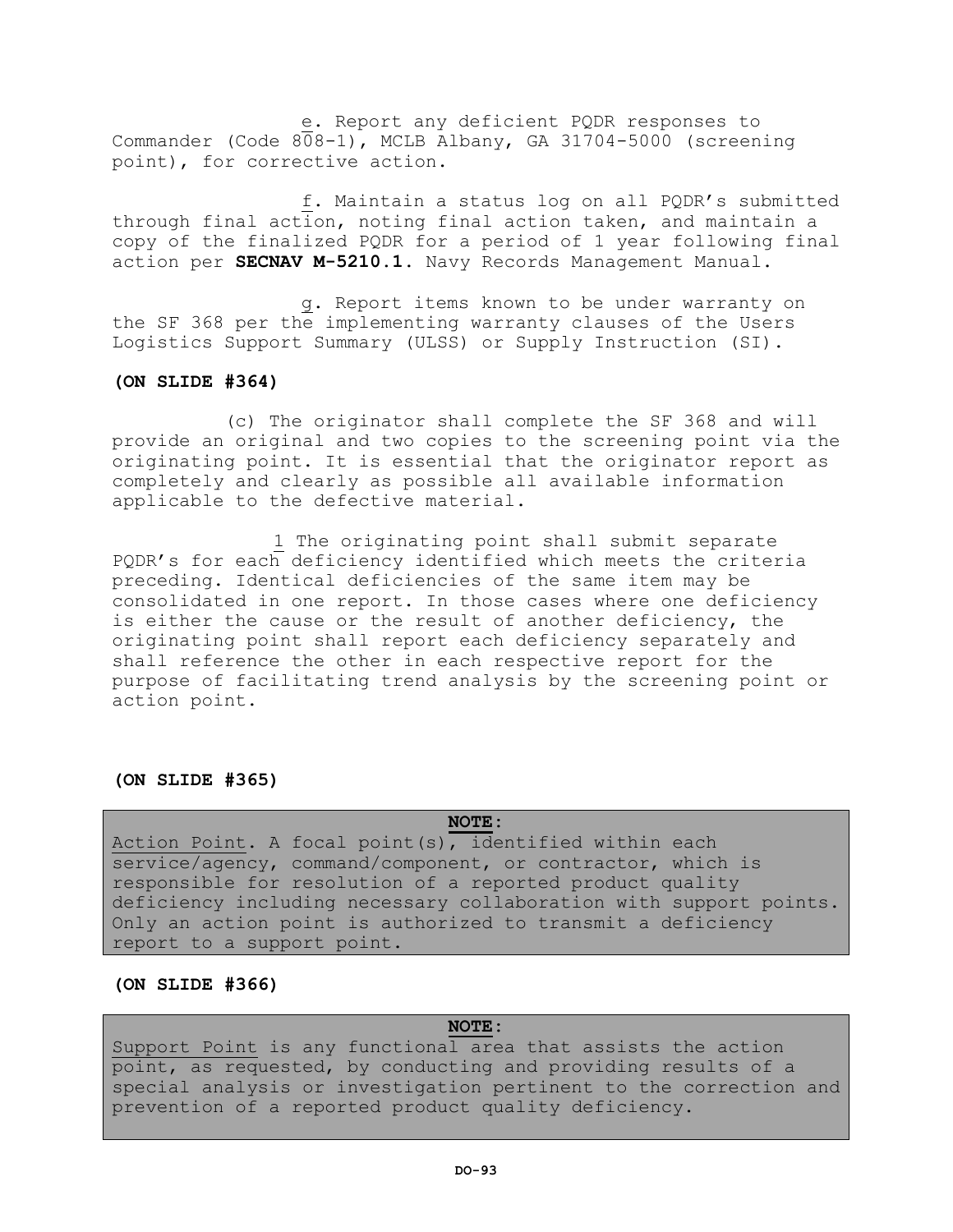e. Report any deficient PQDR responses to Commander (Code  $808-1$ ), MCLB Albany, GA 31704-5000 (screening point), for corrective action.

f. Maintain a status log on all PQDR's submitted through final action, noting final action taken, and maintain a copy of the finalized PQDR for a period of 1 year following final action per **SECNAV M-5210.1**. Navy Records Management Manual.

g. Report items known to be under warranty on the SF 368 per the implementing warranty clauses of the Users Logistics Support Summary (ULSS) or Supply Instruction (SI).

# **(ON SLIDE #364)**

(c) The originator shall complete the SF 368 and will provide an original and two copies to the screening point via the originating point. It is essential that the originator report as completely and clearly as possible all available information applicable to the defective material.

1 The originating point shall submit separate PQDR's for each deficiency identified which meets the criteria preceding. Identical deficiencies of the same item may be consolidated in one report. In those cases where one deficiency is either the cause or the result of another deficiency, the originating point shall report each deficiency separately and shall reference the other in each respective report for the purpose of facilitating trend analysis by the screening point or action point.

# **(ON SLIDE #365)**

**NOTE:** Action Point. A focal point(s), identified within each service/agency, command/component, or contractor, which is responsible for resolution of a reported product quality deficiency including necessary collaboration with support points. Only an action point is authorized to transmit a deficiency report to a support point.

# **(ON SLIDE #366)**

# **NOTE:**

Support Point is any functional area that assists the action point, as requested, by conducting and providing results of a special analysis or investigation pertinent to the correction and prevention of a reported product quality deficiency.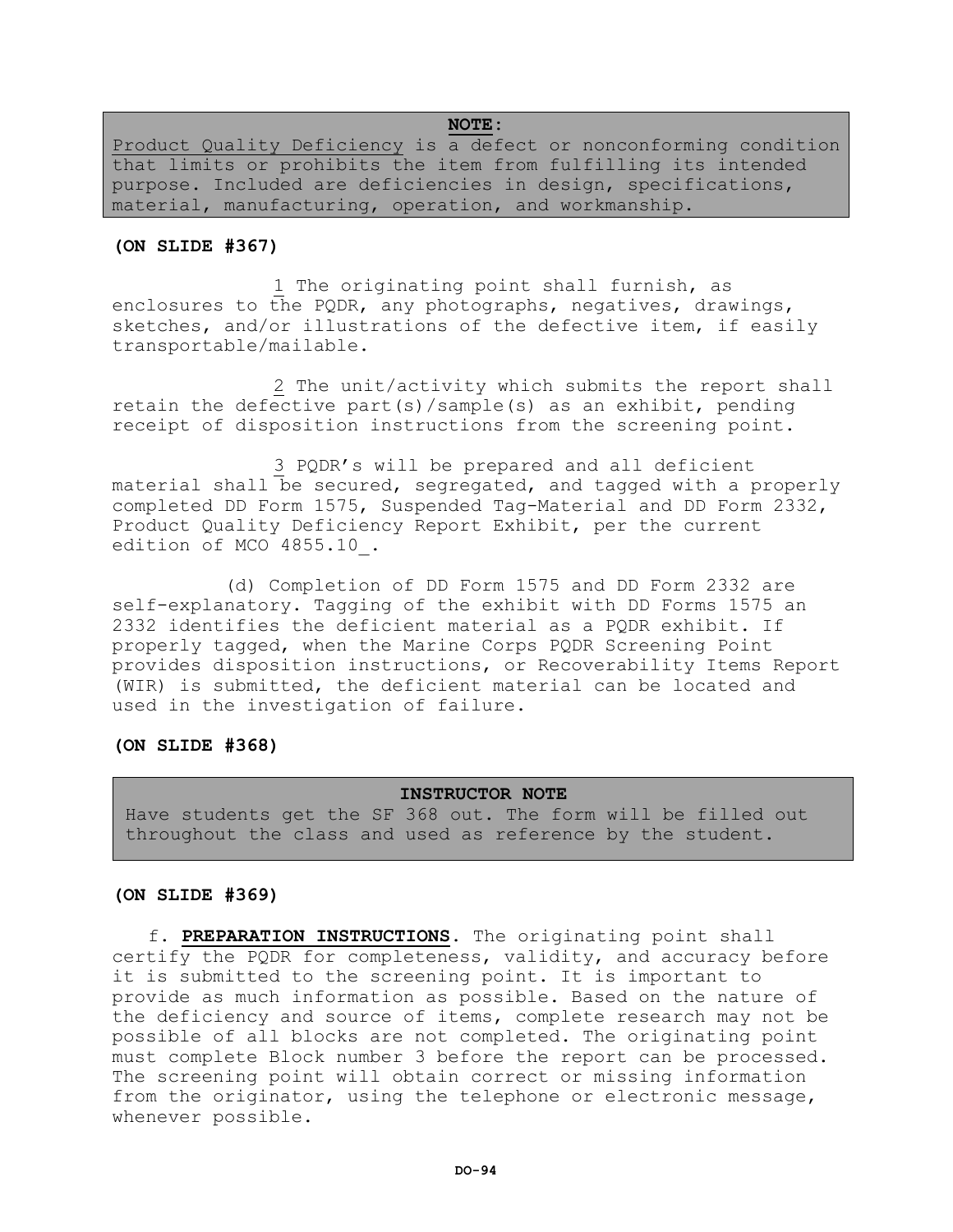# **NOTE:**

Product Quality Deficiency is a defect or nonconforming condition that limits or prohibits the item from fulfilling its intended purpose. Included are deficiencies in design, specifications, material, manufacturing, operation, and workmanship.

# **(ON SLIDE #367)**

1 The originating point shall furnish, as enclosures to the PQDR, any photographs, negatives, drawings, sketches, and/or illustrations of the defective item, if easily transportable/mailable.

2 The unit/activity which submits the report shall retain the defective part(s)/sample(s) as an exhibit, pending receipt of disposition instructions from the screening point.

3 PQDR's will be prepared and all deficient material shall be secured, segregated, and tagged with a properly completed DD Form 1575, Suspended Tag-Material and DD Form 2332, Product Quality Deficiency Report Exhibit, per the current edition of MCO 4855.10\_.

(d) Completion of DD Form 1575 and DD Form 2332 are self-explanatory. Tagging of the exhibit with DD Forms 1575 an 2332 identifies the deficient material as a PQDR exhibit. If properly tagged, when the Marine Corps PQDR Screening Point provides disposition instructions, or Recoverability Items Report (WIR) is submitted, the deficient material can be located and used in the investigation of failure.

# **(ON SLIDE #368)**

# **INSTRUCTOR NOTE**

Have students get the SF 368 out. The form will be filled out throughout the class and used as reference by the student.

# **(ON SLIDE #369)**

f. **PREPARATION INSTRUCTIONS**. The originating point shall certify the PQDR for completeness, validity, and accuracy before it is submitted to the screening point. It is important to provide as much information as possible. Based on the nature of the deficiency and source of items, complete research may not be possible of all blocks are not completed. The originating point must complete Block number 3 before the report can be processed. The screening point will obtain correct or missing information from the originator, using the telephone or electronic message, whenever possible.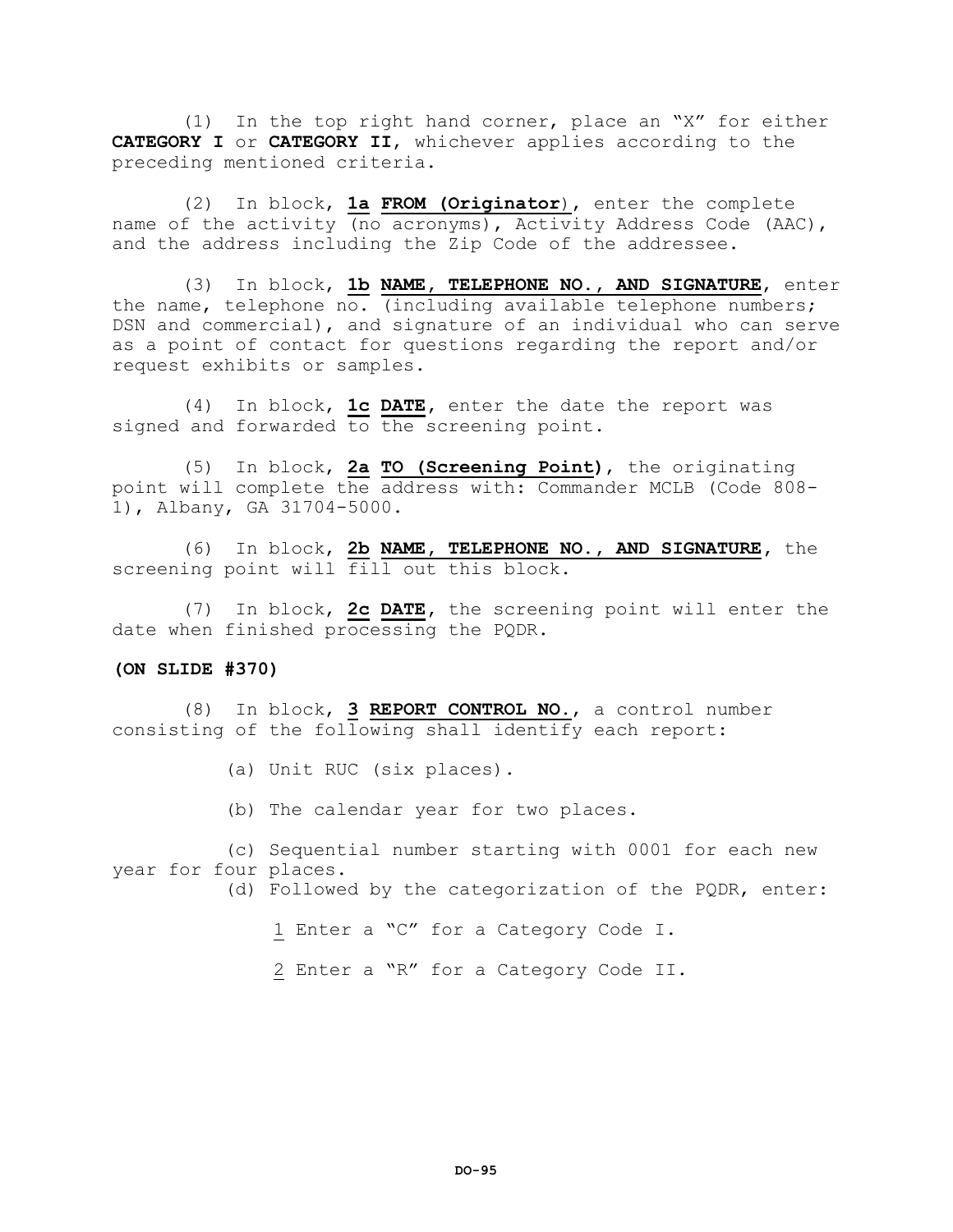(1) In the top right hand corner, place an "X" for either **CATEGORY I** or **CATEGORY II**, whichever applies according to the preceding mentioned criteria.

(2) In block, **1a FROM (Originator**), enter the complete name of the activity (no acronyms), Activity Address Code (AAC), and the address including the Zip Code of the addressee.

(3) In block, **1b NAME, TELEPHONE NO., AND SIGNATURE**, enter the name, telephone no. (including available telephone numbers; DSN and commercial), and signature of an individual who can serve as a point of contact for questions regarding the report and/or request exhibits or samples.

(4) In block, **1c DATE,** enter the date the report was signed and forwarded to the screening point.

(5) In block, **2a TO (Screening Point)**, the originating point will complete the address with: Commander MCLB (Code 808- 1), Albany, GA 31704-5000.

(6) In block, **2b NAME, TELEPHONE NO., AND SIGNATURE,** the screening point will fill out this block.

(7) In block, **2c DATE,** the screening point will enter the date when finished processing the PQDR.

# **(ON SLIDE #370)**

(8) In block, **3 REPORT CONTROL NO**., a control number consisting of the following shall identify each report:

- (a) Unit RUC (six places).
- (b) The calendar year for two places.

(c) Sequential number starting with 0001 for each new year for four places.

(d) Followed by the categorization of the PQDR, enter:

- 1 Enter a "C" for a Category Code I.
- 2 Enter a "R" for a Category Code II.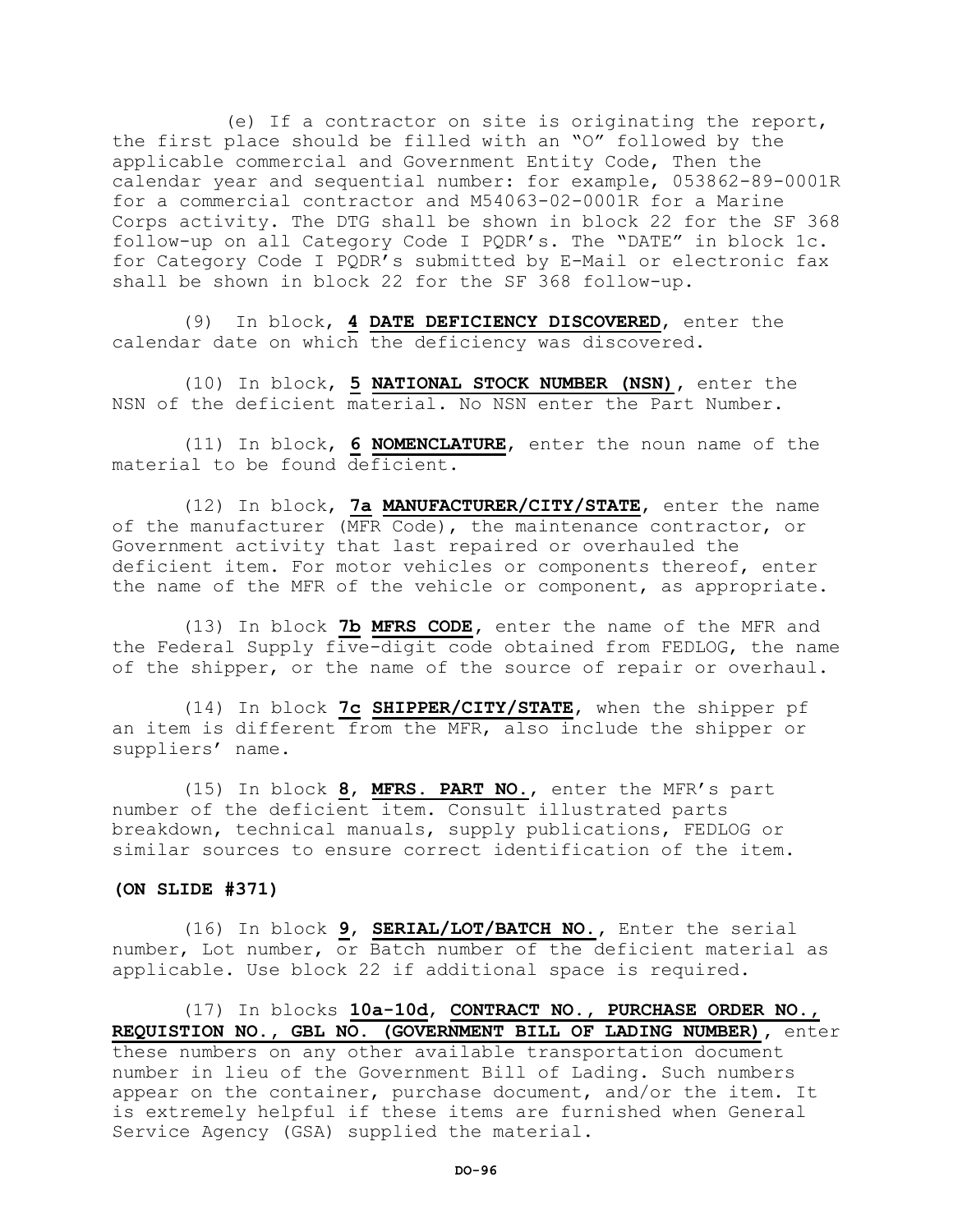(e) If a contractor on site is originating the report, the first place should be filled with an "O" followed by the applicable commercial and Government Entity Code, Then the calendar year and sequential number: for example, 053862-89-0001R for a commercial contractor and M54063-02-0001R for a Marine Corps activity. The DTG shall be shown in block 22 for the SF 368 follow-up on all Category Code I PQDR's. The "DATE" in block 1c. for Category Code I PQDR's submitted by E-Mail or electronic fax shall be shown in block 22 for the SF 368 follow-up.

(9) In block, **4 DATE DEFICIENCY DISCOVERED**, enter the calendar date on which the deficiency was discovered.

(10) In block, **5 NATIONAL STOCK NUMBER (NSN),** enter the NSN of the deficient material. No NSN enter the Part Number.

(11) In block, **6 NOMENCLATURE**, enter the noun name of the material to be found deficient.

(12) In block, **7a MANUFACTURER/CITY/STATE**, enter the name of the manufacturer (MFR Code), the maintenance contractor, or Government activity that last repaired or overhauled the deficient item. For motor vehicles or components thereof, enter the name of the MFR of the vehicle or component, as appropriate.

(13) In block **7b MFRS CODE,** enter the name of the MFR and the Federal Supply five-digit code obtained from FEDLOG, the name of the shipper, or the name of the source of repair or overhaul.

(14) In block **7c SHIPPER/CITY/STATE**, when the shipper pf an item is different from the MFR, also include the shipper or suppliers' name.

(15) In block **8**, **MFRS. PART NO**., enter the MFR's part number of the deficient item. Consult illustrated parts breakdown, technical manuals, supply publications, FEDLOG or similar sources to ensure correct identification of the item.

# **(ON SLIDE #371)**

(16) In block **9**, **SERIAL/LOT/BATCH NO.,** Enter the serial number, Lot number, or Batch number of the deficient material as applicable. Use block 22 if additional space is required.

(17) In blocks **10a-10d**, **CONTRACT NO., PURCHASE ORDER NO., REQUISTION NO., GBL NO. (GOVERNMENT BILL OF LADING NUMBER),** enter these numbers on any other available transportation document number in lieu of the Government Bill of Lading. Such numbers appear on the container, purchase document, and/or the item. It is extremely helpful if these items are furnished when General Service Agency (GSA) supplied the material.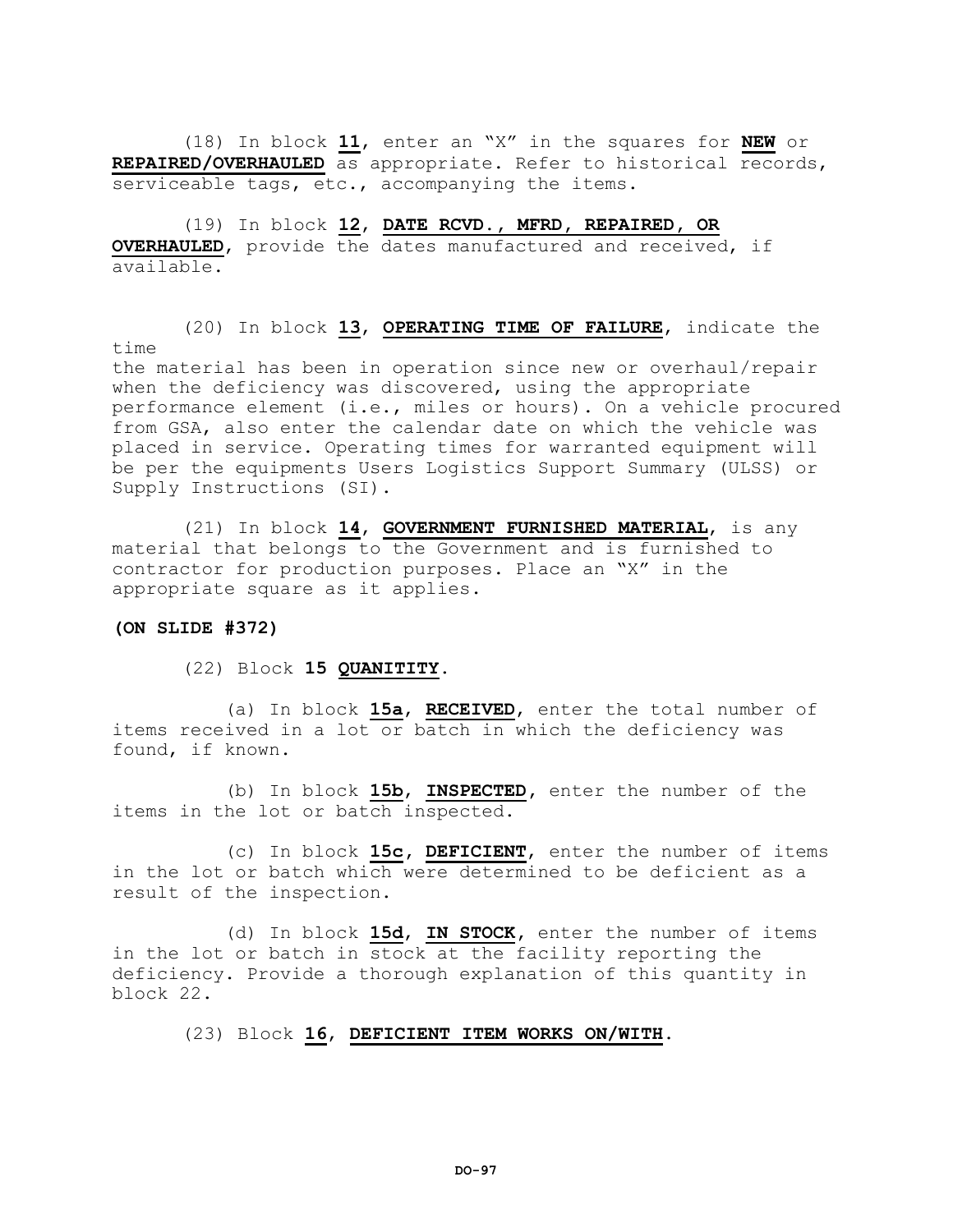(18) In block **11**, enter an "X" in the squares for **NEW** or **REPAIRED/OVERHAULED** as appropriate. Refer to historical records, serviceable tags, etc., accompanying the items.

(19) In block **12**, **DATE RCVD., MFRD, REPAIRED, OR OVERHAULED**, provide the dates manufactured and received, if available.

(20) In block **13**, **OPERATING TIME OF FAILURE**, indicate the time

the material has been in operation since new or overhaul/repair when the deficiency was discovered, using the appropriate performance element (i.e., miles or hours). On a vehicle procured from GSA, also enter the calendar date on which the vehicle was placed in service. Operating times for warranted equipment will be per the equipments Users Logistics Support Summary (ULSS) or Supply Instructions (SI).

(21) In block **14**, **GOVERNMENT FURNISHED MATERIAL**, is any material that belongs to the Government and is furnished to contractor for production purposes. Place an "X" in the appropriate square as it applies.

# **(ON SLIDE #372)**

# (22) Block **15 QUANITITY.**

(a) In block **15a**, **RECEIVED**, enter the total number of items received in a lot or batch in which the deficiency was found, if known.

(b) In block **15b**, **INSPECTED,** enter the number of the items in the lot or batch inspected.

(c) In block **15c, DEFICIENT**, enter the number of items in the lot or batch which were determined to be deficient as a result of the inspection.

(d) In block **15d**, **IN STOCK,** enter the number of items in the lot or batch in stock at the facility reporting the deficiency. Provide a thorough explanation of this quantity in block 22.

# (23) Block **16**, **DEFICIENT ITEM WORKS ON/WITH**.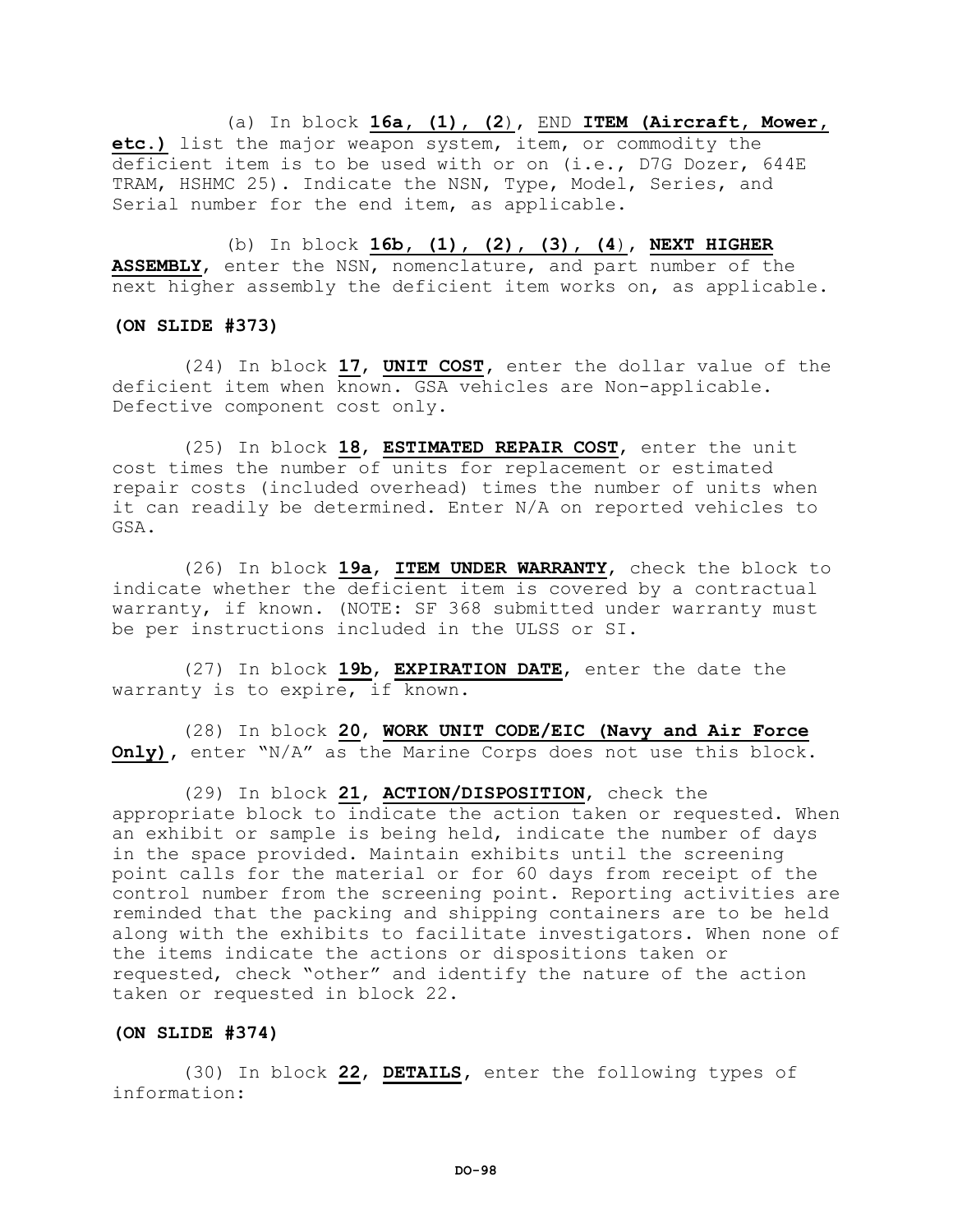(a) In block **16a, (1), (2**), END **ITEM (Aircraft, Mower, etc.)** list the major weapon system, item, or commodity the deficient item is to be used with or on (i.e., D7G Dozer, 644E TRAM, HSHMC 25). Indicate the NSN, Type, Model, Series, and Serial number for the end item, as applicable.

(b) In block **16b, (1), (2), (3), (4**), **NEXT HIGHER ASSEMBLY**, enter the NSN, nomenclature, and part number of the next higher assembly the deficient item works on, as applicable.

## **(ON SLIDE #373)**

(24) In block **17**, **UNIT COST,** enter the dollar value of the deficient item when known. GSA vehicles are Non-applicable. Defective component cost only.

(25) In block **18**, **ESTIMATED REPAIR COST**, enter the unit cost times the number of units for replacement or estimated repair costs (included overhead) times the number of units when it can readily be determined. Enter N/A on reported vehicles to GSA.

(26) In block **19a**, **ITEM UNDER WARRANTY**, check the block to indicate whether the deficient item is covered by a contractual warranty, if known. (NOTE: SF 368 submitted under warranty must be per instructions included in the ULSS or SI.

(27) In block **19b**, **EXPIRATION DATE**, enter the date the warranty is to expire, if known.

(28) In block **20**, **WORK UNIT CODE/EIC (Navy and Air Force Only),** enter "N/A" as the Marine Corps does not use this block.

(29) In block **21**, **ACTION/DISPOSITION**, check the appropriate block to indicate the action taken or requested. When an exhibit or sample is being held, indicate the number of days in the space provided. Maintain exhibits until the screening point calls for the material or for 60 days from receipt of the control number from the screening point. Reporting activities are reminded that the packing and shipping containers are to be held along with the exhibits to facilitate investigators. When none of the items indicate the actions or dispositions taken or requested, check "other" and identify the nature of the action taken or requested in block 22.

## **(ON SLIDE #374)**

(30) In block **22**, **DETAILS,** enter the following types of information: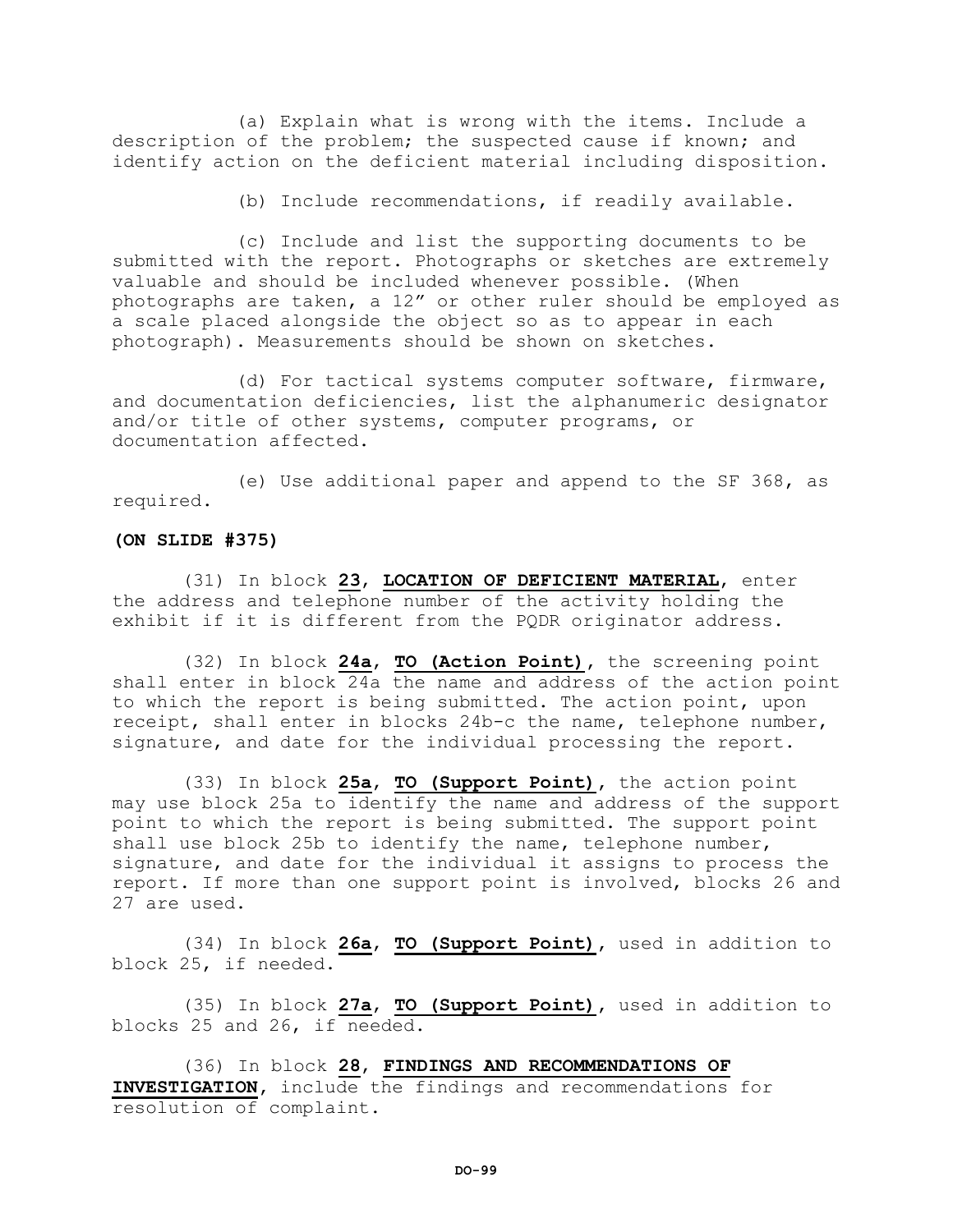(a) Explain what is wrong with the items. Include a description of the problem; the suspected cause if known; and identify action on the deficient material including disposition.

(b) Include recommendations, if readily available.

(c) Include and list the supporting documents to be submitted with the report. Photographs or sketches are extremely valuable and should be included whenever possible. (When photographs are taken, a 12" or other ruler should be employed as a scale placed alongside the object so as to appear in each photograph). Measurements should be shown on sketches.

(d) For tactical systems computer software, firmware, and documentation deficiencies, list the alphanumeric designator and/or title of other systems, computer programs, or documentation affected.

(e) Use additional paper and append to the SF 368, as required.

# **(ON SLIDE #375)**

(31) In block **23**, **LOCATION OF DEFICIENT MATERIAL**, enter the address and telephone number of the activity holding the exhibit if it is different from the PQDR originator address.

(32) In block **24a**, **TO (Action Point),** the screening point shall enter in block 24a the name and address of the action point to which the report is being submitted. The action point, upon receipt, shall enter in blocks 24b-c the name, telephone number, signature, and date for the individual processing the report.

(33) In block **25a**, **TO (Support Point),** the action point may use block 25a to identify the name and address of the support point to which the report is being submitted. The support point shall use block 25b to identify the name, telephone number, signature, and date for the individual it assigns to process the report. If more than one support point is involved, blocks 26 and 27 are used.

(34) In block **26a**, **TO (Support Point),** used in addition to block 25, if needed.

(35) In block **27a**, **TO (Support Point),** used in addition to blocks 25 and 26, if needed.

(36) In block **28**, **FINDINGS AND RECOMMENDATIONS OF INVESTIGATION,** include the findings and recommendations for resolution of complaint.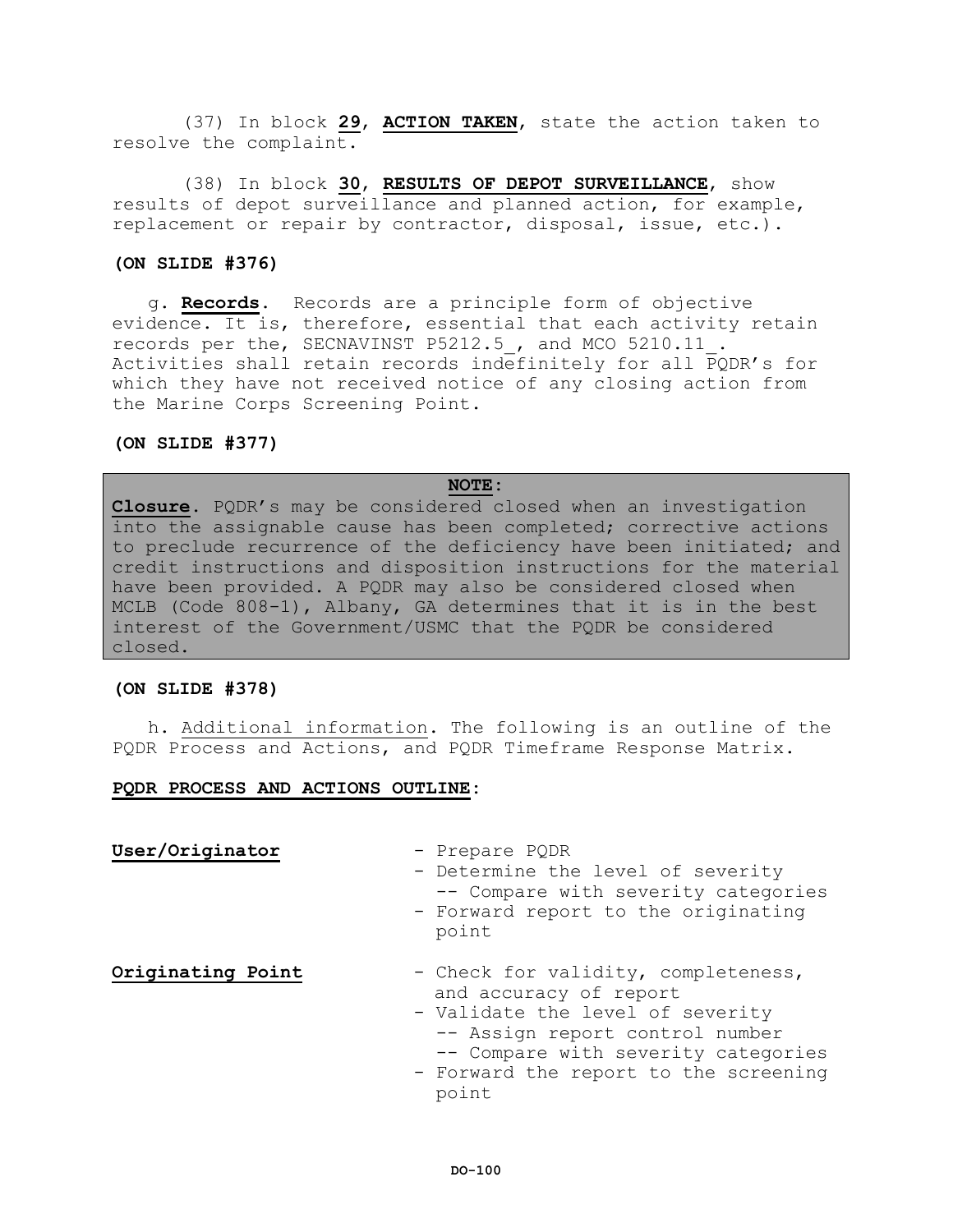(37) In block **29**, **ACTION TAKEN**, state the action taken to resolve the complaint.

(38) In block **30**, **RESULTS OF DEPOT SURVEILLANCE**, show results of depot surveillance and planned action, for example, replacement or repair by contractor, disposal, issue, etc.).

#### **(ON SLIDE #376)**

g. **Records**. Records are a principle form of objective evidence. It is, therefore, essential that each activity retain records per the, SECNAVINST P5212.5\_, and MCO 5210.11\_. Activities shall retain records indefinitely for all PQDR's for which they have not received notice of any closing action from the Marine Corps Screening Point.

# **(ON SLIDE #377)**

# **NOTE:**

**Closure.** PQDR's may be considered closed when an investigation into the assignable cause has been completed; corrective actions to preclude recurrence of the deficiency have been initiated; and credit instructions and disposition instructions for the material have been provided. A PQDR may also be considered closed when MCLB (Code 808-1), Albany, GA determines that it is in the best interest of the Government/USMC that the PQDR be considered closed.

# **(ON SLIDE #378)**

h. Additional information. The following is an outline of the PQDR Process and Actions, and PQDR Timeframe Response Matrix.

# **PQDR PROCESS AND ACTIONS OUTLINE:**

**User/Originator** - Prepare PQDR

- Determine the level of severity -- Compare with severity categories

- Forward report to the originating point

- **Originating Point** Check for validity, completeness, and accuracy of report
	- Validate the level of severity -- Assign report control number -- Compare with severity categories
	- Forward the report to the screening point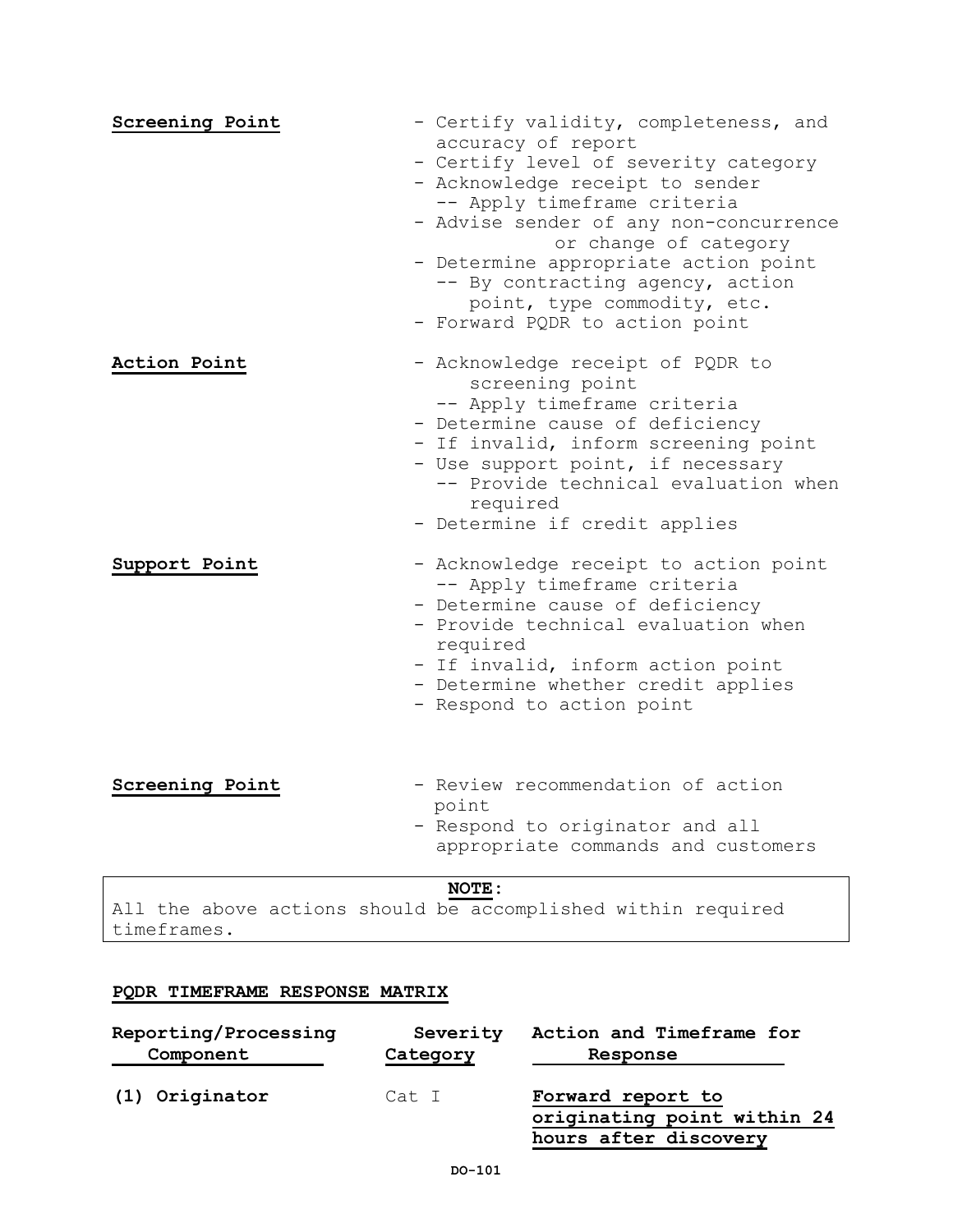| Screening Point | - Certify validity, completeness, and                           |
|-----------------|-----------------------------------------------------------------|
|                 | accuracy of report                                              |
|                 | - Certify level of severity category                            |
|                 | - Acknowledge receipt to sender                                 |
|                 | -- Apply timeframe criteria                                     |
|                 | - Advise sender of any non-concurrence<br>or change of category |
|                 | - Determine appropriate action point                            |
|                 | -- By contracting agency, action                                |
|                 | point, type commodity, etc.                                     |
|                 | - Forward PQDR to action point                                  |
| Action Point    | - Acknowledge receipt of PQDR to                                |
|                 | screening point                                                 |
|                 | -- Apply timeframe criteria<br>- Determine cause of deficiency  |
|                 | - If invalid, inform screening point                            |
|                 | - Use support point, if necessary                               |
|                 | -- Provide technical evaluation when                            |
|                 | required                                                        |
|                 | - Determine if credit applies                                   |
| Support Point   | - Acknowledge receipt to action point                           |
|                 | -- Apply timeframe criteria                                     |
|                 | - Determine cause of deficiency                                 |
|                 | - Provide technical evaluation when                             |
|                 | required<br>- If invalid, inform action point                   |
|                 | - Determine whether credit applies                              |
|                 | - Respond to action point                                       |
|                 |                                                                 |
|                 |                                                                 |
| Screening Point | - Review recommendation of action<br>point                      |
|                 | - Respond to originator and all                                 |
|                 | appropriate commands and customers                              |
|                 | NOTE:                                                           |

All the above actions should be accomplished within required timeframes.

# **PQDR TIMEFRAME RESPONSE MATRIX**

| Reporting/Processing | Severity | Action and Timeframe for                                                  |
|----------------------|----------|---------------------------------------------------------------------------|
| Component            | Category | Response                                                                  |
| (1) Originator       | Cat I    | Forward report to<br>originating point within 24<br>hours after discovery |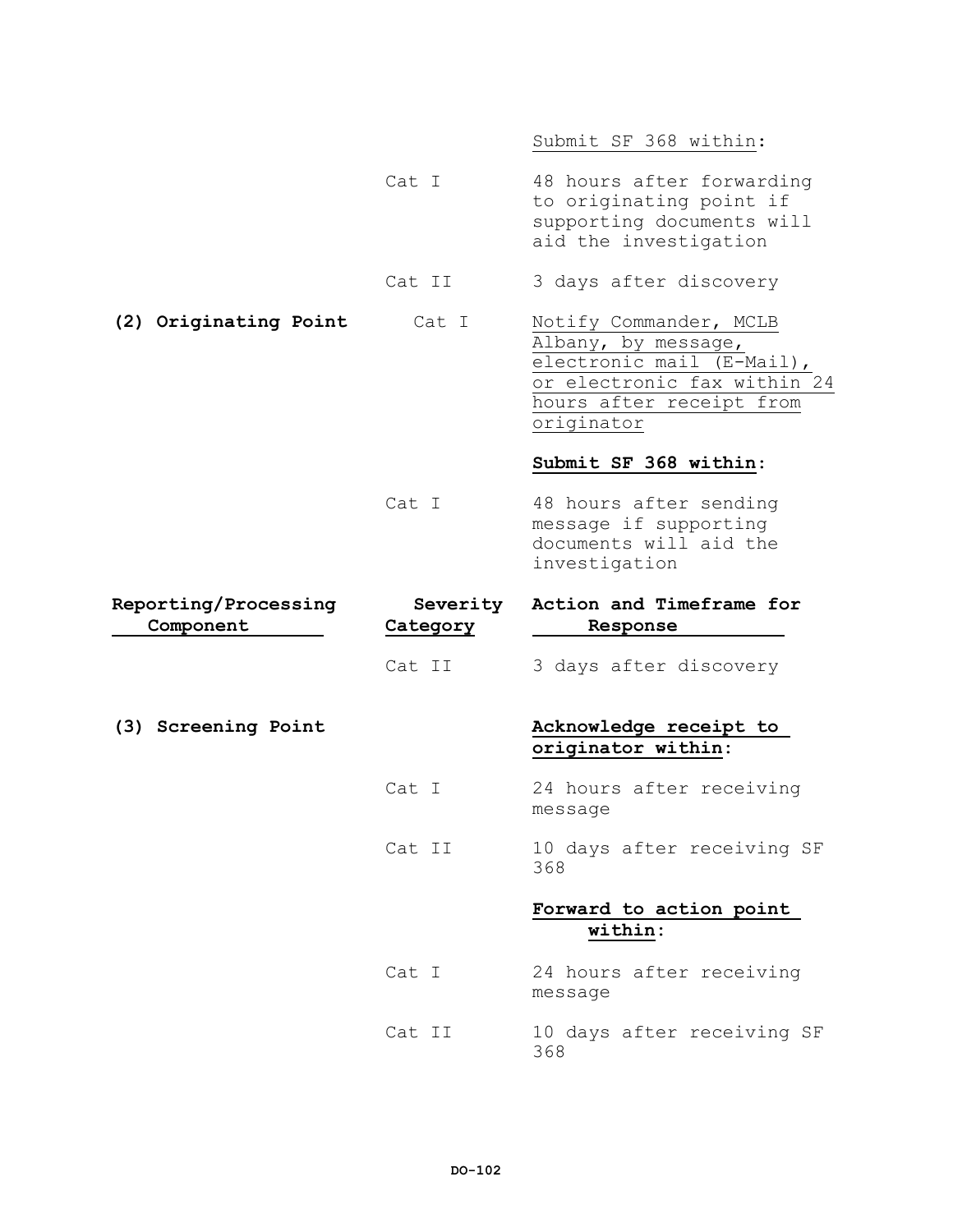|                                   |                             | Submit SF 368 within:                                                                                                                               |
|-----------------------------------|-----------------------------|-----------------------------------------------------------------------------------------------------------------------------------------------------|
|                                   | Cat I                       | 48 hours after forwarding<br>to originating point if<br>supporting documents will<br>aid the investigation                                          |
|                                   | Cat II                      | 3 days after discovery                                                                                                                              |
| (2) Originating Point             | Cat I                       | Notify Commander, MCLB<br>Albany, by message,<br>electronic mail (E-Mail),<br>or electronic fax within 24<br>hours after receipt from<br>originator |
|                                   |                             | Submit SF 368 within:                                                                                                                               |
|                                   | Cat I                       | 48 hours after sending<br>message if supporting<br>documents will aid the<br>investigation                                                          |
|                                   |                             |                                                                                                                                                     |
| Reporting/Processing<br>Component | Severity<br><u>Category</u> | Action and Timeframe for<br>Response                                                                                                                |
|                                   | Cat II                      | 3 days after discovery                                                                                                                              |
| (3) Screening Point               |                             | Acknowledge receipt to<br>originator within:                                                                                                        |
|                                   | Cat I                       | 24 hours after receiving<br>message                                                                                                                 |
|                                   | Cat II                      | 10 days after receiving SF<br>368                                                                                                                   |
|                                   |                             | Forward to action point<br>within:                                                                                                                  |
|                                   | Cat I                       | 24 hours after receiving<br>message                                                                                                                 |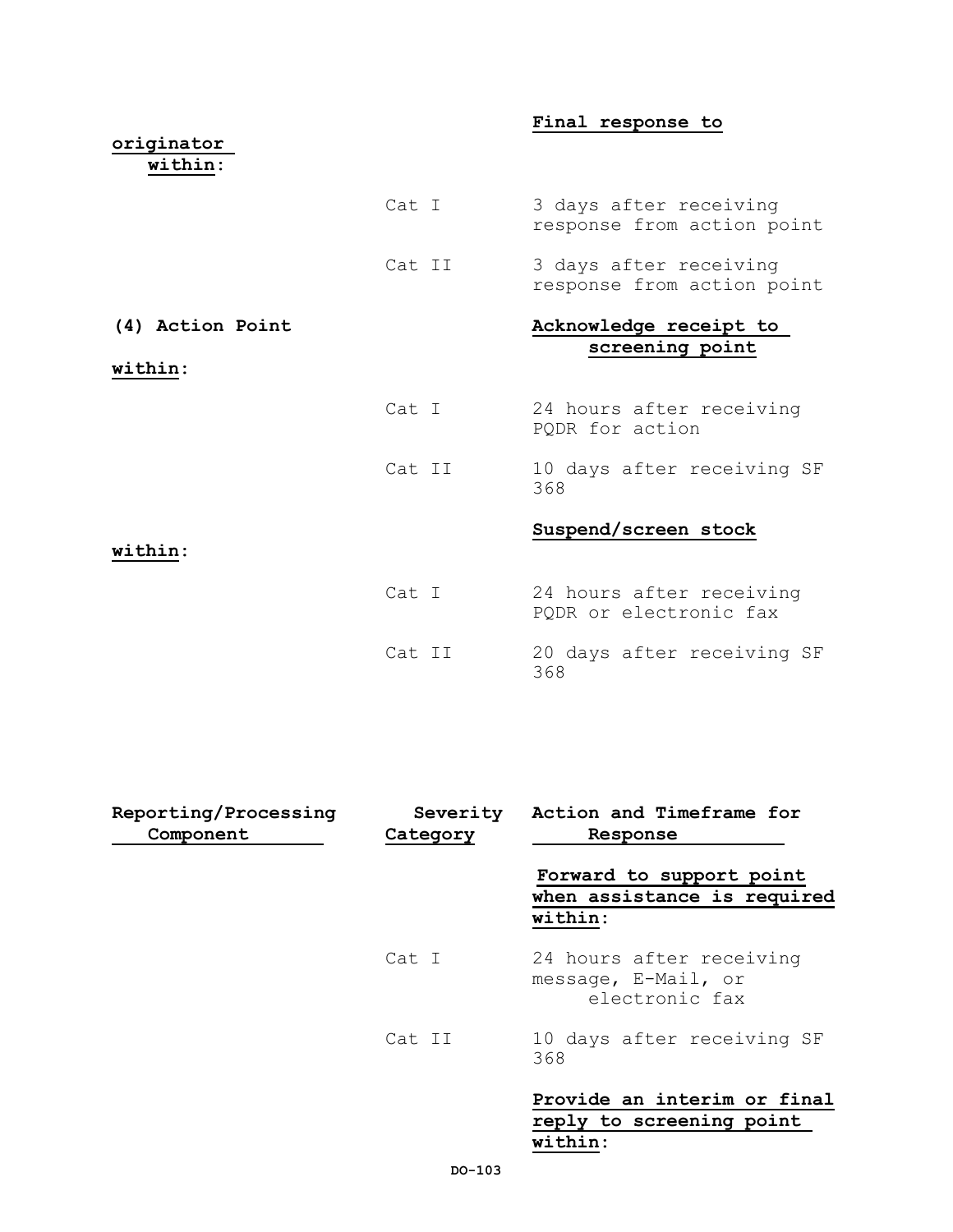# **Final response to**

| originator<br>within: |        |                                                      |
|-----------------------|--------|------------------------------------------------------|
|                       | Cat I  | 3 days after receiving<br>response from action point |
|                       | Cat II | 3 days after receiving<br>response from action point |
| (4) Action Point      |        | Acknowledge receipt to<br>screening point            |
| within:               |        |                                                      |
|                       | Cat I  | 24 hours after receiving<br>PQDR for action          |
|                       | Cat II | 10 days after receiving SF<br>368                    |
| within:               |        | Suspend/screen stock                                 |
|                       | Cat I  | 24 hours after receiving<br>PQDR or electronic fax   |
|                       | Cat II | 20 days after receiving SF<br>368                    |

| Reporting/Processing<br>Component | Severity<br>Category | Action and Timeframe for<br>Response                               |
|-----------------------------------|----------------------|--------------------------------------------------------------------|
|                                   |                      | Forward to support point<br>when assistance is required<br>within: |
|                                   | Cat I                | 24 hours after receiving<br>message, E-Mail, or<br>electronic fax  |
|                                   | Cat II               | 10 days after receiving SF<br>368                                  |
|                                   |                      | Provide an interim or final<br>reply to screening point<br>within: |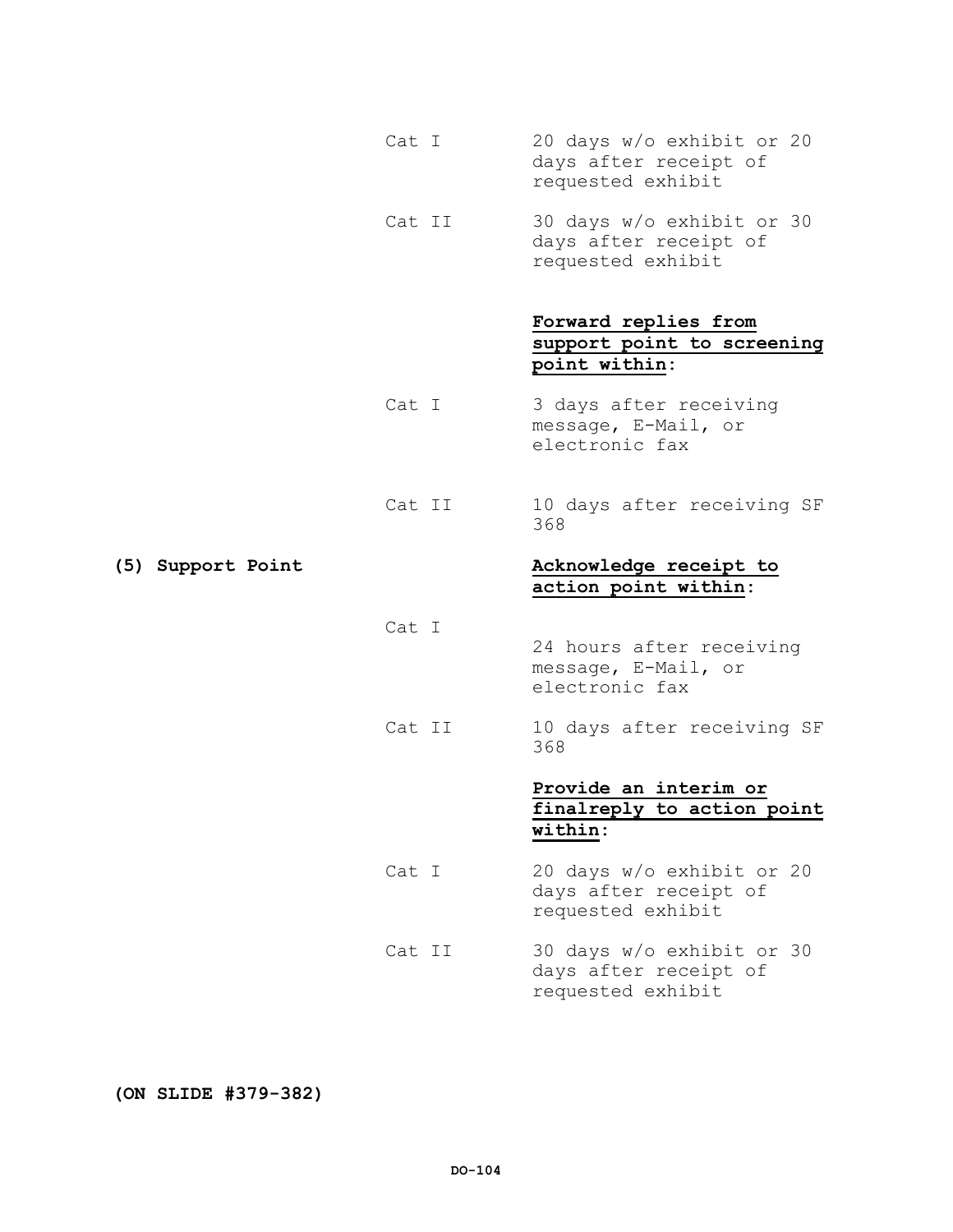- Cat I 20 days w/o exhibit or 20 days after receipt of requested exhibit
- Cat II 30 days w/o exhibit or 30 days after receipt of requested exhibit

# **Forward replies from support point to screening point within:**

- Cat I 3 days after receiving message, E-Mail, or electronic fax
- Cat II 10 days after receiving SF 368

# **(5) Support Point Acknowledge receipt to action point within:**

Cat I

- 24 hours after receiving message, E-Mail, or electronic fax
- Cat II 10 days after receiving SF 368

# **Provide an interim or finalreply to action point within:**

- Cat I 20 days w/o exhibit or 20 days after receipt of requested exhibit
- Cat II 30 days w/o exhibit or 30 days after receipt of requested exhibit

**(ON SLIDE #379-382)**